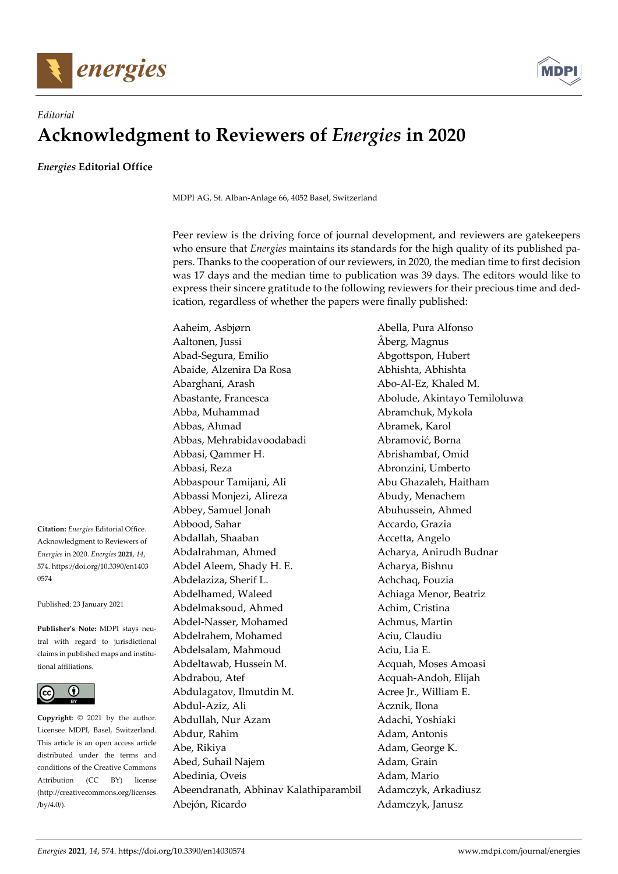



## *Editorial*  **Acknowledgment to Reviewers of** *Energies* **in 2020**

*Energies* **Editorial Office** 

MDPI AG, St. Alban-Anlage 66, 4052 Basel, Switzerland

Peer review is the driving force of journal development, and reviewers are gatekeepers who ensure that *Energies* maintains its standards for the high quality of its published papers. Thanks to the cooperation of our reviewers, in 2020, the median time to first decision was 17 days and the median time to publication was 39 days. The editors would like to express their sincere gratitude to the following reviewers for their precious time and dedication, regardless of whether the papers were finally published:

Aaheim, Asbjørn Abella, Pura Alfonso Aaltonen, Jussi Åberg, Magnus Abad-Segura, Emilio **Abgottspon**, Hubert Abaide, Alzenira Da Rosa Abhishta, Abhishta Abarghani, Arash Abo-Al-Ez, Khaled M. Abastante, Francesca (and Abolude, Akintayo Temiloluwa Abba, Muhammad Abramchuk, Mykola Abbas, Ahmad Abramek, Karol Abbas, Mehrabidavoodabadi Abramović, Borna Abbasi, Qammer H. Abrishambaf, Omid Abbasi, Reza Abronzini, Umberto Abbaspour Tamijani, Ali Abu Ghazaleh, Haitham Abbassi Monjezi, Alireza (Abudy, Menachem Abbey, Samuel Jonah Abuhussein, Ahmed Abbood, Sahar **Accardo, Grazia** Abdallah, Shaaban Accetta, Angelo Abdalrahman, Ahmed Acharya, Anirudh Budnar Abdel Aleem, Shady H. E. Acharya, Bishnu Abdelaziza, Sherif L. Achchaq, Fouzia Abdelhamed, Waleed Achiaga Menor, Beatriz Abdelmaksoud, Ahmed Achim, Cristina Abdel-Nasser, Mohamed Achmus, Martin Abdelrahem, Mohamed Aciu, Claudiu Abdelsalam, Mahmoud Aciu, Lia E. Abdeltawab, Hussein M. Acquah, Moses Amoasi Abdrabou, Atef Acquah-Andoh, Elijah Abdulagatov, Ilmutdin M. Acree Jr., William E. Abdul-Aziz, Ali Acznik, Ilona Abdullah, Nur Azam Adachi, Yoshiaki Abdur, Rahim Adam, Antonis Abe, Rikiya **Adam**, George K. Abed, Suhail Najem **Adam**, Grain Abedinia, Oveis Adam, Mario Abeendranath, Abhinav Kalathiparambil Adamczyk, Arkadiusz Abejón, Ricardo **Adamczyk**, Janusz

**Citation:** *Energies* Editorial Office. Acknowledgment to Reviewers of *Energies* in 2020. *Energies* **2021**, *14*, 574. https://doi.org/10.3390/en1403 0574

Published: 23 January 2021

**Publisher's Note:** MDPI stays neutral with regard to jurisdictional claims in published maps and institutional affiliations.



**Copyright:** © 2021 by the author. Licensee MDPI, Basel, Switzerland. This article is an open access article distributed under the terms and conditions of the Creative Commons Attribution (CC BY) license (http://creativecommons.org/licenses /by/4.0/).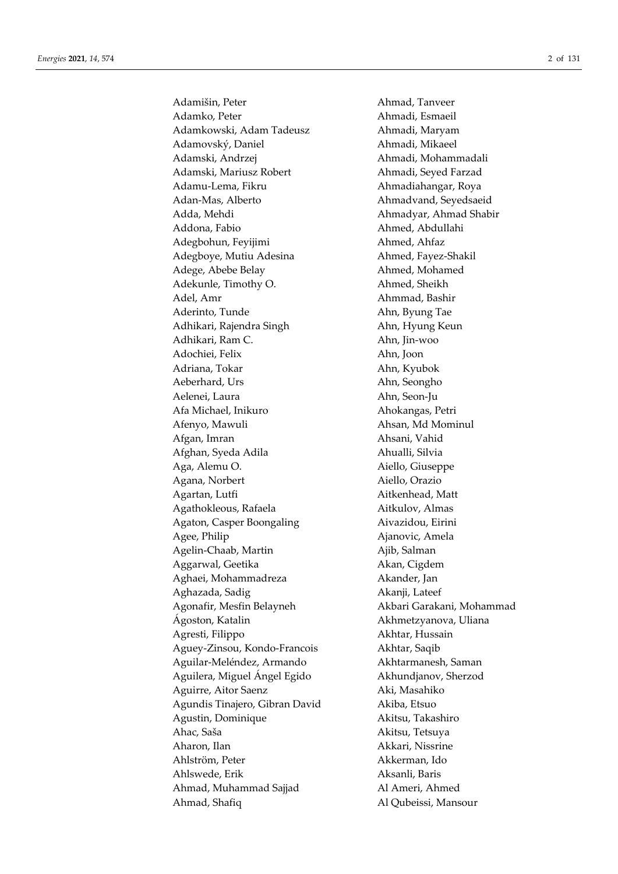Adamišin, Peter Ahmad, Tanveer Adamko, Peter **Ahmadi**, Esmaeil Adamkowski, Adam Tadeusz Ahmadi, Maryam Adamovský, Daniel Ahmadi, Mikaeel Adamski, Andrzej **Ahmadi, Mohammadali** Adamski, Mariusz Robert Ahmadi, Seyed Farzad Adamu-Lema, Fikru **Ahmadiahangar**, Roya Adan-Mas, Alberto Ahmadvand, Seyedsaeid Adda, Mehdi Ahmadyar, Ahmad Shabir Addona, Fabio **Ahmed, Abdullahi** Adegbohun, Feyijimi Ahmed, Ahfaz Adegboye, Mutiu Adesina **Ahmed, Fayez-Shakil** Adege, Abebe Belay Ahmed, Mohamed Adekunle, Timothy O. Ahmed, Sheikh Adel, Amr Ahmmad, Bashir Aderinto, Tunde Ahn, Byung Tae Adhikari, Rajendra Singh Ahn, Hyung Keun Adhikari, Ram C. Ahn, Jin-woo Adochiei, Felix Ahn, Joon Adriana, Tokar **Ahn**, Kyubok Aeberhard, Urs Ahn, Seongho Aelenei, Laura **Ahn, Seon-Ju** Afa Michael, Inikuro **Ahokangas**, Petri Afenyo, Mawuli **Ahsan**, Md Mominul Afgan, Imran **Ahsani**, Vahid Afghan, Syeda Adila **Ahualli**, Silvia Aga, Alemu O. Aiello, Giuseppe Agana, Norbert **Aiello**, Orazio Agartan, Lutfi **Aitkenhead**, Matt Agathokleous, Rafaela Aitkulov, Almas Agaton, Casper Boongaling Aivazidou, Eirini Agee, Philip **Agee**, Philip **Agee**, Philip **Agee**, Philip **Agee**, Philip **Agee**, Philip **Agee**, Philip **Agee**, Philip **Agee**, Philip **Agee**, Philip **Age**e, Philip **Agee**, Philip **Age**e, Philip **Age age.** 2010 Agelin-Chaab, Martin Ajib, Salman Aggarwal, Geetika Akan, Cigdem Aghaei, Mohammadreza Akander, Jan Aghazada, Sadig **Akanji**, Lateef Agonafir, Mesfin Belayneh **Akbari Garakani, Mohammad** Ágoston, Katalin Akhmetzyanova, Uliana Agresti, Filippo **Akhtar, Hussain** Aguey-Zinsou, Kondo-Francois Akhtar, Saqib Aguilar-Meléndez, Armando Akhtarmanesh, Saman Aguilera, Miguel Ángel Egido Akhundjanov, Sherzod Aguirre, Aitor Saenz **Aki, Masahiko** Agundis Tinajero, Gibran David Akiba, Etsuo Agustin, Dominique **Akitsu, Takashiro** Ahac, Saša Akitsu, Tetsuya Aharon, Ilan Akkari, Nissrine Ahlström, Peter **Akkerman**, Ido Ahlswede, Erik Aksanli, Baris Ahmad, Muhammad Sajjad Al Ameri, Ahmed Ahmad, Shafiq Al Qubeissi, Mansour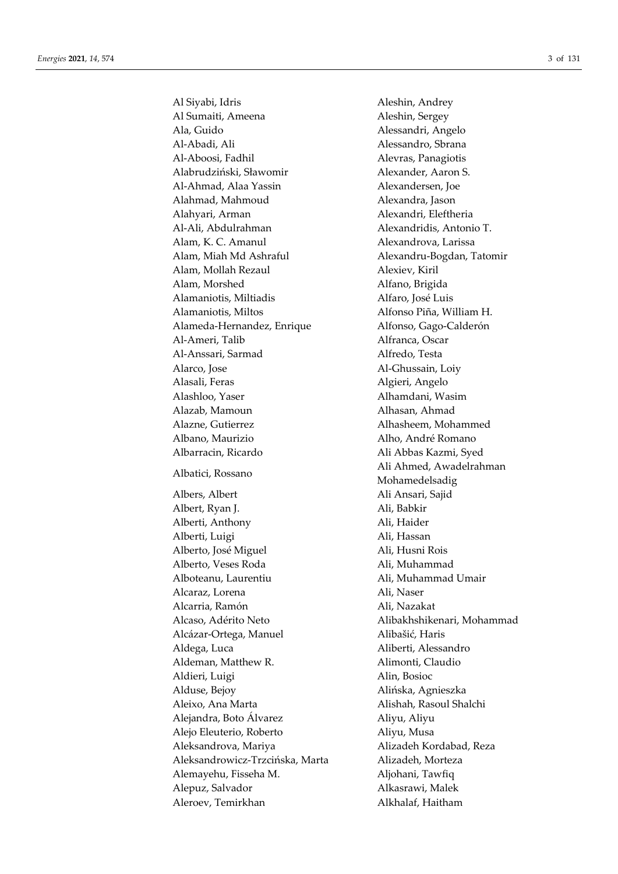Al Siyabi, Idris Aleshin, Andrey Al Sumaiti, Ameena Aleshin, Sergey Ala, Guido Alessandri, Angelo Al-Abadi, Ali Alessandro, Sbrana Al-Aboosi, Fadhil Alevras, Panagiotis Alabrudziński, Sławomir **Alexander**, Aaron S. Al-Ahmad, Alaa Yassin Alexandersen, Joe Alahmad, Mahmoud Alexandra, Jason Alahyari, Arman Alexandri, Eleftheria Al-Ali, Abdulrahman Alexandridis, Antonio T. Alam, K. C. Amanul Alexandrova, Larissa Alam, Miah Md Ashraful **Alexandru-Bogdan**, Tatomir Alam, Mollah Rezaul Alexiev, Kiril Alam, Morshed Alfano, Brigida Alamaniotis, Miltiadis Alfaro, José Luis Alamaniotis, Miltos **Alfonso Piña**, William H. Alameda-Hernandez, Enrique Alfonso, Gago-Calderón Al-Ameri, Talib Alfranca, Oscar Al-Anssari, Sarmad Alfredo, Testa Alarco, Jose Al-Ghussain, Loiy Alasali, Feras **Algieri, Angelo** Alashloo, Yaser **Alhamdani**, Wasim Alazab, Mamoun **Alhasan**, Ahmad Alazne, Gutierrez Alhasheem, Mohammed Albano, Maurizio antichia alho, André Romano Albarracin, Ricardo Ali Abbas Kazmi, Syed Albatici, Rossano Ali Ahmed, Awadelrahman Albers, Albert Ali Ansari, Sajid Albert, Ryan J. Ali, Babkir Alberti, Anthony Ali, Haider Alberti, Luigi **Ali, Hassan** Alberto, José Miguel **Ali**, Husni Rois Alberto, Veses Roda Ali, Muhammad Alboteanu, Laurentiu Ali, Muhammad Umair Alcaraz, Lorena Ali, Naser Alcarria, Ramón **Ali, Nazakat** Alcaso, Adérito Neto Alibakhshikenari, Mohammad Alcázar-Ortega, Manuel Alibašić, Haris Aldega, Luca **Aliberti, Alessandro** Aldeman, Matthew R. Alimonti, Claudio Aldieri, Luigi Alin, Bosioc Alduse, Bejoy Alińska, Agnieszka Aleixo, Ana Marta Alishah, Rasoul Shalchi Alejandra, Boto Álvarez Aliyu, Aliyu Alejo Eleuterio, Roberto Aliyu, Musa Aleksandrova, Mariya Alizadeh Kordabad, Reza Aleksandrowicz-Trzcińska, Marta Alizadeh, Morteza Alemayehu, Fisseha M. Aljohani, Tawfiq Alepuz, Salvador Alkasrawi, Malek Aleroev, Temirkhan Alkhalaf, Haitham

Mohamedelsadig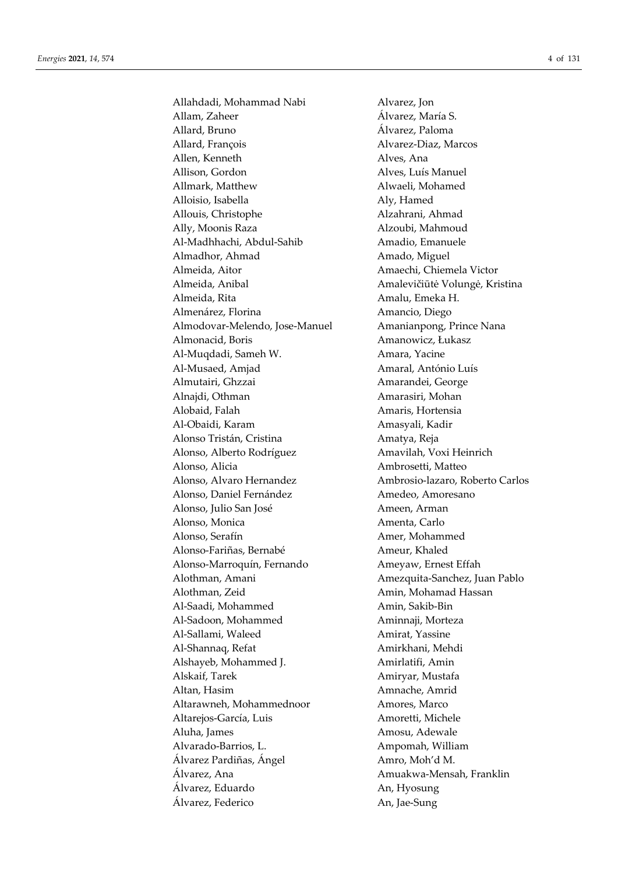Allahdadi, Mohammad Nabi Allam, Zaheer Allard, Bruno Allard, François Allen, Kenneth Allison, Gordon Allmark, Matthew Alloisio, Isabella Allouis, Christophe Ally, Moonis Raza Al-Madhhachi, Abdul-Sahib Almadhor, Ahmad Almeida, Aitor Almeida, Anibal Almeida, Rita Almenárez, Florina Almodovar-Melendo, Jose-Manuel Almonacid, Boris Al-Muqdadi, Sameh W. Al-Musaed, Amjad Almutairi, Ghzzai Alnajdi, Othman Alobaid, Falah Al-Obaidi, Karam Alonso Tristán, Cristina Alonso, Alberto Rodríguez Alonso, Alicia Alonso, Alvaro Hernandez Alonso, Daniel Fernández Alonso, Julio San José Alonso, Monica Alonso, Serafín Alonso-Fariñas, Bernabé Alonso-Marroquín, Fernando Alothman, Amani Alothman, Zeid Al-Saadi, Mohammed Al-Sadoon, Mohammed Al-Sallami, Waleed Al-Shannaq, Refat Alshayeb, Mohammed J. Alskaif, Tarek Altan, Hasim Altarawneh, Mohammednoor Altarejos-García, Luis Aluha, James Alvarado-Barrios, L. Álvarez Pardiñas, Ángel Álvarez. Ana Álvarez. Eduardo Álvarez, Federico

Alvarez, Jon Álvarez, María S. Álvarez, Paloma Alvarez-Diaz, Marcos Alves, Ana Alves. Luís Manuel Alwaeli, Mohamed Aly, Hamed Alzahrani, Ahmad Alzoubi, Mahmoud Amadio. Emanuele Amado, Miguel Amaechi, Chiemela Victor Amalevičiūtė Volungė, Kristina Amalu, Emeka H. Amancio, Diego Amanianpong, Prince Nana Amanowicz, Łukasz Amara, Yacine Amaral, António Luís Amarandei, George Amarasiri. Mohan Amaris, Hortensia Amasyali, Kadir Amatya, Reja Amavilah, Voxi Heinrich Ambrosetti, Matteo Ambrosio-lazaro, Roberto Carlos Amedeo, Amoresano Ameen, Arman Amenta, Carlo Amer. Mohammed Ameur, Khaled Ameyaw, Ernest Effah Amezquita-Sanchez, Juan Pablo Amin, Mohamad Hassan Amin, Sakib-Bin Aminnaji, Morteza Amirat, Yassine Amirkhani, Mehdi Amirlatifi, Amin Amiryar, Mustafa Amnache, Amrid Amores, Marco Amoretti. Michele Amosu, Adewale Ampomah, William Amro. Moh'd M. Amuakwa-Mensah, Franklin An, Hyosung An, Jae-Sung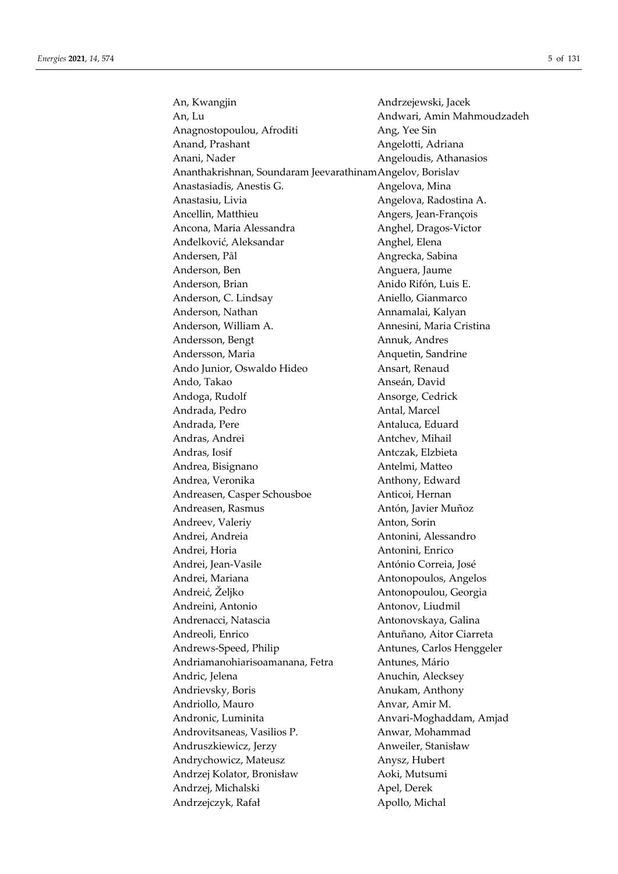| An, Kwangjin                                               | Andrzejewski, Jacek        |
|------------------------------------------------------------|----------------------------|
| An, Lu                                                     | Andwari, Amin Mahmoudzadeh |
| Anagnostopoulou, Afroditi                                  | Ang, Yee Sin               |
| Anand, Prashant                                            | Angelotti, Adriana         |
| Anani, Nader                                               | Angeloudis, Athanasios     |
| Ananthakrishnan, Soundaram Jeevarathinam Angelov, Borislav |                            |
| Anastasiadis, Anestis G.                                   | Angelova, Mina             |
| Anastasiu, Livia                                           | Angelova, Radostina A.     |
| Ancellin, Matthieu                                         | Angers, Jean-François      |
| Ancona, Maria Alessandra                                   | Anghel, Dragos-Victor      |
| Anđelković, Aleksandar                                     | Anghel, Elena              |
| Andersen, Pål                                              | Angrecka, Sabina           |
| Anderson, Ben                                              | Anguera, Jaume             |
| Anderson, Brian                                            | Anido Rifón, Luis E.       |
| Anderson, C. Lindsay                                       | Aniello, Gianmarco         |
| Anderson, Nathan                                           | Annamalai, Kalyan          |
| Anderson, William A.                                       | Annesini, Maria Cristina   |
| Andersson, Bengt                                           | Annuk, Andres              |
| Andersson, Maria                                           | Anquetin, Sandrine         |
| Ando Junior, Oswaldo Hideo                                 | Ansart, Renaud             |
| Ando, Takao                                                | Anseán, David              |
| Andoga, Rudolf                                             | Ansorge, Cedrick           |
| Andrada, Pedro                                             | Antal, Marcel              |
| Andrada, Pere                                              | Antaluca, Eduard           |
| Andras, Andrei                                             | Antchev, Mihail            |
| Andras, Iosif                                              | Antczak, Elzbieta          |
| Andrea, Bisignano                                          | Antelmi, Matteo            |
| Andrea, Veronika                                           | Anthony, Edward            |
| Andreasen, Casper Schousboe                                | Anticoi, Hernan            |
| Andreasen, Rasmus                                          | Antón, Javier Muñoz        |
| Andreev, Valeriy                                           | Anton, Sorin               |
| Andrei, Andreia                                            | Antonini, Alessandro       |
| Andrei, Horia                                              | Antonini, Enrico           |
| Andrei, Jean-Vasile                                        | António Correia, José      |
| Andrei, Mariana                                            | Antonopoulos, Angelos      |
| Andreić, Željko                                            | Antonopoulou, Georgia      |
| Andreini, Antonio                                          | Antonov, Liudmil           |
| Andrenacci, Natascia                                       | Antonovskaya, Galina       |
| Andreoli, Enrico                                           | Antuñano, Aitor Ciarreta   |
| Andrews-Speed, Philip                                      | Antunes, Carlos Henggeler  |
| Andriamanohiarisoamanana, Fetra                            | Antunes, Mário             |
| Andric, Jelena                                             | Anuchin, Alecksey          |
| Andrievsky, Boris                                          | Anukam, Anthony            |
| Andriollo, Mauro                                           | Anvar, Amir M.             |
| Andronic, Luminita                                         | Anvari-Moghaddam, Amjad    |
| Androvitsaneas, Vasilios P.                                | Anwar, Mohammad            |
| Andruszkiewicz, Jerzy                                      | Anweiler, Stanisław        |
| Andrychowicz, Mateusz                                      | Anysz, Hubert              |
| Andrzej Kolator, Bronisław                                 | Aoki, Mutsumi              |
| Andrzej, Michalski                                         | Apel, Derek                |
| Andrzejczyk, Rafał                                         | Apollo, Michal             |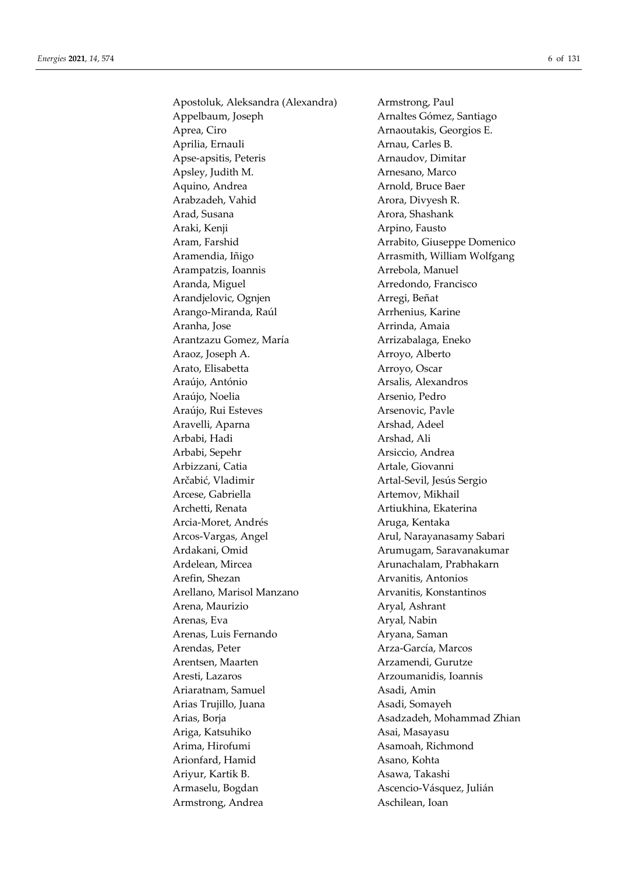Apostoluk, Aleksandra (Alexandra) Armstrong, Paul Appelbaum, Joseph Arnaltes Gómez, Santiago Aprea, Ciro **Arnaoutakis**, Georgios E. Aprilia, Ernauli **Arnau, Carles B.** Apse-apsitis, Peteris Arnaudov, Dimitar Apsley, Judith M. Arnesano, Marco Aquino, Andrea **Arnold**, Bruce Baer Arabzadeh, Vahid Arora, Divyesh R. Arad, Susana **Arora**, Shashank Araki, Kenji **Araki, Kenji Arpino, Fausto** Aram, Farshid Arrabito, Giuseppe Domenico Aramendia, Iñigo Arrasmith, William Wolfgang Arampatzis, Ioannis **Arrebola**, Manuel Aranda, Miguel **Arredondo**, Francisco Arandjelovic, Ognjen **Arandielovic**, Ognjen **Arregi**, Beñat Arango-Miranda, Raúl **Archines**, Karine Aranha, Jose **Arrinda, Amaia** Arantzazu Gomez, María **Arrizabalaga, Eneko** Araoz, Joseph A. Arroyo, Alberto Arato, Elisabetta **Arroyo**, Oscar Araújo, António **Arsalis, Alexandros** Araújo, Noelia **Arsenio**, Pedro Araújo, Rui Esteves Arsenovic, Pavle Aravelli, Aparna **Arshad**, Adeel Arbabi, Hadi Arshad, Ali Arbabi, Sepehr Arsiccio, Andrea Arbizzani, Catia **Artale**, Giovanni Arčabić, Vladimir **Artal-Sevil**, Jesús Sergio Arcese, Gabriella **Artemov, Mikhail** Archetti, Renata **Artiukhina**, Ekaterina Arcia-Moret, Andrés **Aruga**, Kentaka Arcos-Vargas, Angel **Arul, Narayanasamy Sabari** Ardakani, Omid **Arumugam, Saravanakumar** Ardelean, Mircea **Arunachalam, Prabhakarn** Arefin, Shezan **Arvanitis**, Antonios Arellano, Marisol Manzano **Arvanitis**, Konstantinos Arena, Maurizio **Aryal, Ashrant** Arenas, Eva Aryal, Nabin Arenas, Luis Fernando Aryana, Saman Arendas, Peter **Arza-García**, Marcos Arentsen, Maarten **Arzamendi**, Gurutze Aresti, Lazaros Arzoumanidis, Ioannis Ariaratnam, Samuel **Asadi, Amin** Arias Trujillo, Juana **Asadi**, Somayeh Arias, Borja Asadzadeh, Mohammad Zhian Ariga, Katsuhiko  $\qquad \qquad$ Asai, Masayasu Arima, Hirofumi **Asamoah, Richmond** Arionfard, Hamid Asano, Kohta Ariyur, Kartik B. Asawa, Takashi Armaselu, Bogdan **Ascencio-Vásquez, Julián** Armstrong, Andrea Aschilean, Ioan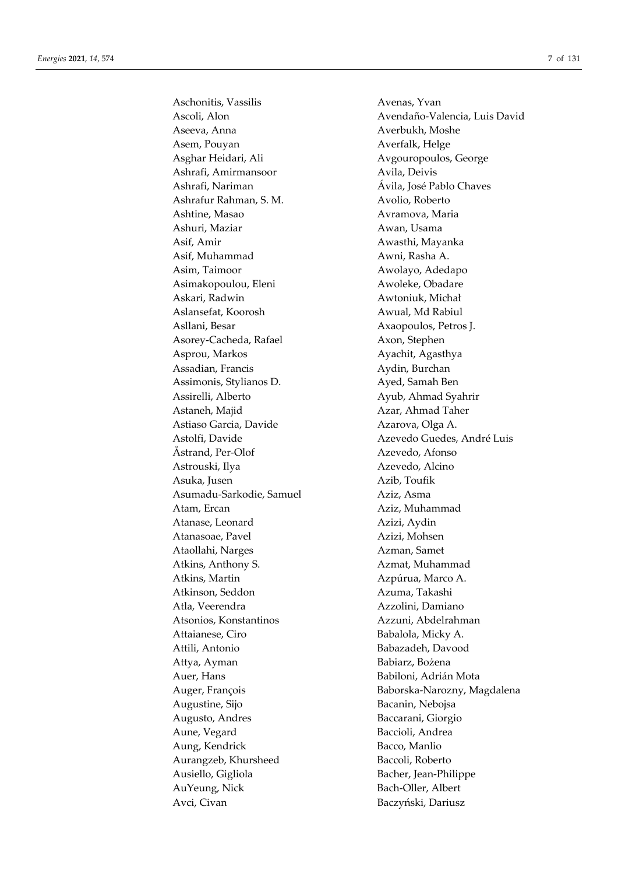Aschonitis, Vassilis Avenas, Yvan Aseeva, Anna **Averbukh, Moshe** Asem, Pouyan **Averfalk**, Helge Asghar Heidari, Ali **Avgouropoulos**, George Ashrafi, Amirmansoor Avila, Deivis Ashrafi, Nariman Ávila, José Pablo Chaves Ashrafur Rahman, S. M. Avolio, Roberto Ashtine, Masao **Avramova**, Maria Ashuri, Maziar **Awan, Usama** Asif, Amir Awasthi, Mayanka Asif, Muhammad Awni, Rasha A. Asim, Taimoor Awolayo, Adedapo Asimakopoulou, Eleni Awoleke, Obadare Askari, Radwin **Awtoniuk**, Michał Aslansefat, Koorosh Awual, Md Rabiul Asllani, Besar **Axaopoulos**, Petros J. Asorey-Cacheda, Rafael Axon, Stephen Asprou, Markos Ayachit, Agasthya Assadian, Francis **Aydin, Burchan** Assimonis, Stylianos D. Ayed, Samah Ben Assirelli, Alberto Ayub, Ahmad Syahrir Astaneh, Majid **Azar**, Ahmad Taher Astiaso Garcia, Davide Azarova, Olga A. Åstrand, Per-Olof Azevedo, Afonso Astrouski, Ilya Azevedo, Alcino Asuka, Jusen **Azib**, Toufik Asumadu-Sarkodie, Samuel Aziz, Asma Atam, Ercan Aziz, Muhammad Atanase, Leonard Azizi, Aydin Atanasoae, Pavel **Azizi**, Mohsen Ataollahi, Narges Azman, Samet Atkins, Anthony S. Azmat, Muhammad Atkins, Martin Azpúrua, Marco A. Atkinson, Seddon Azuma, Takashi Atla, Veerendra **Azzolini**, Damiano Atsonios, Konstantinos Azzuni, Abdelrahman Attaianese, Ciro Babalola, Micky A. Attili, Antonio Babazadeh, Davood Attya, Ayman Babiarz, Bożena Auer, Hans **Babiloni**, Adrián Mota Augustine, Sijo Bacanin, Nebojsa Augusto, Andres Baccarani, Giorgio Aune, Vegard **Baccioli**, Andrea Aung, Kendrick Bacco, Manlio Aurangzeb, Khursheed Baccoli, Roberto Ausiello, Gigliola Bacher, Jean-Philippe AuYeung, Nick Bach-Oller, Albert Avci, Civan Baczyński, Dariusz

Ascoli, Alon Avendaño-Valencia, Luis David Astolfi, Davide Azevedo Guedes, André Luis Auger, François Baborska-Narozny, Magdalena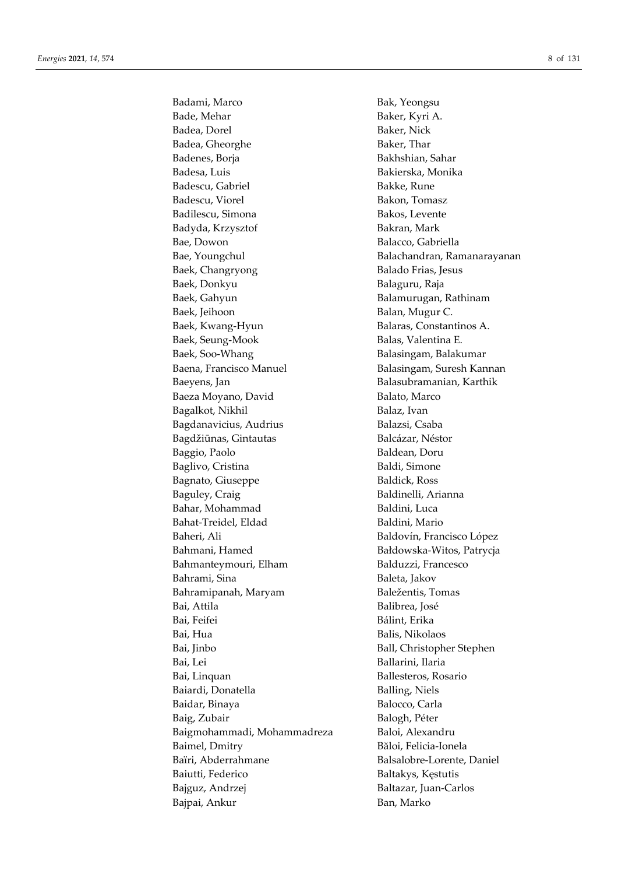Badami, Marco Bak, Yeongsu Bade, Mehar Baker, Kyri A. Badea, Dorel Baker, Nick Badea, Gheorghe Baker, Thar Badenes, Borja Bakhshian, Sahar Badesa, Luis Bakierska, Monika Badescu, Gabriel **Bakke**, Rune Badescu, Viorel Bakon, Tomasz Badilescu, Simona Bakos, Levente Badyda, Krzysztof Bakran, Mark Bae, Dowon Balacco, Gabriella Bae, Youngchul **Balachandran**, Ramanarayanan Baek, Changryong **Balado Frias**, Jesus Baek, Donkyu Balaguru, Raja Baek, Gahyun **Balamurugan**, Rathinam Baek, Jeihoon Balan, Mugur C. Baek, Kwang-Hyun Balaras, Constantinos A. Baek, Seung-Mook Balas, Valentina E. Baek, Soo-Whang Balasingam, Balakumar Baena, Francisco Manuel Balasingam, Suresh Kannan Baeyens, Jan Balasubramanian, Karthik Baeza Moyano, David Balato, Marco Bagalkot, Nikhil **Balaz**, Ivan Bagdanavicius, Audrius **Balazsi**, Csaba Bagdžiūnas, Gintautas Balcázar, Néstor Baggio, Paolo **Baldean**, Doru Baglivo, Cristina Baldi, Simone Bagnato, Giuseppe Baldick, Ross Baguley, Craig Baldinelli, Arianna Bahar, Mohammad Baldini, Luca Bahat-Treidel, Eldad Baldini, Mario Baheri, Ali Baldovín, Francisco López Bahmani, Hamed Bałdowska-Witos, Patrycja Bahmanteymouri, Elham Balduzzi, Francesco Bahrami, Sina Baleta, Jakov Bahramipanah, Maryam Baležentis, Tomas Bai, Attila Balibrea, José Bai, Feifei **Bálint, Erika** Bai, Hua Balis, Nikolaos Bai, Jinbo Ball, Christopher Stephen Bai, Lei Ballarini, Ilaria Bai, Linquan Ballesteros, Rosario Baiardi, Donatella **Balling, Niels** Baidar, Binaya Balocco, Carla Baig, Zubair Balogh, Péter Baigmohammadi, Mohammadreza Baloi, Alexandru Baimel, Dmitry Băloi, Felicia-Ionela Baïri, Abderrahmane Balsalobre-Lorente, Daniel Baiutti, Federico Baltakys, Kęstutis Bajguz, Andrzej Baltazar, Juan-Carlos Bajpai, Ankur Ban, Marko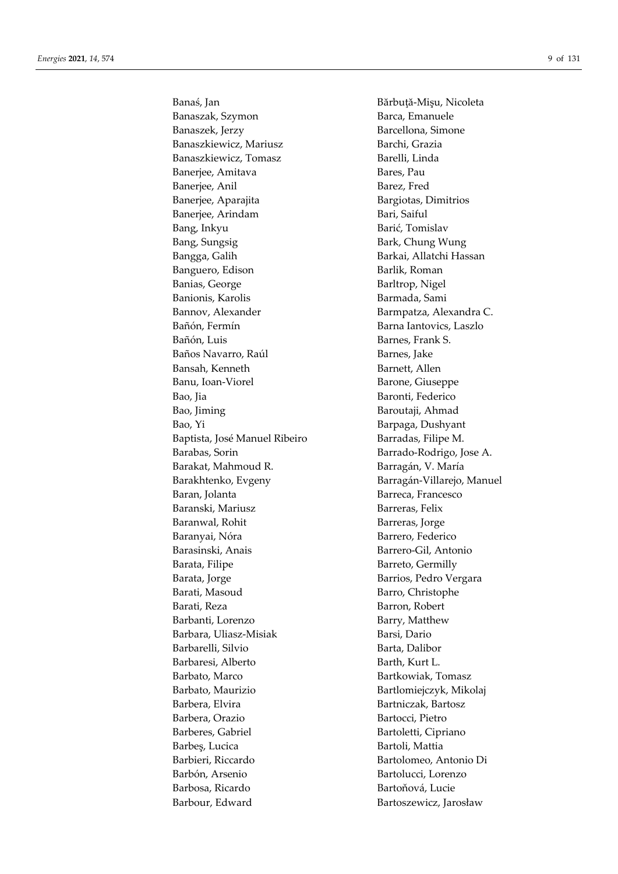Banaszak, Szymon Barca, Emanuele Banaszek, Jerzy **Banaszek, Jerzy Banaszek, Jerzy Banaszek**, Jerzy Banaszkiewicz, Mariusz **Banaszkiewicz, Mariusz** Barchi, Grazia Banaszkiewicz, Tomasz Barelli, Linda Banerjee, Amitava Bares, Pau Banerjee, Anil Barez, Fred Banerjee, Aparajita **Baneries** Bargiotas, Dimitrios Banerjee, Arindam Bari, Saiful Bang, Inkyu Barić, Tomislav Bang, Sungsig Bark, Chung Wung Bangga, Galih Barkai, Allatchi Hassan Banguero, Edison Barlik, Roman Banias, George Barltrop, Nigel Banionis, Karolis Barmada, Sami Bannov, Alexander Barmpatza, Alexandra C. Bañón, Fermín Barna Iantovics, Laszlo Bañón, Luis Barnes, Frank S. Baños Navarro, Raúl Barnes, Jake Bansah, Kenneth Barnett, Allen Banu, Ioan-Viorel Barone, Giuseppe Bao, Jia Baronti, Federico Bao, Jiming Baroutaji, Ahmad Bao, Yi Barpaga, Dushyant Baptista, José Manuel Ribeiro Barradas, Filipe M. Barabas, Sorin Barrado-Rodrigo, Jose A. Barakat, Mahmoud R. Barragán, V. María Baran, Jolanta **Barreca**, Francesco Baranski, Mariusz **Barreras**, Felix Baranwal, Rohit Barreras, Jorge Baranyai, Nóra **Barrero**, Federico Barasinski, Anais Barrero-Gil, Antonio Barata, Filipe Barreto, Germilly Barata, Jorge Barrios, Pedro Vergara Barati, Masoud Barro, Christophe Barati, Reza Barron, Robert Barbanti, Lorenzo Barry, Matthew Barbara, Uliasz-Misiak Barsi, Dario Barbarelli, Silvio Barta, Dalibor Barbaresi, Alberto Barth, Kurt L. Barbato, Marco Bartkowiak, Tomasz Barbato, Maurizio Bartlomiejczyk, Mikolaj Barbera, Elvira **Bartniczak**, Bartosz Barbera, Orazio Bartocci, Pietro Barberes, Gabriel Bartoletti, Cipriano Barbes, Lucica Bartoli, Mattia Barbieri, Riccardo Bartolomeo, Antonio Di Barbón, Arsenio **Bartolucci**, Lorenzo Barbosa, Ricardo **Bartoñová, Lucie** Barbour, Edward Bartoszewicz, Jarosław

Banaś, Jan Bărbuță-Mişu, Nicoleta Barakhtenko, Evgeny **Barragán-Villarejo**, Manuel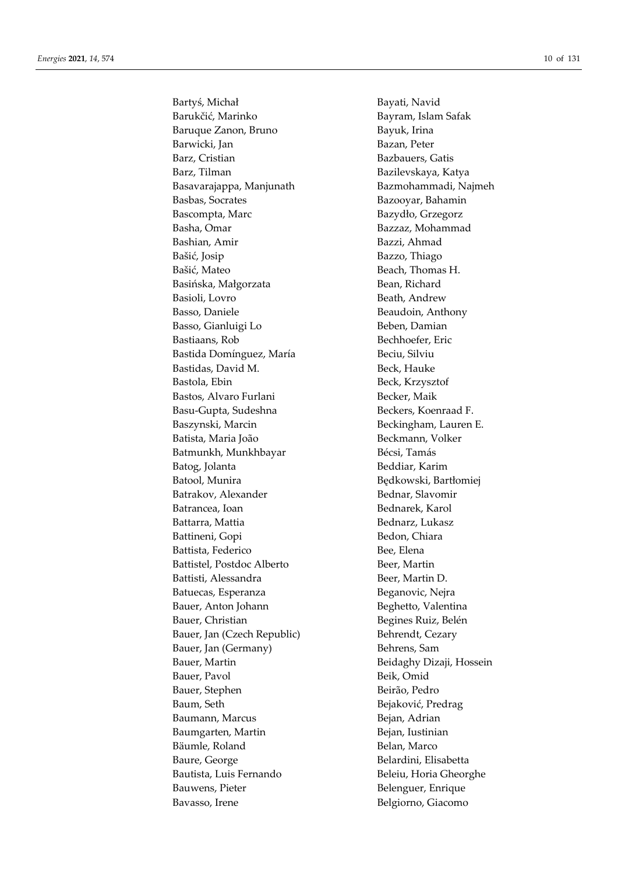Bartyś, Michał Bayati, Navid Barukčić, Marinko Bayram, Islam Safak Baruque Zanon, Bruno Bayuk, Irina Barwicki, Jan Bazan, Peter Barz, Cristian Bazbauers, Gatis Barz, Tilman Bazilevskaya, Katya Basavarajappa, Manjunath Bazmohammadi, Najmeh Basbas, Socrates **Bazooyar, Bahamin** Bascompta, Marc Bazydło, Grzegorz Basha, Omar Bazzaz, Mohammad Bashian, Amir Bazzi, Ahmad Bašić, Josip Bazzo, Thiago Bašić, Mateo Beach, Thomas H. Basińska, Małgorzata Bean, Richard Basioli, Lovro Beath, Andrew Basso, Daniele Beaudoin, Anthony Basso, Gianluigi Lo Beben, Damian Bastiaans, Rob Bechhoefer, Eric Bastida Domínguez, María **Beciu**, Silviu Bastidas, David M. Beck, Hauke Bastola, Ebin Beck, Krzysztof Bastos, Alvaro Furlani Becker, Maik Basu-Gupta, Sudeshna Beckers, Koenraad F. Baszynski, Marcin Beckingham, Lauren E. Batista, Maria João Beckmann, Volker Batmunkh, Munkhbayar Bécsi, Tamás Batog, Jolanta Beddiar, Karim Batool, Munira **Bedkowski**, Bartłomiej Batrakov, Alexander Bednar, Slavomir Batrancea, Ioan Bednarek, Karol Battarra, Mattia **Bednarz**, Lukasz Battineni, Gopi Bedon, Chiara Battista, Federico Bee, Elena Battistel, Postdoc Alberto Beer, Martin Battisti, Alessandra Beer, Martin D. Batuecas, Esperanza Beganovic, Nejra Bauer, Anton Johann Beghetto, Valentina Bauer, Christian Begines Ruiz, Belén Bauer, Jan (Czech Republic) Behrendt, Cezary Bauer, Jan (Germany) Behrens, Sam Bauer, Martin Beidaghy Dizaji, Hossein Bauer, Pavol Beik, Omid Bauer, Stephen Beirão, Pedro Baum, Seth Bejaković, Predrag Baumann, Marcus Bejan, Adrian Baumgarten, Martin Bejan, Iustinian Bäumle, Roland Belan, Marco Baure, George **Belandini**, Elisabetta Bautista, Luis Fernando Beleiu, Horia Gheorghe Bauwens, Pieter Belenguer, Enrique Bavasso, Irene Belgiorno, Giacomo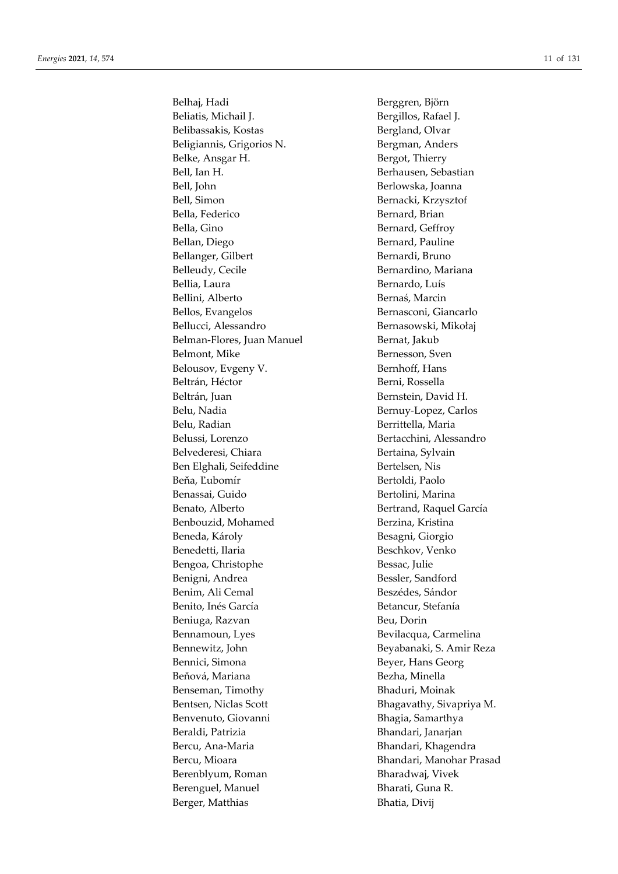Belhaj, Hadi Berggren, Björn Beliatis, Michail J. Bergillos, Rafael J. Belibassakis, Kostas Bergland, Olvar Beligiannis, Grigorios N. Bergman, Anders Belke, Ansgar H. Bergot, Thierry Bell, Ian H. Berhausen, Sebastian Bell, John Berlowska, Joanna Bell, Simon Bernacki, Krzysztof Bella, Federico Bernard, Brian Bella, Gino Bernard, Geffroy Bellan, Diego Bernard, Pauline Bellanger, Gilbert Bernardi, Bruno Belleudy, Cecile Bernardino, Mariana Bellia, Laura **Bernardo, Luís** Bellini, Alberto Bernaś, Marcin Bellos, Evangelos Bernasconi, Giancarlo Bellucci, Alessandro Bernasowski, Mikołaj Belman-Flores, Juan Manuel Bernat, Jakub Belmont, Mike Bernesson, Sven Belousov, Evgeny V. Bernhoff, Hans Beltrán, Héctor **Berni**, Rossella Beltrán, Juan Bernstein, David H. Belu, Nadia Bernuy-Lopez, Carlos Belu, Radian Berrittella, Maria Belussi, Lorenzo Bertacchini, Alessandro Belvederesi, Chiara Bertaina, Sylvain Ben Elghali, Seifeddine Bertelsen, Nis Beňa, Ľubomír Bertoldi, Paolo Benassai, Guido Bertolini, Marina Benato, Alberto **Bertrand, Raquel García** Benbouzid, Mohamed Berzina, Kristina Beneda, Károly **Besagni**, Giorgio Benedetti, Ilaria Beschkov, Venko Bengoa, Christophe Bessac, Julie Benigni, Andrea Bessler, Sandford Benim, Ali Cemal Beszédes, Sándor Benito, Inés García **Betancur**, Stefanía Beniuga, Razvan Beu, Dorin Bennamoun, Lyes Bevilacqua, Carmelina Bennewitz, John Beyabanaki, S. Amir Reza Bennici, Simona Beyer, Hans Georg Beňová, Mariana **Bezha, Minella** Benseman, Timothy **Bhaduri, Moinak** Bentsen, Niclas Scott Bhagavathy, Sivapriya M. Benvenuto, Giovanni Bhagia, Samarthya Beraldi, Patrizia **Bhandari**, Janarjan Bercu, Ana-Maria **Bhandari**, Khagendra Bercu, Mioara **Bhandari, Manohar Prasad** Berenblyum, Roman Bharadwaj, Vivek Berenguel, Manuel Bharati, Guna R. Berger, Matthias Bhatia, Divij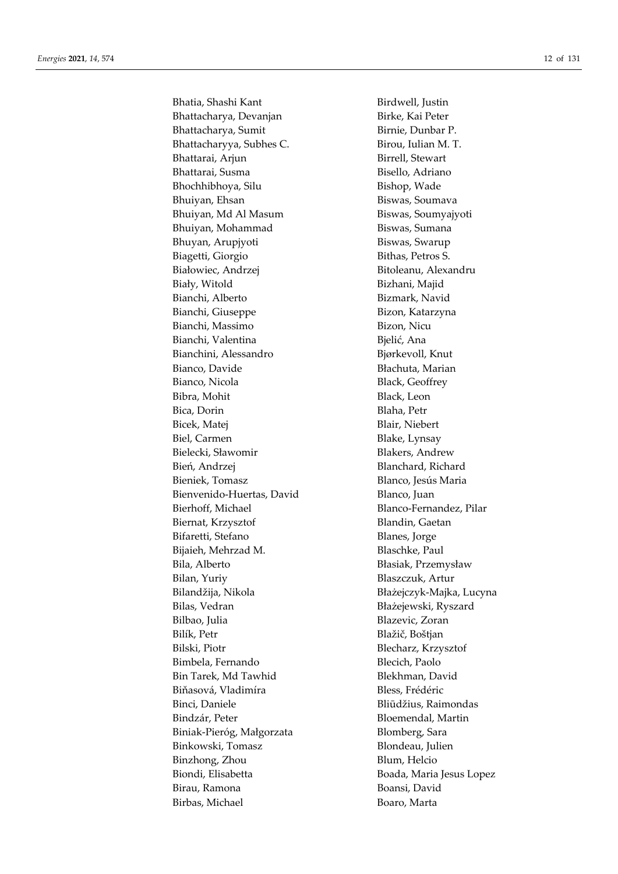Bhatia, Shashi Kant **Birdwell**, Justin Bhattacharya, Devanjan Birke, Kai Peter Bhattacharya, Sumit Birnie, Dunbar P. Bhattacharyya, Subhes C. Birou, Iulian M. T. Bhattarai, Arjun Birrell, Stewart Bhattarai, Susma Bisello, Adriano Bhochhibhoya, Silu Bishop, Wade Bhuiyan, Ehsan Biswas, Soumava Bhuiyan, Md Al Masum Biswas, Soumyajyoti Bhuiyan, Mohammad Biswas, Sumana Bhuyan, Arupjyoti Biswas, Swarup Biagetti, Giorgio Bithas, Petros S. Białowiec, Andrzej **Bibliograd** Bitoleanu, Alexandru Biały, Witold Bizhani, Majid Bianchi, Alberto Bizmark, Navid Bianchi, Giuseppe Bizon, Katarzyna Bianchi, Massimo Bizon, Nicu Bianchi, Valentina Bielić, Ana Bianchini, Alessandro Bjørkevoll, Knut Bianco, Davide Błachuta, Marian Bianco, Nicola Black, Geoffrey Bibra, Mohit Black, Leon Bica, Dorin Blaha, Petr Bicek, Matej Blair, Niebert Biel, Carmen Blake, Lynsay Bielecki, Sławomir Blakers, Andrew Bień, Andrzej Blanchard, Richard Bieniek, Tomasz Blanco, Jesús Maria Bienvenido-Huertas, David Blanco, Juan Bierhoff, Michael Blanco-Fernandez, Pilar Biernat, Krzysztof Blandin, Gaetan Bifaretti, Stefano **Blanes**, Jorge Bijaieh, Mehrzad M. Blaschke, Paul Bila, Alberto Błasiak, Przemysław Bilan, Yuriy Blaszczuk, Artur Bilandžija, Nikola Błażejczyk-Majka, Lucyna Bilas, Vedran Błażejewski, Ryszard Bilbao, Julia Blazevic, Zoran Bilík, Petr Blažič, Boštjan Bilski, Piotr Blecharz, Krzysztof Bimbela, Fernando Blecich, Paolo Bin Tarek, Md Tawhid Blekhman, David Biňasová, Vladimíra **Bless**, Frédéric Binci, Daniele Bliūdžius, Raimondas Bindzár, Peter Bloemendal, Martin Biniak-Pieróg, Małgorzata Blomberg, Sara Binkowski, Tomasz **Blondeau**, Julien Binzhong, Zhou Blum, Helcio Biondi, Elisabetta Boada, Maria Jesus Lopez Birau, Ramona **Boansi, David** Birbas, Michael **Boaro**, Marta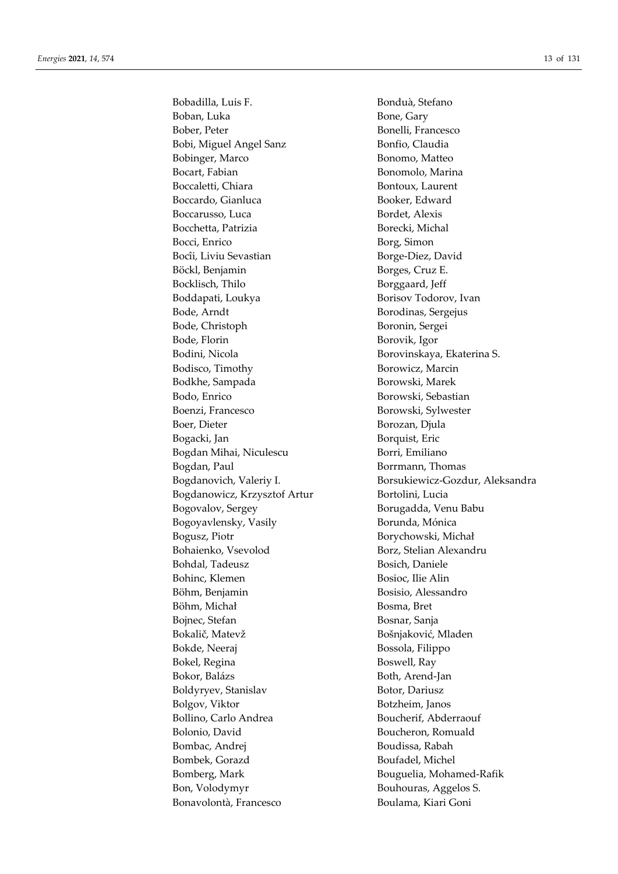Bobadilla, Luis F. Bonduà, Stefano Boban, Luka Bone, Gary Bober, Peter Bonelli, Francesco Bobi, Miguel Angel Sanz Bonfio, Claudia Bobinger, Marco Bonomo, Matteo Bocart, Fabian Bonomolo, Marina Boccaletti, Chiara **Bontoux**, Laurent Boccardo, Gianluca Booker, Edward Boccarusso, Luca Bordet, Alexis Bocchetta, Patrizia Borecki, Michal Bocci, Enrico Borg, Simon Bocîi, Liviu Sevastian Borge-Diez, David Böckl, Benjamin Borges, Cruz E. Bocklisch, Thilo Borggaard, Jeff Boddapati, Loukya Borisov Todorov, Ivan Bode, Arndt Borodinas, Sergejus Bode, Christoph Boronin, Sergei Bode, Florin Borovik, Igor Bodini, Nicola Borovinskaya, Ekaterina S. Bodisco, Timothy Borowicz, Marcin Bodkhe, Sampada Borowski, Marek Bodo, Enrico Borowski, Sebastian Boenzi, Francesco Borowski, Sylwester Boer, Dieter Borozan, Djula Bogacki, Jan Borquist, Eric Bogdan Mihai, Niculescu Borri, Emiliano Bogdan, Paul **Borrmann**, Thomas Bogdanowicz, Krzysztof Artur Bortolini, Lucia Bogovalov, Sergey Borugadda, Venu Babu Bogoyavlensky, Vasily Borunda, Mónica Bogusz, Piotr Borychowski, Michał Bohaienko, Vsevolod Borz, Stelian Alexandru Bohdal, Tadeusz Bosich, Daniele Bohinc, Klemen Bosioc, Ilie Alin Böhm, Benjamin Bosisio, Alessandro Böhm, Michał Bosma, Bret Bojnec, Stefan Bosnar, Sanja Bokalič, Matevž Bošnjaković, Mladen Bokde, Neeraj Bossola, Filippo Bokel, Regina Boswell, Ray Bokor, Balázs Both, Arend-Jan Boldyryev, Stanislav Botor, Dariusz Bolgov, Viktor Botzheim, Janos Bollino, Carlo Andrea Boucherif, Abderraouf Bolonio, David Boucheron, Romuald Bombac, Andrei **Boudissa**, Rabah Bombek, Gorazd Boufadel, Michel Bomberg, Mark Bouguelia, Mohamed-Rafik Bon, Volodymyr Bouhouras, Aggelos S. Bonavolontà, Francesco Boulama, Kiari Goni

Bogdanovich, Valeriy I. Song Borsukiewicz-Gozdur, Aleksandra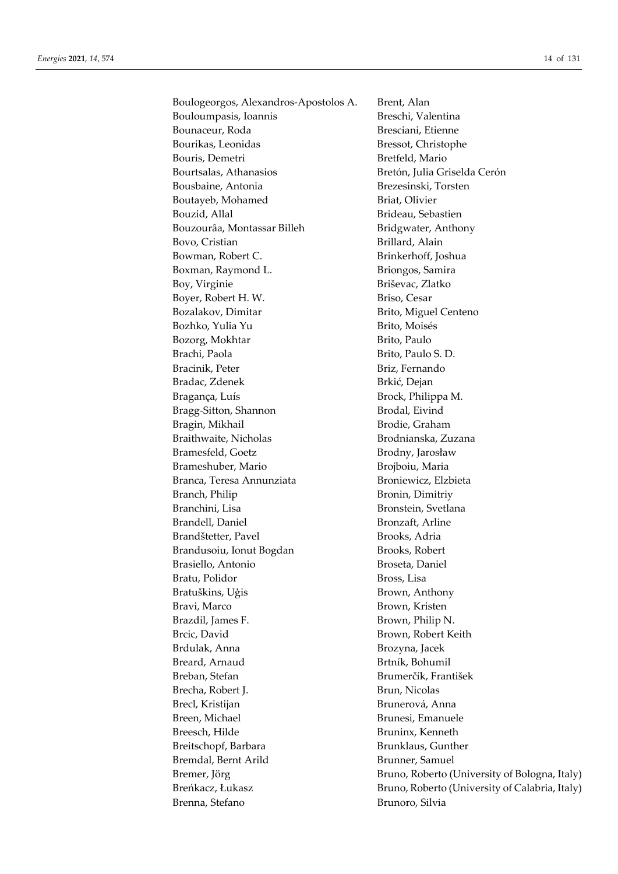Boulogeorgos, Alexandros-Apostolos A. Bouloumpasis, Ioannis Bounaceur, Roda Bourikas, Leonidas Bouris, Demetri Bourtsalas, Athanasios Bousbaine, Antonia Boutayeb, Mohamed Bouzid, Allal Bouzourâa, Montassar Billeh Bovo, Cristian Bowman, Robert C. Boxman, Raymond L. Boy, Virginie Boyer, Robert H.W. Bozalakov, Dimitar Bozhko, Yulia Yu Bozorg, Mokhtar Brachi, Paola Bracinik, Peter Bradac, Zdenek Bragança, Luís Bragg-Sitton, Shannon Bragin, Mikhail Braithwaite, Nicholas Bramesfeld, Goetz Brameshuber, Mario Branca, Teresa Annunziata Branch, Philip Branchini, Lisa Brandell, Daniel Brandštetter, Pavel Brandusoiu, Ionut Bogdan Brasiello, Antonio Bratu, Polidor Bratuškins, Uģis Bravi, Marco Brazdil, James F. Brcic. David Brdulak, Anna Breard, Arnaud Breban, Stefan Brecha, Robert I. Brecl, Kristijan Breen, Michael Breesch, Hilde Breitschopf, Barbara Bremdal, Bernt Arild Bremer, Jörg Breńkacz, Łukasz Brenna, Stefano

Brent, Alan Breschi, Valentina Bresciani, Etienne Bressot, Christophe Bretfeld, Mario Bretón, Julia Griselda Cerón Brezesinski, Torsten Briat, Olivier Brideau, Sebastien Bridgwater, Anthony Brillard, Alain Brinkerhoff, Joshua Briongos, Samira Briševac, Zlatko Briso, Cesar Brito, Miguel Centeno Brito, Moisés Brito, Paulo Brito, Paulo S. D. Briz, Fernando Brkić, Dejan Brock, Philippa M. Brodal, Eivind Brodie, Graham Brodnianska, Zuzana Brodny, Jarosław Brojboiu, Maria Broniewicz, Elzbieta Bronin, Dimitriy Bronstein, Svetlana Bronzaft, Arline Brooks, Adria Brooks, Robert Broseta, Daniel Bross, Lisa Brown, Anthony Brown, Kristen Brown, Philip N. Brown, Robert Keith Brozyna, Jacek Brtník, Bohumil Brumerčík, František Brun, Nicolas Brunerová, Anna Brunesi, Emanuele Bruninx, Kenneth Brunklaus, Gunther Brunner, Samuel Bruno, Roberto (University of Bologna, Italy) Bruno, Roberto (University of Calabria, Italy) Brunoro, Silvia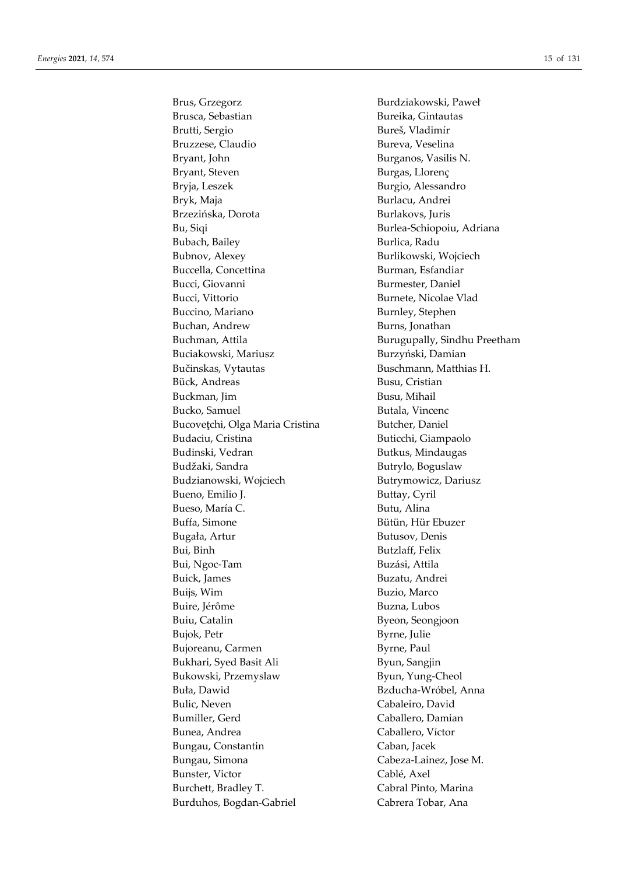Brusca, Sebastian Bureika, Gintautas Brutti, Sergio Bureš, Vladimír Bruzzese, Claudio Bureva, Veselina Bryant, John Burganos, Vasilis N. Bryant, Steven Burgas, Llorenç Bryja, Leszek Burgio, Alessandro Bryk, Maja **Burlacu**, Andrei Brzezińska, Dorota Burlakovs, Juris Bu, Siqi Burlea-Schiopoiu, Adriana Bubach, Bailey **Burlica, Radu** Bubnov, Alexey Burlikowski, Wojciech Buccella, Concettina Burman, Esfandiar Bucci, Giovanni Burmester, Daniel Bucci, Vittorio Burnete, Nicolae Vlad Buccino, Mariano Burnley, Stephen Buchan, Andrew Burns, Jonathan Buchman, Attila Burugupally, Sindhu Preetham Buciakowski, Mariusz Burzyński, Damian Bučinskas, Vytautas Buschmann, Matthias H. Bück, Andreas Busu, Cristian Buckman, Jim Busu, Mihail Bucko, Samuel Butala, Vincenc Bucoveţchi, Olga Maria Cristina Butcher, Daniel Budaciu, Cristina Buticchi, Giampaolo Budinski, Vedran Butkus, Mindaugas Budžaki, Sandra Butrylo, Boguslaw Budzianowski, Wojciech Butrymowicz, Dariusz Bueno, Emilio J. Buttay, Cyril Bueso, María C. Butu, Alina Buffa, Simone Bütün, Hür Ebuzer Bugała, Artur Butusov, Denis Bui, Binh Butzlaff, Felix Bui, Ngoc-Tam Buzási, Attila Buick, James Buzatu, Andrei Buijs, Wim Buzio, Marco Buire, Jérôme Buzna, Lubos Buiu, Catalin Byeon, Seongjoon Bujok, Petr Byrne, Julie Bujoreanu, Carmen Byrne, Paul Bukhari, Syed Basit Ali Byun, Sangjin Bukowski, Przemyslaw Byun, Yung-Cheol Buła, Dawid **Barnach Bzducha-Wróbel, Anna** Bulic, Neven Cabaleiro, David Bumiller, Gerd Caballero, Damian Bunea, Andrea Caballero, Víctor Bungau, Constantin Caban, Jacek Bungau, Simona Cabeza-Lainez, Jose M. Bunster, Victor Cablé, Axel Burchett, Bradley T. Cabral Pinto, Marina Burduhos, Bogdan-Gabriel Cabrera Tobar, Ana

Brus, Grzegorz Burdziakowski, Paweł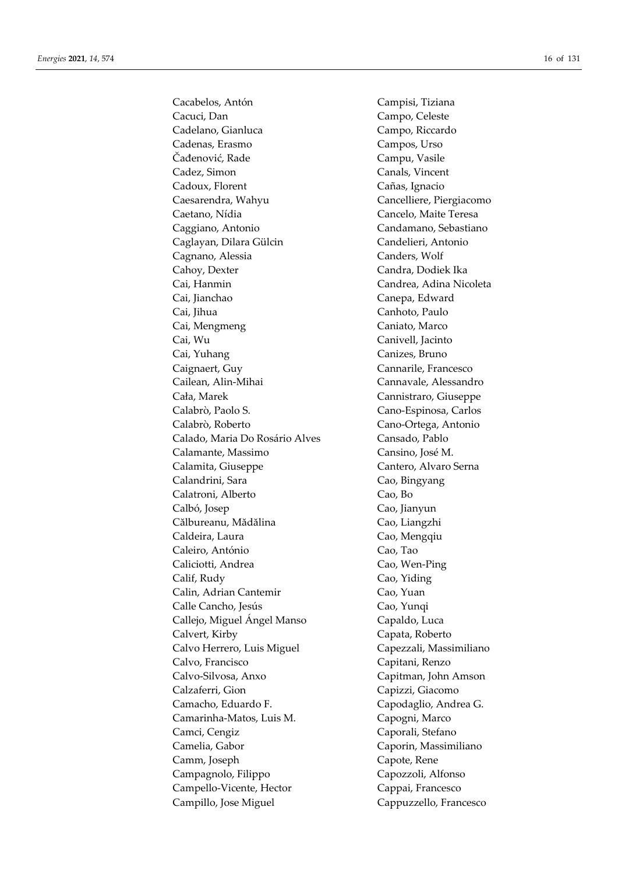Cacabelos, Antón Campisi, Tiziana Cacuci, Dan Campo, Celeste Cadelano, Gianluca Campo, Riccardo Cadenas, Erasmo Campos, Urso Čađenović, Rade Campu, Vasile Cadez, Simon Canals, Vincent Cadoux, Florent Cañas, Ignacio Caesarendra, Wahyu Cancelliere, Piergiacomo Caetano, Nídia Cancelo, Maite Teresa Caggiano, Antonio Candamano, Sebastiano Caglayan, Dilara Gülcin Candelieri, Antonio Cagnano, Alessia Canders, Wolf Cahoy, Dexter Candra, Dodiek Ika Cai, Hanmin Candrea, Adina Nicoleta Cai, Jianchao Canepa, Edward Cai, Jihua Canhoto, Paulo Cai, Mengmeng Caniato, Marco Cai, Wu Canivell, Jacinto Cai, Yuhang Canizes, Bruno Caignaert, Guy Cannarile, Francesco Cailean, Alin-Mihai Cannavale, Alessandro Cała, Marek Cannistraro, Giuseppe Calabrò, Paolo S. Cano-Espinosa, Carlos Calabrò, Roberto Cano-Ortega, Antonio Calado, Maria Do Rosário Alves Cansado, Pablo Calamante, Massimo Cansino, José M. Calamita, Giuseppe Cantero, Alvaro Serna Calandrini, Sara **Canadia Cao**, Bingyang Calatroni, Alberto Cao, Bo Calbó, Josep Cao, Jianyun Călbureanu, Mădălina Cao, Liangzhi Caldeira, Laura **Cao**, Mengqiu Caleiro, António Cao, Tao Caliciotti, Andrea Cao, Wen-Ping Calif, Rudy Cao, Yiding Calin, Adrian Cantemir Cao, Yuan Calle Cancho, Jesús Cao, Yunqi Callejo, Miguel Ángel Manso Capaldo, Luca Calvert, Kirby Capata, Roberto Calvo Herrero, Luis Miguel Capezzali, Massimiliano Calvo, Francisco Capitani, Renzo Calvo-Silvosa, Anxo Capitman, John Amson Calzaferri, Gion Capizzi, Giacomo Camacho, Eduardo F. Capodaglio, Andrea G. Camarinha-Matos, Luis M. Capogni, Marco Camci, Cengiz Caporali, Stefano Camelia, Gabor Caporin, Massimiliano Camm, Joseph Capote, Rene Campagnolo, Filippo Capozzoli, Alfonso Campello-Vicente, Hector Cappai, Francesco Campillo, Jose Miguel Cappuzzello, Francesco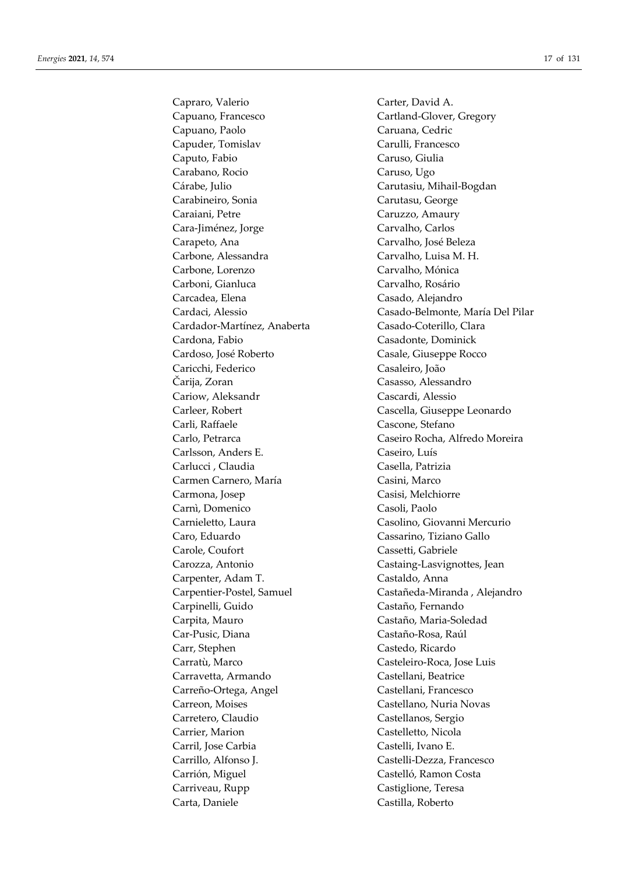Capraro, Valerio Carter, David A. Capuano, Francesco Cartland-Glover, Gregory Capuano, Paolo Caruana, Cedric Capuder, Tomislav Carulli, Francesco Caputo, Fabio Caruso, Giulia Carabano, Rocio Caruso, Ugo Cárabe, Julio Carutasiu, Mihail-Bogdan Carabineiro, Sonia Carutasu, George Caraiani, Petre Caruzzo, Amaury Cara-Jiménez, Jorge Carvalho, Carlos Carapeto, Ana Carvalho, José Beleza Carbone, Alessandra Carvalho, Luisa M. H. Carbone, Lorenzo Carvalho, Mónica Carboni, Gianluca Carvalho, Rosário Carcadea, Elena Casado, Alejandro Cardador-Martínez, Anaberta Casado-Coterillo, Clara Cardona, Fabio Casadonte, Dominick Cardoso, José Roberto Casale, Giuseppe Rocco Caricchi, Federico Casaleiro, João Čarija, Zoran Casasso, Alessandro Cariow, Aleksandr Cascardi, Alessio Carleer, Robert Cascella, Giuseppe Leonardo Carli, Raffaele Cascone, Stefano Carlsson, Anders E. Caseiro, Luís Carlucci , Claudia Casella, Patrizia Carmen Carnero, María Casini, Marco Carmona, Josep Casisi, Melchiorre Carnì, Domenico Casoli, Paolo Carnieletto, Laura Casolino, Giovanni Mercurio Caro, Eduardo Cassarino, Tiziano Gallo Carole, Coufort Cassetti, Gabriele Carozza, Antonio Castaing-Lasvignottes, Jean Carpenter, Adam T. Castaldo, Anna Carpinelli, Guido Castaño, Fernando Carpita, Mauro Castaño, Maria-Soledad Car-Pusic, Diana Castaño-Rosa, Raúl Carr, Stephen Castedo, Ricardo Carratù, Marco Casteleiro-Roca, Jose Luis Carravetta, Armando Castellani, Beatrice Carreño-Ortega, Angel Castellani, Francesco Carreon, Moises Castellano, Nuria Novas Carretero, Claudio Castellanos, Sergio Carrier, Marion Castelletto, Nicola Carril, Jose Carbia Castelli, Ivano E. Carrillo, Alfonso J. Castelli-Dezza, Francesco Carrión, Miguel Castelló, Ramon Costa Carriveau, Rupp Castiglione, Teresa Carta, Daniele Castilla, Roberto

Cardaci, Alessio Casado-Belmonte, María Del Pilar Carlo, Petrarca Caseiro Rocha, Alfredo Moreira Carpentier-Postel, Samuel Castañeda-Miranda , Alejandro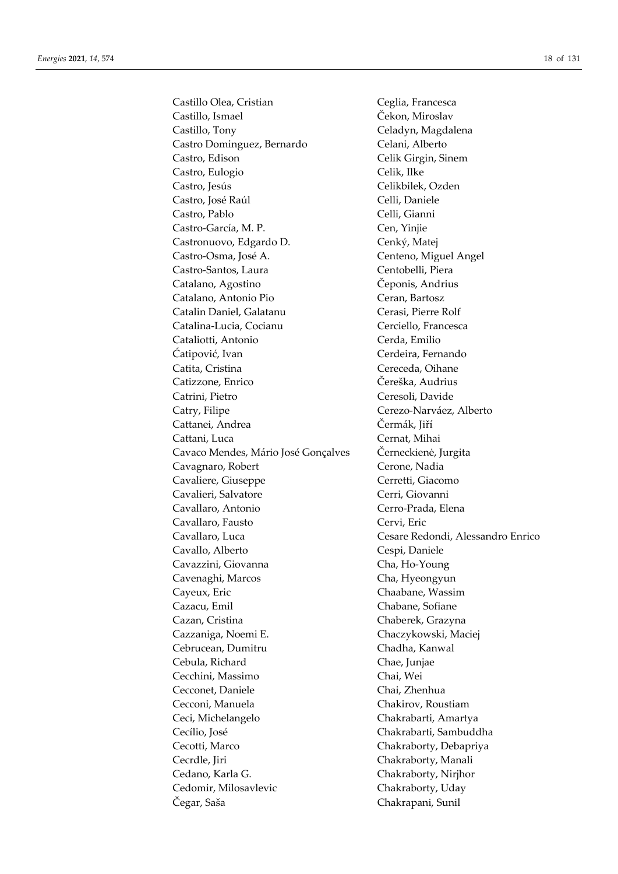Castillo Olea, Cristian Castillo, Ismael Castillo, Tony Castro Dominguez, Bernardo Castro, Edison Castro, Eulogio Castro, Jesús Castro, José Raúl Castro, Pablo Castro-García, M. P. Castronuovo, Edgardo D. Castro-Osma, José A. Castro-Santos, Laura Catalano, Agostino Catalano, Antonio Pio Catalin Daniel, Galatanu Catalina-Lucia, Cocianu Cataliotti, Antonio Čatipović, Ivan Catita, Cristina Catizzone, Enrico Catrini, Pietro Catry, Filipe Cattanei, Andrea Cattani, Luca Cavaco Mendes, Mário José Gonçalves Cavagnaro, Robert Cavaliere, Giuseppe Cavalieri, Salvatore Cavallaro, Antonio Cavallaro, Fausto Cavallaro, Luca Cavallo, Alberto Cavazzini, Giovanna Cavenaghi, Marcos Cayeux, Eric Cazacu, Emil Cazan, Cristina Cazzaniga, Noemi E. Cebrucean, Dumitru Cebula, Richard Cecchini, Massimo Cecconet, Daniele Cecconi, Manuela Ceci, Michelangelo Cecílio, José Cecotti, Marco Cecrdle. Iiri Cedano, Karla G. Cedomir, Milosavlevic Čegar, Saša

Ceglia, Francesca Čekon, Miroslav Celadyn, Magdalena Celani, Alberto Celik Girgin, Sinem Celik, Ilke Celikbilek, Ozden Celli, Daniele Celli, Gianni Cen, Yinjie Cenký, Matej Centeno, Miguel Angel Centobelli, Piera Čeponis, Andrius Ceran, Bartosz Cerasi, Pierre Rolf Cerciello. Francesca Cerda, Emilio Cerdeira, Fernando Cereceda, Oihane Čereška, Audrius Ceresoli, Davide Cerezo-Narváez, Alberto Čermák, Jiří Cernat, Mihai Černeckienė, Jurgita Cerone, Nadia Cerretti, Giacomo Cerri, Giovanni Cerro-Prada, Elena Cervi, Eric Cesare Redondi, Alessandro Enrico Cespi, Daniele Cha, Ho-Young Cha, Hyeongyun Chaabane, Wassim Chabane, Sofiane Chaberek, Grazyna Chaczykowski, Maciej Chadha, Kanwal Chae, Junjae Chai, Wei Chai, Zhenhua Chakirov. Roustiam Chakrabarti, Amartya Chakrabarti, Sambuddha Chakraborty, Debapriya Chakraborty, Manali Chakraborty, Nirjhor Chakraborty, Uday Chakrapani, Sunil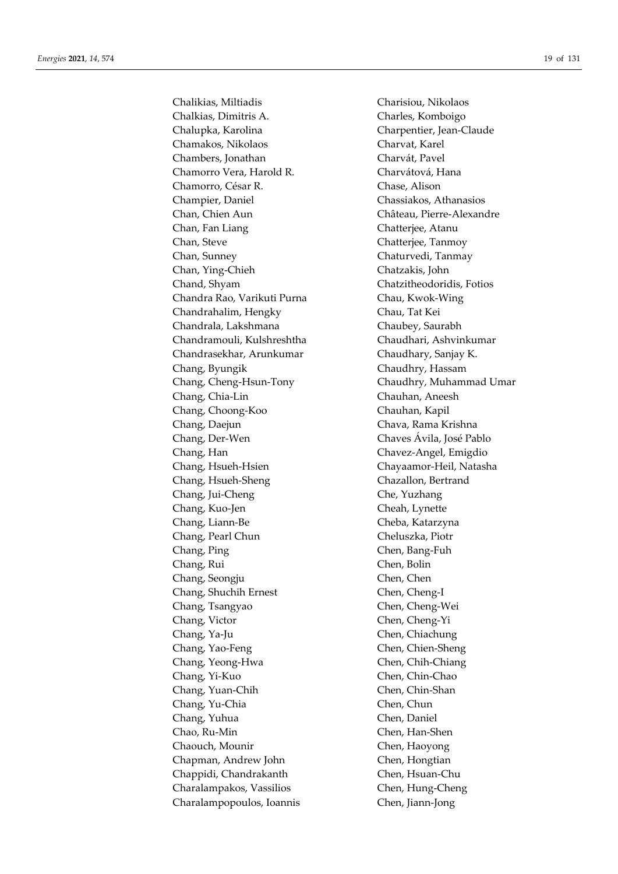Chalikias, Miltiadis Charisiou, Nikolaos Chalkias, Dimitris A. Charles, Komboigo Chalupka, Karolina Charpentier, Jean-Claude Chamakos, Nikolaos Charvat, Karel Chambers, Jonathan Charvát, Pavel Chamorro Vera, Harold R. Charvátová, Hana Chamorro, César R. Chase, Alison Champier, Daniel Chassiakos, Athanasios Chan, Chien Aun Château, Pierre-Alexandre Chan, Fan Liang Chatterjee, Atanu Chan, Steve Chatterjee, Tanmoy Chan, Sunney Chaturvedi, Tanmay Chan, Ying-Chieh Chatzakis, John Chand, Shyam Chatzitheodoridis, Fotios Chandra Rao, Varikuti Purna Chau, Kwok-Wing Chandrahalim, Hengky Chau, Tat Kei Chandrala, Lakshmana Chaubey, Saurabh Chandramouli, Kulshreshtha Chaudhari, Ashvinkumar Chandrasekhar, Arunkumar Chaudhary, Sanjay K. Chang, Byungik Chaudhry, Hassam Chang, Cheng-Hsun-Tony Chaudhry, Muhammad Umar Chang, Chia-Lin Chauhan, Aneesh Chang, Choong-Koo Chauhan, Kapil Chang, Daejun Chava, Rama Krishna Chang, Der-Wen Chaves Ávila, José Pablo Chang, Han Chavez-Angel, Emigdio Chang, Hsueh-Hsien Chayaamor-Heil, Natasha Chang, Hsueh-Sheng Chazallon, Bertrand Chang, Jui-Cheng Che, Yuzhang Chang, Kuo-Jen Cheah, Lynette Chang, Liann-Be Cheba, Katarzyna Chang, Pearl Chun Cheluszka, Piotr Chang, Ping Chen, Bang-Fuh Chang, Rui Chen, Bolin Chang, Seongju Chen, Chen Chang, Shuchih Ernest Chen, Cheng-I Chang, Tsangyao Chen, Cheng-Wei Chang, Victor Chen, Cheng-Yi Chang, Ya-Ju Chen, Chiachung Chang, Yao-Feng Chen, Chien-Sheng Chang, Yeong-Hwa Chen, Chih-Chiang Chang, Yi-Kuo Chen, Chin-Chao Chang, Yuan-Chih Chen, Chin-Shan Chang, Yu-Chia Chen, Chun Chang, Yuhua Chen, Daniel Chao, Ru-Min Chen, Han-Shen Chaouch, Mounir Chen, Haoyong Chapman, Andrew John Chen, Hongtian Chappidi, Chandrakanth Chen, Hsuan-Chu Charalampakos, Vassilios Chen, Hung-Cheng Charalampopoulos, Ioannis Chen, Jiann-Jong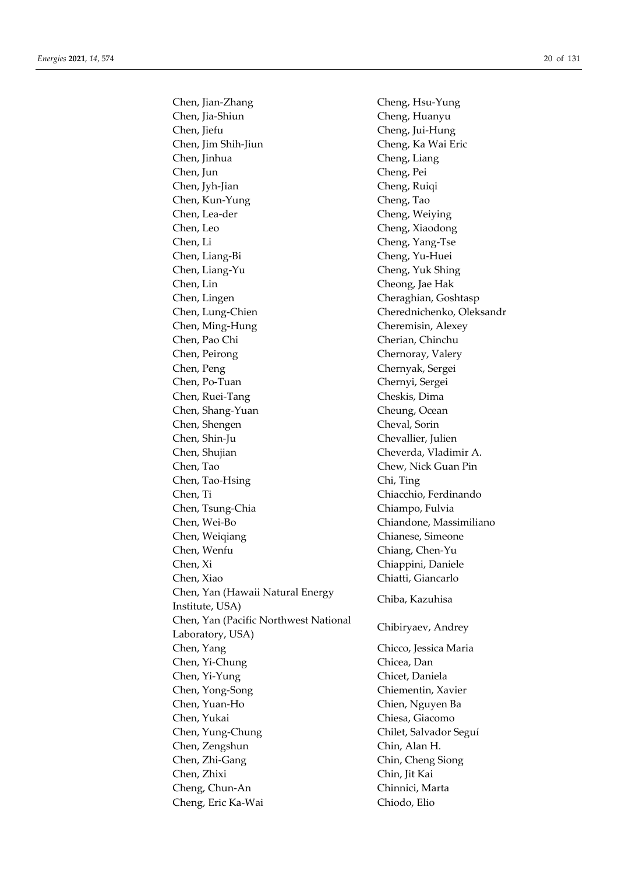Chen, Jian-Zhang Cheng, Hsu-Yung Chen, Jia-Shiun Cheng, Huanyu Chen, Jiefu Cheng, Jui-Hung Chen, Jim Shih-Jiun Cheng, Ka Wai Eric Chen, Jinhua Cheng, Liang Chen, Jun Cheng, Pei Chen, Jyh-Jian Cheng, Ruiqi Chen, Kun-Yung Cheng, Tao Chen, Lea-der Cheng, Weiying Chen, Leo Cheng, Xiaodong Chen, Li Cheng, Yang-Tse Chen, Liang-Bi Cheng, Yu-Huei Chen, Liang-Yu Cheng, Yuk Shing Chen, Lin Cheong, Jae Hak Chen, Lingen Cheraghian, Goshtasp Chen, Lung-Chien Cherednichenko, Oleksandr Chen, Ming-Hung Cheremisin, Alexey Chen, Pao Chi Cherian, Chinchu Chen, Peirong Chernoray, Valery Chen, Peng Chernyak, Sergei Chen, Po-Tuan Chernyi, Sergei Chen, Ruei-Tang Cheskis, Dima Chen, Shang-Yuan Cheung, Ocean Chen, Shengen Cheval, Sorin Chen, Shin-Ju Chevallier, Julien Chen, Shujian Cheverda, Vladimir A. Chen, Tao Chew, Nick Guan Pin Chen, Tao-Hsing Chi, Ting Chen, Ti Chiacchio, Ferdinando Chen, Tsung-Chia Chiampo, Fulvia Chen, Wei-Bo Chiandone, Massimiliano Chen, Weiqiang **Chianese**, Simeone Chen, Wenfu Chiang, Chen-Yu Chen, Xi Chiappini, Daniele Chen, Xiao Chiatti, Giancarlo Chen, Yan (Hawaii Natural Energy Institute, USA) Chiba, Kazuhisa Chen, Yan (Pacific Northwest National Laboratory, USA) Chibiryaev, Andrey Chen, Yang Chicco, Jessica Maria Chen, Yi-Chung Chicea, Dan Chen, Yi-Yung Chicet, Daniela Chen, Yong-Song Chiementin, Xavier Chen, Yuan-Ho Chien, Nguyen Ba Chen, Yukai Chiesa, Giacomo Chen, Yung-Chung Chilet, Salvador Seguí Chen, Zengshun Chin, Alan H. Chen, Zhi-Gang Chin, Cheng Siong Chen, Zhixi Chin, Jit Kai Cheng, Chun-An Chinnici, Marta Cheng, Eric Ka-Wai Chiodo, Elio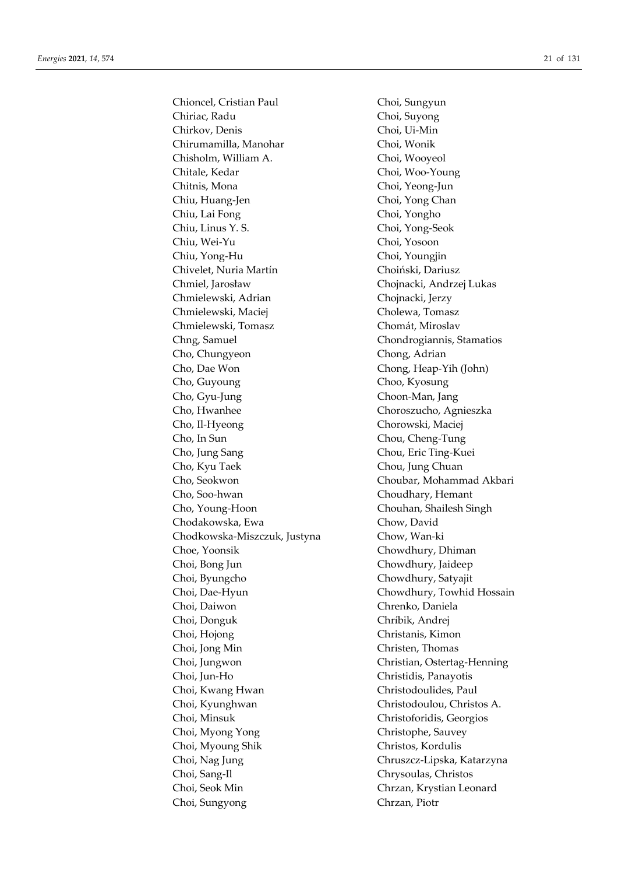Chioncel, Cristian Paul Choi, Sungyun Chiriac, Radu Choi, Suyong Chirkov, Denis Choi, Ui-Min Chirumamilla, Manohar Choi, Wonik Chisholm, William A. Choi, Wooyeol Chitale, Kedar Choi, Woo-Young Chitnis, Mona Choi, Yeong-Jun Chiu, Huang-Jen Choi, Yong Chan Chiu, Lai Fong Choi, Yongho Chiu, Linus Y. S. Choi, Yong-Seok Chiu, Wei-Yu Choi, Yosoon Chiu, Yong-Hu Choi, Youngjin Chivelet, Nuria Martín Choiński, Dariusz Chmiel, Jarosław Chojnacki, Andrzej Lukas Chmielewski, Adrian Chojnacki, Jerzy Chmielewski, Maciej Cholewa, Tomasz Chmielewski, Tomasz Chomát, Miroslav Chng, Samuel Chondrogiannis, Stamatios Cho, Chungyeon Chong, Adrian Cho, Dae Won Chong, Heap-Yih (John) Cho, Guyoung Choo, Kyosung Cho, Gyu-Jung Choon-Man, Jang Cho, Hwanhee Choroszucho, Agnieszka Cho, Il-Hyeong Chorowski, Maciej Cho, In Sun Chou, Cheng-Tung Cho, Jung Sang Chou, Eric Ting-Kuei Cho, Kyu Taek Chou, Jung Chuan Cho, Seokwon Choubar, Mohammad Akbari Cho, Soo-hwan Choudhary, Hemant Cho, Young-Hoon Chouhan, Shailesh Singh Chodakowska, Ewa Chow, David Chodkowska-Miszczuk, Justyna Chow, Wan-ki Choe, Yoonsik Chowdhury, Dhiman Choi, Bong Jun Chowdhury, Jaideep Choi, Byungcho Chowdhury, Satyajit Choi, Daiwon Chrenko, Daniela Choi, Donguk Chríbik, Andrej Choi, Hojong Christanis, Kimon Choi, Jong Min Christen, Thomas Choi, Jungwon Christian, Ostertag-Henning Choi, Jun-Ho Christidis, Panayotis Choi, Kwang Hwan Christodoulides, Paul Choi, Kyunghwan Christodoulou, Christos A. Choi, Minsuk Christoforidis, Georgios Choi, Myong Yong Christophe, Sauvey Choi, Myoung Shik Christos, Kordulis Choi, Nag Jung Chruszcz-Lipska, Katarzyna Choi, Sang-Il Chrysoulas, Christos Choi, Seok Min Chrzan, Krystian Leonard Choi, Sungyong Chrzan, Piotr

Choi, Dae-Hyun Chowdhury, Towhid Hossain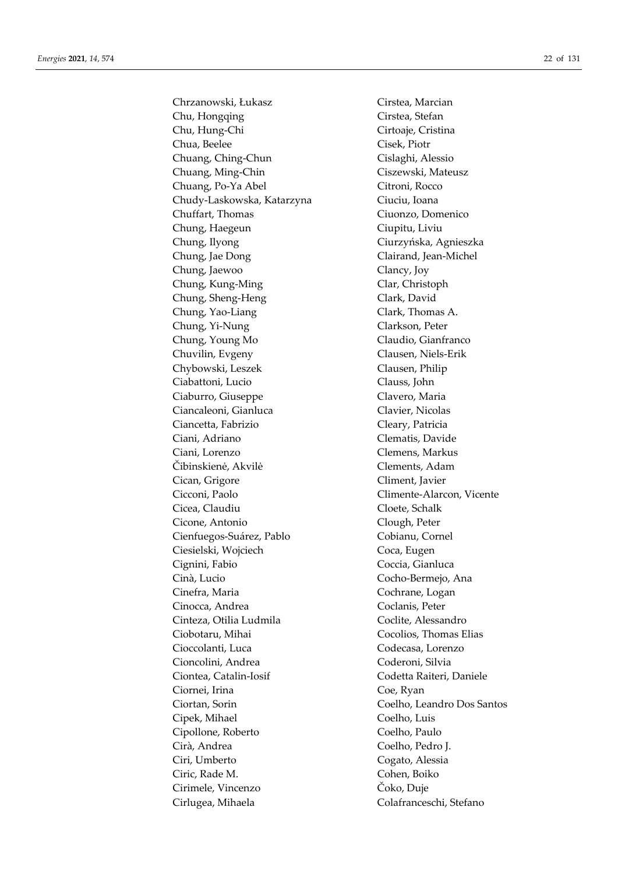Chrzanowski, Łukasz Cirstea, Marcian Chu, Hongqing Cirstea, Stefan Chu, Hung-Chi Cirtoaje, Cristina Chua, Beelee Cisek, Piotr Chuang, Ching-Chun Cislaghi, Alessio Chuang, Ming-Chin Ciszewski, Mateusz Chuang, Po-Ya Abel Citroni, Rocco Chudy-Laskowska, Katarzyna Ciuciu, Ioana Chuffart, Thomas Ciuonzo, Domenico Chung, Haegeun Ciupitu, Liviu Chung, Ilyong Ciurzyńska, Agnieszka Chung, Jae Dong Clairand, Jean-Michel Chung, Jaewoo Clancy, Joy Chung, Kung-Ming Clar, Christoph Chung, Sheng-Heng Clark, David Chung, Yao-Liang Clark, Thomas A. Chung, Yi-Nung Clarkson, Peter Chung, Young Mo Claudio, Gianfranco Chuvilin, Evgeny Clausen, Niels-Erik Chybowski, Leszek Clausen, Philip Ciabattoni, Lucio Clauss, John Ciaburro, Giuseppe Clavero, Maria Ciancaleoni, Gianluca Clavier, Nicolas Ciancetta, Fabrizio Cleary, Patricia Ciani, Adriano Clematis, Davide Ciani, Lorenzo Clemens, Markus Čibinskienė, Akvilė Clements, Adam Cican, Grigore Climent, Javier Cicconi, Paolo Climente-Alarcon, Vicente Cicea, Claudiu Cloete, Schalk Cicone, Antonio Clough, Peter Cienfuegos-Suárez, Pablo Cobianu, Cornel Ciesielski, Wojciech Coca, Eugen Cignini, Fabio Coccia, Gianluca Cinà, Lucio Cocho-Bermejo, Ana Cinefra, Maria Cochrane, Logan Cinocca, Andrea Coclanis, Peter Cinteza, Otilia Ludmila Coclite, Alessandro Ciobotaru, Mihai Cocolios, Thomas Elias Cioccolanti, Luca Codecasa, Lorenzo Cioncolini, Andrea Coderoni, Silvia Ciontea, Catalin-Iosif Codetta Raiteri, Daniele Ciornei, Irina Coe, Ryan Ciortan, Sorin Coelho, Leandro Dos Santos Cipek, Mihael Coelho, Luis Cipollone, Roberto Coelho, Paulo Cirà, Andrea Coelho, Pedro J. Ciri, Umberto Cogato, Alessia Ciric, Rade M. Cohen, Boiko Cirimele, Vincenzo Čoko, Duje Cirlugea, Mihaela Colafranceschi, Stefano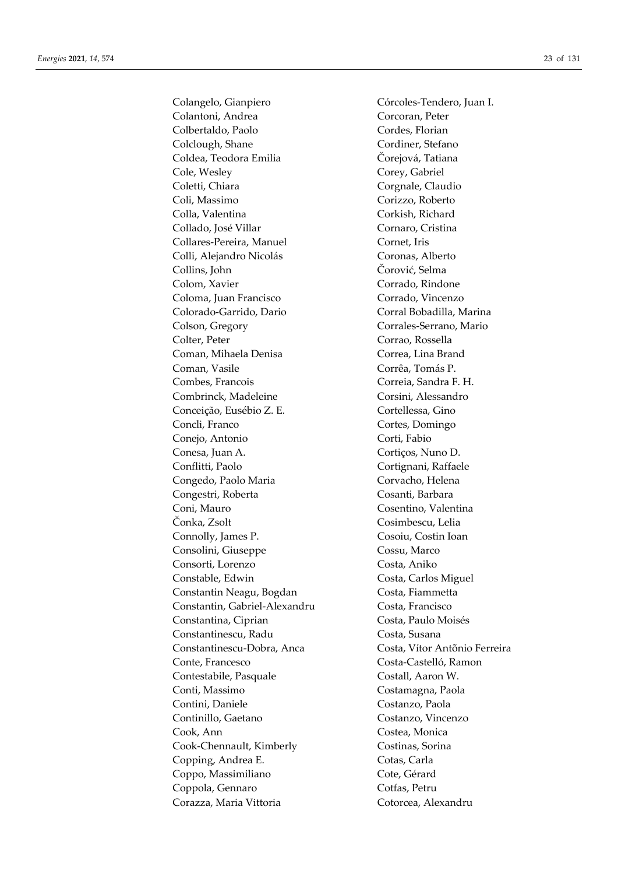Colantoni, Andrea Corcoran, Peter Colbertaldo, Paolo Cordes, Florian Colclough, Shane Cordiner, Stefano Coldea, Teodora Emilia Čorejová, Tatiana Cole, Wesley Corey, Gabriel Coletti, Chiara Corgnale, Claudio Coli, Massimo Corizzo, Roberto Colla, Valentina Corkish, Richard Collado, José Villar Cornaro, Cristina Collares-Pereira, Manuel Cornet, Iris Colli, Alejandro Nicolás Coronas, Alberto Collins, John Čorović, Selma Colom, Xavier Corrado, Rindone Coloma, Juan Francisco Corrado, Vincenzo Colorado-Garrido, Dario Corral Bobadilla, Marina Colson, Gregory Corrales-Serrano, Mario Colter, Peter Corrao, Rossella Coman, Mihaela Denisa Correa, Lina Brand Coman, Vasile Corrêa, Tomás P. Combes, Francois Correia, Sandra F. H. Combrinck, Madeleine Corsini, Alessandro Conceição, Eusébio Z. E. Cortellessa, Gino Concli, Franco Cortes, Domingo Conejo, Antonio Corti, Fabio Conesa, Juan A. Cortiços, Nuno D. Conflitti, Paolo Cortignani, Raffaele Congedo, Paolo Maria **Corvacho**, Helena Congestri, Roberta Cosanti, Barbara Coni, Mauro Cosentino, Valentina Čonka, Zsolt Cosimbescu, Lelia Connolly, James P. Cosoiu, Costin Ioan Consolini, Giuseppe Cossu, Marco Consorti, Lorenzo Costa, Aniko Constable, Edwin Costa, Carlos Miguel Constantin Neagu, Bogdan Costa, Fiammetta Constantin, Gabriel-Alexandru Costa, Francisco Constantina, Ciprian Costa, Paulo Moisés Constantinescu, Radu Costa, Susana Constantinescu-Dobra, Anca Costa, Vítor Antõnio Ferreira Conte, Francesco Costa-Castelló, Ramon Contestabile, Pasquale Costall, Aaron W. Conti, Massimo Costamagna, Paola Contini, Daniele Costanzo, Paola Continillo, Gaetano Costanzo, Vincenzo Cook, Ann Costea, Monica Cook-Chennault, Kimberly Costinas, Sorina Copping, Andrea E. Cotas, Carla Coppo, Massimiliano Cote, Gérard Coppola, Gennaro Cotfas, Petru Corazza, Maria Vittoria Cotorcea, Alexandru

Colangelo, Gianpiero Córcoles-Tendero, Juan I.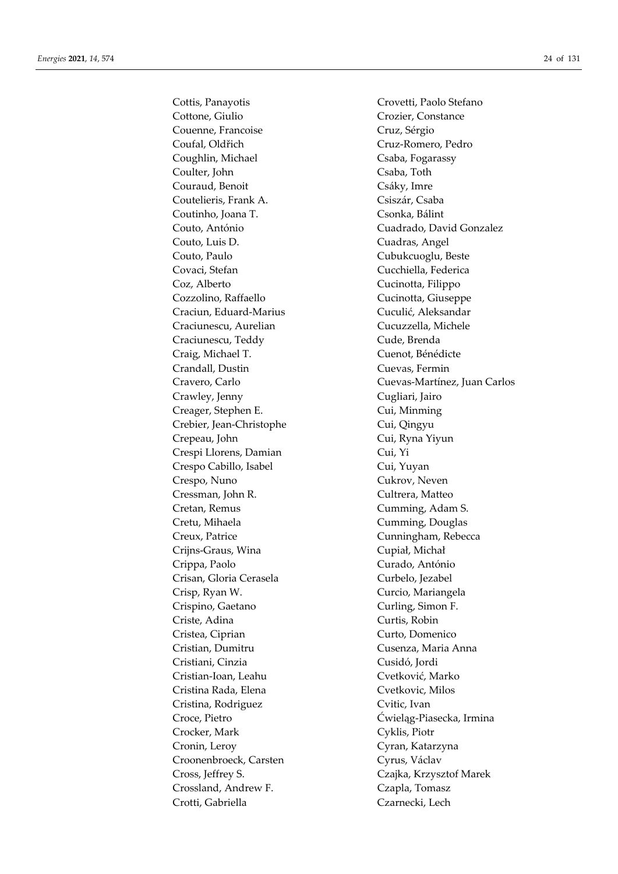Cottis, Panayotis Crovetti, Paolo Stefano Cottone, Giulio Crozier, Constance Couenne, Francoise Cruz, Sérgio Coufal, Oldřich Cruz-Romero, Pedro Coughlin, Michael Csaba, Fogarassy Coulter, John Csaba, Toth Couraud, Benoit Csáky, Imre Coutelieris, Frank A. Csiszár, Csaba Coutinho, Joana T. Csonka, Bálint Couto, António Cuadrado, David Gonzalez Couto, Luis D. Cuadras, Angel Couto, Paulo Cubukcuoglu, Beste Covaci, Stefan Cucchiella, Federica Coz, Alberto Cucinotta, Filippo Cozzolino, Raffaello Cucinotta, Giuseppe Craciun, Eduard-Marius Cuculić, Aleksandar Craciunescu, Aurelian Cucuzzella, Michele Craciunescu, Teddy Cude, Brenda Craig, Michael T. Cuenot, Bénédicte Crandall, Dustin Cuevas, Fermin Crawley, Jenny Cugliari, Jairo Creager, Stephen E. Cui, Minming Crebier, Jean-Christophe Cui, Qingyu Crepeau, John Cui, Ryna Yiyun Crespi Llorens, Damian Cui, Yi Crespo Cabillo, Isabel Cui, Yuyan Crespo, Nuno Cukrov, Neven Cressman, John R. Cultrera, Matteo Cretan, Remus Cumming, Adam S. Cretu, Mihaela Cumming, Douglas Creux, Patrice **Cunningham**, Rebecca Crijns-Graus, Wina Cupiał, Michał Crippa, Paolo Curado, António Crisan, Gloria Cerasela Curbelo, Jezabel Crisp, Ryan W. Curcio, Mariangela Crispino, Gaetano Curling, Simon F. Criste, Adina Curtis, Robin Cristea, Ciprian Curto, Domenico Cristian, Dumitru Cusenza, Maria Anna Cristiani, Cinzia Cusidó, Jordi Cristian-Ioan, Leahu Cvetković, Marko Cristina Rada, Elena Cvetkovic, Milos Cristina, Rodriguez Cvitic, Ivan Croce, Pietro Ćwieląg-Piasecka, Irmina Crocker, Mark Cyklis, Piotr Cronin, Leroy Cyran, Katarzyna Croonenbroeck, Carsten Cyrus, Václav Cross, Jeffrey S. Czajka, Krzysztof Marek Crossland, Andrew F. Czapla, Tomasz Crotti, Gabriella Czarnecki, Lech

Cravero, Carlo Cuevas-Martínez, Juan Carlos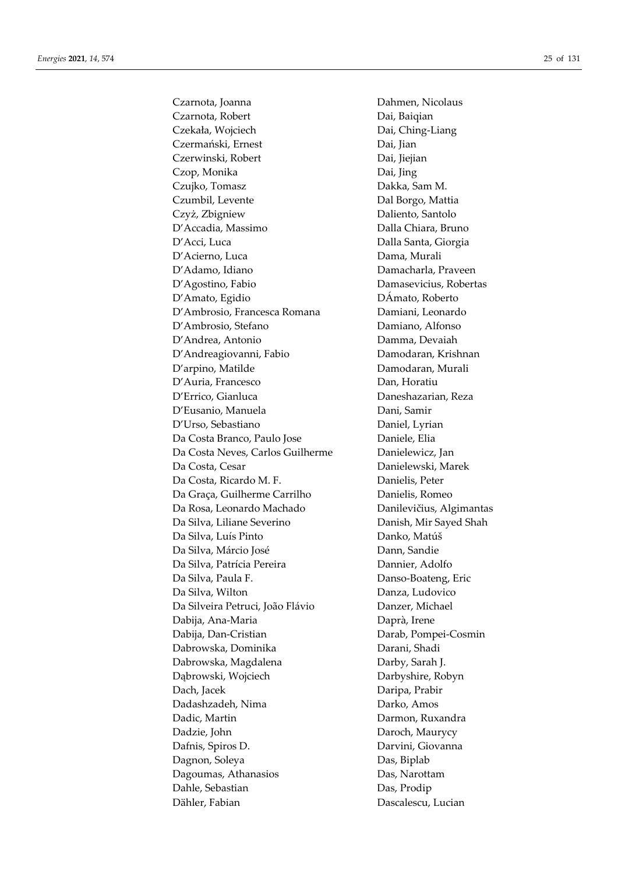Czarnota, Joanna Dahmen, Nicolaus Czarnota, Robert Dai, Baiqian Czekała, Wojciech Dai, Ching-Liang Czermański, Ernest Dai, Jian Czerwinski, Robert Dai, Jiejian Czop, Monika Dai, Jing Czujko, Tomasz Dakka, Sam M. Czumbil, Levente Dal Borgo, Mattia Czyż, Zbigniew Daliento, Santolo D'Accadia, Massimo Dalla Chiara, Bruno D'Acci, Luca Dalla Santa, Giorgia D'Acierno, Luca Dama, Murali D'Adamo, Idiano **Diano dan Brancharla**, Praveen D'Agostino, Fabio Damasevicius, Robertas D'Amato, Egidio DÁmato, Roberto D'Ambrosio, Francesca Romana Damiani, Leonardo D'Ambrosio, Stefano Damiano, Alfonso D'Andrea, Antonio Damma, Devaiah D'Andreagiovanni, Fabio Damodaran, Krishnan D'arpino, Matilde Damodaran, Murali D'Auria, Francesco Dan, Horatiu D'Errico, Gianluca Daneshazarian, Reza D'Eusanio, Manuela Dani, Samir D'Urso, Sebastiano Daniel, Lyrian Da Costa Branco, Paulo Jose Daniele, Elia Da Costa Neves, Carlos Guilherme Danielewicz, Jan Da Costa, Cesar **Danielewski**, Marek Da Costa, Ricardo M. F. Danielis, Peter Da Graça, Guilherme Carrilho Danielis, Romeo Da Rosa, Leonardo Machado Danilevičius, Algimantas Da Silva, Liliane Severino Danish, Mir Sayed Shah Da Silva, Luís Pinto **Danko, Matúš** Da Silva, Márcio José Dann, Sandie Da Silva, Patrícia Pereira Dannier, Adolfo Da Silva, Paula F. Danso-Boateng, Eric Da Silva, Wilton Danza, Ludovico Da Silveira Petruci, João Flávio Danzer, Michael Dabija, Ana-Maria Daprà, Irene Dabija, Dan-Cristian Darab, Pompei-Cosmin Dabrowska, Dominika Darani, Shadi Dabrowska, Magdalena **Darby**, Sarah J. Dąbrowski, Wojciech Darbyshire, Robyn Dach, Jacek Daripa, Prabir Dadashzadeh, Nima Darko, Amos Dadic, Martin Darmon, Ruxandra Dadzie, John Daroch, Maurycy Dafnis, Spiros D. Darvini, Giovanna Dagnon, Soleya Das, Biplab Dagoumas, Athanasios Das, Narottam Dahle, Sebastian Das, Prodip Dähler, Fabian Dascalescu, Lucian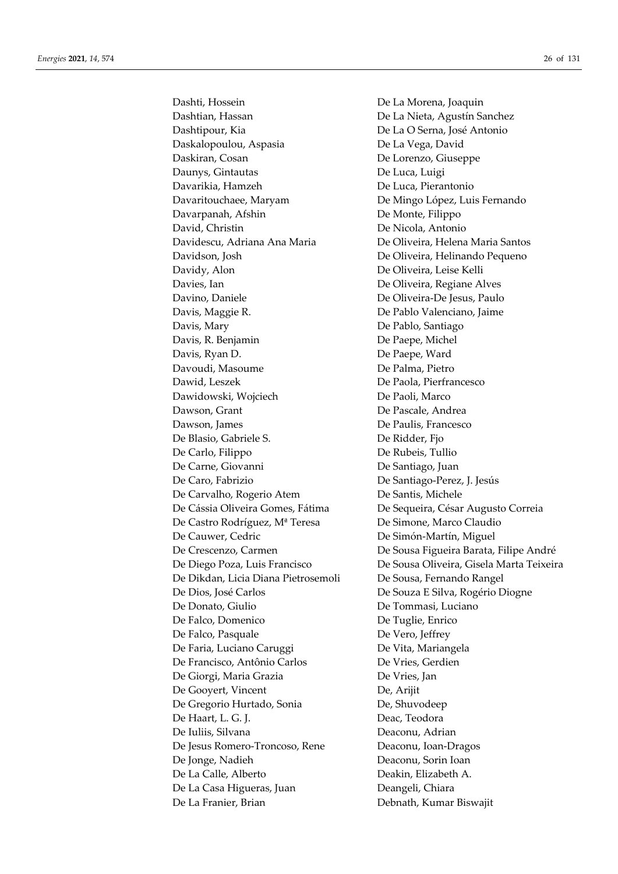Dashti, Hossein De La Morena, Joaquin Dashtian, Hassan De La Nieta, Agustín Sanchez Dashtipour, Kia **De La O Serna**, José Antonio Daskalopoulou, Aspasia De La Vega, David Daskiran, Cosan De Lorenzo, Giuseppe Daunys, Gintautas De Luca, Luigi Davarikia, Hamzeh De Luca, Pierantonio Davaritouchaee, Maryam De Mingo López, Luis Fernando Davarpanah, Afshin De Monte, Filippo David, Christin De Nicola, Antonio Davidescu, Adriana Ana Maria De Oliveira, Helena Maria Santos Davidson, Josh De Oliveira, Helinando Pequeno Davidy, Alon De Oliveira, Leise Kelli Davies, Ian De Oliveira, Regiane Alves Davino, Daniele De Oliveira-De Jesus, Paulo Davis, Maggie R. De Pablo Valenciano, Jaime Davis, Mary De Pablo, Santiago Davis, R. Benjamin De Paepe, Michel Davis, Ryan D. De Paepe, Ward Davoudi, Masoume De Palma, Pietro Dawid, Leszek De Paola, Pierfrancesco Dawidowski, Wojciech De Paoli, Marco Dawson, Grant De Pascale, Andrea Dawson, James De Paulis, Francesco De Blasio, Gabriele S. De Ridder, Fjo De Carlo, Filippo De Rubeis, Tullio De Carne, Giovanni De Santiago, Juan De Caro, Fabrizio De Santiago-Perez, J. Jesús De Carvalho, Rogerio Atem De Santis, Michele De Castro Rodríguez, Mª Teresa De Simone, Marco Claudio De Cauwer, Cedric **De Simón-Martín**, Miguel De Dikdan, Licia Diana Pietrosemoli De Sousa, Fernando Rangel De Dios, José Carlos De Souza E Silva, Rogério Diogne De Donato, Giulio De Tommasi, Luciano De Falco, Domenico De Tuglie, Enrico De Falco, Pasquale De Vero, Jeffrey De Faria, Luciano Caruggi De Vita, Mariangela De Francisco, Antônio Carlos De Vries, Gerdien De Giorgi, Maria Grazia De Vries, Jan De Gooyert, Vincent De, Arijit De Gregorio Hurtado, Sonia De, Shuvodeep De Haart, L. G. J. Deac, Teodora De Iuliis, Silvana Deaconu, Adrian De Jesus Romero-Troncoso, Rene Deaconu, Ioan-Dragos De Jonge, Nadieh Deaconu, Sorin Ioan De La Calle, Alberto Deakin, Elizabeth A. De La Casa Higueras, Juan Deangeli, Chiara De La Franier, Brian Debnath, Kumar Biswajit

De Cássia Oliveira Gomes, Fátima De Sequeira, César Augusto Correia De Crescenzo, Carmen De Sousa Figueira Barata, Filipe André De Diego Poza, Luis Francisco De Sousa Oliveira, Gisela Marta Teixeira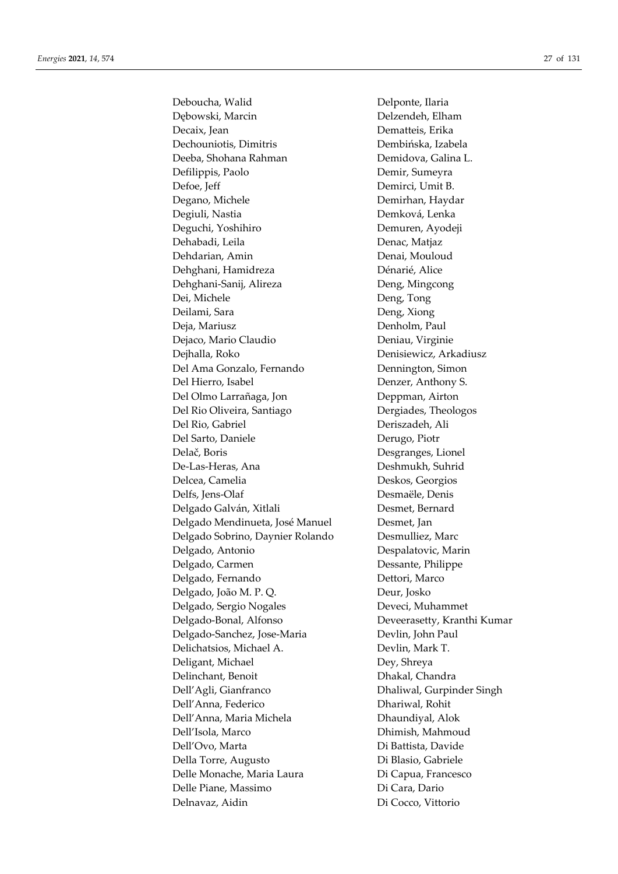Deboucha, Walid Delponte, Ilaria Dębowski, Marcin Delzendeh, Elham Decaix, Jean Dematteis, Erika Dechouniotis, Dimitris Dembińska, Izabela Deeba, Shohana Rahman Demidova, Galina L. Defilippis, Paolo **Demir, Sumeyra** Defoe, Jeff Demirci, Umit B. Degano, Michele **Demirhan**, Haydar Degiuli, Nastia Demková, Lenka Deguchi, Yoshihiro Demuren, Ayodeji Dehabadi, Leila **Denac**, Matjaz Dehdarian, Amin Denai, Mouloud Dehghani, Hamidreza Dénarié, Alice Dehghani-Sanij, Alireza Deng, Mingcong Dei, Michele Deng, Tong Deilami, Sara **Deng, Xiong** Deja, Mariusz Denholm, Paul Dejaco, Mario Claudio **Deniau**, Virginie Dejhalla, Roko Denisiewicz, Arkadiusz Del Ama Gonzalo, Fernando Dennington, Simon Del Hierro, Isabel Denzer, Anthony S. Del Olmo Larrañaga, Jon Deppman, Airton Del Rio Oliveira, Santiago Dergiades, Theologos Del Rio, Gabriel Deriszadeh, Ali Del Sarto, Daniele Derugo, Piotr Delač, Boris Desgranges, Lionel De-Las-Heras, Ana Deshmukh, Suhrid Delcea, Camelia Deskos, Georgios Delfs, Jens-Olaf Desmaële, Denis Delgado Galván, Xitlali Desmet, Bernard Delgado Mendinueta, José Manuel Desmet, Jan Delgado Sobrino, Daynier Rolando Desmulliez, Marc Delgado, Antonio Despalatovic, Marin Delgado, Carmen Dessante, Philippe Delgado, Fernando Dettori, Marco Delgado, João M. P. Q. Deur, Josko Delgado, Sergio Nogales Deveci, Muhammet Delgado-Bonal, Alfonso Deveerasetty, Kranthi Kumar Delgado-Sanchez, Jose-Maria Devlin, John Paul Delichatsios, Michael A. Devlin, Mark T. Deligant, Michael Dey, Shreya Delinchant, Benoit Dhakal, Chandra Dell'Agli, Gianfranco Dhaliwal, Gurpinder Singh Dell'Anna, Federico Dhariwal, Rohit Dell'Anna, Maria Michela Dhaundiyal, Alok Dell'Isola, Marco Dhimish, Mahmoud Dell'Ovo, Marta Di Battista, Davide Della Torre, Augusto Di Blasio, Gabriele Delle Monache, Maria Laura Di Capua, Francesco Delle Piane, Massimo **Di Cara**, Dario Delnavaz, Aidin Di Cocco, Vittorio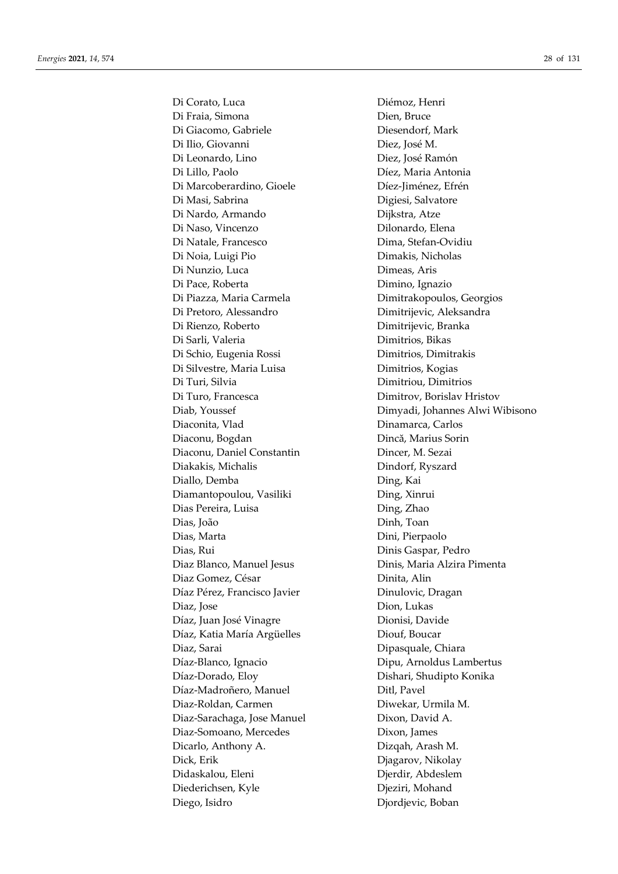Di Corato, Luca Diémoz, Henri Di Fraia, Simona Dien, Bruce Di Giacomo, Gabriele Diesendorf, Mark Di Ilio, Giovanni Diez, José M. Di Leonardo, Lino Diez, José Ramón Di Lillo, Paolo Díez, Maria Antonia Di Marcoberardino, Gioele Díez-Jiménez, Efrén Di Masi, Sabrina Digiesi, Salvatore Di Nardo, Armando Dijkstra, Atze Di Naso, Vincenzo **Dilonardo**, Elena Di Natale, Francesco Dima, Stefan-Ovidiu Di Noia, Luigi Pio **Dimakis**, Nicholas Di Nunzio, Luca Dimeas, Aris Di Pace, Roberta **Dimino**, Ignazio Di Piazza, Maria Carmela Dimitrakopoulos, Georgios Di Pretoro, Alessandro Dimitrijevic, Aleksandra Di Rienzo, Roberto Dimitrijevic, Branka Di Sarli, Valeria Dimitrios, Bikas Di Schio, Eugenia Rossi Dimitrios, Dimitrakis Di Silvestre, Maria Luisa Dimitrios, Kogias Di Turi, Silvia Dimitriou, Dimitrios Di Turo, Francesca Dimitrov, Borislav Hristov Diaconita, Vlad Dinamarca, Carlos Diaconu, Bogdan Dincă, Marius Sorin Diaconu, Daniel Constantin Dincer, M. Sezai Diakakis, Michalis Dindorf, Ryszard Diallo, Demba Ding, Kai Diamantopoulou, Vasiliki Ding, Xinrui Dias Pereira, Luisa **Ding, Zhao** Dias, João Dinh, Toan Dias, Marta Dini, Pierpaolo Dias, Rui Dinis Gaspar, Pedro Diaz Blanco, Manuel Jesus Dinis, Maria Alzira Pimenta Diaz Gomez, César **Dinita**, Alin Díaz Pérez, Francisco Javier Dinulovic, Dragan Diaz, Jose Dion, Lukas Díaz, Juan José Vinagre Dionisi, Davide Díaz, Katia María Argüelles Diouf, Boucar Diaz, Sarai Dipasquale, Chiara Díaz-Blanco, Ignacio Dipu, Arnoldus Lambertus Díaz-Dorado, Eloy Dishari, Shudipto Konika Díaz-Madroñero, Manuel Ditl, Pavel Diaz-Roldan, Carmen Diwekar, Urmila M. Diaz-Sarachaga, Jose Manuel Dixon, David A. Diaz-Somoano, Mercedes Dixon, James Dicarlo, Anthony A. Dizqah, Arash M. Dick, Erik Djagarov, Nikolay Didaskalou, Eleni Djerdir, Abdeslem Diederichsen, Kyle Djeziri, Mohand Diego, Isidro Djordjevic, Boban

Diab, Youssef Dimyadi, Johannes Alwi Wibisono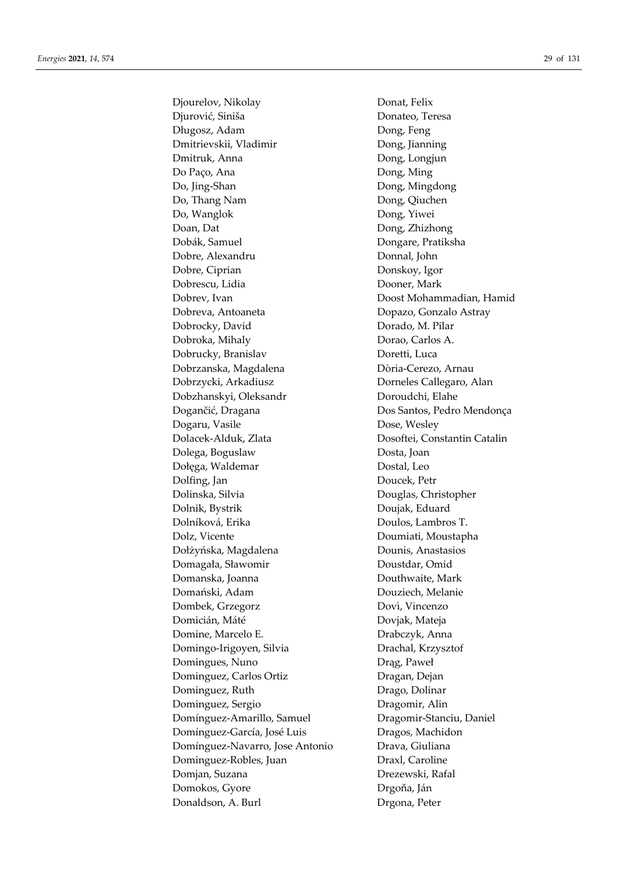Djourelov, Nikolay Donat, Felix Djurović, Siniša Donateo, Teresa Długosz, Adam Dong, Feng Dmitrievskii, Vladimir Dong, Jianning Dmitruk, Anna Dong, Longjun Do Paço, Ana Dong, Ming Do, Jing-Shan Dong, Mingdong Do, Thang Nam Dong, Qiuchen Do, Wanglok Dong, Yiwei Doan, Dat Dong, Zhizhong Dobák, Samuel Dongare, Pratiksha Dobre, Alexandru Donnal, John Dobre, Ciprian Donskoy, Igor Dobrescu, Lidia Dooner, Mark Dobrev, Ivan Doost Mohammadian, Hamid Dobreva, Antoaneta Dopazo, Gonzalo Astray Dobrocky, David Dorado, M. Pilar Dobroka, Mihaly Dorao, Carlos A. Dobrucky, Branislav Doretti, Luca Dobrzanska, Magdalena Dòria-Cerezo, Arnau Dobrzycki, Arkadiusz Dorneles Callegaro, Alan Dobzhanskyi, Oleksandr Doroudchi, Elahe Dogančić, Dragana Dos Santos, Pedro Mendonça Dogaru, Vasile Dose, Wesley Dolacek-Alduk, Zlata Dosoftei, Constantin Catalin Dolega, Boguslaw Dosta, Joan Dołęga, Waldemar Dostal, Leo Dolfing, Jan Doucek, Petr Dolinska, Silvia Douglas, Christopher Dolnik, Bystrik Doujak, Eduard Dolníková, Erika Doulos, Lambros T. Dolz, Vicente Doumiati, Moustapha Dołżyńska, Magdalena Dounis, Anastasios Domagała, Sławomir Doustdar, Omid Domanska, Joanna Douthwaite, Mark Domański, Adam Douziech, Melanie Dombek, Grzegorz Dovì, Vincenzo Domicián, Máté Dovjak, Mateja Domine, Marcelo E. Drabczyk, Anna Domingo-Irigoyen, Silvia Drachal, Krzysztof Domingues, Nuno Drąg, Paweł Dominguez, Carlos Ortiz Dragan, Dejan Dominguez, Ruth Drago, Dolinar Dominguez, Sergio Dragomir, Alin Domínguez-Amarillo, Samuel Dragomir-Stanciu, Daniel Domínguez-García, José Luis Dragos, Machidon Domínguez-Navarro, Jose Antonio Drava, Giuliana Dominguez-Robles, Juan Draxl, Caroline Domjan, Suzana Drezewski, Rafal Domokos, Gyore Drgoňa, Ján Donaldson, A. Burl Drgona, Peter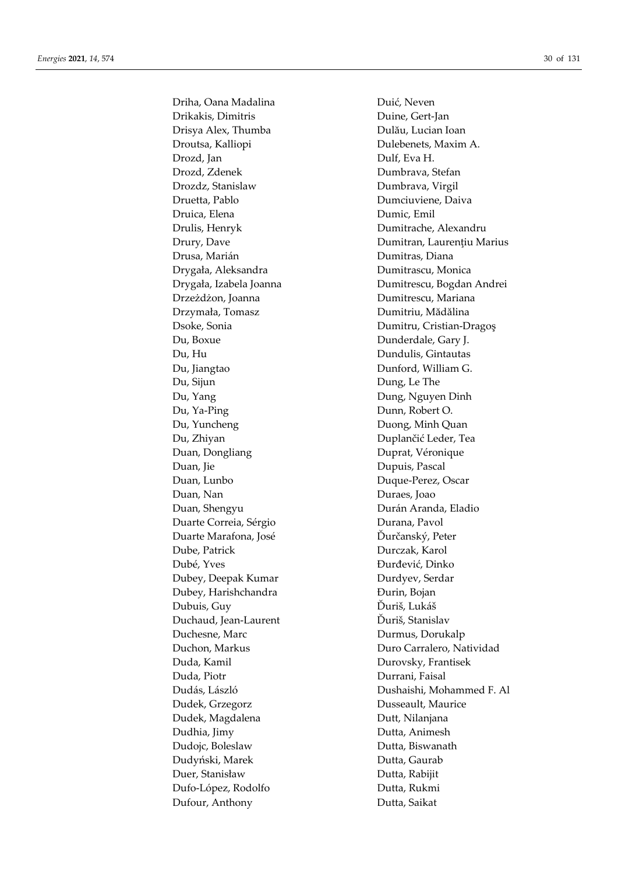Driha, Oana Madalina Drikakis, Dimitris Drisya Alex, Thumba Droutsa, Kalliopi Drozd, Jan Drozd, Zdenek Drozdz, Stanislaw Druetta, Pablo Druica, Elena Drulis, Henryk Drury, Dave Drusa, Marián Drygała, Aleksandra Drygała, Izabela Joanna Drzeżdżon, Joanna Drzymała, Tomasz Dsoke, Sonia Du, Boxue Du, Hu Du, Jiangtao Du, Sijun Du, Yang Du, Ya-Ping Du, Yuncheng Du, Zhiyan Duan, Dongliang Duan, Jie Duan, Lunbo Duan, Nan Duan, Shengyu Duarte Correia, Sérgio Duarte Marafona, José Dube, Patrick Dubé, Yves Dubey, Deepak Kumar Dubey, Harishchandra Dubuis, Guy Duchaud, Jean-Laurent Duchesne, Marc Duchon, Markus Duda, Kamil Duda, Piotr Dudás, László Dudek, Grzegorz Dudek, Magdalena Dudhia, Jimy Dudojc, Boleslaw Dudvński, Marek Duer, Stanisław Dufo-López, Rodolfo Dufour, Anthony

Duić, Neven Duine, Gert-Jan Dulău, Lucian Ioan Dulebenets, Maxim A. Dulf. Eva H. Dumbrava, Stefan Dumbrava, Virgil Dumciuviene, Daiva Dumic, Emil Dumitrache, Alexandru Dumitran, Laurentiu Marius Dumitras, Diana Dumitrascu, Monica Dumitrescu, Bogdan Andrei Dumitrescu, Mariana Dumitriu, Mădălina Dumitru, Cristian-Dragos Dunderdale, Gary J. Dundulis, Gintautas Dunford, William G. Dung, Le The Dung, Nguyen Dinh Dunn, Robert O. Duong, Minh Quan Duplančić Leder, Tea Duprat, Véronique Dupuis, Pascal Duque-Perez, Oscar Duraes, Joao Durán Aranda, Eladio Durana, Pavol Ďurčanský, Peter Durczak, Karol Đurđević, Dinko Durdyev, Serdar Đurin, Bojan Ďuriš, Lukáš Ďuriš, Stanislav Durmus, Dorukalp Duro Carralero, Natividad Durovsky, Frantisek Durrani, Faisal Dushaishi, Mohammed F. Al Dusseault. Maurice Dutt, Nilanjana Dutta, Animesh Dutta, Biswanath Dutta, Gaurab Dutta, Rabijit Dutta, Rukmi Dutta, Saikat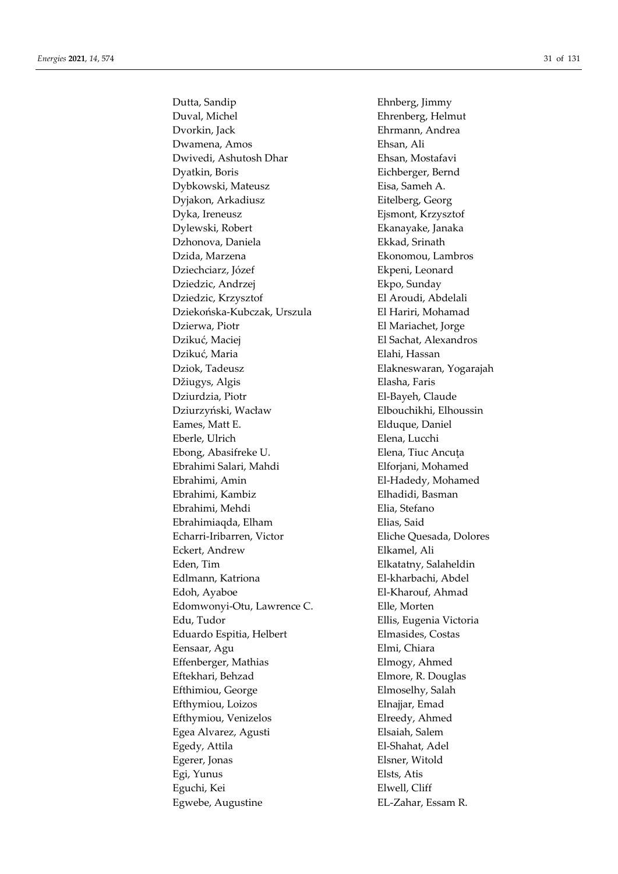Dutta, Sandip Ehnberg, Jimmy Duval, Michel Ehrenberg, Helmut Dvorkin, Jack Ehrmann, Andrea Dwamena, Amos Ehsan, Ali Dwivedi, Ashutosh Dhar Ehsan, Mostafavi Dyatkin, Boris Eichberger, Bernd Dybkowski, Mateusz Eisa, Sameh A. Dyjakon, Arkadiusz **Eitelberg**, Georg Dyka, Ireneusz Ejsmont, Krzysztof Dylewski, Robert Ekanayake, Janaka Dzhonova, Daniela Ekkad, Srinath Dzida, Marzena Ekonomou, Lambros Dziechciarz, Józef Ekpeni, Leonard Dziedzic, Andrzej Ekpo, Sunday Dziedzic, Krzysztof El Aroudi, Abdelali Dziekońska-Kubczak, Urszula El Hariri, Mohamad Dzierwa, Piotr El Mariachet, Jorge Dzikuć, Maciej El Sachat, Alexandros Dzikuć, Maria Elahi, Hassan Dziok, Tadeusz Elakneswaran, Yogarajah Džiugys, Algis Elasha, Faris Dziurdzia, Piotr El-Bayeh, Claude Dziurzyński, Wacław Elbouchikhi, Elhoussin Eames, Matt E. South and Elduque, Daniel Eberle, Ulrich Elena, Lucchi Ebong, Abasifreke U. Elena, Tiuc Ancuţa Ebrahimi Salari, Mahdi Elforjani, Mohamed Ebrahimi, Amin El-Hadedy, Mohamed Ebrahimi, Kambiz Elhadidi, Basman Ebrahimi, Mehdi Elia, Stefano Ebrahimiaqda, Elham **Elias**, Said Echarri-Iribarren, Victor Eliche Quesada, Dolores Eckert, Andrew Elkamel, Ali Eden, Tim Elkatatny, Salaheldin Edlmann, Katriona El-kharbachi, Abdel Edoh, Ayaboe El-Kharouf, Ahmad Edomwonyi-Otu, Lawrence C. Elle, Morten Edu, Tudor Ellis, Eugenia Victoria Eduardo Espitia, Helbert Elmasides, Costas Eensaar, Agu **Elmi, Chiara** Effenberger, Mathias Elmogy, Ahmed Eftekhari, Behzad Elmore, R. Douglas Efthimiou, George Elmoselhy, Salah Efthymiou, Loizos Elnajjar, Emad Efthymiou, Venizelos Elreedy, Ahmed Egea Alvarez, Agusti Elsaiah, Salem Egedy, Attila El-Shahat, Adel Egerer, Jonas Elsner, Witold Egi, Yunus Elsts, Atis Eguchi, Kei Elwell, Cliff Egwebe, Augustine EL-Zahar, Essam R.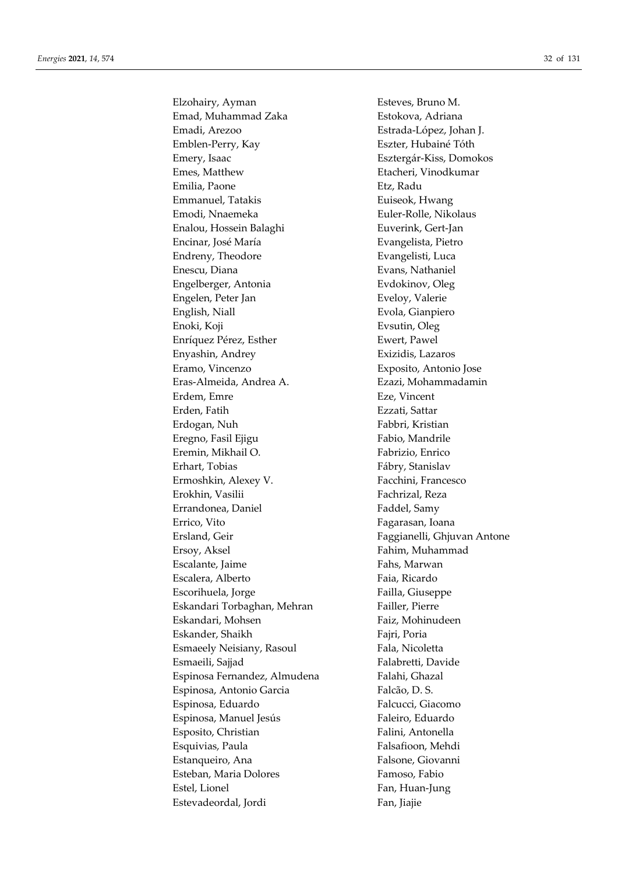Elzohairy, Ayman Esteves, Bruno M. Emad, Muhammad Zaka **Estokova**, Adriana Emadi, Arezoo Estrada-López, Johan J. Emblen-Perry, Kay **Eszter**, Hubainé Tóth Emery, Isaac Esztergár-Kiss, Domokos Emes, Matthew Etacheri, Vinodkumar Emilia, Paone **Etz**, Radu Emmanuel, Tatakis **Euiseok**, Hwang Emodi, Nnaemeka **Euler-Rolle**, Nikolaus Enalou, Hossein Balaghi Euverink, Gert-Jan Encinar, José María **Eumena Evangelista**, Pietro Endreny, Theodore **Evangelisti**, Luca Enescu, Diana Evans, Nathaniel Engelberger, Antonia Evdokinov, Oleg Engelen, Peter Jan **Eveloy**, Valerie English, Niall Evola, Gianpiero Enoki, Koji Evsutin, Oleg Enríquez Pérez, Esther **Ewert**, Pawel Enyashin, Andrey Exizidis, Lazaros Eramo, Vincenzo Exposito, Antonio Jose Eras-Almeida, Andrea A. Ezazi, Mohammadamin Erdem, Emre **Exel** Erden, Fatih Ezzati, Sattar Erdogan, Nuh Fabbri, Kristian Eregno, Fasil Ejigu Fabio, Mandrile Eremin, Mikhail O. **Fabrizio**, Enrico Erhart, Tobias Fábry, Stanislav Ermoshkin, Alexey V. Facchini, Francesco Erokhin, Vasilii Fachrizal, Reza Errandonea, Daniel Faddel, Samy Errico, Vito Fagarasan, Ioana Ersland, Geir **Faggianelli**, Ghjuvan Antone Ersoy, Aksel **Fahim**, Muhammad Escalante, Jaime Fahs, Marwan Escalera, Alberto Faia, Ricardo Escorihuela, Jorge Failla, Giuseppe Eskandari Torbaghan, Mehran Failler, Pierre Eskandari, Mohsen Faiz, Mohinudeen Eskander, Shaikh Fajri, Poria Esmaeely Neisiany, Rasoul Fala, Nicoletta Esmaeili, Sajjad **Falabretti**, Davide Espinosa Fernandez, Almudena Falahi, Ghazal Espinosa, Antonio Garcia Falcão, D. S. Espinosa, Eduardo Falcucci, Giacomo Espinosa, Manuel Jesús Faleiro, Eduardo Esposito, Christian Falini, Antonella Esquivias, Paula Falsafioon, Mehdi Estanqueiro, Ana **Falsone**, Giovanni Esteban, Maria Dolores Famoso, Fabio Estel, Lionel Fan, Huan-Jung Estevadeordal, Jordi Fan, Jiajie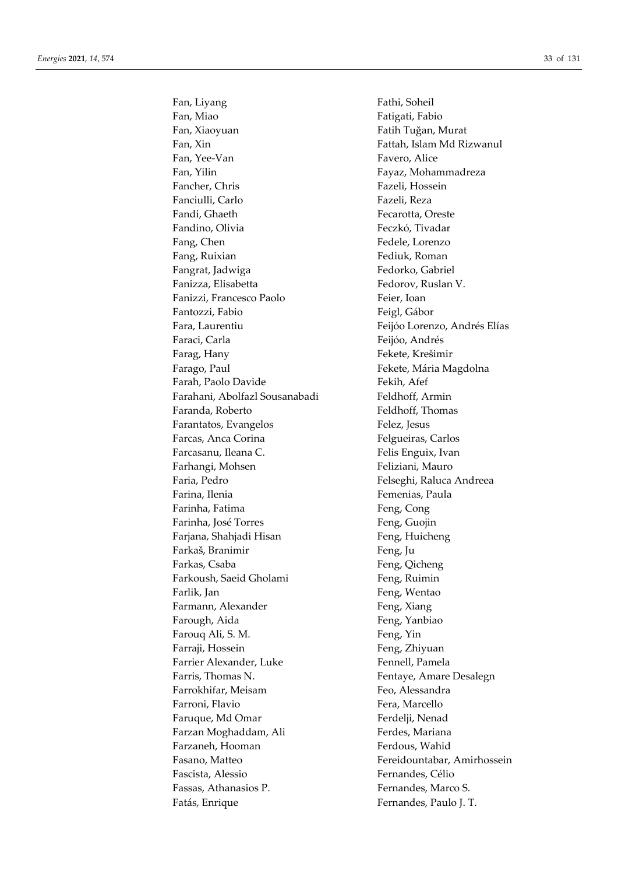Fan, Liyang Fathi, Soheil Fan, Miao Fatigati, Fabio Fan, Xiaoyuan Fatih Tuğan, Murat Fan, Xin Fattah, Islam Md Rizwanul Fan, Yee-Van Favero, Alice Fan, Yilin Fayaz, Mohammadreza Fancher, Chris Fazeli, Hossein Fanciulli, Carlo Fazeli, Reza Fandi, Ghaeth **Fecarotta**, Oreste Fandino, Olivia **Feczkó, Tivadar** Fang, Chen Fedele, Lorenzo Fang, Ruixian Fediuk, Roman Fangrat, Jadwiga Fedorko, Gabriel Fanizza, Elisabetta Fedorov, Ruslan V. Fanizzi, Francesco Paolo Feier, Ioan Fantozzi, Fabio **Feigl, Gábor** Feigl, Gábor Fara, Laurentiu Feijóo Lorenzo, Andrés Elías Faraci, Carla Feijóo, Andrés Farag, Hany Fekete, Krešimir Farago, Paul **Farago, Paul Europe Europe Europe Europe** Fekete, Mária Magdolna Farah, Paolo Davide Fekih, Afef Farahani, Abolfazl Sousanabadi Feldhoff, Armin Faranda, Roberto Feldhoff, Thomas Farantatos, Evangelos Felez, Jesus Farcas, Anca Corina **Felgueiras**, Carlos Farcasanu, Ileana C. Felis Enguix, Ivan Farhangi, Mohsen Feliziani, Mauro Faria, Pedro Felseghi, Raluca Andreea Farina, Ilenia **Femenias**, Paula Farinha, Fatima Feng, Cong Farinha, José Torres Feng, Guojin Farjana, Shahjadi Hisan Feng, Huicheng Farkaš, Branimir Feng, Ju Farkas, Csaba Feng, Qicheng Farkoush, Saeid Gholami Feng, Ruimin Farlik, Jan Feng, Wentao Farmann, Alexander Feng, Xiang Farough, Aida Feng, Yanbiao Farouq Ali, S. M. Feng, Yin Farraji, Hossein Feng, Zhiyuan Farrier Alexander, Luke Fennell, Pamela Farris, Thomas N. **Fentaye**, Amare Desalegn Farrokhifar, Meisam Feo, Alessandra Farroni, Flavio **Fera**, Marcello Faruque, Md Omar Ferdelji, Nenad Farzan Moghaddam, Ali Ferdes, Mariana Farzaneh, Hooman Ferdous, Wahid Fasano, Matteo Fereidountabar, Amirhossein Fascista, Alessio Fernandes, Célio Fassas, Athanasios P. Fernandes, Marco S. Fatás, Enrique Fernandes, Paulo J. T.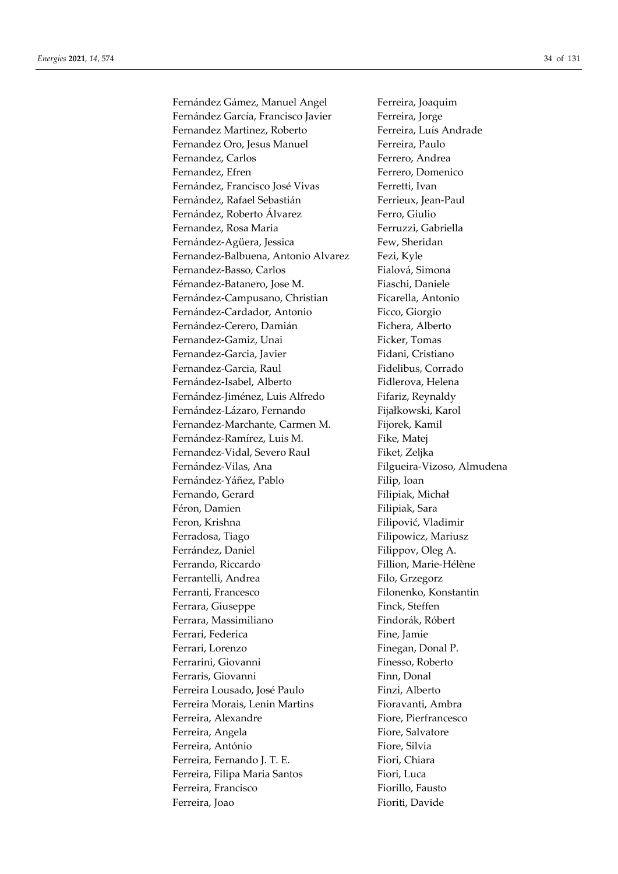Fernández Gámez, Manuel Angel Ferreira, Joaquim Fernández García, Francisco Javier Ferreira, Jorge Fernandez Martinez, Roberto Ferreira, Luís Andrade Fernandez Oro, Jesus Manuel Ferreira, Paulo Fernandez, Carlos Ferrero, Andrea Fernandez, Efren Ferrero, Domenico Fernández, Francisco José Vivas Ferretti, Ivan Fernández, Rafael Sebastián Ferrieux, Jean-Paul Fernández, Roberto Álvarez Ferro, Giulio Fernandez, Rosa Maria Ferruzzi, Gabriella Fernández-Agüera, Jessica Few, Sheridan Fernandez-Balbuena, Antonio Alvarez Fezi, Kyle Fernandez-Basso, Carlos Fialová, Simona Férnandez-Batanero, Jose M. Fiaschi, Daniele Fernández-Campusano, Christian Ficarella, Antonio Fernández-Cardador, Antonio Ficco, Giorgio Fernández-Cerero, Damián Fichera, Alberto Fernandez-Gamiz, Unai Ficker, Tomas Fernandez-Garcia, Javier Fidani, Cristiano Fernandez-Garcia, Raul Fidelibus, Corrado Fernández-Isabel, Alberto Fidlerova, Helena Fernández-Jiménez, Luis Alfredo Fifariz, Reynaldy Fernández-Lázaro, Fernando Fijałkowski, Karol Fernandez-Marchante, Carmen M. Fijorek, Kamil Fernández-Ramírez, Luis M. Fike, Matej Fernandez-Vidal, Severo Raul Fiket, Zeljka Fernández-Vilas, Ana Filgueira-Vizoso, Almudena Fernández-Yáñez, Pablo Filip, Ioan Fernando, Gerard Filipiak, Michał Féron, Damien **Filipiak**, Sara Feron, Krishna **Filipović, Vladimir** Ferradosa, Tiago Filipowicz, Mariusz Ferrández, Daniel Filippov, Oleg A. Ferrando, Riccardo Fillion, Marie-Hélène Ferrantelli, Andrea Filo, Grzegorz Ferranti, Francesco Filonenko, Konstantin Ferrara, Giuseppe Finck, Steffen Ferrara, Massimiliano Findorák, Róbert Ferrari, Federica Fine, Jamie Ferrari, Lorenzo **Finegan**, Donal P. Ferrarini, Giovanni Finesso, Roberto Ferraris, Giovanni **Finn**, Donal Ferreira Lousado, José Paulo Finzi, Alberto Ferreira Morais, Lenin Martins Fioravanti, Ambra Ferreira, Alexandre Fiore, Pierfrancesco Ferreira, Angela Fiore, Salvatore Ferreira, António Fiore, Silvia Ferreira, Fernando I. T. E. Fiori, Chiara Ferreira, Filipa Maria Santos Fiori, Luca Ferreira, Francisco **Fiorillo**, Fausto Ferreira, Joao **Fioriti**, Davide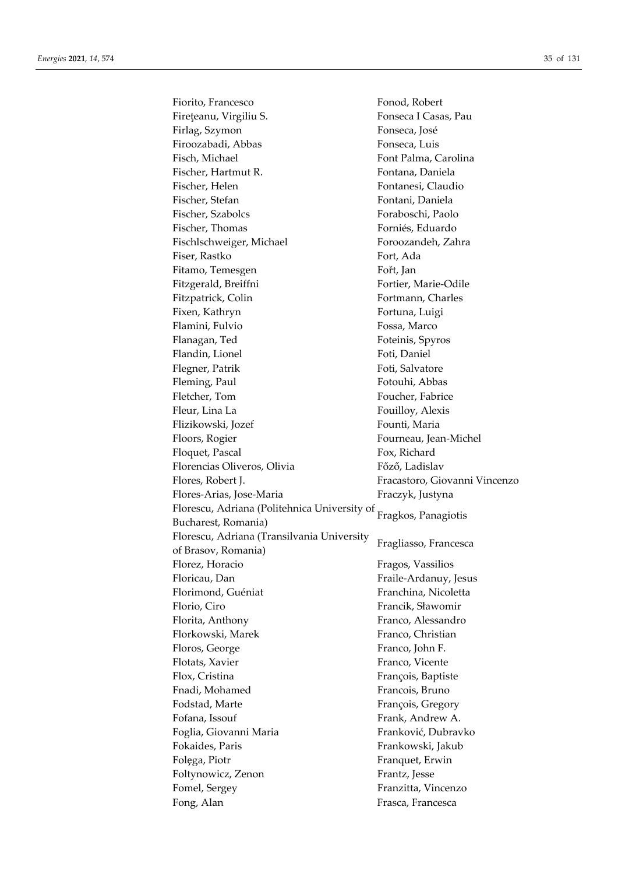| Fiorito, Francesco                           | Fonod, Robert                 |
|----------------------------------------------|-------------------------------|
| Firețeanu, Virgiliu S.                       | Fonseca I Casas, Pau          |
| Firlag, Szymon                               | Fonseca, José                 |
| Firoozabadi, Abbas                           | Fonseca, Luis                 |
| Fisch, Michael                               | Font Palma, Carolina          |
| Fischer, Hartmut R.                          | Fontana, Daniela              |
| Fischer, Helen                               | Fontanesi, Claudio            |
| Fischer, Stefan                              | Fontani, Daniela              |
| Fischer, Szabolcs                            | Foraboschi, Paolo             |
| Fischer, Thomas                              | Forniés, Eduardo              |
| Fischlschweiger, Michael                     | Foroozandeh, Zahra            |
| Fiser, Rastko                                | Fort, Ada                     |
| Fitamo, Temesgen                             | Fořt, Jan                     |
| Fitzgerald, Breiffni                         | Fortier, Marie-Odile          |
| Fitzpatrick, Colin                           | Fortmann, Charles             |
| Fixen, Kathryn                               | Fortuna, Luigi                |
| Flamini, Fulvio                              | Fossa, Marco                  |
| Flanagan, Ted                                | Foteinis, Spyros              |
| Flandin, Lionel                              | Foti, Daniel                  |
| Flegner, Patrik                              | Foti, Salvatore               |
| Fleming, Paul                                | Fotouhi, Abbas                |
| Fletcher, Tom                                | Foucher, Fabrice              |
| Fleur, Lina La                               | Fouilloy, Alexis              |
| Flizikowski, Jozef                           | Founti, Maria                 |
| Floors, Rogier                               | Fourneau, Jean-Michel         |
| Floquet, Pascal                              | Fox, Richard                  |
| Florencias Oliveros, Olivia                  | Főző, Ladislav                |
| Flores, Robert J.                            | Fracastoro, Giovanni Vincenzo |
| Flores-Arias, Jose-Maria                     | Fraczyk, Justyna              |
| Florescu, Adriana (Politehnica University of |                               |
| Bucharest, Romania)                          | Fragkos, Panagiotis           |
| Florescu, Adriana (Transilvania University   |                               |
| of Brasov, Romania)                          | Fragliasso, Francesca         |
| Florez, Horacio                              | Fragos, Vassilios             |
| Floricau, Dan                                | Fraile-Ardanuy, Jesus         |
| Florimond, Guéniat                           | Franchina, Nicoletta          |
| Florio, Ciro                                 | Francik, Sławomir             |
| Florita, Anthony                             | Franco, Alessandro            |
| Florkowski, Marek                            | Franco, Christian             |
| Floros, George                               | Franco, John F.               |
| Flotats, Xavier                              | Franco, Vicente               |
| Flox, Cristina                               | François, Baptiste            |
| Fnadi, Mohamed                               | Francois, Bruno               |
| Fodstad, Marte                               | François, Gregory             |
| Fofana, Issouf                               | Frank, Andrew A.              |
| Foglia, Giovanni Maria                       | Franković, Dubravko           |
| Fokaides, Paris                              | Frankowski, Jakub             |
| Folega, Piotr                                | Franquet, Erwin               |
| Foltynowicz, Zenon                           | Frantz, Jesse                 |
| Fomel, Sergey                                | Franzitta, Vincenzo           |
| Fong, Alan                                   | Frasca, Francesca             |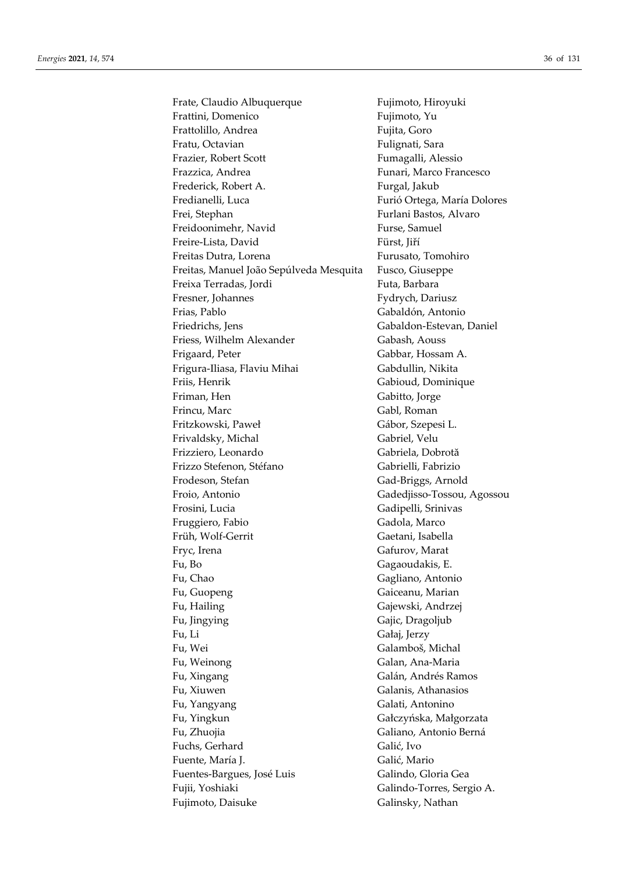Frate, Claudio Albuquerque Frattini, Domenico Frattolillo, Andrea Fratu, Octavian Frazier, Robert Scott Frazzica, Andrea Frederick, Robert A. Fredianelli, Luca Frei, Stephan Freidoonimehr, Navid Freire-Lista, David Freitas Dutra, Lorena Freitas, Manuel João Sepúlveda Mesquita Freixa Terradas, Jordi Fresner, Johannes Frias, Pablo Friedrichs, Jens Friess, Wilhelm Alexander Frigaard, Peter Frigura-Iliasa, Flaviu Mihai Friis, Henrik Friman, Hen Frincu, Marc Fritzkowski, Paweł Frivaldsky, Michal Frizziero, Leonardo Frizzo Stefenon, Stéfano Frodeson, Stefan Froio, Antonio Frosini, Lucia Fruggiero, Fabio Früh, Wolf-Gerrit Fryc, Irena Fu, Bo Fu, Chao Fu, Guopeng Fu, Hailing Fu, Jingying Fu, Li Fu, Wei Fu, Weinong Fu, Xingang Fu. Xiuwen Fu, Yangyang Fu, Yingkun Fu, Zhuojia Fuchs, Gerhard Fuente, María I. Fuentes-Bargues, José Luis Fujii, Yoshiaki Fujimoto, Daisuke

Fujimoto, Hiroyuki Fujimoto, Yu Fujita, Goro Fulignati, Sara Fumagalli, Alessio Funari, Marco Francesco Furgal, Jakub Furió Ortega, María Dolores Furlani Bastos, Alvaro Furse, Samuel Fürst, Jiří Furusato, Tomohiro Fusco, Giuseppe Futa, Barbara Fydrych, Dariusz Gabaldón, Antonio Gabaldon-Estevan, Daniel Gabash, Aouss Gabbar, Hossam A. Gabdullin, Nikita Gabioud, Dominique Gabitto, Jorge Gabl, Roman Gábor, Szepesi L. Gabriel, Velu Gabriela, Dobrotă Gabrielli, Fabrizio Gad-Briggs, Arnold Gadedjisso-Tossou, Agossou Gadipelli, Srinivas Gadola, Marco Gaetani, Isabella Gafurov, Marat Gagaoudakis, E. Gagliano, Antonio Gaiceanu, Marian Gajewski, Andrzej Gajic, Dragoljub Gałaj, Jerzy Galamboš, Michal Galan, Ana-Maria Galán, Andrés Ramos Galanis, Athanasios Galati, Antonino Gałczyńska, Małgorzata Galiano, Antonio Berná Galić, Ivo Galić. Mario Galindo, Gloria Gea Galindo-Torres, Sergio A. Galinsky, Nathan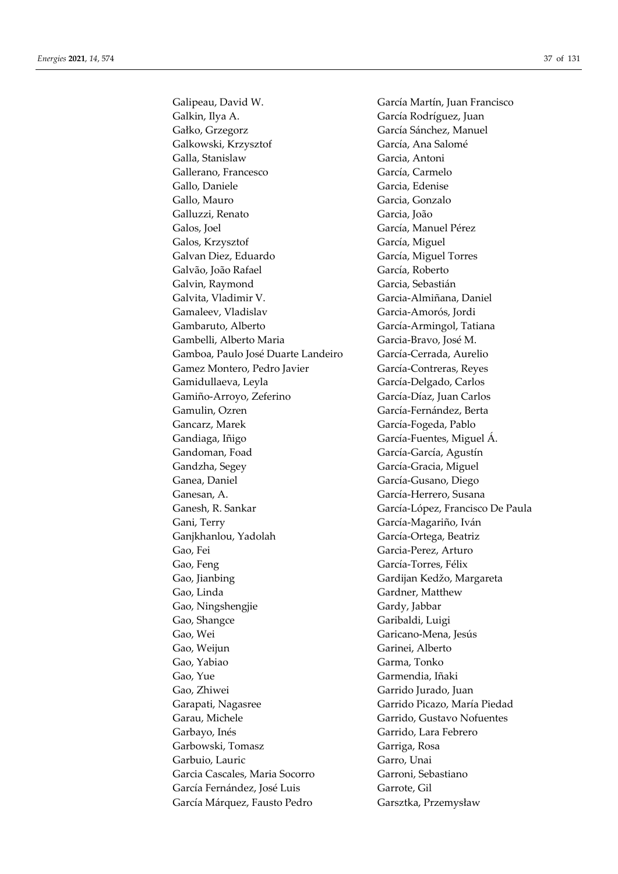Galipeau, David W. García Martín, Juan Francisco Galkin, Ilya A. García Rodríguez, Juan Gałko, Grzegorz García Sánchez, Manuel Galkowski, Krzysztof García, Ana Salomé Galla, Stanislaw Garcia, Antoni Gallerano, Francesco García, Carmelo Gallo, Daniele Garcia, Edenise Gallo, Mauro Garcia, Gonzalo Galluzzi, Renato Garcia, João Galos, Joel García, Manuel Pérez Galos, Krzysztof García, Miguel Galvan Diez, Eduardo García, Miguel Torres Galvão, João Rafael García, Roberto Galvin, Raymond Garcia, Sebastián Galvita, Vladimir V. Garcia-Almiñana, Daniel Gamaleev, Vladislav Garcia-Amorós, Jordi Gambaruto, Alberto García-Armingol, Tatiana Gambelli, Alberto Maria Garcia-Bravo, José M. Gamboa, Paulo José Duarte Landeiro García-Cerrada, Aurelio Gamez Montero, Pedro Javier García-Contreras, Reyes Gamidullaeva, Leyla García-Delgado, Carlos Gamiño-Arroyo, Zeferino García-Díaz, Juan Carlos Gamulin, Ozren García-Fernández, Berta Gancarz, Marek García-Fogeda, Pablo Gandiaga, Iñigo García-Fuentes, Miguel Á. Gandoman, Foad García-García, Agustín Gandzha, Segey García-Gracia, Miguel Ganea, Daniel García-Gusano, Diego Ganesan, A. García-Herrero, Susana Ganesh, R. Sankar García-López, Francisco De Paula Gani, Terry García-Magariño, Iván Ganjkhanlou, Yadolah García-Ortega, Beatriz Gao, Fei Garcia-Perez, Arturo Gao, Feng García-Torres, Félix Gao, Jianbing Gardijan Kedžo, Margareta Gao, Linda Gardner, Matthew Gao, Ningshengjie Gardy, Jabbar Gao, Shangce Garibaldi, Luigi Gao, Wei Garicano-Mena, Jesús Gao, Weijun Garinei, Alberto Gao, Yabiao Garma, Tonko Gao, Yue Garmendia, Iñaki Gao, Zhiwei Garrido Jurado, Juan Garapati, Nagasree Garrido Picazo, María Piedad Garau, Michele Garrido, Gustavo Nofuentes Garbayo, Inés Garrido, Lara Febrero Garbowski, Tomasz Garriga, Rosa Garbuio, Lauric Garro, Unai Garcia Cascales, Maria Socorro Garroni, Sebastiano García Fernández, José Luis Garrote, Gil García Márquez, Fausto Pedro Garsztka, Przemysław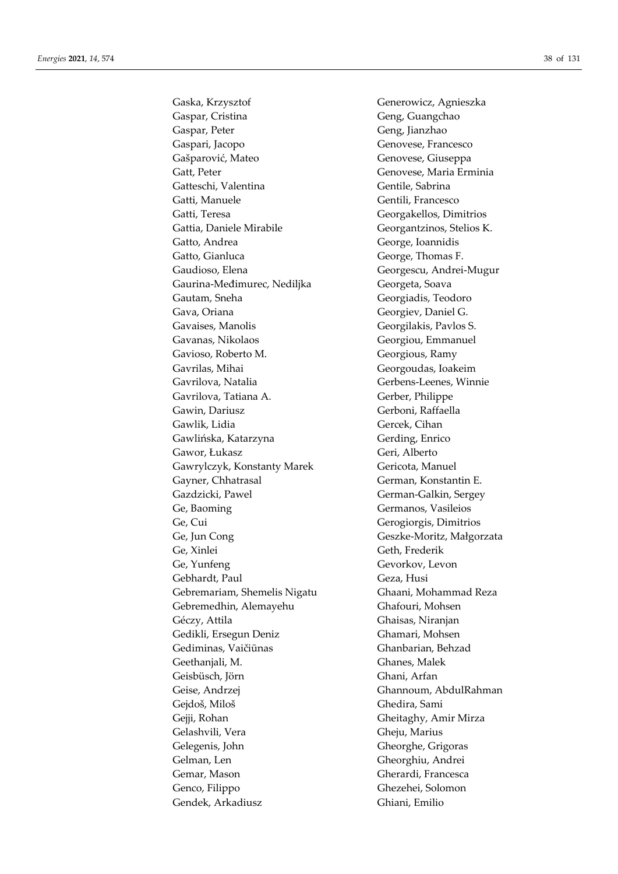Gaska, Krzysztof Generowicz, Agnieszka Gaspar, Cristina Geng, Guangchao Gaspar, Peter Geng, Jianzhao Gaspari, Jacopo Genovese, Francesco Gašparović, Mateo Genovese, Giuseppa Gatt, Peter Genovese, Maria Erminia Gatteschi, Valentina Gentile, Sabrina Gatti, Manuele Gentili, Francesco Gatti, Teresa Georgakellos, Dimitrios Gattia, Daniele Mirabile Georgantzinos, Stelios K. Gatto, Andrea George, Ioannidis Gatto, Gianluca George, Thomas F. Gaudioso, Elena Georgescu, Andrei-Mugur Gaurina-Međimurec, Nediljka Georgeta, Soava Gautam, Sneha Georgiadis, Teodoro Gava, Oriana Georgiev, Daniel G. Gavaises, Manolis Georgilakis, Pavlos S. Gavanas, Nikolaos Georgiou, Emmanuel Gavioso, Roberto M. Georgious, Ramy Gavrilas, Mihai Georgoudas, Ioakeim Gavrilova, Natalia Gerbens-Leenes, Winnie Gavrilova, Tatiana A. Gerber, Philippe Gawin, Dariusz Gerboni, Raffaella Gawlik, Lidia Gercek, Cihan Gawlińska, Katarzyna Gerding, Enrico Gawor, Łukasz Geri, Alberto Gawrylczyk, Konstanty Marek Gericota, Manuel Gayner, Chhatrasal German, Konstantin E. Gazdzicki, Pawel German-Galkin, Sergey Ge, Baoming Germanos, Vasileios Ge, Cui Gerogiorgis, Dimitrios Ge, Jun Cong Geszke-Moritz, Małgorzata Ge, Xinlei Geth, Frederik Ge, Yunfeng Gevorkov, Levon Gebhardt, Paul Geza, Husi Gebremariam, Shemelis Nigatu Ghaani, Mohammad Reza Gebremedhin, Alemayehu Ghafouri, Mohsen Géczy, Attila Ghaisas, Niranjan Gedikli, Ersegun Deniz Ghamari, Mohsen Gediminas, Vaičiūnas Ghanbarian, Behzad Geethanjali, M. Ghanes, Malek Geisbüsch, Jörn Ghani, Arfan Geise, Andrzej Ghannoum, AbdulRahman Gejdoš, Miloš Ghedira, Sami Gejji, Rohan Gheitaghy, Amir Mirza Gelashvili, Vera Gheju, Marius Gelegenis, John Gheorghe, Grigoras Gelman, Len Gheorghiu, Andrei Gemar, Mason Gherardi, Francesca Genco, Filippo Ghezehei, Solomon Gendek, Arkadiusz Ghiani, Emilio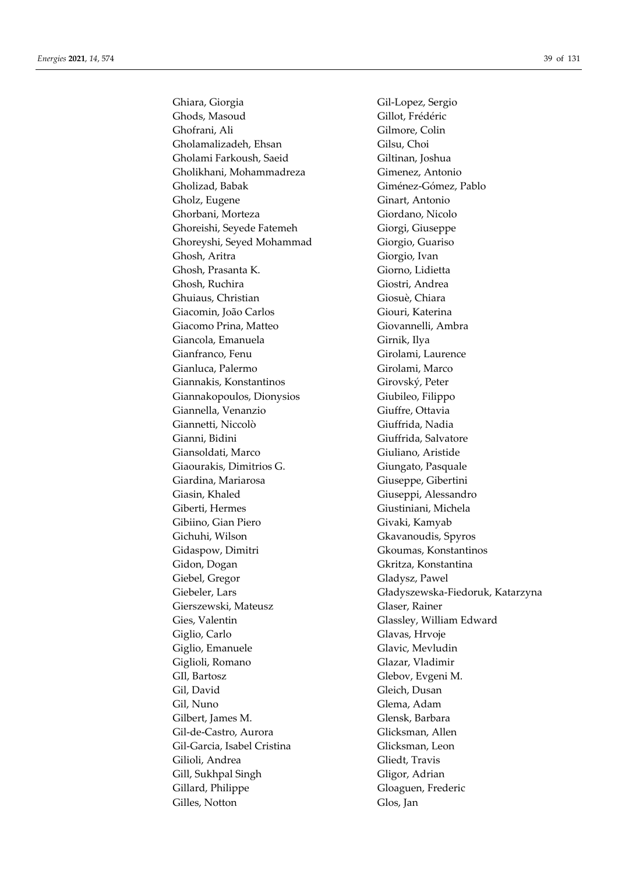Ghiara, Giorgia Gil-Lopez, Sergio Ghods, Masoud Gillot, Frédéric Ghofrani, Ali Gilmore, Colin Gholamalizadeh, Ehsan Gilsu, Choi Gholami Farkoush, Saeid Giltinan, Joshua Gholikhani, Mohammadreza Gimenez, Antonio Gholizad, Babak Giménez-Gómez, Pablo Gholz, Eugene Ginart, Antonio Ghorbani, Morteza Giordano, Nicolo Ghoreishi, Seyede Fatemeh Giorgi, Giuseppe Ghoreyshi, Seyed Mohammad Giorgio, Guariso Ghosh, Aritra Giorgio, Ivan Ghosh, Prasanta K. Giorno, Lidietta Ghosh, Ruchira Giostri, Andrea Ghuiaus, Christian Giosuè, Chiara Giacomin, João Carlos Giouri, Katerina Giacomo Prina, Matteo Giovannelli, Ambra Giancola, Emanuela Girnik, Ilya Gianfranco, Fenu Girolami, Laurence Gianluca, Palermo Girolami, Marco Giannakis, Konstantinos Girovský, Peter Giannakopoulos, Dionysios Giubileo, Filippo Giannella, Venanzio Giuffre, Ottavia Giannetti, Niccolò Giuffrida, Nadia Gianni, Bidini Giuffrida, Salvatore Giansoldati, Marco Giuliano, Aristide Giaourakis, Dimitrios G. Giungato, Pasquale Giardina, Mariarosa Giuseppe, Gibertini Giasin, Khaled Giuseppi, Alessandro Giberti, Hermes Giustiniani, Michela Gibiino, Gian Piero Givaki, Kamyab Gichuhi, Wilson Gkavanoudis, Spyros Gidaspow, Dimitri Gkoumas, Konstantinos Gidon, Dogan Gkritza, Konstantina Giebel, Gregor Gladysz, Pawel Gierszewski, Mateusz Glaser, Rainer Gies, Valentin Glassley, William Edward Giglio, Carlo Giglio, Carlo Giglio, Carlo Giglio, Carlo Giglio, Carlo Giglio, Carlo Giglio, Carlo Giglio, Carlo Giglio, Emanuele Glavic, Mevludin Giglioli, Romano Glazar, Vladimir GIl, Bartosz Glebov, Evgeni M. Gil, David Gleich, Dusan Gil, Nuno Glema, Adam Gilbert, James M. Glensk, Barbara Gil-de-Castro, Aurora Glicksman, Allen Gil-Garcia, Isabel Cristina Glicksman, Leon Gilioli, Andrea Gliedt, Travis Gill, Sukhpal Singh Gligor, Adrian Gillard, Philippe Gloaguen, Frederic Gilles, Notton Glos, Jan

Giebeler, Lars Gładyszewska-Fiedoruk, Katarzyna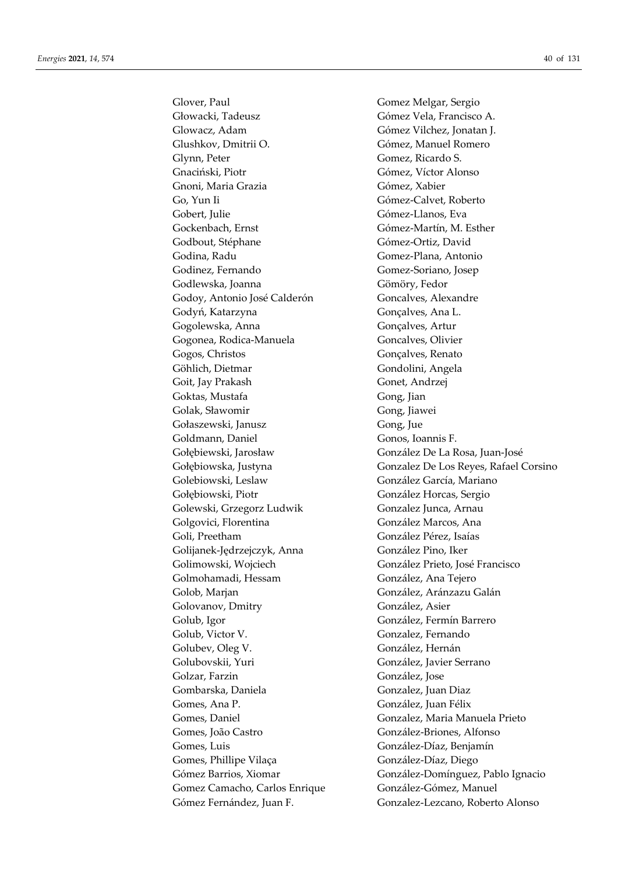Głowacki, Tadeusz Gómez Vela, Francisco A. Glowacz, Adam Gómez Vilchez, Jonatan J. Glushkov, Dmitrii O. Gómez, Manuel Romero Glynn, Peter Gomez, Ricardo S. Gnaciński, Piotr Gómez, Víctor Alonso Gnoni, Maria Grazia Gómez, Xabier Go, Yun Ii Gómez-Calvet, Roberto Gobert, Julie Gómez-Llanos, Eva Gockenbach, Ernst Gómez-Martín, M. Esther Godbout, Stéphane Gómez-Ortiz, David Godina, Radu Gomez-Plana, Antonio Godinez, Fernando Gomez-Soriano, Josep Godlewska, Joanna Gömöry, Fedor Godoy, Antonio José Calderón Goncalves, Alexandre Godyń, Katarzyna Gonçalves, Ana L. Gogolewska, Anna Gonçalves, Artur Gogonea, Rodica-Manuela Goncalves, Olivier Gogos, Christos Gonçalves, Renato Göhlich, Dietmar Gondolini, Angela Goit, Jay Prakash Gonet, Andrzej Goktas, Mustafa Gong, Jian Golak, Sławomir Gong, Jiawei Gołaszewski, Janusz Gong, Jue Goldmann, Daniel Gonos, Ioannis F. Gołębiewski, Jarosław González De La Rosa, Juan-José Golebiowski, Leslaw González García, Mariano Gołębiowski, Piotr González Horcas, Sergio Golewski, Grzegorz Ludwik Gonzalez Junca, Arnau Golgovici, Florentina González Marcos, Ana Goli, Preetham González Pérez, Isaías Golijanek-Jędrzejczyk, Anna González Pino, Iker Golimowski, Wojciech González Prieto, José Francisco Golmohamadi, Hessam González, Ana Tejero Golob, Marjan González, Aránzazu Galán Golovanov, Dmitry González, Asier Golub, Igor González, Fermín Barrero Golub, Victor V. Gonzalez, Fernando Golubev, Oleg V. González, Hernán Golubovskii, Yuri González, Javier Serrano Golzar, Farzin González, Jose Gombarska, Daniela Gonzalez, Juan Diaz Gomes, Ana P. González, Juan Félix Gomes, João Castro González-Briones, Alfonso Gomes, Luis González-Díaz, Benjamín Gomes, Phillipe Vilaça González-Díaz, Diego Gomez Camacho, Carlos Enrique González-Gómez, Manuel

Glover, Paul Gomez Melgar, Sergio Gołębiowska, Justyna Gonzalez De Los Reyes, Rafael Corsino Gomes, Daniel Gonzalez, Maria Manuela Prieto Gómez Barrios, Xiomar González-Domínguez, Pablo Ignacio Gómez Fernández, Juan F. Gonzalez-Lezcano, Roberto Alonso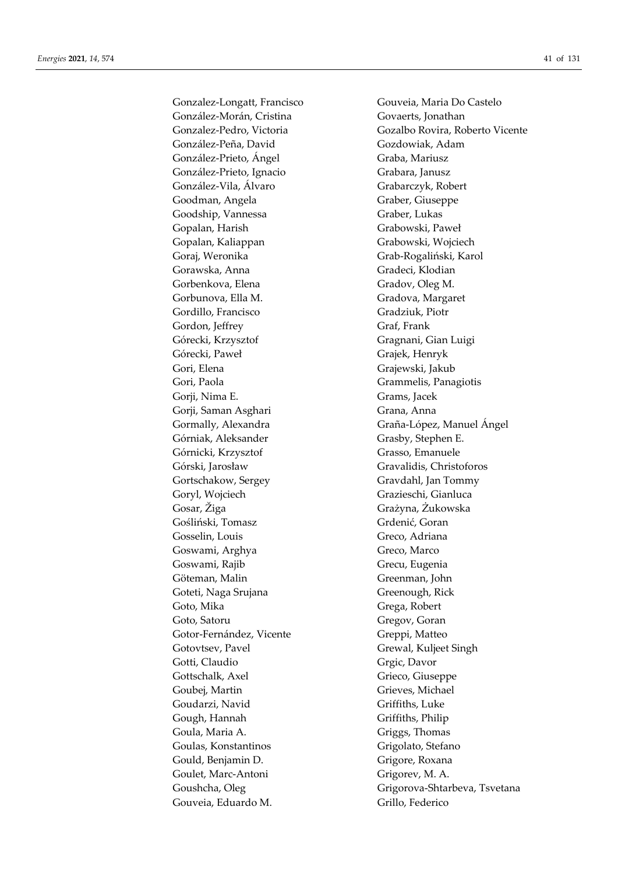Gonzalez-Longatt, Francisco Gouveia, Maria Do Castelo González-Morán, Cristina Govaerts, Jonathan González-Peña, David Gozdowiak, Adam González-Prieto, Ángel Graba, Mariusz González-Prieto, Ignacio Grabara, Janusz González-Vila, Álvaro Grabarczyk, Robert Goodman, Angela Graber, Giuseppe Goodship, Vannessa Graber, Lukas Gopalan, Harish Grabowski, Paweł Gopalan, Kaliappan Grabowski, Wojciech Goraj, Weronika Grab-Rogaliński, Karol Gorawska, Anna **Gradeci, Klodian** Gorbenkova, Elena Gradov, Oleg M. Gorbunova, Ella M. Gradova, Margaret Gordillo, Francisco Gradziuk, Piotr Gordon, Jeffrey Graf, Frank Górecki, Krzysztof Gragnani, Gian Luigi Górecki, Paweł Grajek, Henryk Gori, Elena Grajewski, Jakub Gori, Paola Grammelis, Panagiotis Gorji, Nima E. Grams, Jacek Gorji, Saman Asghari Grana, Anna Górniak, Aleksander Grasby, Stephen E. Górnicki, Krzysztof Grasso, Emanuele Górski, Jarosław Gravalidis, Christoforos Gortschakow, Sergey Gravdahl, Jan Tommy Goryl, Wojciech Grazieschi, Gianluca Gosar, Žiga Grażyna, Żukowska Gośliński, Tomasz Grdenić, Goran Gosselin, Louis Greco, Adriana Goswami, Arghya Greco, Marco Goswami, Rajib Grecu, Eugenia Göteman, Malin Greenman, John Goteti, Naga Srujana Greenough, Rick Goto, Mika Grega, Robert Goto, Satoru Gregov, Goran Gotor-Fernández, Vicente Greppi, Matteo Gotovtsev, Pavel Grewal, Kuljeet Singh Gotti, Claudio Grgic, Davor Gottschalk, Axel Grieco, Giuseppe Goubei, Martin Goubei, Michael Goudarzi, Navid Griffiths, Luke Gough, Hannah Griffiths, Philip Goula, Maria A. Griggs, Thomas Goulas, Konstantinos Grigolato, Stefano Gould, Benjamin D. Grigore, Roxana Goulet, Marc-Antoni Grigorev, M. A. Gouveia, Eduardo M. Grillo, Federico

Gonzalez-Pedro, Victoria Gozalbo Rovira, Roberto Vicente Gormally, Alexandra Graña-López, Manuel Ángel Goushcha, Oleg Grigorova-Shtarbeva, Tsvetana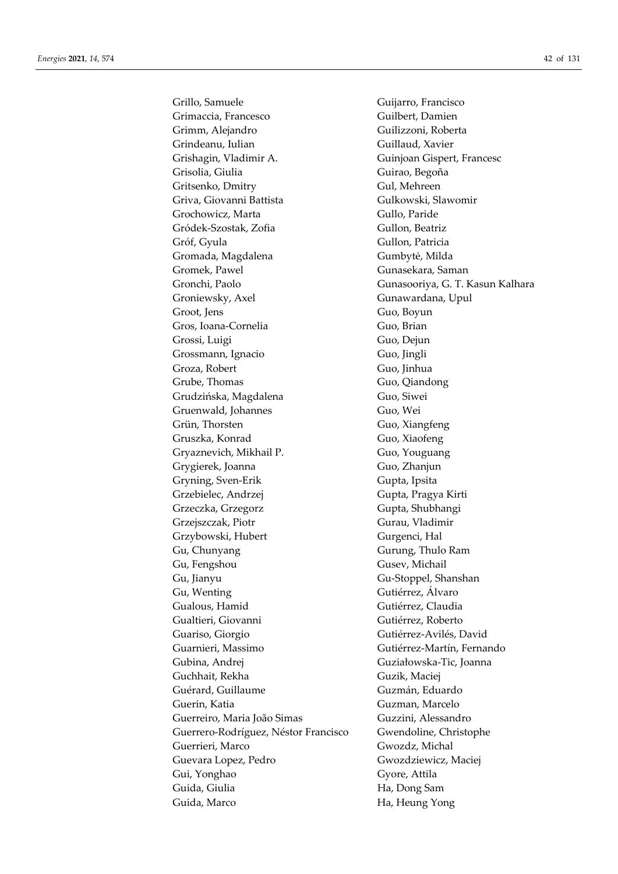Grillo, Samuele Guijarro, Francisco Grimaccia, Francesco Guilbert, Damien Grimm, Alejandro Guilizzoni, Roberta Grindeanu, Iulian Guillaud, Xavier Grishagin, Vladimir A. Guinjoan Gispert, Francesc Grisolia, Giulia Guirao, Begoña Gritsenko, Dmitry Gul, Mehreen Griva, Giovanni Battista Gulkowski, Slawomir Grochowicz, Marta Gullo, Paride Gródek-Szostak, Zofia Gullon, Beatriz Gróf, Gyula Gullon, Patricia Gromada, Magdalena Gumbytė, Milda Gromek, Pawel Gunasekara, Saman Gronchi, Paolo Gunasooriya, G. T. Kasun Kalhara Groniewsky, Axel Gunawardana, Upul Groot, Jens Guo, Boyun Gros, Ioana-Cornelia Guo, Brian Grossi, Luigi Guo, Dejun Grossmann, Ignacio Guo, Jingli Groza, Robert Guo, Jinhua Grube, Thomas Guo, Qiandong Grudzińska, Magdalena Guo, Siwei Gruenwald, Johannes Guo, Wei Grün, Thorsten Guo, Xiangfeng Gruszka, Konrad Guo, Xiaofeng Gryaznevich, Mikhail P. Guo, Youguang Grygierek, Joanna Guo, Zhanjun Gryning, Sven-Erik Gupta, Ipsita Grzebielec, Andrzej Gupta, Pragya Kirti Grzeczka, Grzegorz Gupta, Shubhangi Grzejszczak, Piotr Gurau, Vladimir Grzybowski, Hubert Gurgenci, Hal Gu, Chunyang Gurung, Thulo Ram Gu, Fengshou Gusev, Michail Gu, Jianyu Gu-Stoppel, Shanshan Gu, Wenting Gutiérrez, Álvaro Gualous, Hamid Gutiérrez, Claudia Gualtieri, Giovanni Gutiérrez, Roberto Guariso, Giorgio Gutiérrez-Avilés, David Guarnieri, Massimo Gutiérrez-Martín, Fernando Gubina, Andrej Guziałowska-Tic, Joanna Guchhait, Rekha Guzik, Maciej Guérard, Guillaume Guzmán, Eduardo Guerin, Katia Guzman, Marcelo Guerreiro, Maria João Simas Guzzini, Alessandro Guerrero-Rodríguez, Néstor Francisco Gwendoline, Christophe Guerrieri, Marco Gwozdz, Michal Guevara Lopez, Pedro Gwozdziewicz, Maciej Gui, Yonghao Gyore, Attila Guida, Giulia **Ha, Dong Sam** Guida, Marco Ha, Heung Yong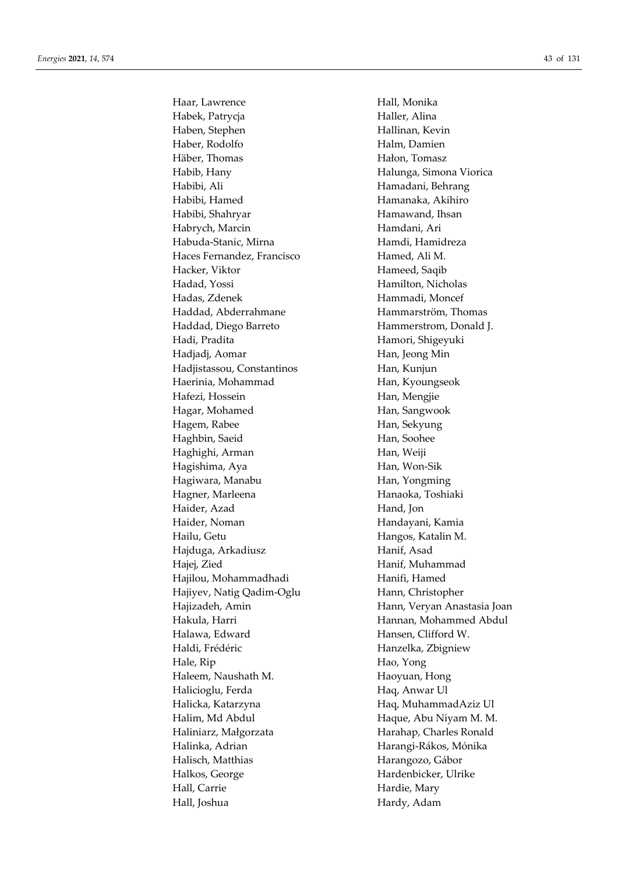Haar, Lawrence **Hall**, Monika Habek, Patrycja **Haller**, Alina Haben, Stephen Hallinan, Kevin Haber, Rodolfo Halm, Damien Häber, Thomas **Hałon**, Tomasz Habib, Hany Halunga, Simona Viorica Habibi, Ali Hamadani, Behrang Habibi, Hamed Hamanaka, Akihiro Habibi, Shahryar **Hamawand**, Ihsan Habrych, Marcin Hamdani, Ari Habuda-Stanic, Mirna Hamdi, Hamidreza Haces Fernandez, Francisco Hamed, Ali M. Hacker, Viktor **Hames** Hameed, Saqib Hadad, Yossi Hamilton, Nicholas Hadas, Zdenek Hammadi, Moncef Haddad, Abderrahmane Hammarström, Thomas Haddad, Diego Barreto Hammerstrom, Donald J. Hadi, Pradita **Hamori**, Shigeyuki Hadjadj, Aomar **Han**, Jeong Min Hadjistassou, Constantinos Han, Kunjun Haerinia, Mohammad Han, Kyoungseok Hafezi, Hossein Han, Mengjie Hagar, Mohamed Han, Sangwook Hagem, Rabee Han, Sekyung Haghbin, Saeid Han, Soohee Haghighi, Arman **Han**, Weiji Hagishima, Aya **Han, Won-Sik** Hagiwara, Manabu **Han, Yongming** Hagner, Marleena **Hanaoka**, Toshiaki Haider, Azad Hand, Jon Haider, Noman Handayani, Kamia Hailu, Getu **Hangos**, Katalin M. Hajduga, Arkadiusz **Hanif**, Asad Hajej, Zied Hanif, Muhammad Hajilou, Mohammadhadi Hanifi, Hamed Hajiyev, Natig Qadim-Oglu Hann, Christopher Hajizadeh, Amin **Hann, Veryan Anastasia Joan** Hakula, Harri Hannan, Mohammed Abdul Halawa, Edward Hansen, Clifford W. Haldi, Frédéric **Hanzelka**, Zbigniew Hale, Rip Hao, Yong Haleem, Naushath M. Haoyuan, Hong Halicioglu, Ferda Haq, Anwar Ul Halicka, Katarzyna **Haq, MuhammadAziz Ul** Halim, Md Abdul Haque, Abu Niyam M. M. Haliniarz, Małgorzata **Harahap**, Charles Ronald Halinka, Adrian **Harangi-Rákos, Mónika** Halisch, Matthias **Harangozo**, Gábor Halkos, George Hardenbicker, Ulrike Hall, Carrie Hardie, Mary Hall, Joshua **Hardy**, Adam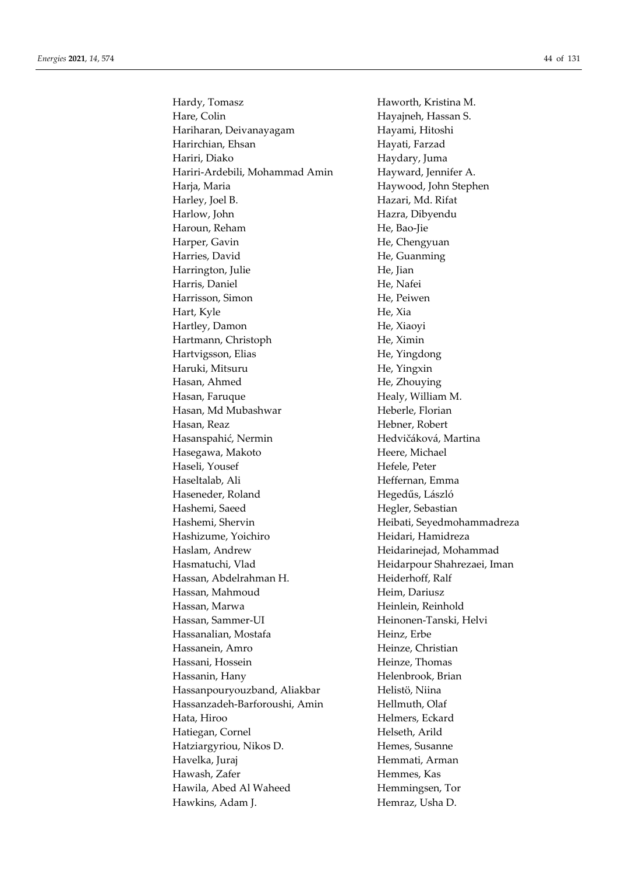Hardy, Tomasz **Haworth, Kristina M.** Hare, Colin Hayajneh, Hassan S. Hariharan, Deivanayagam Hayami, Hitoshi Harirchian, Ehsan **Hayati, Farzad** Hariri, Diako **Haydary**, Juma Hariri-Ardebili, Mohammad Amin Hayward, Jennifer A. Harja, Maria Haywood, John Stephen Harley, Joel B. Hazari, Md. Rifat Harlow, John Hazra, Dibyendu Haroun, Reham He, Bao-Jie Harper, Gavin He, Chengyuan Harries, David He, Guanming Harrington, Julie He, Jian Harris, Daniel He, Nafei Harrisson, Simon He, Peiwen Hart, Kyle He, Xia Hartley, Damon He, Xiaoyi Hartmann, Christoph He, Ximin Hartvigsson, Elias He, Yingdong Haruki, Mitsuru He, Yingxin Hasan, Ahmed He, Zhouying Hasan, Faruque Healy, William M. Hasan, Md Mubashwar Heberle, Florian Hasan, Reaz Hebner, Robert Hasanspahić, Nermin Hedvičáková, Martina Hasegawa, Makoto Heere, Michael Haseli, Yousef Hefele, Peter Haseltalab, Ali **Heffernan**, Emma Haseneder, Roland Hegedűs, László Hashemi, Saeed Hegler, Sebastian Hashemi, Shervin Heibati, Seyedmohammadreza Hashizume, Yoichiro Heidari, Hamidreza Haslam, Andrew Heidarinejad, Mohammad Hasmatuchi, Vlad Heidarpour Shahrezaei, Iman Hassan, Abdelrahman H. Heiderhoff, Ralf Hassan, Mahmoud Heim, Dariusz Hassan, Marwa **Heinlein**, Reinhold Hassan, Sammer-UI Heinonen-Tanski, Helvi Hassanalian, Mostafa **Heinz**, Erbe Hassanein, Amro Heinze, Christian Hassani, Hossein Heinze, Thomas Hassanin, Hany Helenbrook, Brian Hassanpourvouzband, Aliakbar **Helistö**, Niina Hassanzadeh-Barforoushi, Amin Hellmuth, Olaf Hata, Hiroo Helmers, Eckard Hatiegan, Cornel Helseth, Arild Hatziargyriou, Nikos D. Hemes, Susanne Havelka, Juraj **Hemmati, Arman** Hawash, Zafer **Hemmes**, Kas Hawila, Abed Al Waheed Hemmingsen, Tor Hawkins, Adam J. Hemraz, Usha D.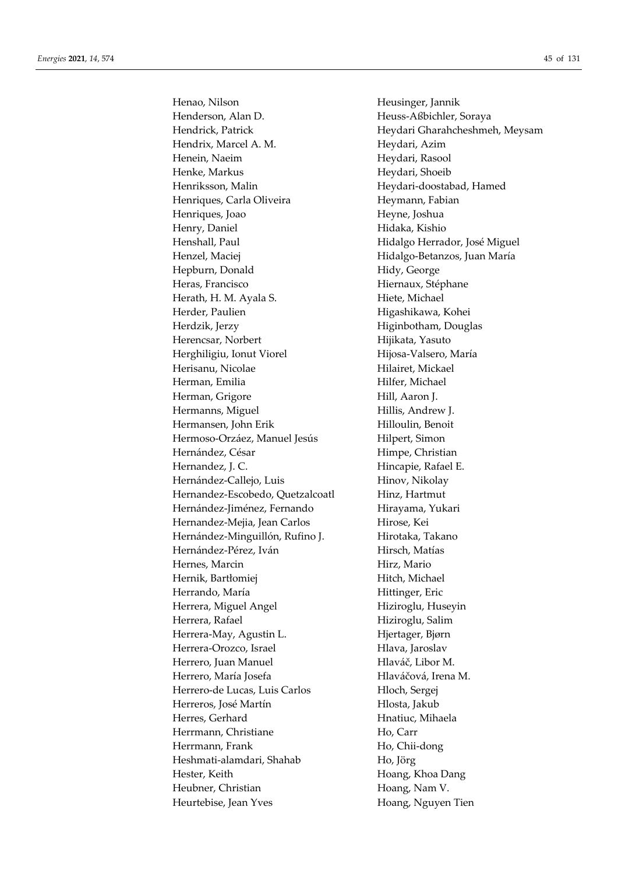Henao, Nilson Heusinger, Jannik Henderson, Alan D. Heuss-Aßbichler, Soraya Hendrix, Marcel A. M. Heydari, Azim Henein, Naeim Heydari, Rasool Henke, Markus Heydari, Shoeib Henriksson, Malin Heydari-doostabad, Hamed Henriques, Carla Oliveira Heymann, Fabian Henriques, Joao Heyne, Joshua Henry, Daniel **Hidaka**, Kishio Henshall, Paul **Hidalgo Herrador**, José Miguel Henzel, Maciej **Hidalgo-Betanzos, Juan María** Hepburn, Donald Hidy, George Heras, Francisco Hiernaux, Stéphane Herath, H. M. Ayala S. Hiete, Michael Herder, Paulien Higashikawa, Kohei Herdzik, Jerzy **Higinbotham**, Douglas Herencsar, Norbert Hijikata, Yasuto Herghiligiu, Ionut Viorel Hijosa-Valsero, María Herisanu, Nicolae Hilairet, Mickael Herman, Emilia **Hilfer**, Michael Herman, Grigore Hill, Aaron J. Hermanns, Miguel **Hillis**, Andrew J. Hermansen, John Erik Hilloulin, Benoit Hermoso-Orzáez, Manuel Jesús Hilpert, Simon Hernández, César Himpe, Christian Hernandez, J. C. **Hincapie**, Rafael E. Hernández-Callejo, Luis Hinov, Nikolay Hernandez-Escobedo, Quetzalcoatl Hinz, Hartmut Hernández-Jiménez, Fernando Hirayama, Yukari Hernandez-Mejia, Jean Carlos Hirose, Kei Hernández-Minguillón, Rufino J. **Hirotaka**, Takano Hernández-Pérez, Iván **Hirsch, Matías** Hernes, Marcin Hirz, Mario Hernik, Bartłomiej **Hitch, Michael** Herrando, María **Hittinger**, Eric Herrera, Miguel Angel **Hiziroglu**, Huseyin Herrera, Rafael **Hiziroglu**, Salim Herrera-May, Agustin L. Hiertager, Bjørn Herrera-Orozco, Israel Hlava, Jaroslav Herrero, Juan Manuel Hlaváč, Libor M. Herrero, María Josefa Hlaváčová, Irena M. Herrero-de Lucas, Luis Carlos **Hloch, Sergei** Herreros, José Martín **Hlosta**, Jakub Herres, Gerhard **Herres**, Gerhard Hnatiuc, Mihaela Herrmann, Christiane **Ho, Carr** Herrmann, Frank Ho, Chii-dong Heshmati-alamdari, Shahab Ho, Jörg Hester, Keith Hoang, Khoa Dang Heubner, Christian Hoang, Nam V. Heurtebise, Jean Yves Hoang, Nguyen Tien

Hendrick, Patrick Heydari Gharahcheshmeh, Meysam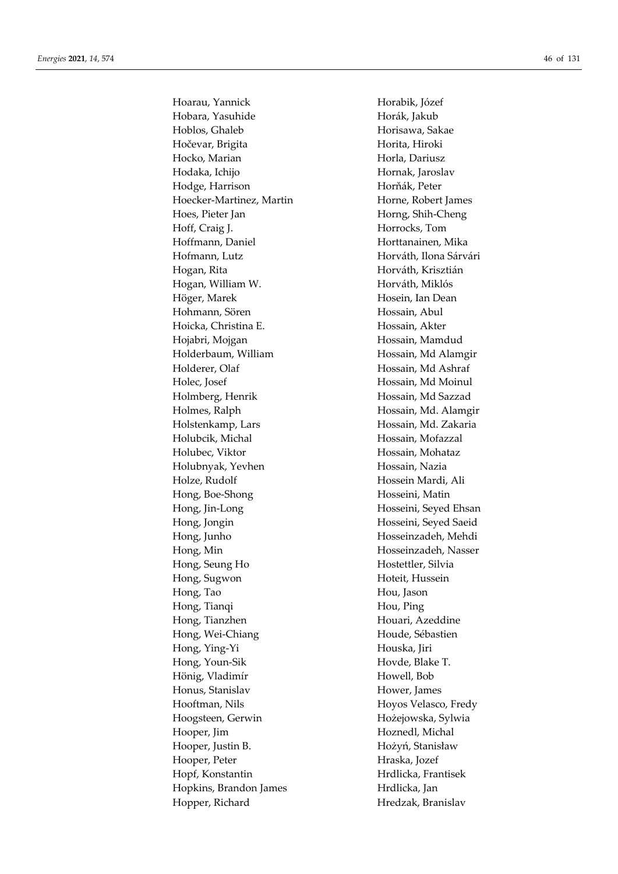Hoarau, Yannick Horabik, Józef Hobara, Yasuhide Horák, Jakub Hoblos, Ghaleb Horisawa, Sakae Hočevar, Brigita Hočevar, Brigita Hocko, Marian Horla, Dariusz Hodaka, Ichijo Hornak, Jaroslav Hodge, Harrison Horňák, Peter Hoecker-Martinez, Martin Horne, Robert James Hoes, Pieter Jan Horng, Shih-Cheng Hoff, Craig J. Horrocks, Tom Hoffmann, Daniel **Horttanainen**, Mika Hofmann, Lutz **Horváth, Ilona Sárvári** Hogan, Rita **Horváth, Krisztián** Hogan, William W. Horváth, Miklós Höger, Marek Hosein, Ian Dean Hohmann, Sören **Hossain**, Abul Hoicka, Christina E. Hossain, Akter Hojabri, Mojgan Hossain, Mamdud Holderbaum, William Hossain, Md Alamgir Holderer, Olaf Hossain, Md Ashraf Holec, Josef Hossain, Md Moinul Holmberg, Henrik Hossain, Md Sazzad Holmes, Ralph Hossain, Md. Alamgir Holstenkamp, Lars Hossain, Md. Zakaria Holubcik, Michal Hossain, Mofazzal Holubec, Viktor Hossain, Mohataz Holubnyak, Yevhen Hossain, Nazia Holze, Rudolf **Hossein Mardi**, Ali Hong, Boe-Shong Hosseini, Matin Hong, Jin-Long Hosseini, Seyed Ehsan Hong, Jongin Hosseini, Seyed Saeid Hong, Junho **Hosseinzadeh**, Mehdi Hong, Min Hosseinzadeh, Nasser Hong, Seung Ho 
Hostettler, Silvia Hong, Sugwon Hoteit, Hussein Hong, Tao **Hou, Jason** Hong, Tianqi **Hou, Ping** Hong, Tianzhen Houari, Azeddine Hong, Wei-Chiang Houde, Sébastien Hong, Ying-Yi Houska, Jiri Hong, Youn-Sik Hovde, Blake T. Hönig, Vladimír Howell, Bob Honus, Stanislav Hower, James Hooftman, Nils Hoyos Velasco, Fredy Hoogsteen, Gerwin Hożejowska, Sylwia Hooper, Jim Hoznedl, Michal Hooper, Justin B. Hożyń, Stanisław Hooper, Peter Hraska, Jozef Hopf, Konstantin Hrdlicka, Frantisek Hopkins, Brandon James Hrdlicka, Jan Hopper, Richard Hredzak, Branislav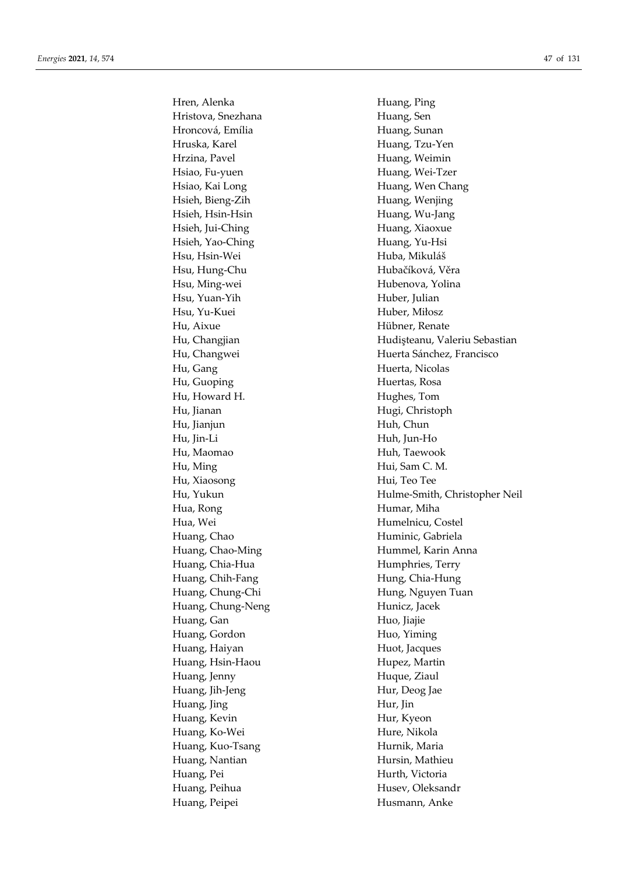Hren, Alenka **Huang**, Ping Hristova, Snezhana **Huang**, Sen Hroncová, Emília **Huang**, Sunan Hruska, Karel **Huang**, Tzu-Yen Hrzina, Pavel **Huang**, Weimin Hsiao, Fu-yuen Huang, Wei-Tzer Hsiao, Kai Long **Huang**, Wen Chang Hsieh, Bieng-Zih Huang, Wenjing Hsieh, Hsin-Hsin Huang, Wu-Jang Hsieh, Jui-Ching Huang, Xiaoxue Hsieh, Yao-Ching Huang, Yu-Hsi Hsu, Hsin-Wei Huba, Mikuláš Hsu, Hung-Chu Hubačíková, Věra Hsu, Ming-wei Hubenova, Yolina Hsu, Yuan-Yih Huber, Julian Hsu, Yu-Kuei Huber, Miłosz Hu, Aixue Hübner, Renate Hu, Gang Huerta, Nicolas Hu, Guoping **Huertas**, Rosa Hu, Howard H. **Hughes**, Tom Hu, Jianan Hugi, Christoph Hu, Jianjun Huh, Chun Hu, Jin-Li Huh, Jun-Ho Hu, Maomao Huh, Taewook Hu, Ming Hui, Sam C. M. Hu, Xiaosong Hui, Teo Tee Hua, Rong **Humar**, Miha Hua, Wei Humelnicu, Costel Huang, Chao **Huminic**, Gabriela Huang, Chao-Ming **Hummel**, Karin Anna Huang, Chia-Hua Humphries, Terry Huang, Chih-Fang Hung, Chia-Hung Huang, Chung-Chi Hung, Nguyen Tuan Huang, Chung-Neng Hunicz, Jacek Huang, Gan **Huo**, Jiajie Huang, Gordon Huo, Yiming Huang, Haiyan **Huot**, Jacques Huang, Hsin-Haou Hupez, Martin Huang, Jenny **Hugue**, Ziaul Huang, Jih-Jeng **Hur, Deog Jae** Huang, Jing Hur, Jin Huang, Kevin Hur, Kyeon Huang, Ko-Wei Hure, Nikola Huang, Kuo-Tsang Hurnik, Maria Huang, Nantian Hursin, Mathieu Huang, Pei Hurth, Victoria Huang, Peihua **Husev, Oleksandr** Huang, Peipei **Husmann**, Anke

Hu, Changjian Hudişteanu, Valeriu Sebastian Hu, Changwei **Huerta Sánchez, Francisco** Hu, Yukun Hulme-Smith, Christopher Neil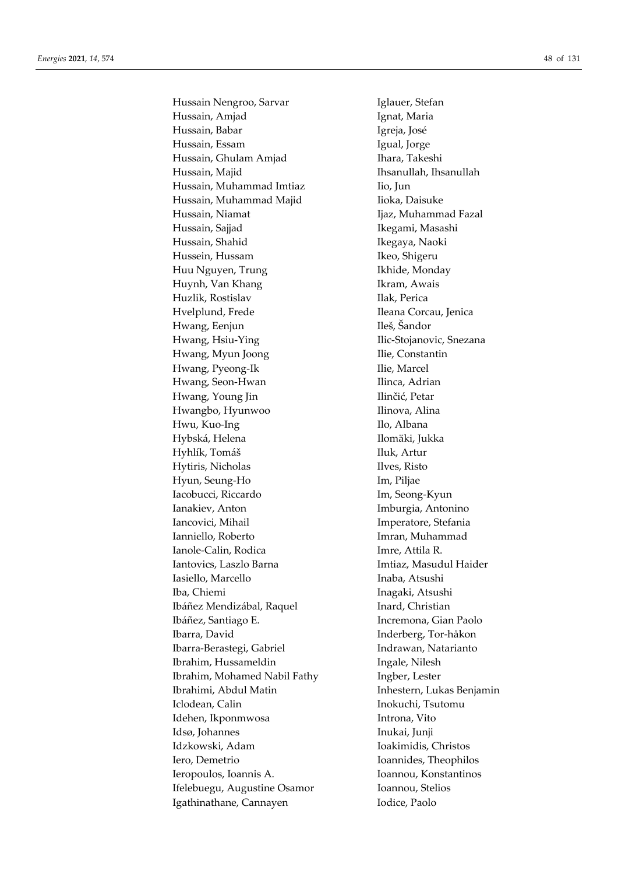Hussain Nengroo, Sarvar **Iglauer**, Stefan Hussain, Amjad **Ignat, Maria** Hussain, Babar **Igreja**, José Hussain, Essam Igual, Jorge Hussain, Ghulam Amjad Ihara, Takeshi Hussain, Majid **Ihsanullah**, Ihsanullah Hussain, Muhammad Imtiaz *Iio, Jun* Hussain, Muhammad Majid **Iioka**, Daisuke Hussain, Niamat **Ijaz, Muhammad Fazal** Hussain, Sajjad **Ikegami, Masashi** Hussain, Shahid Ikegaya, Naoki Hussein, Hussam Ikeo, Shigeru Huu Nguyen, Trung Ikhide, Monday Huynh, Van Khang **Ikram, Awais** Huzlik, Rostislav Ilak, Perica Hvelplund, Frede Ileana Corcau, Jenica Hwang, Eenjun Ileš, Šandor Hwang, Hsiu-Ying Ilic-Stojanovic, Snezana Hwang, Myun Joong Ilie, Constantin Hwang, Pyeong-Ik Ilie, Marcel Hwang, Seon-Hwan **Ilinca**, Adrian Hwang, Young Jin Ilinčić, Petar Hwangbo, Hyunwoo Ilinova, Alina Hwu, Kuo-Ing Ilo, Albana Hybská, Helena **Ilomäki**, Jukka Hyhlík, Tomáš **Iluk**, Artur Hytiris, Nicholas Ilves, Risto Hyun, Seung-Ho **Im**, Piljae Iacobucci, Riccardo Im, Seong-Kyun Ianakiev, Anton Imburgia, Antonino Iancovici, Mihail **Imperatore**, Stefania Ianniello, Roberto Imran, Muhammad Ianole-Calin, Rodica Imre, Attila R. Iantovics, Laszlo Barna **Imtiaz**, Masudul Haider Iasiello, Marcello Inaba, Atsushi Iba, Chiemi Inagaki, Atsushi Ibáñez Mendizábal, Raquel **Inard**, Christian Ibáñez, Santiago E. Incremona, Gian Paolo Ibarra, David Inderberg, Tor-håkon Ibarra-Berastegi, Gabriel **Indrawan**, Natarianto Ibrahim, Hussameldin Ingale, Nilesh Ibrahim, Mohamed Nabil Fathy Ingber, Lester Ibrahimi, Abdul Matin Inhestern, Lukas Benjamin Iclodean, Calin **Inokuchi**, Tsutomu Idehen, Ikponmwosa Introna, Vito Idsø, Johannes Inukai, Junji Idzkowski, Adam Ioakimidis, Christos Iero, Demetrio Ioannides, Theophilos Ieropoulos, Ioannis A. Ioannou, Konstantinos Ifelebuegu, Augustine Osamor Ioannou, Stelios Igathinathane, Cannayen Iodice, Paolo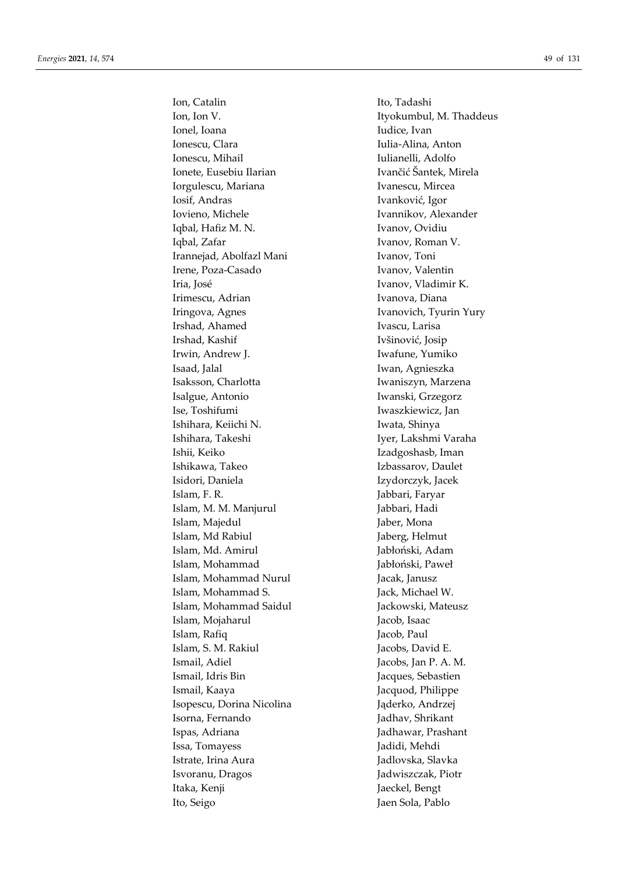Ion, Catalin Ito, Tadashi Ion, Ion V. **Ityokumbul, M. Thaddeus** Ionel, Ioana **Iudice**, Ivan Ionescu, Clara **Iulia-Alina**, Anton Ionescu, Mihail **Iulianelli**, Adolfo Ionete, Eusebiu Ilarian Ivančić Šantek, Mirela Iorgulescu, Mariana **Ivanescu, Mircea** Iosif, Andras Ivanković, Igor Iovieno, Michele Ivannikov, Alexander Iqbal, Hafiz M. N. Ivanov, Ovidiu Iqbal, Zafar **IVanov**, Roman V. Irannejad, Abolfazl Mani Ivanov, Toni Irene, Poza-Casado Ivanov, Valentin Iria, José **Ivanov**, Vladimir K. Irimescu, Adrian Ivanova, Diana Iringova, Agnes **IVANOVICH, IVANOVICH, IVANOVICH, IVANOVICH**, IVANOVICH, IVANOVICH, IVANOVICH, IVANOVICH, IVANOVICH, IVANOVICH, IVANOVICH, IVANOVICH, IVANOVICH, IVANOVICH, IVANOVICH, IVANOVICH, IVANOVICH, IVANOVICH, IVANOV Irshad, Ahamed Ivascu, Larisa Irshad, Kashif Ivšinović, Josip Irwin, Andrew J. Iwafune, Yumiko Isaad, Jalal Iwan, Agnieszka Isaksson, Charlotta **Iwaniszyn**, Marzena Isalgue, Antonio Iwanski, Grzegorz Ise, Toshifumi Iwaszkiewicz, Jan Ishihara, Keiichi N. Iwata, Shinya Ishihara, Takeshi Iyer, Lakshmi Varaha Ishii, Keiko Izadgoshasb, Iman Ishikawa, Takeo Izbassarov, Daulet Isidori, Daniela Izydorczyk, Jacek Islam, F. R. Jabbari, Faryar Islam, M. M. Manjurul *Jabbari*, Hadi Islam, Majedul **Islam**, Mona Islam, Md Rabiul **Islam**, Md Rabiul **Jaberg**, Helmut Islam, Md. Amirul Jabłoński, Adam Islam, Mohammad Jabłoński, Paweł Islam, Mohammad Nurul **Jacak**, Janusz Islam, Mohammad S. Jack, Michael W. Islam, Mohammad Saidul Jackowski, Mateusz Islam, Mojaharul Jacob, Isaac Islam, Rafiq Jacob, Paul Islam, S. M. Rakiul Jacobs, David E. Ismail, Adiel Jacobs, Jan P. A. M. Ismail, Idris Bin Jacques, Sebastien Ismail, Kaaya Jacquod, Philippe Isopescu, Dorina Nicolina Jąderko, Andrzej Isorna, Fernando Jadhav, Shrikant Ispas, Adriana Jadhawar, Prashant Issa, Tomayess Jadidi, Mehdi Istrate, Irina Aura **Jadlovska**, Slavka Isvoranu, Dragos Jadwiszczak, Piotr Itaka, Kenji **James Bengt** Jaeckel, Bengt Ito, Seigo Jaen Sola, Pablo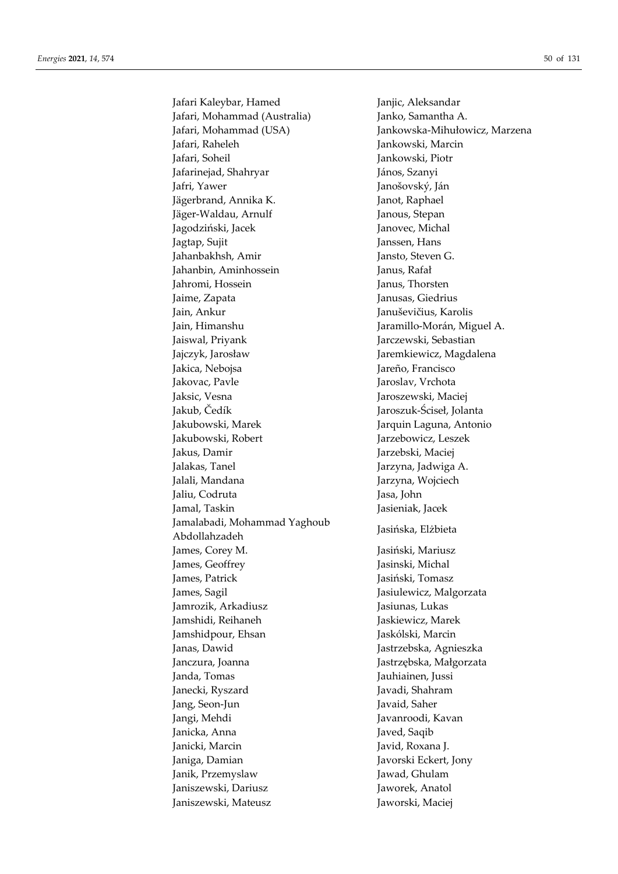Jafari Kaleybar, Hamed Janjic, Aleksandar Jafari, Mohammad (Australia) Janko, Samantha A. Jafari, Mohammad (USA) Jankowska-Mihułowicz, Marzena Jafari, Raheleh Jankowski, Marcin Jafari, Soheil Jankowski, Piotr Jafarinejad, Shahryar **János**, Szanyi Jafri, Yawer Janošovský, Ján Jägerbrand, Annika K. Janot, Raphael Jäger-Waldau, Arnulf Janous, Stepan Jagodziński, Jacek Janovec, Michal Jagtap, Sujit Janssen, Hans Jahanbakhsh, Amir Jansto, Steven G. Jahanbin, Aminhossein Janus, Rafał Jahromi, Hossein Janus, Thorsten Jaime, Zapata Janusas, Giedrius Jain, Ankur Januševičius, Karolis Jain, Himanshu Jaramillo-Morán, Miguel A. Jaiswal, Priyank Jarczewski, Sebastian Jajczyk, Jarosław Jaremkiewicz, Magdalena Jakica, Nebojsa **Jakica, Nebojsa** Jareño, Francisco Jakovac, Pavle Jaroslav, Vrchota Jaksic, Vesna Jaroszewski, Maciej Jakub, Čedík Jaroszuk-Ściseł, Jolanta Jakubowski, Marek Jarquin Laguna, Antonio Jakubowski, Robert Jarzebowicz, Leszek Jakus, Damir Jarzebski, Maciej Jalakas, Tanel **Jarzyna**, Jadwiga A. Jalali, Mandana **Jarzyna**, Wojciech Jaliu, Codruta Jasa, John Jamal, Taskin Jasieniak, Jacek Jamalabadi, Mohammad Yaghoub Abdollahzadeh Jasińska, Elżbieta James, Corey M. Jasiński, Mariusz James, Geoffrey Jasinski, Michal James, Patrick Jasiński, Tomasz James, Sagil Jasiulewicz, Malgorzata Jamrozik, Arkadiusz Jasiunas, Lukas Jamshidi, Reihaneh Jaskiewicz, Marek Jamshidpour, Ehsan Jaskólski, Marcin Janas, Dawid Jastrzebska, Agnieszka Janczura, Joanna Jastrzębska, Małgorzata Janda, Tomas Jauhiainen, Jussi Janecki, Ryszard Javadi, Shahram Jang, Seon-Jun Javaid, Saher Jangi, Mehdi Javanroodi, Kavan Janicka, Anna **Javed, Saqib** Janicki, Marcin Javid, Roxana J. Janiga, Damian Javorski Eckert, Jony Janik, Przemyslaw Jawad, Ghulam Janiszewski, Dariusz Jaworek, Anatol Janiszewski, Mateusz Jaworski, Maciej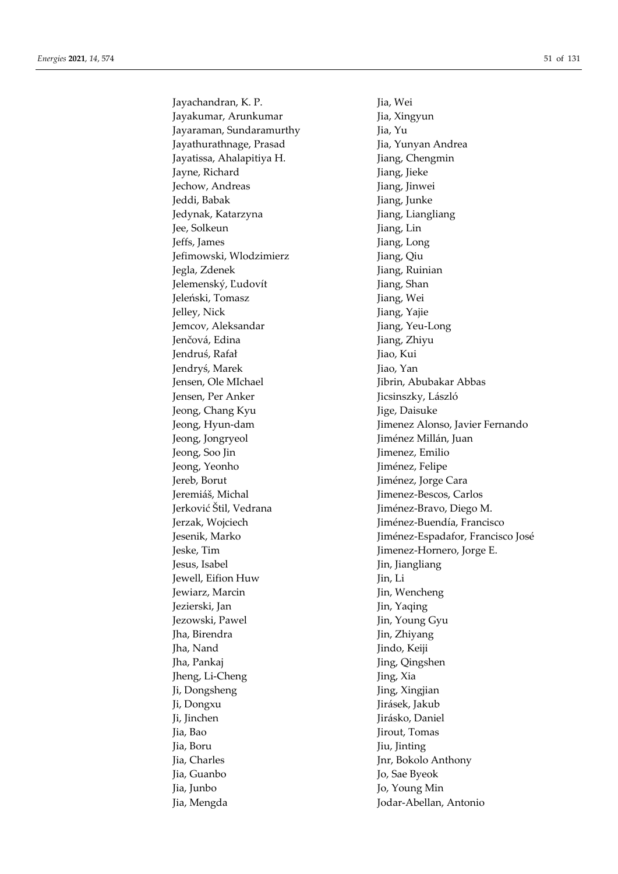Jayachandran, K. P. Jia, Wei Jayakumar, Arunkumar **Jia, Xingyun** Jayaraman, Sundaramurthy Jia, Yu Jayathurathnage, Prasad Jia, Yunyan Andrea Jayatissa, Ahalapitiya H. Jiang, Chengmin Jayne, Richard Jiang, Jieke Jechow, Andreas Jiang, Jinwei Jeddi, Babak Jiang, Junke Jedynak, Katarzyna **Jemia Lukawa Baratasa, Indonesia** Jiang, Liangliang Jee, Solkeun Jiang, Lin Jeffs, James Jiang, Long Jefimowski, Wlodzimierz Jiang, Qiu Jegla, Zdenek Jiang, Ruinian Jelemenský, Ľudovít Jiang, Shan Jeleński, Tomasz **Jiang, Wei** Jelley, Nick Jiang, Yajie Jemcov, Aleksandar Jiang, Yeu-Long Jenčová, Edina **Jiang**, Zhiyu Jendruś, Rafał Jiao, Kui Jendryś, Marek Jiao, Yan Jensen, Ole MIchael **Jibrin**, Abubakar Abbas Jensen, Per Anker **Jicsinszky**, László Jeong, Chang Kyu Jige, Daisuke Jeong, Jongryeol Jiménez Millán, Juan Jeong, Soo Jin Jimenez, Emilio Jeong, Yeonho Jiménez, Felipe Jereb, Borut Jiménez, Jorge Cara Jeremiáš, Michal Jimenez-Bescos, Carlos Jerković Štil, Vedrana Jiménez-Bravo, Diego M. Jeske, Tim Jimenez-Hornero, Jorge E. Jesus, Isabel Jin, Jiangliang Jewell, Eifion Huw Jin, Li Jewiarz, Marcin Jin, Wencheng Jezierski, Jan Jin, Yaqing Jezowski, Pawel **Jin, Young Gyu** Jha, Birendra **Jin, Zhiyang** Jha, Nand Jindo, Keiji Jing, Qingshen Jing, Qingshen Jing, Li-Cheng Jing, Xia Ii, Dongsheng Jing, Xingjian Ji, Dongxu Jirásek, Jakub Ji, Jinchen Jirásko, Daniel Jia, Bao Jirout, Tomas Jia, Boru Jiu, Jinting Jia, Charles Jnr, Bokolo Anthony Jia, Guanbo Jo, Sae Byeok Jia, Junbo Jo, Young Min Jia, Mengda Jodar-Abellan, Antonio

Jeong, Hyun-dam Jimenez Alonso, Javier Fernando Jerzak, Wojciech **Jiménez-Buendía, Francisco** Jesenik, Marko José Jiménez-Espadafor, Francisco José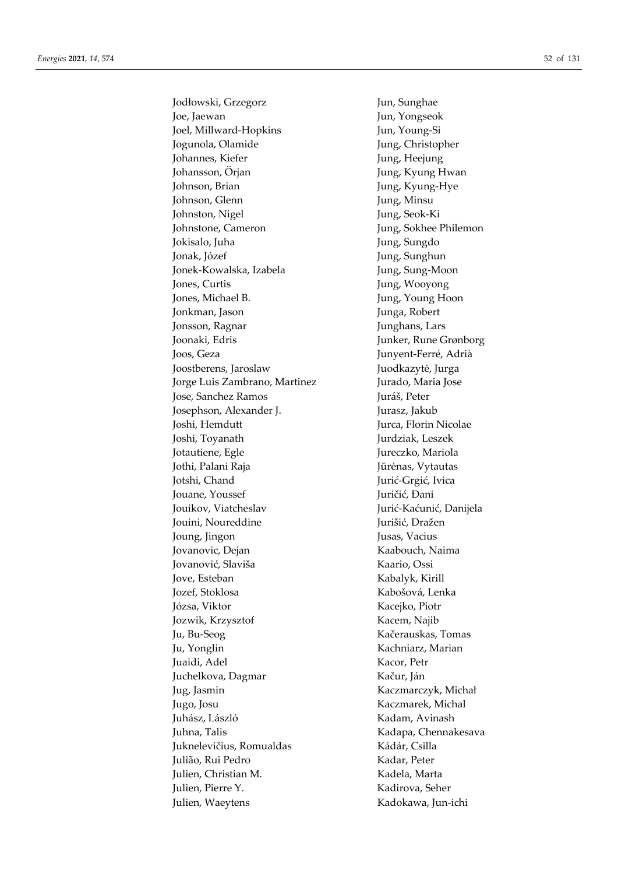Jodłowski, Grzegorz Jun, Sunghae Joe, Jaewan Jun, Yongseok Joel, Millward-Hopkins Jun, Young-Si Jogunola, Olamide Jung, Christopher Johannes, Kiefer Jung, Heejung Johansson, Örjan Jung, Kyung Hwan Johnson, Brian Jung, Kyung-Hye Johnson, Glenn Jung, Minsu Johnston, Nigel Jung, Seok-Ki Johnstone, Cameron Jung, Sokhee Philemon Jokisalo, Juha Jung, Sungdo Jonak, Józef Jung, Sunghun Jonek-Kowalska, Izabela Jung, Sung-Moon Jones, Curtis Jung, Wooyong Jones, Michael B. Jung, Young Hoon Jonkman, Jason Junga, Robert Jonsson, Ragnar **Junghans**, Lars Joonaki, Edris Junker, Rune Grønborg Joos, Geza Junyent-Ferré, Adrià Joostberens, Jaroslaw Juodkazytė, Jurga Jorge Luis Zambrano, Martinez Jurado, Maria Jose Jose, Sanchez Ramos Juráš, Peter Josephson, Alexander J. Jurasz, Jakub Joshi, Hemdutt Jurca, Florin Nicolae Joshi, Toyanath Jurdziak, Leszek Jotautiene, Egle Jureczko, Mariola Jothi, Palani Raja Jūrėnas, Vytautas Jotshi, Chand Jurić-Grgić, Ivica Jouane, Youssef Juričić, Đani Jouikov, Viatcheslav Jurić-Kaćunić, Danijela Jouini, Noureddine **Jurišić**, Dražen Joung, Jingon Jusas, Vacius Jovanovic, Dejan Kaabouch, Naima Jovanović, Slaviša Kaario, Ossi Jove, Esteban Kabalyk, Kirill Jozef, Stoklosa Kabošová, Lenka Józsa, Viktor Kacejko, Piotr Jozwik, Krzysztof Kacem, Najib Ju, Bu-Seog Kačerauskas, Tomas Ju, Yonglin Kachniarz, Marian Juaidi, Adel Kacor, Petr Juchelkova, Dagmar Kačur, Ján Jug, Jasmin Kaczmarczyk, Michał Jugo, Josu Kaczmarek, Michal Juhász, László Kadam, Avinash Juhna, Talis Kadapa, Chennakesava Juknelevičius, Romualdas Kádár, Csilla Julião, Rui Pedro Kadar, Peter Julien, Christian M. Kadela, Marta Julien, Pierre Y. Kadirova, Seher Julien, Waeytens Kadokawa, Jun-ichi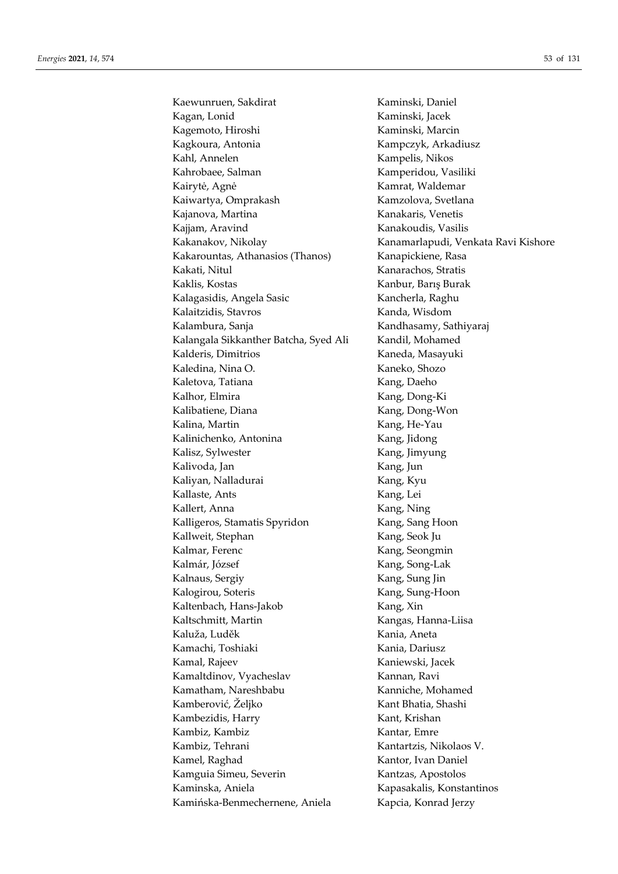Kaewunruen, Sakdirat Kaminski, Daniel Kagan, Lonid Kaminski, Jacek Kagemoto, Hiroshi Kaminski, Marcin Kagkoura, Antonia **Kampczyk, Arkadiusz** Kahl, Annelen Kampelis, Nikos Kahrobaee, Salman Kamperidou, Vasiliki Kairytė, Agnė **Kamrat, Waldemar** Kaiwartya, Omprakash Kamzolova, Svetlana Kajanova, Martina Kanakaris, Venetis Kajjam, Aravind Kanakoudis, Vasilis Kakanakov, Nikolay Kanamarlapudi, Venkata Ravi Kishore Kakarountas, Athanasios (Thanos) Kanapickiene, Rasa Kakati, Nitul Kanarachos, Stratis Kaklis, Kostas Kanbur, Barış Burak Kalagasidis, Angela Sasic Kancherla, Raghu Kalaitzidis, Stavros Kanda, Wisdom Kalambura, Sanja Kandhasamy, Sathiyaraj Kalangala Sikkanther Batcha, Syed Ali Kandil, Mohamed Kalderis, Dimitrios **Kaneda**, Masayuki Kaledina, Nina O. Kaneko, Shozo Kaletova, Tatiana Kang, Daeho Kalhor, Elmira Kang, Dong-Ki Kalibatiene, Diana Kang, Dong-Won Kalina, Martin Kang, He-Yau Kalinichenko, Antonina Kang, Jidong Kalisz, Sylwester Kang, Jimyung Kalivoda, Jan Kang, Jun Kaliyan, Nalladurai **Kang**, Kyu Kallaste, Ants Kang, Lei Kallert, Anna Kang, Ning Kalligeros, Stamatis Spyridon Kang, Sang Hoon Kallweit, Stephan Kang, Seok Ju Kalmar, Ferenc Kang, Seongmin Kalmár, József Kang, Song-Lak Kalnaus, Sergiy **Kang, Sung Jin** Kalogirou, Soteris Kang, Sung-Hoon Kaltenbach, Hans-Jakob Kang, Xin Kaltschmitt, Martin Kangas, Hanna-Liisa Kaluža, Luděk Kania, Aneta Kamachi, Toshiaki Kania, Dariusz Kamal, Rajeev Kaniewski, Jacek Kamaltdinov, Vyacheslav Kannan, Ravi Kamatham, Nareshbabu **Kanniche, Mohamed** Kamberović, Željko Kant Bhatia, Shashi Kambezidis, Harry Kant, Krishan Kambiz, Kambiz **Kantar**, Emre Kambiz, Tehrani Kantartzis, Nikolaos V. Kamel, Raghad Kantor, Ivan Daniel Kamguia Simeu, Severin Kantzas, Apostolos Kaminska, Aniela Kapasakalis, Konstantinos Kamińska-Benmechernene, Aniela Kapcia, Konrad Jerzy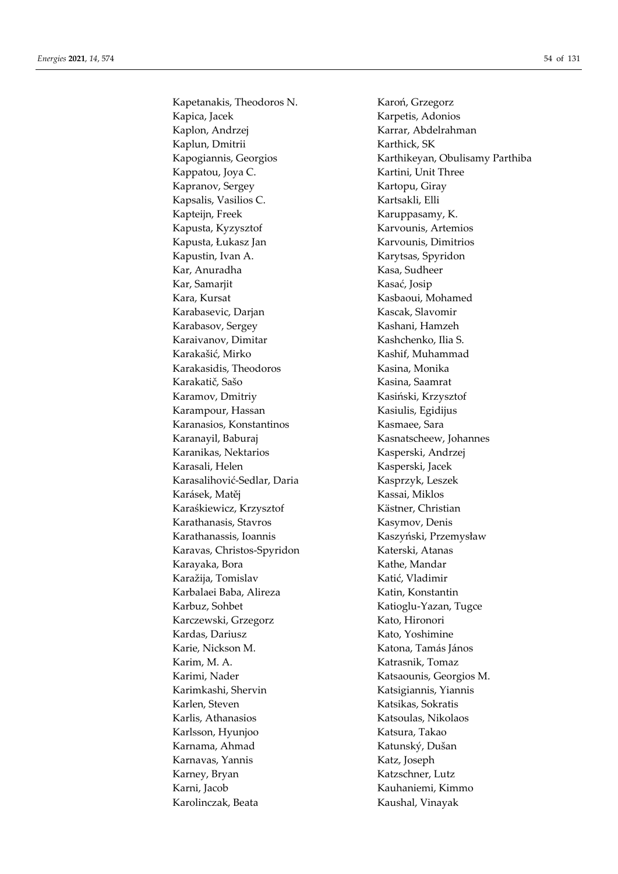Kapetanakis, Theodoros N. Karoń, Grzegorz Kapica, Jacek Karpetis, Adonios Kaplon, Andrzej Karrar, Abdelrahman Kaplun, Dmitrii Karthick, SK Kappatou, Joya C. Kartini, Unit Three Kapranov, Sergey Kartopu, Giray Kapsalis, Vasilios C. Kartsakli, Elli Kapteijn, Freek Karuppasamy, K. Kapusta, Kyzysztof Karvounis, Artemios Kapusta, Łukasz Jan Karvounis, Dimitrios Kapustin, Ivan A. Karytsas, Spyridon Kar, Anuradha Kasa, Sudheer Kar, Samarjit Kasać, Josip Kara, Kursat Kasbaoui, Mohamed Karabasevic, Darjan Kascak, Slavomir Karabasov, Sergey Kashani, Hamzeh Karaivanov, Dimitar Kashchenko, Ilia S. Karakašić, Mirko Kashif, Muhammad Karakasidis, Theodoros Kasina, Monika Karakatič, Sašo Kasina, Saamrat Karamov, Dmitriy Kasiński, Krzysztof Karampour, Hassan Kasiulis, Egidijus Karanasios, Konstantinos **Kasmaee**, Sara Karanayil, Baburaj Kasnatscheew, Johannes Karanikas, Nektarios Kasperski, Andrzej Karasali, Helen Kasperski, Jacek Karasalihović-Sedlar, Daria Kasprzyk, Leszek Karásek, Matěj Kassai, Miklos Karaśkiewicz, Krzysztof Kästner, Christian Karathanasis, Stavros Kasymov, Denis Karathanassis, Ioannis Kaszyński, Przemysław Karavas, Christos-Spyridon Katerski, Atanas Karayaka, Bora Kathe, Mandar Karažija, Tomislav Katić, Vladimir Karbalaei Baba, Alireza Katin, Konstantin Karbuz, Sohbet Katioglu-Yazan, Tugce Karczewski, Grzegorz Kato, Hironori Kardas, Dariusz Kato, Yoshimine Karie, Nickson M. Katona, Tamás János Karim, M. A. Katrasnik, Tomaz Karimi, Nader Katsaounis, Georgios M. Karimkashi, Shervin Katsigiannis, Yiannis Karlen, Steven Katsikas, Sokratis Karlis, Athanasios Katsoulas, Nikolaos Karlsson, Hyunjoo Katsura, Takao Karnama, Ahmad Katunský, Dušan Karnavas, Yannis **Katz, Katz, Ioseph** Karney, Bryan Katzschner, Lutz Karni, Jacob Kauhaniemi, Kimmo Karolinczak, Beata Kaushal, Vinayak

Kapogiannis, Georgios Karthikeyan, Obulisamy Parthiba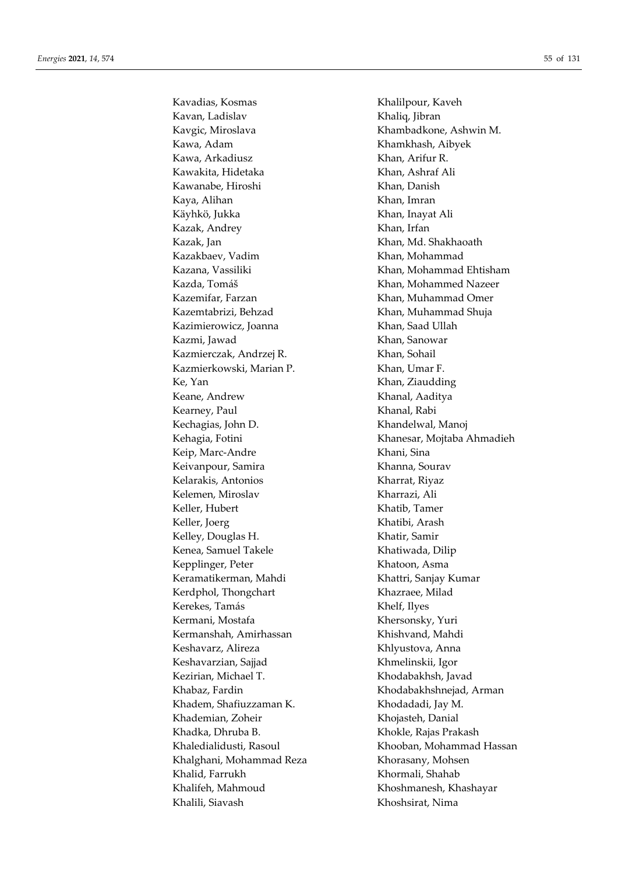Kavan, Ladislav Khaliq, Jibran Kavgic, Miroslava Khambadkone, Ashwin M. Kawa, Adam Khamkhash, Aibyek Kawa, Arkadiusz Khan, Arifur R. Kawakita, Hidetaka Khan, Ashraf Ali Kawanabe, Hiroshi Khan, Danish Kaya, Alihan Khan, Imran Käyhkö, Jukka Khan, Inayat Ali Kazak, Andrey Khan, Irfan Kazak, Jan Khan, Md. Shakhaoath Kazakbaev, Vadim Khan, Mohammad Kazana, Vassiliki Khan, Mohammad Ehtisham Kazda, Tomáš Khan, Mohammed Nazeer Kazemifar, Farzan Khan, Muhammad Omer Kazemtabrizi, Behzad Khan, Muhammad Shuja Kazimierowicz, Joanna Khan, Saad Ullah Kazmi, Jawad **Khan, Sanowar** Kazmierczak, Andrzej R. Khan, Sohail Kazmierkowski, Marian P. Khan, Umar F. Ke, Yan Khan, Ziaudding Keane, Andrew Khanal, Aaditya Kearney, Paul Khanal, Rabi Kechagias, John D. Khandelwal, Manoj Keip, Marc-Andre Khani, Sina Keivanpour, Samira **Khanna**, Sourav Kelarakis, Antonios Kharrat, Riyaz Kelemen, Miroslav Kharrazi, Ali Keller, Hubert Khatib, Tamer Keller, Joerg Khatibi, Arash Kelley, Douglas H. Khatir, Samir Kenea, Samuel Takele Khatiwada, Dilip Kepplinger, Peter Khatoon, Asma Keramatikerman, Mahdi Khattri, Sanjay Kumar Kerdphol, Thongchart Khazraee, Milad Kerekes, Tamás Khelf, Ilyes Kermani, Mostafa Khersonsky, Yuri Kermanshah, Amirhassan Khishvand, Mahdi Keshavarz, Alireza **Khlyustova**, Anna Keshavarzian, Sajjad Khmelinskii, Igor Kezirian, Michael T. Khodabakhsh, Javad Khabaz, Fardin **Khodabakhshnejad, Arman** Khadem, Shafiuzzaman K. Khodadadi, Jay M. Khademian, Zoheir Khojasteh, Danial Khadka, Dhruba B. Khokle, Rajas Prakash Khalghani, Mohammad Reza Khorasany, Mohsen Khalid, Farrukh Khormali, Shahab Khalifeh, Mahmoud Khoshmanesh, Khashayar Khalili, Siavash Khoshsirat, Nima

Kavadias, Kosmas Khalilpour, Kaveh Kehagia, Fotini Khanesar, Mojtaba Ahmadieh Khaledialidusti, Rasoul Khooban, Khooban, Mohammad Hassan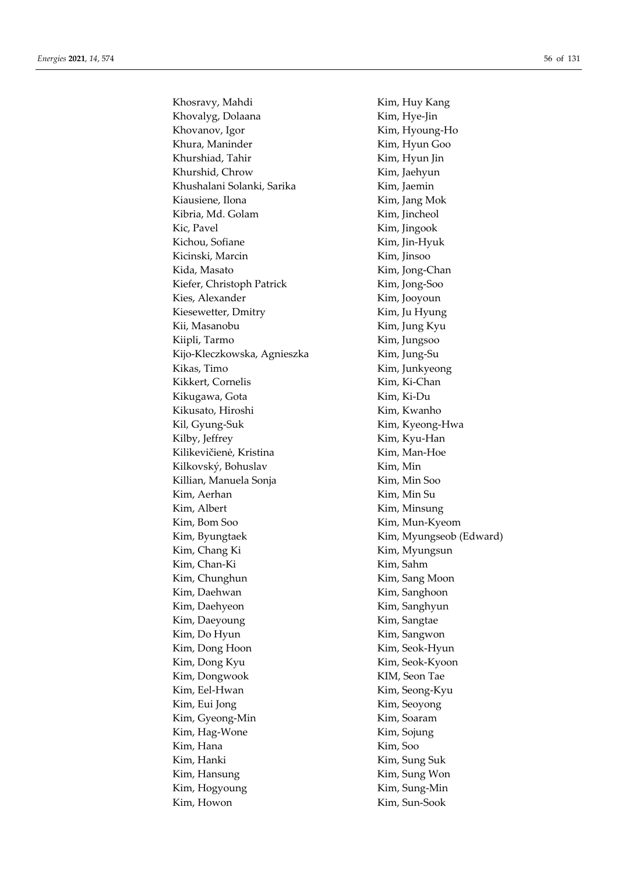Khosravy, Mahdi Kim, Huy Kang Khovalyg, Dolaana Kim, Hye-Jin Khovanov, Igor **Kim**, Hyoung-Ho Khura, Maninder **Kim**, Hyun Goo Khurshiad, Tahir Kim, Hyun Jin Khurshid, Chrow Kim, Jaehyun Khushalani Solanki, Sarika Kim, Jaemin Kiausiene, Ilona **Kim**, Jang Mok Kibria, Md. Golam Kim, Jincheol Kic, Pavel **Kim, Kim, Jingook** Kichou, Sofiane Kim, Jin-Hyuk Kicinski, Marcin Kim, Jinsoo Kida, Masato **Kim, Kim, Jong-Chan** Kiefer, Christoph Patrick Kim, Jong-Soo Kies, Alexander Kim, Jooyoun Kiesewetter, Dmitry Kim, Ju Hyung Kii, Masanobu Kim, Jung Kyu Kiipli, Tarmo Kim, Jungsoo Kijo-Kleczkowska, Agnieszka Kim, Jung-Su Kikas, Timo Kim, Junkyeong Kikkert, Cornelis Kim, Ki-Chan Kikugawa, Gota Kim, Ki-Du Kikusato, Hiroshi Kim, Kwanho Kil, Gyung-Suk Kim, Kyeong-Hwa Kilby, Jeffrey Kim, Kyu-Han Kilikevičienė, Kristina Kim, Man-Hoe Kilkovský, Bohuslav Kim, Min Killian, Manuela Sonja Kim, Min Soo Kim, Aerhan Kim, Min Su Kim, Albert Kim, Minsung Kim, Bom Soo Kim, Mun-Kyeom Kim, Byungtaek Kim, Myungseob (Edward) Kim, Chang Ki Kim, Myungsun Kim, Chan-Ki Kim, Sahm Kim, Chunghun Kim, Sang Moon Kim, Daehwan Kim, Sanghoon Kim, Daehyeon Kim, Sanghyun Kim, Daeyoung Kim, Sangtae Kim, Do Hyun Kim, Sangwon Kim, Dong Hoon Kim, Seok-Hyun Kim, Dong Kyu Kim, Seok-Kyoon Kim, Dongwook KIM, Seon Tae Kim, Eel-Hwan Kim, Seong-Kyu Kim, Eui Jong Kim, Seoyong Kim, Gyeong-Min Kim, Soaram Kim, Hag-Wone Kim, Sojung Kim, Hana Kim, Soo Kim, Hanki Kim, Sung Suk Kim, Hansung Kim, Sung Won Kim, Hogyoung Kim, Sung-Min Kim, Howon Kim, Sun-Sook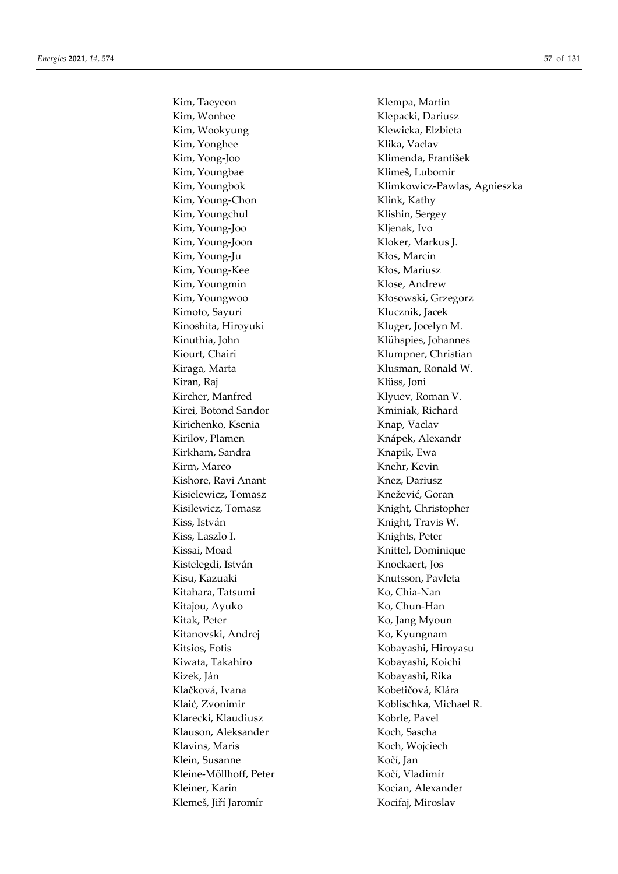Kim, Taeyeon Klempa, Martin Kim, Wonhee Klepacki, Dariusz Kim, Wookyung **Klewicka**, Elzbieta Kim, Yonghee Klika, Vaclav Kim, Yong-Joo Klimenda, František Kim, Youngbae Klimeš, Lubomír Kim, Young-Chon Klink, Kathy Kim, Youngchul Klishin, Sergey Kim, Young-Joo Kljenak, Ivo Kim, Young-Joon Kloker, Markus J. Kim, Young-Ju Kłos, Marcin Kim, Young-Kee Kłos, Mariusz Kim, Youngmin Klose, Andrew Kim, Youngwoo Kłosowski, Grzegorz Kimoto, Sayuri Klucznik, Jacek Kinoshita, Hiroyuki Kluger, Jocelyn M. Kinuthia, John Klühspies, Johannes Kiourt, Chairi Klumpner, Christian Kiraga, Marta **Klusman, Ronald W.** Kiran, Raj Kiran, Raj Kiran, Raj Kiran, Raj Kiran, Raj Kiran, Raj Kiran, Raj Kiran, Raj Kiran, Raj Kiran, Raj Kircher, Manfred Klyuev, Roman V. Kirei, Botond Sandor Kminiak, Richard Kirichenko, Ksenia Kirichenko, Ksenia Kirilov, Plamen Knápek, Alexandr Kirkham, Sandra **Kirkham, Sandra Kirkham, Sandra Kirkham**, Kirkham, Kirkham, Kirkham, Kirkham, Kirkham, Kirkham, Kirm, Marco Knehr, Kevin Kishore, Ravi Anant Knez, Dariusz Kisielewicz, Tomasz Knežević, Goran Kisilewicz, Tomasz Knight, Christopher Kiss, István Knight, Travis W. Kiss, Laszlo I. Knights, Peter Kissai, Moad Knittel, Dominique Kistelegdi, István Knockaert, Jos Kisu, Kazuaki Knutsson, Pavleta Kitahara, Tatsumi Ko, Chia-Nan Kitajou, Ayuko Ko, Chun-Han Kitak, Peter Ko, Jang Myoun Kitanovski, Andrej Ko, Kyungnam Kitsios, Fotis Kobayashi, Hiroyasu Kiwata, Takahiro Kobayashi, Koichi Kizek, Ján Kobayashi, Rika Klačková, Ivana košta i Kobetičová, Klára Klarecki, Klaudiusz Kobrle, Pavel Klauson, Aleksander Koch, Sascha Klavins, Maris Koch, Wojciech Klein, Susanne Kočí, Jan Kleine-Möllhoff, Peter Kočí, Vladimír Kleiner, Karin Kocian, Alexander Klemeš, Jiří Jaromír Kocifaj, Miroslav

Kim, Youngbok Klimkowicz-Pawlas, Agnieszka Klaić, Zvonimir Koblischka, Michael R.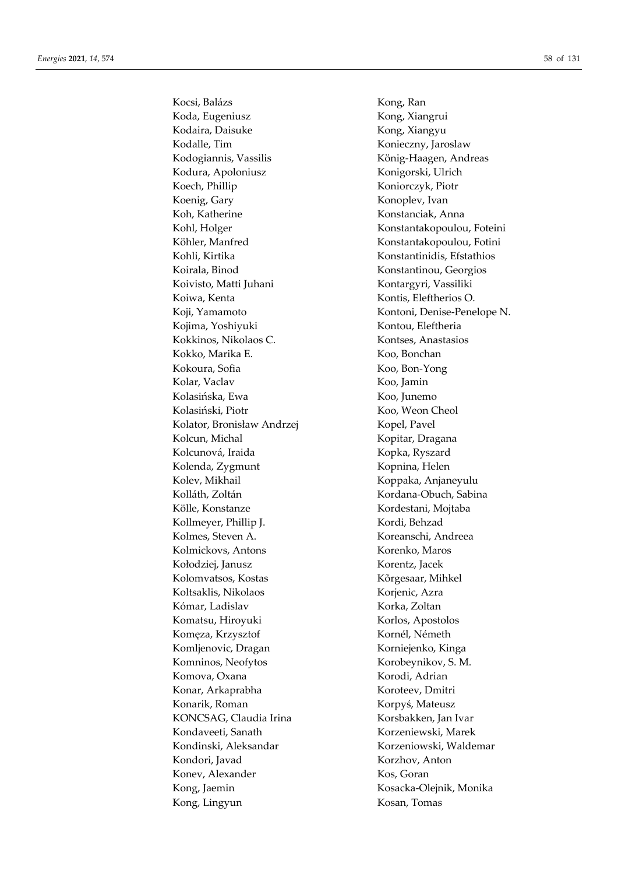Kocsi, Balázs Kong, Ran Koda, Eugeniusz **Kong, Xiangrui** Kodaira, Daisuke Kong, Xiangyu Kodalle, Tim Konieczny, Jaroslaw Kodogiannis, Vassilis König-Haagen, Andreas Kodura, Apoloniusz Konigorski, Ulrich Koech, Phillip Koniorczyk, Piotr Koenig, Gary **Konopley**, Ivan Koh, Katherine Konstanciak, Anna Kohl, Holger Konstantakopoulou, Foteini Köhler, Manfred Konstantakopoulou, Fotini Kohli, Kirtika Konstantinidis, Efstathios Koirala, Binod Konstantinou, Georgios Koivisto, Matti Juhani Kontargyri, Vassiliki Koiwa, Kenta Kontis, Eleftherios O. Kojima, Yoshiyuki Kontou, Eleftheria Kokkinos, Nikolaos C. Kontses, Anastasios Kokko, Marika E. Koo, Bonchan Kokoura, Sofia Koo, Bon-Yong Kolar, Vaclav Koo, Jamin Kolasińska, Ewa Koo, Junemo Kolasiński, Piotr Koo, Weon Cheol Kolator, Bronisław Andrzej Kopel, Pavel Kolcun, Michal Kopitar, Dragana Kolcunová, Iraida Kopka, Ryszard Kolenda, Zygmunt Kopnina, Helen Kolev, Mikhail **Koppaka**, Anjaneyulu Kolláth, Zoltán Kordana-Obuch, Sabina Kölle, Konstanze Kordestani, Mojtaba Kollmeyer, Phillip J. Kordi, Behzad Kolmes, Steven A. Koreanschi, Andreea Kolmickovs, Antons Korenko, Maros Kołodziej, Janusz Korentz, Jacek Kolomvatsos, Kostas Kõrgesaar, Mihkel Koltsaklis, Nikolaos Korjenic, Azra Kómar, Ladislav Korka, Zoltan Komatsu, Hiroyuki Korlos, Apostolos Komęza, Krzysztof Kornél, Németh Komljenovic, Dragan Korniejenko, Kinga Komninos, Neofytos Korobeynikov, S. M. Komova, Oxana **Korodi, Adrian** Konar, Arkaprabha Koroteev, Dmitri Konarik, Roman Korpyś, Mateusz KONCSAG, Claudia Irina Korsbakken, Jan Ivar Kondaveeti, Sanath Korzeniewski, Marek Kondinski, Aleksandar Korzeniowski, Waldemar Kondori, Javad Korzhov, Anton Konev, Alexander Kos, Goran Kong, Jaemin Kosacka-Olejnik, Monika Kong, Lingyun Kosan, Tomas

Koji, Yamamoto Kontoni, Denise-Penelope N.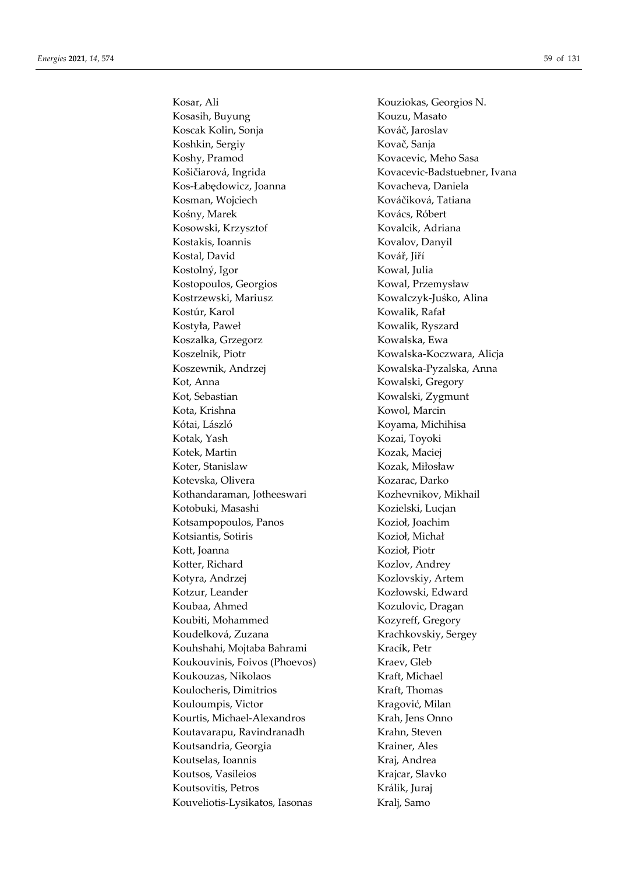Kosasih, Buyung **Kouzu, Masato** Koscak Kolin, Sonja Kováč, Jaroslav Koshkin, Sergiy Kovač, Sanja Koshy, Pramod Kovacevic, Meho Sasa Košičiarová, Ingrida Kovacevic-Badstuebner, Ivana Kos-Łabędowicz, Joanna Kovacheva, Daniela Kosman, Wojciech Kováčiková, Tatiana Kośny, Marek Kovács, Róbert Kosowski, Krzysztof Kovalcik, Adriana Kostakis, Ioannis Kovalov, Danyil Kostal, David Kovář, Jiří Kostolný, Igor Kowal, Julia Kostopoulos, Georgios Kowal, Przemysław Kostrzewski, Mariusz Kowalczyk-Juśko, Alina Kostúr, Karol Kowalik, Rafał Kostyła, Paweł Kowalik, Ryszard Koszalka, Grzegorz **Kowalska, Ewa** Koszelnik, Piotr Kowalska-Koczwara, Alicja Koszewnik, Andrzej Kowalska-Pyzalska, Anna Kot, Anna Kowalski, Gregory Kot, Sebastian Kowalski, Zygmunt Kota, Krishna Kowol, Marcin Kótai, László Koyama, Michihisa Kotak, Yash Kozai, Toyoki Kotek, Martin Kozak, Maciej Koter, Stanislaw Kozak, Miłosław Kotevska, Olivera Kozarac, Darko Kothandaraman, Jotheeswari Kozhevnikov, Mikhail Kotobuki, Masashi Kozielski, Lucjan Kotsampopoulos, Panos Kozioł, Joachim Kotsiantis, Sotiris Kozioł, Michał Kott, Joanna Kozioł, Piotr Kotter, Richard Kozlov, Andrey Kotyra, Andrzej Kozlovskiy, Artem Kozłowski, Edward Koubaa, Ahmed Kozulovic, Dragan Koubiti, Mohammed Kozyreff, Gregory Koudelková, Zuzana Krachkovskiy, Sergey Kouhshahi, Mojtaba Bahrami Kracík, Petr Koukouvinis, Foivos (Phoevos) Kraev, Gleb Koukouzas, Nikolaos **Kraft**, Michael Koulocheris, Dimitrios **Kraft**, Thomas Kouloumpis, Victor Kragović, Milan Kourtis, Michael-Alexandros Krah, Jens Onno Koutavarapu, Ravindranadh Krahn, Steven Koutsandria, Georgia Krainer, Ales Koutselas, Ioannis **Kraj, Installator Kraj, Andrea** Koutsos, Vasileios Krajcar, Slavko Koutsovitis, Petros Králik, Juraj Kouveliotis-Lysikatos, Iasonas Kralj, Samo

Kosar, Ali Kouziokas, Georgios N.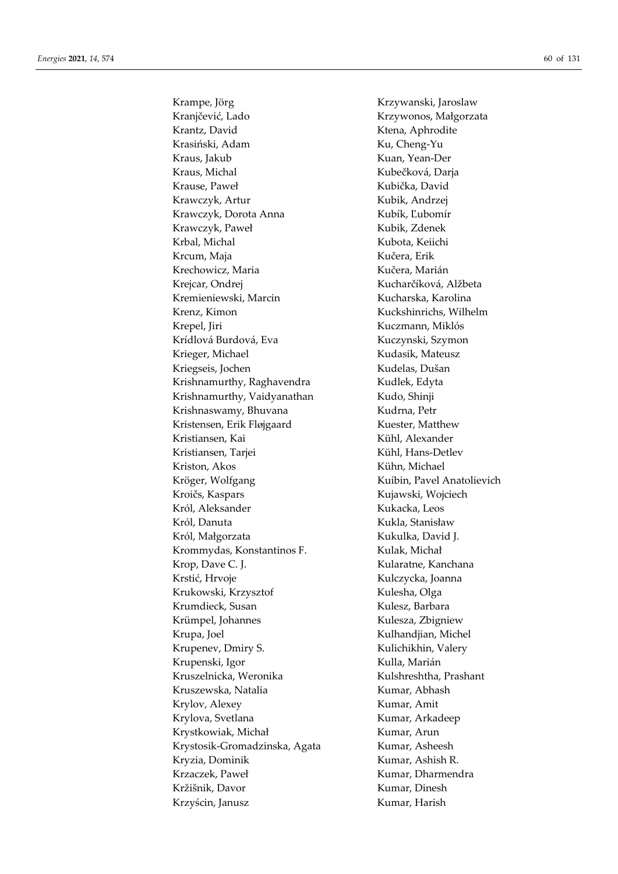Kranjčević, Lado Krzywonos, Małgorzata Krantz, David **Krantz**, David Krasiński, Adam Ku, Cheng-Yu Kraus, Jakub Kuan, Yean-Der Kraus, Michal Kubečková, Darja Krause, Paweł **Krause, Paweł Kubička**, David Krawczyk, Artur Kubik, Andrzej Krawczyk, Dorota Anna Kubík, Ľubomír Krawczyk, Paweł Kubik, Zdenek Krbal, Michal Kubota, Keiichi Krcum, Maja Kučera, Erik Krechowicz, Maria **Krechowicz, Marián** Krejcar, Ondrej Kucharčíková, Alžbeta Kremieniewski, Marcin Kucharska, Karolina Krenz, Kimon Kuckshinrichs, Wilhelm Krepel, Jiri Kuczmann, Miklós Krídlová Burdová, Eva Kuczynski, Szymon Krieger, Michael Kudasik, Mateusz Kriegseis, Jochen Kudelas, Dušan Krishnamurthy, Raghavendra Kudlek, Edyta Krishnamurthy, Vaidyanathan Kudo, Shinji Krishnaswamy, Bhuvana **Kudra, Petr** Kristensen, Erik Fløjgaard Kuester, Matthew Kristiansen, Kai Kühl, Alexander Kristiansen, Tarjei Kühl, Hans-Detlev Kriston, Akos Kühn, Michael Kröger, Wolfgang Kuibin, Pavel Anatolievich Kroičs, Kaspars Kujawski, Wojciech Król, Aleksander Kukacka, Leos Król, Danuta Kukla, Stanisław Król, Małgorzata **Kukulka**, David J. Krommydas, Konstantinos F. Kulak, Michał Krop, Dave C. J. Kularatne, Kanchana Krstić, Hrvoje Kulczycka, Joanna Krukowski, Krzysztof Kulesha, Olga Krumdieck, Susan Kulesz, Barbara Krümpel, Johannes Kulesza, Zbigniew Krupa, Joel **Kulhandjian**, Michel Krupenev, Dmiry S. Kulichikhin, Valery Krupenski, Igor Kulla, Marián Kruszelnicka, Weronika Kulshreshtha, Prashant Kruszewska, Natalia **Kruszewska, Natalia** Kumar, Abhash Krylov, Alexey Kumar, Amit Krylova, Svetlana Kumar, Arkadeep Krystkowiak, Michał Kumar, Arun Krystosik-Gromadzinska, Agata Kumar, Asheesh Kryzia, Dominik Kumar, Ashish R. Krzaczek, Paweł **Kumar, Dharmendra** Kržišnik, Davor Kumar, Dinesh Krzyścin, Janusz Kumar, Harish

Krampe, Jörg **Krampe, Jörg Krampe, Jörg Krampe, Jörg Krampe**, Järoslaw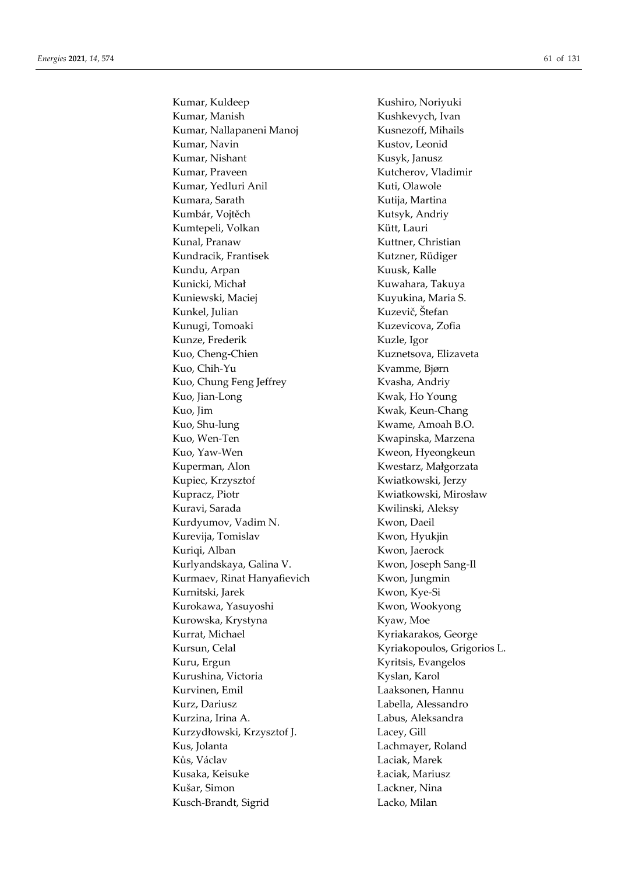Kumar, Kuldeep Kushiro, Noriyuki Kumar, Manish **Kushkevych**, Ivan Kumar, Nallapaneni Manoj Kusnezoff, Mihails Kumar, Navin Kustov, Leonid Kumar, Nishant Kusyk, Janusz Kumar, Praveen Kutcherov, Vladimir Kumar, Yedluri Anil **Kumar, Yedluri Anil** Kuti, Olawole Kumara, Sarath Kutija, Martina Kumbár, Vojtěch Kutsyk, Andriy Kumtepeli, Volkan Kütt, Lauri Kunal, Pranaw Kuttner, Christian Kundracik, Frantisek Kutzner, Rüdiger Kundu, Arpan Kuusk, Kalle Kunicki, Michał **Kuwahara**, Takuya Kuniewski, Maciej Kuyukina, Maria S. Kunkel, Julian Kuzevič, Štefan Kunugi, Tomoaki Kuzevicova, Zofia Kunze, Frederik Kuzle, Igor Kuo, Cheng-Chien Kuznetsova, Elizaveta Kuo, Chih-Yu Kvamme, Bjørn Kuo, Chung Feng Jeffrey Kvasha, Andriy Kuo, Jian-Long Kwak, Ho Young Kuo, Jim Kwak, Keun-Chang Kuo, Shu-lung Kwame, Amoah B.O. Kuo, Wen-Ten Kwapinska, Marzena Kuo, Yaw-Wen Kweon, Hyeongkeun Kuperman, Alon Kwestarz, Małgorzata Kupiec, Krzysztof Kwiatkowski, Jerzy Kupracz, Piotr Kwiatkowski, Mirosław Kuravi, Sarada Kwilinski, Aleksy Kurdyumov, Vadim N. Kwon, Daeil Kurevija, Tomislav Kwon, Hyukjin Kuriqi, Alban Kwon, Jaerock Kurlyandskaya, Galina V. Kwon, Joseph Sang-Il Kurmaev, Rinat Hanyafievich Kwon, Jungmin Kurnitski, Jarek Kwon, Kye-Si Kurokawa, Yasuyoshi Kwon, Wookyong Kurowska, Krystyna **Kyaw, Moe** Kurrat, Michael **Kyriakarakos**, George Kursun, Celal Kyriakopoulos, Grigorios L. Kuru, Ergun Kyritsis, Evangelos Kurushina, Victoria Kyslan, Karol Kurvinen, Emil Laaksonen, Hannu Kurz, Dariusz Labella, Alessandro Kurzina, Irina A. Labus, Aleksandra Kurzydłowski, Krzysztof J. Lacey, Gill Kus, Jolanta Lachmayer, Roland Kůs, Václav Laciak, Marek Kusaka, Keisuke **Laciak, Mariusz** Kušar, Simon **Lackner**, Nina Kusch-Brandt, Sigrid Lacko, Milan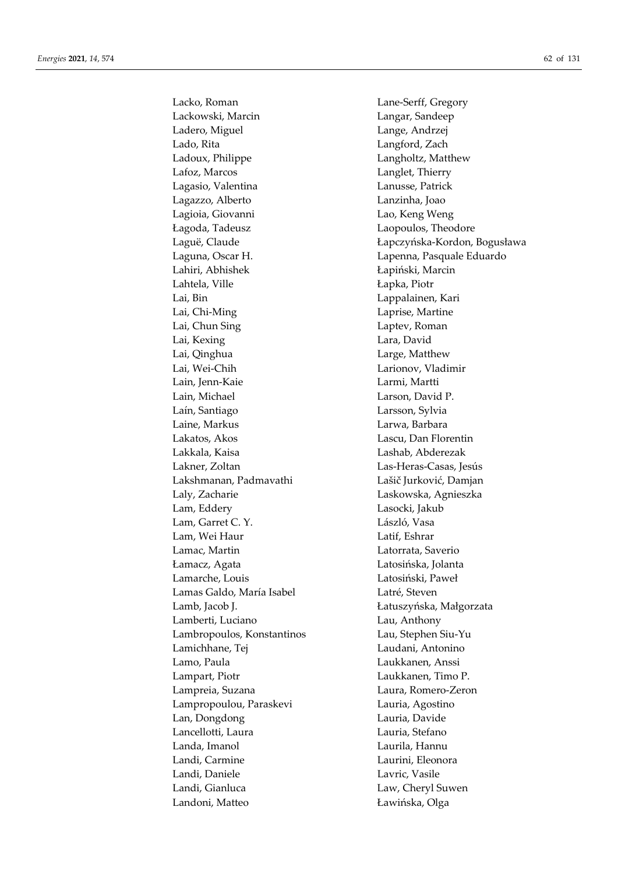Lacko, Roman Lane-Serff, Gregory Lackowski, Marcin Langar, Sandeep Ladero, Miguel Lange, Andrzej Lado, Rita Langford, Zach Ladoux, Philippe **Langholtz**, Matthew Lafoz, Marcos Langlet, Thierry Lagasio, Valentina Lanusse, Patrick Lagazzo, Alberto Lanzinha, Joao Lagioia, Giovanni Lao, Keng Weng Łagoda, Tadeusz Laopoulos, Theodore Laguna, Oscar H. Lapenna, Pasquale Eduardo Lahiri, Abhishek Łapiński, Marcin Lahtela, Ville Lapka, Piotr Lai, Bin Lappalainen, Kari Lai, Chi-Ming Laprise, Martine Lai, Chun Sing **Laptev**, Roman Lai, Kexing Lara, David Lai, Qinghua Large, Matthew Lai, Wei-Chih Larionov, Vladimir Lain, Jenn-Kaie Larmi, Martti Lain, Michael Larson, David P. Laín, Santiago Larsson, Sylvia Laine, Markus Larwa, Barbara Lakatos, Akos Lascu, Dan Florentin Lakkala, Kaisa Lashab, Abderezak Lakner, Zoltan Las-Heras-Casas, Jesús Lakshmanan, Padmavathi Lašič Jurković, Damjan Laly, Zacharie Laskowska, Agnieszka Lam, Eddery Lasocki, Jakub Lam, Garret C. Y. László, Vasa Lam, Wei Haur Latif, Eshrar Lamac, Martin Latorrata, Saverio Łamacz, Agata Latosińska, Jolanta Lamarche, Louis Latosiński, Paweł Lamas Galdo, María Isabel **Latré**, Steven Lamb, Jacob J. Łatuszyńska, Małgorzata Lamberti, Luciano Lau, Anthony Lambropoulos, Konstantinos Lau, Stephen Siu-Yu Lamichhane, Tej Laudani, Antonino Lamo, Paula Laukkanen, Anssi Lampart, Piotr Laukkanen, Timo P. Lampreia, Suzana Laura, Romero-Zeron Lampropoulou, Paraskevi Lauria, Agostino Lan, Dongdong Lauria, Davide Lancellotti, Laura **Lauria**, Lauria, Stefano Landa, Imanol Laurila, Hannu Landi, Carmine Laurini, Eleonora Landi, Daniele Lavric, Vasile Landi, Gianluca Law, Cheryl Suwen Landoni, Matteo Ławińska, Olga

Laguë, Claude **Lague, Lague, Lague, Lague, Lague, Lague, Lague, Lague, Lague, Lague, Lague, Lague, Lague, Lague, Lague, Lague, Lague, Lague, Lague, Lague, Lague, Lague, Lague, Lague, Lague, Lague, Lague, Lague, Lague, Lagu**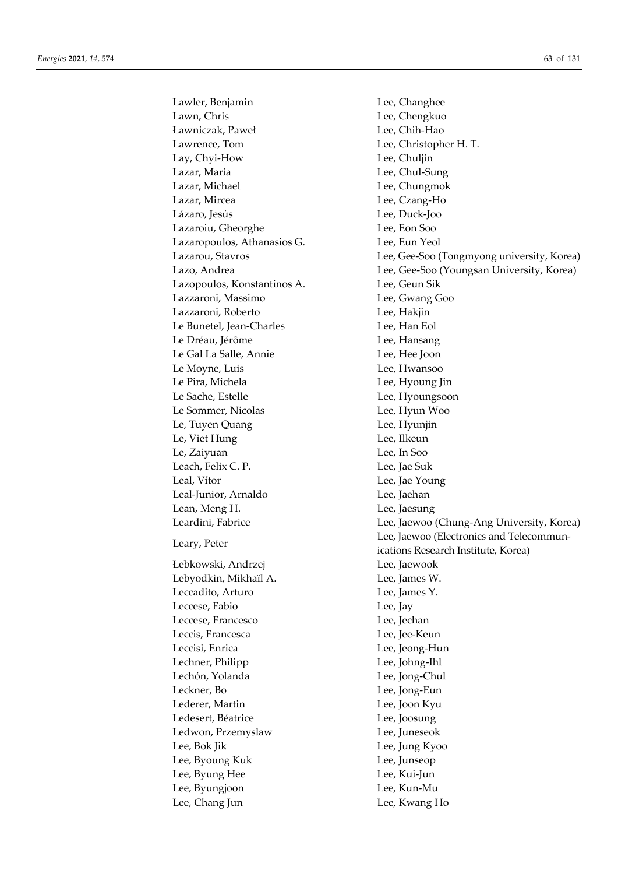Lawler, Benjamin Lee, Changhee Lawn, Chris Lee, Chengkuo Ławniczak, Paweł Lee, Chih-Hao Lawrence, Tom Lee, Christopher H. T. Lay, Chyi-How Lee, Chuljin Lazar, Maria **Lee**, Chul-Sung Lazar, Michael **Lee**, Chungmok Lazar, Mircea Lee, Czang-Ho Lázaro, Jesús Lee, Duck-Joo Lazaroiu, Gheorghe Lee, Eon Soo Lazaropoulos, Athanasios G. Lee, Eun Yeol Lazopoulos, Konstantinos A. Lee, Geun Sik Lazzaroni, Massimo Lee, Gwang Goo Lazzaroni, Roberto Lee, Hakjin Le Bunetel, Jean-Charles Lee, Han Eol Le Dréau, Jérôme Lee, Hansang Le Gal La Salle, Annie Lee, Hee Joon Le Moyne, Luis Lee, Hwansoo Le Pira, Michela Lee, Hyoung Jin Le Sache, Estelle Lee, Hyoungsoon Le Sommer, Nicolas Lee, Hyun Woo Le, Tuyen Quang Lee, Hyunjin Le, Viet Hung Lee, Ilkeun Le, Zaiyuan Lee, In Soo Leach, Felix C. P. Lee, Jae Suk Leal, Vítor Lee, Jae Young Leal-Junior, Arnaldo Lee, Jaehan Lean, Meng H. Channel Lee, Jaesung Łebkowski, Andrzej Lee, Jaewook Lebyodkin, Mikhaïl A. Lee, James W. Leccadito, Arturo Lee, James Y. Leccese, Fabio Lee, Jay Leccese, Francesco Lee, Jechan Leccis, Francesca Lee, Jee-Keun Leccisi, Enrica Lee, Jeong-Hun Lechner, Philipp Lee, Johng-Ihl Lechón, Yolanda Lee, Jong-Chul Leckner, Bo Lee, Jong-Eun Lederer, Martin Lee, Joon Kyu Ledesert, Béatrice Lee, Joosung Ledwon, Przemyslaw Lee, Juneseok Lee, Bok Jik Lee, Jung Kyoo Lee, Byoung Kuk Lee, Junseop Lee, Byung Hee Lee, Kui-Jun Lee, Byungjoon Lee, Kun-Mu Lee, Chang Jun Lee, Kwang Ho

Lazarou, Stavros Lee, Gee-Soo (Tongmyong university, Korea) Lazo, Andrea Lee, Gee-Soo (Youngsan University, Korea) Leardini, Fabrice Lee, Jaewoo (Chung-Ang University, Korea) Leary, Peter Leary, Peter Leary, Peter Leary, Peter Leary, Peter Leary, Peter Leary, Peter Leary, Peter Leary, 2007, 2007, 2007, 2007, 2007, 2007, 2007, 2007, 2007, 2007, 2007, 2007, 2007, 2007, 2007, 2007, 2007, 2007, 200 ications Research Institute, Korea)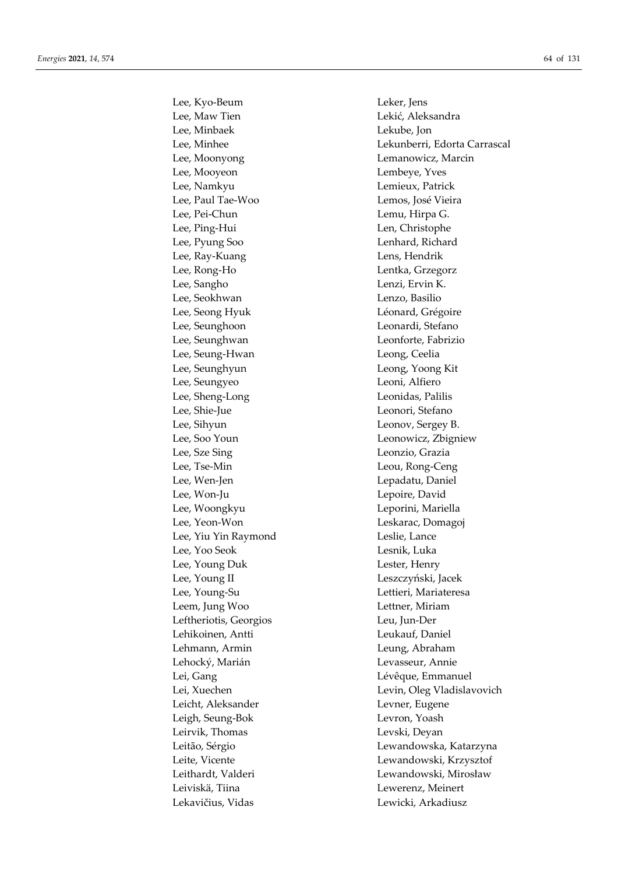Lee, Kyo-Beum Leker, Jens Lee, Maw Tien **Lekić**, Aleksandra Lee, Minbaek Lekube, Jon Lee, Moonyong Lemanowicz, Marcin Lee, Mooyeon Lembeye, Yves Lee, Namkyu Lemieux, Patrick Lee, Paul Tae-Woo Lemos, José Vieira Lee, Pei-Chun Lemu, Hirpa G. Lee, Ping-Hui Len, Christophe Lee, Pyung Soo Lenhard, Richard Lee, Ray-Kuang **Lens**, Hendrik Lee, Rong-Ho Lentka, Grzegorz Lee, Sangho Lenzi, Ervin K. Lee, Seokhwan Lenzo, Basilio Lee, Seong Hyuk **Léonard**, Grégoire Lee, Seunghoon Leonardi, Stefano Lee, Seunghwan Leonforte, Fabrizio Lee, Seung-Hwan Leong, Ceelia Lee, Seunghyun Leong, Yoong Kit Lee, Seungyeo Leoni, Alfiero Lee, Sheng-Long Leonidas, Palilis Lee, Shie-Jue Leonori, Stefano Lee, Sihyun Leonov, Sergey B. Lee, Soo Youn Leonowicz, Zbigniew Lee, Sze Sing Leonzio, Grazia Lee, Tse-Min Leou, Rong-Ceng Lee, Wen-Jen Lepadatu, Daniel Lee, Won-Ju Lepoire, David Lee, Woongkyu Leporini, Mariella Lee, Yeon-Won Leskarac, Domagoj Lee, Yiu Yin Raymond Leslie, Lance Lee, Yoo Seok Lesnik, Luka Lee, Young Duk Lester, Henry Lee, Young II Leszczyński, Jacek Lee, Young-Su Lettieri, Mariateresa Leem, Jung Woo Lettner, Miriam Leftheriotis, Georgios Leu, Jun-Der Lehikoinen, Antti Leukauf, Daniel Lehmann, Armin Leung, Abraham Lehocký, Marián Levasseur, Annie Lei, Gang Lévêque, Emmanuel Leicht, Aleksander Levner, Eugene Leigh, Seung-Bok Levron, Yoash Leirvik, Thomas Levski, Deyan Leiviskä, Tiina Lewerenz, Meinert Lekavičius, Vidas Lewicki, Arkadiusz

Lee, Minhee Lekunberri, Edorta Carrascal Lei, Xuechen Levin, Oleg Vladislavovich Leitão, Sérgio Lewandowska, Katarzyna Leite, Vicente Lewandowski, Krzysztof Leithardt, Valderi Lewandowski, Mirosław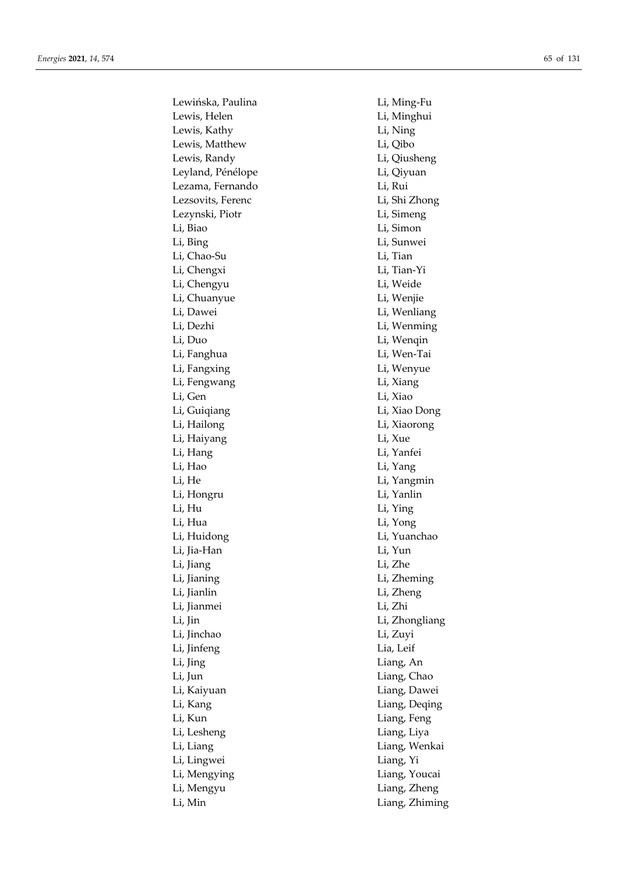Lewińska, Paulina Li, Ming-Fu Lewis, Helen Li, Minghui Lewis, Kathy Li, Ning Lewis, Matthew Li, Qibo Lewis, Randy Li, Qiusheng Leyland, Pénélope **Litude Litude Litude Litude Litude Litude Litude Litude Litude Litude Litude Litu** Lezama, Fernando Li, Rui Lezsovits, Ferenc Li, Shi Zhong Lezynski, Piotr Li, Simeng Li, Biao Li, Simon Li, Bing Li, Sunwei Li, Chao-Su Li, Tian Li, Chengxi Li, Tian-Yi Li, Chengyu Li, Weide Li, Chuanyue Li, Wenjie Li, Dawei Li, Wenliang Li, Dezhi Li, Wenming Li, Duo Li, Wenqin Li, Fanghua Li, Wen-Tai Li, Fangxing Li, Wenyue Li, Fengwang Li, Xiang Li, Gen Li, Xiao Li, Guiqiang Li, Xiao Dong Li, Hailong Li, Xiaorong Li, Haiyang Li, Xue Li, Hang Li, Yanfei Li, Hao Li, Yang Li, He Li, Yangmin Li, Hongru Li, Yanlin Li, Hu Li, Ying Li, Hua Li, Yong Li, Huidong Li, Yuanchao Li, Jia-Han Li, Yun Li, Jiang Li, Zhe Li, Jianing Li, Zheming Li, Jianlin Li, Zheng Li, Jianmei Li, Zhi Li, Jin Li, Zhongliang Li, Jinchao Li, Zuyi Li, Jinfeng Lia, Leif Li, Jing Liang, An Li, Jun Liang, Chao Li, Kaiyuan Liang, Dawei Li, Kang Liang, Deqing Li, Kun Liang, Feng Li, Lesheng Liang, Liya Li, Liang Liang, Wenkai Li, Lingwei Liang, Yi Li, Mengying Liang, Youcai Li, Mengyu Liang, Zheng Li, Min Liang, Zhiming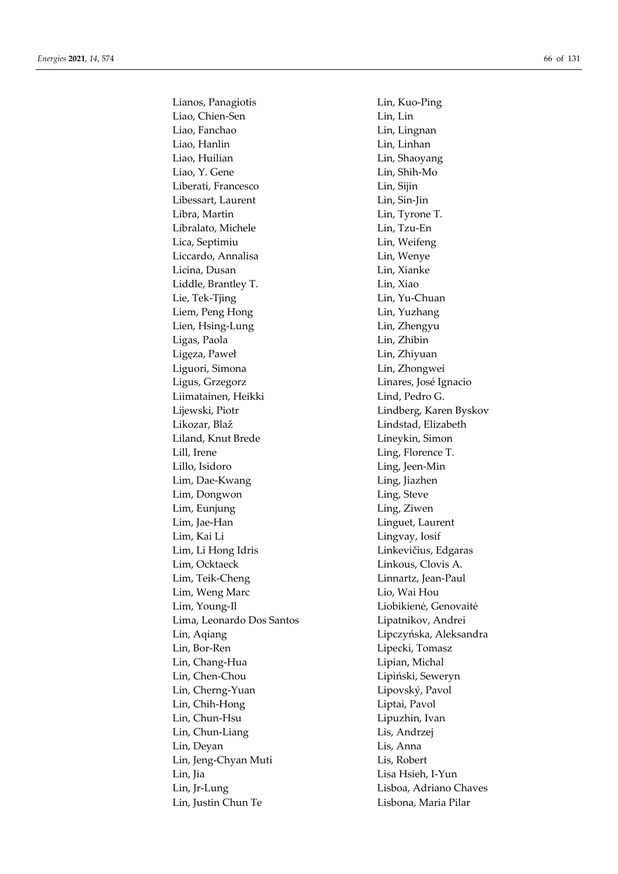Lianos, Panagiotis Lin, Kuo-Ping Liao, Chien-Sen Lin, Lin Liao, Fanchao Lin, Lingnan Liao, Hanlin Lin, Linhan Liao, Huilian Lin, Shaoyang Liao, Y. Gene Lin, Shih-Mo Liberati, Francesco Lin, Sijin Libessart, Laurent Lin, Sin-Jin Libra, Martin Lin, Tyrone T. Libralato, Michele Lin, Tzu-En Lica, Septimiu Lin, Weifeng Liccardo, Annalisa Lin, Wenye Licina, Dusan Lin, Xianke Liddle, Brantley T. Lin, Xiao Lie, Tek-Tjing Lin, Yu-Chuan Liem, Peng Hong Lin, Yuzhang Lien, Hsing-Lung Lin, Zhengyu Ligas, Paola Lin, Zhibin Ligęza, Paweł Lin, Zhiyuan Liguori, Simona Lin, Zhongwei Ligus, Grzegorz Linares, José Ignacio Liimatainen, Heikki Lind, Pedro G. Lijewski, Piotr Lindberg, Karen Byskov Likozar, Blaž Lindstad, Elizabeth Liland, Knut Brede Lineykin, Simon Lill, Irene Ling, Florence T. Lillo, Isidoro Ling, Jeen-Min Lim, Dae-Kwang Ling, Jiazhen Lim, Dongwon Ling, Steve Lim, Eunjung Ling, Ziwen Lim, Jae-Han Linguet, Laurent Lim, Kai Li Lingvay, Iosif Lim, Li Hong Idris **Limes** Linkevičius, Edgaras Lim, Ocktaeck Linkous, Clovis A. Lim, Teik-Cheng Linnartz, Jean-Paul Lim, Weng Marc Lio, Wai Hou Lim, Young-Il Liobikienė, Genovaitė Lima, Leonardo Dos Santos Lipatnikov, Andrei Lin, Aqiang Lipczyńska, Aleksandra Lin, Bor-Ren Lipecki, Tomasz Lin, Chang-Hua Lipian, Michal Lin, Chen-Chou Lipiński, Seweryn Lin, Cherng-Yuan Lipovský, Pavol Lin, Chih-Hong Liptai, Pavol Lin, Chun-Hsu Lipuzhin, Ivan Lin, Chun-Liang Lis, Andrzej Lin, Deyan Lis, Anna Lin, Jeng-Chyan Muti Lis, Robert Lin, Jia Lisa Hsieh, I-Yun Lin, Jr-Lung Lisboa, Adriano Chaves Lin, Justin Chun Te Lisbona, Maria Pilar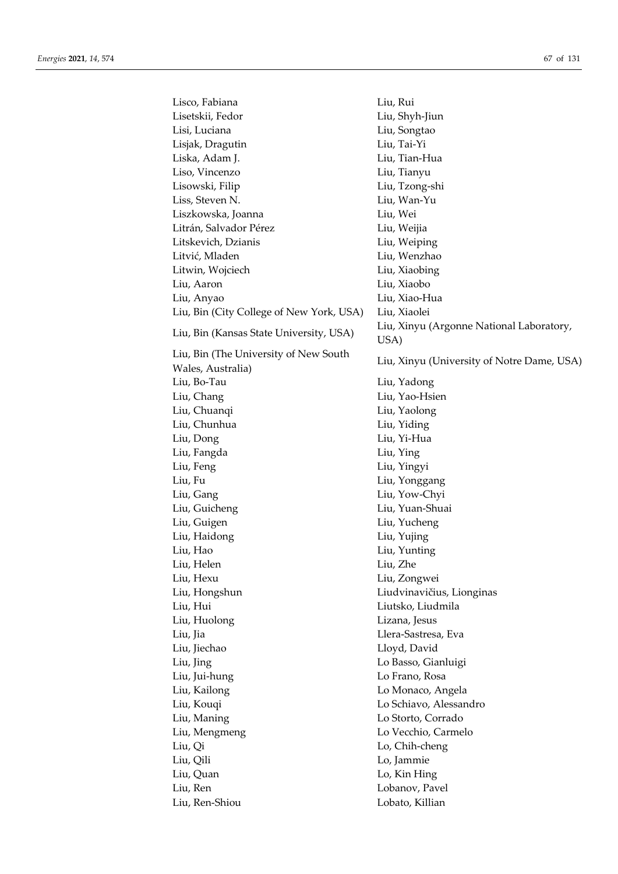| Lisco, Fabiana                           | Liu, Rui                                         |
|------------------------------------------|--------------------------------------------------|
| Lisetskii, Fedor                         | Liu, Shyh-Jiun                                   |
| Lisi, Luciana                            | Liu, Songtao                                     |
| Lisjak, Dragutin                         | Liu, Tai-Yi                                      |
| Liska, Adam J.                           | Liu, Tian-Hua                                    |
| Liso, Vincenzo                           | Liu, Tianyu                                      |
| Lisowski, Filip                          | Liu, Tzong-shi                                   |
| Liss, Steven N.                          | Liu, Wan-Yu                                      |
| Liszkowska, Joanna                       | Liu, Wei                                         |
| Litrán, Salvador Pérez                   | Liu, Weijia                                      |
| Litskevich, Dzianis                      | Liu, Weiping                                     |
| Litvić, Mladen                           | Liu, Wenzhao                                     |
| Litwin, Wojciech                         | Liu, Xiaobing                                    |
| Liu, Aaron                               | Liu, Xiaobo                                      |
| Liu, Anyao                               | Liu, Xiao-Hua                                    |
| Liu, Bin (City College of New York, USA) | Liu, Xiaolei                                     |
| Liu, Bin (Kansas State University, USA)  | Liu, Xinyu (Argonne National Laboratory,<br>USA) |
| Liu, Bin (The University of New South    |                                                  |
| Wales, Australia)                        | Liu, Xinyu (University of Notre Dame, USA)       |
| Liu, Bo-Tau                              | Liu, Yadong                                      |
|                                          | Liu, Yao-Hsien                                   |
| Liu, Chang<br>Liu, Chuanqi               | Liu, Yaolong                                     |
|                                          |                                                  |
| Liu, Chunhua                             | Liu, Yiding                                      |
| Liu, Dong                                | Liu, Yi-Hua                                      |
| Liu, Fangda                              | Liu, Ying                                        |
| Liu, Feng                                | Liu, Yingyi                                      |
| Liu, Fu                                  | Liu, Yonggang                                    |
| Liu, Gang                                | Liu, Yow-Chyi                                    |
| Liu, Guicheng                            | Liu, Yuan-Shuai                                  |
| Liu, Guigen                              | Liu, Yucheng                                     |
| Liu, Haidong                             | Liu, Yujing                                      |
| Liu, Hao                                 | Liu, Yunting                                     |
| Liu, Helen                               | Liu, Zhe                                         |
| Liu, Hexu                                | Liu, Zongwei                                     |
| Liu, Hongshun                            | Liudvinavičius, Lionginas                        |
| Liu, Hui                                 | Liutsko, Liudmila                                |
| Liu, Huolong                             | Lizana, Jesus                                    |
| Liu, Jia                                 | Llera-Sastresa, Eva                              |
| Liu, Jiechao                             | Lloyd, David                                     |
| Liu, Jing                                | Lo Basso, Gianluigi                              |
| Liu, Jui-hung                            | Lo Frano, Rosa                                   |
| Liu, Kailong                             | Lo Monaco, Angela                                |
| Liu, Kouqi                               | Lo Schiavo, Alessandro                           |
| Liu, Maning                              | Lo Storto, Corrado                               |
| Liu, Mengmeng                            | Lo Vecchio, Carmelo                              |
| Liu, Qi                                  | Lo, Chih-cheng                                   |
| Liu, Qili                                | Lo, Jammie                                       |
| Liu, Quan                                | Lo, Kin Hing                                     |
| Liu, Ren                                 | Lobanov, Pavel                                   |
| Liu, Ren-Shiou                           | Lobato, Killian                                  |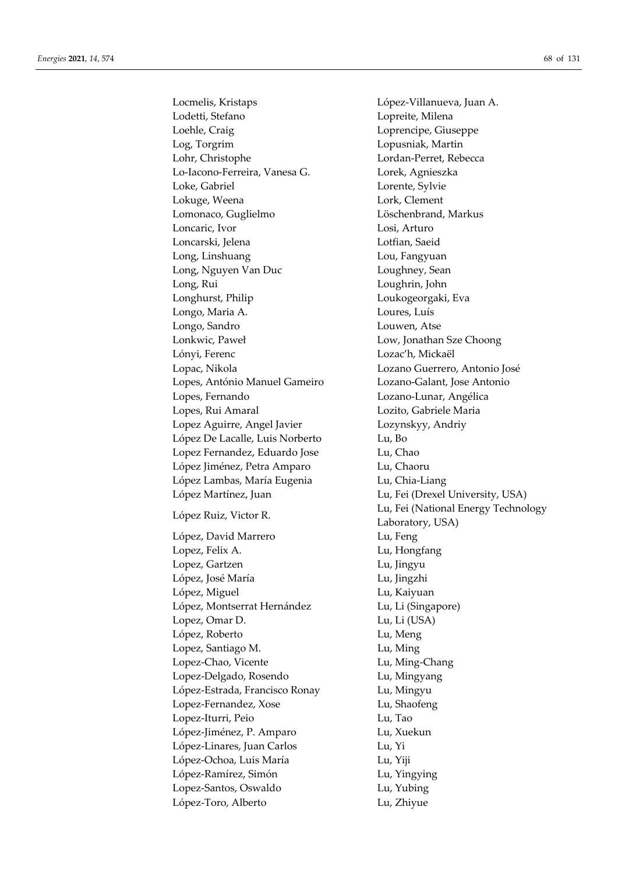Lodetti, Stefano Lopreite, Milena Loehle, Craig Loprencipe, Giuseppe Log, Torgrim Lopusniak, Martin Lohr, Christophe Lordan-Perret, Rebecca Lo-Iacono-Ferreira, Vanesa G. Lorek, Agnieszka Loke, Gabriel Lorente, Sylvie Lokuge, Weena Lork, Clement Lomonaco, Guglielmo Löschenbrand, Markus Loncaric, Ivor Losi, Arturo Loncarski, Jelena Lotfian, Saeid Long, Linshuang Lou, Fangyuan Long, Nguyen Van Duc Loughney, Sean Long, Rui Loughrin, John Longhurst, Philip Loukogeorgaki, Eva Longo, Maria A. Loures, Luís Longo, Sandro Louwen, Atse Lonkwic, Paweł Low, Jonathan Sze Choong Lónyi, Ferenc Lozac'h, Mickaël Lopac, Nikola Lozano Guerrero, Antonio José Lopes, António Manuel Gameiro Lozano-Galant, Jose Antonio Lopes, Fernando Lozano-Lunar, Angélica Lopes, Rui Amaral Lozito, Gabriele Maria Lopez Aguirre, Angel Javier Lozynskyy, Andriy López De Lacalle, Luis Norberto Lu, Bo Lopez Fernandez, Eduardo Jose Lu, Chao López Jiménez, Petra Amparo Lu, Chaoru López Lambas, María Eugenia **Lu**, Chia-Liang López Martínez, Juan Lu, Fei (Drexel University, USA) López, David Marrero Lu, Feng Lopez, Felix A. Lu, Hongfang Lopez, Gartzen Lu, Jingyu López, José María Lu, Jingzhi López, Miguel **Lu**, Kaiyuan López, Montserrat Hernández Lu, Li (Singapore) Lopez, Omar D. Lu, Li (USA) López, Roberto Lu, Meng Lopez, Santiago M. Lu, Ming Lopez-Chao, Vicente Lu, Ming-Chang Lopez-Delgado, Rosendo Lu, Mingyang López-Estrada, Francisco Ronay Lu, Mingyu Lopez-Fernandez, Xose Lu, Shaofeng Lopez-Iturri, Peio Lu, Tao López-Jiménez, P. Amparo Lu, Xuekun López-Linares, Juan Carlos Lu, Yi López-Ochoa, Luis María Lu, Yiji López-Ramírez, Simón Lu, Yingying Lopez-Santos, Oswaldo Lu, Yubing López-Toro, Alberto Lu, Zhiyue

Locmelis, Kristaps López-Villanueva, Juan A. López Ruiz, Victor R. Lu, Fei (National Energy Technology Laboratory, USA)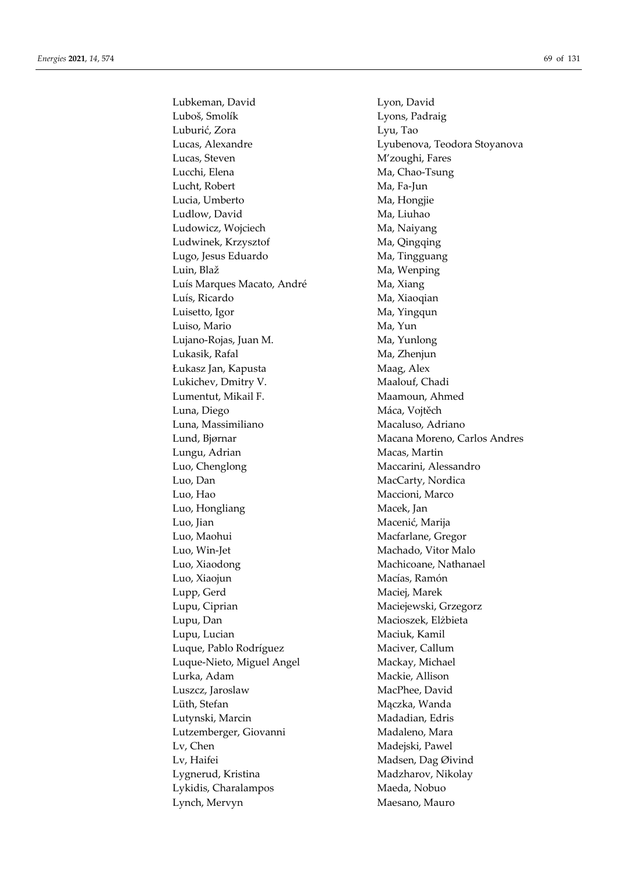Lubkeman, David Lyon, David Luboš, Smolík Lyons, Padraig Luburić, Zora Lyu, Tao Lucas, Alexandre Lyubenova, Teodora Stoyanova Lucas, Steven M'zoughi, Fares Lucchi, Elena Ma, Chao-Tsung Lucht, Robert Ma, Fa-Jun Lucia, Umberto Ma, Hongjie Ludlow, David Ma, Liuhao Ludowicz, Wojciech Ma, Naiyang Ludwinek, Krzysztof Ma, Qingqing Lugo, Jesus Eduardo Ma, Tingguang Luin, Blaž Ma, Wenping Luís Marques Macato, André Ma, Xiang Luís, Ricardo Ma, Xiaoqian Luisetto, Igor Ma, Yingqun Luiso, Mario Ma, Yun Lujano-Rojas, Juan M. Ma, Yunlong Lukasik, Rafal Ma, Zhenjun Łukasz Jan, Kapusta Maag, Alex Lukichev, Dmitry V. Maalouf, Chadi Lumentut, Mikail F. Maamoun, Ahmed Luna, Diego Máca, Vojtěch Luna, Massimiliano Macaluso, Adriano Lund, Bjørnar Macana Moreno, Carlos Andres Lungu, Adrian Macas, Martin Luo, Chenglong Maccarini, Alessandro Luo, Dan MacCarty, Nordica Luo, Hao Maccioni, Marco Luo, Hongliang Macek, Jan Luo, Jian Macenić, Marija Luo, Maohui Macfarlane, Gregor Luo, Win-Jet Machado, Vitor Malo Luo, Xiaodong Machicoane, Nathanael Luo, Xiaojun Macías, Ramón Lupp, Gerd Maciej, Marek Lupu, Ciprian Maciejewski, Grzegorz Lupu, Dan Macioszek, Elżbieta Lupu, Lucian Maciuk, Kamil Luque, Pablo Rodríguez Maciver, Callum Luque-Nieto, Miguel Angel Mackay, Michael Lurka, Adam Mackie, Allison Luszcz, Jaroslaw MacPhee, David Lüth, Stefan Mączka, Wanda Lutynski, Marcin Madadian, Edris Lutzemberger, Giovanni Madaleno, Mara Lv, Chen Madejski, Pawel Lv, Haifei Madsen, Dag Øivind Lygnerud, Kristina Madzharov, Nikolay Lykidis, Charalampos Maeda, Nobuo Lynch, Mervyn Maesano, Mauro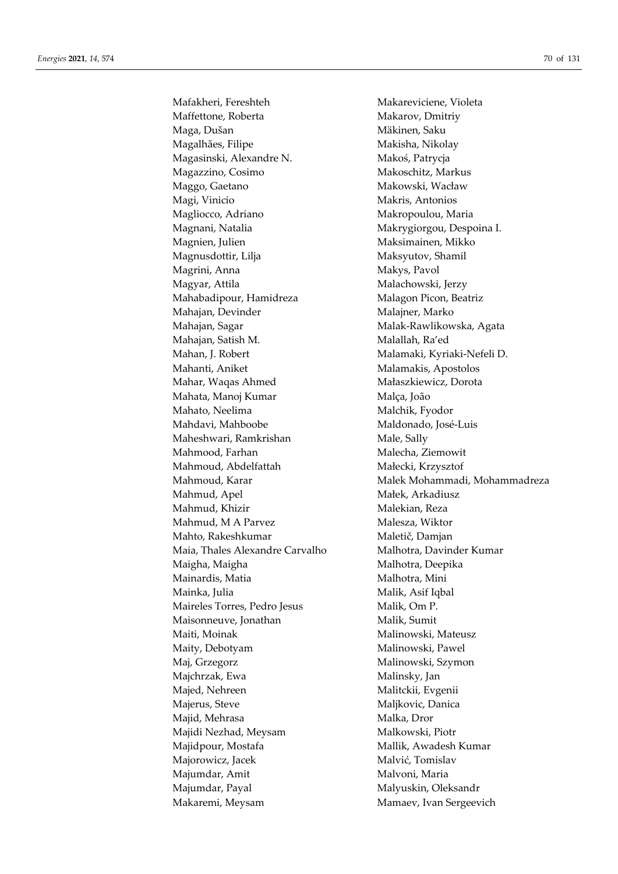Mafakheri, Fereshteh Makareviciene, Violeta Maffettone, Roberta **Makarov**, Dmitriy Maga, Dušan Mäkinen, Saku Magalhães, Filipe Makisha, Nikolay Magasinski, Alexandre N. Makoś, Patrycja Magazzino, Cosimo Makoschitz, Markus Maggo, Gaetano **Makowski**, Wacław Magi, Vinicio Makris, Antonios Magliocco, Adriano Makropoulou, Maria Magnani, Natalia Makrygiorgou, Despoina I. Magnien, Julien Maksimainen, Mikko Magnusdottir, Lilja Maksyutov, Shamil Magrini, Anna **Makys**, Pavol Magyar, Attila Malachowski, Jerzy Mahabadipour, Hamidreza Malagon Picon, Beatriz Mahajan, Devinder Malajner, Marko Mahajan, Sagar Malak-Rawlikowska, Agata Mahajan, Satish M. Malallah, Ra'ed Mahan, J. Robert Malamaki, Kyriaki-Nefeli D. Mahanti, Aniket Malamakis, Apostolos Mahar, Waqas Ahmed Małaszkiewicz, Dorota Mahata, Manoj Kumar Malça, João Mahato, Neelima Malchik, Fyodor Mahdavi, Mahboobe Maldonado, José-Luis Maheshwari, Ramkrishan Male, Sally Mahmood, Farhan Malecha, Ziemowit Mahmoud, Abdelfattah Małecki, Krzysztof Mahmud, Apel Małek, Arkadiusz Mahmud, Khizir Malekian, Reza Mahmud, M A Parvez Malesza, Wiktor Mahto, Rakeshkumar Maletič, Damjan Maia, Thales Alexandre Carvalho Malhotra, Davinder Kumar Maigha, Maigha **Malhotra**, Deepika Mainardis, Matia Malhotra, Mini Mainka, Julia Malik, Asif Iqbal Maireles Torres, Pedro Jesus Malik, Om P. Maisonneuve, Jonathan Malik, Sumit Maiti, Moinak Malinowski, Mateusz Maity, Debotyam Malinowski, Pawel Maj, Grzegorz Malinowski, Szymon Majchrzak, Ewa Malinsky, Jan Majed, Nehreen Malitckii, Evgenii Majerus, Steve Maljkovic, Danica Majid, Mehrasa Malka, Dror Majidi Nezhad, Meysam Malkowski, Piotr Majidpour, Mostafa Mallik, Awadesh Kumar Majorowicz, Jacek Malvić, Tomislav Majumdar, Amit Malvoni, Maria Majumdar, Payal Malyuskin, Oleksandr Makaremi, Meysam Mamaev, Ivan Sergeevich

Mahmoud, Karar Malek Mohammadi, Mohammadreza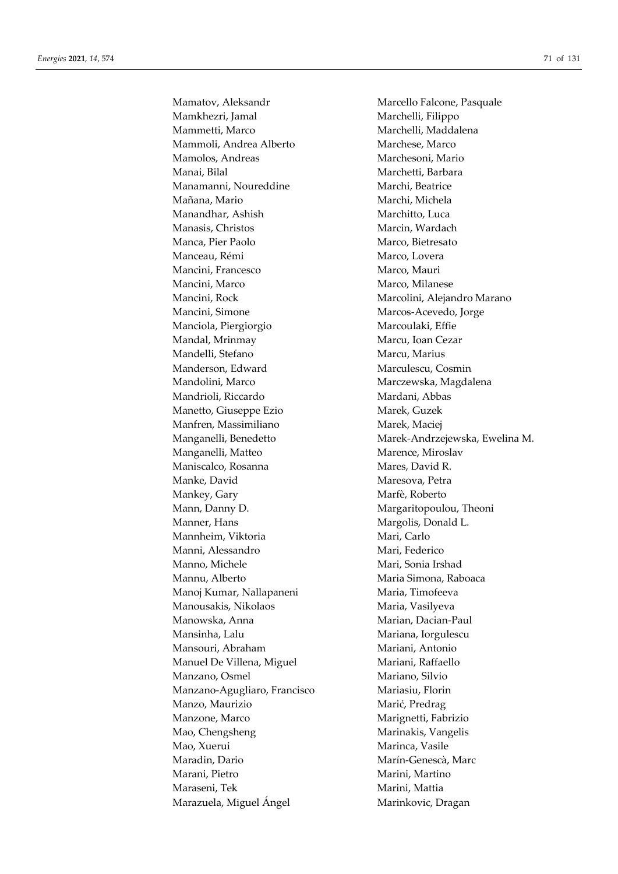Mamkhezri, Jamal Marchelli, Filippo Mammetti, Marco Marchelli, Maddalena Mammoli, Andrea Alberto Marchese, Marco Mamolos, Andreas Marchesoni, Mario Manai, Bilal Marchetti, Barbara Manamanni, Noureddine Marchi, Beatrice Mañana, Mario **Mandrana, Marchi, Michela** Manandhar, Ashish Marchitto, Luca Manasis, Christos Marcin, Wardach Manca, Pier Paolo Marco, Bietresato Manceau, Rémi Marco, Lovera Mancini, Francesco Marco, Mauri Mancini, Marco Marco, Milanese Mancini, Rock Marcolini, Alejandro Marano Mancini, Simone Marcos-Acevedo, Jorge Manciola, Piergiorgio Marcoulaki, Effie Mandal, Mrinmay Marcu, Ioan Cezar Mandelli, Stefano Marcu, Marcu, Marius Manderson, Edward Marculescu, Cosmin Mandolini, Marco Marczewska, Magdalena Mandrioli, Riccardo Mardani, Abbas Manetto, Giuseppe Ezio Marek, Guzek Manfren, Massimiliano Marek, Maciej Manganelli, Matteo Marence, Miroslav Maniscalco, Rosanna Mares, David R. Manke, David Maresova, Petra Mankey, Gary Marfè, Roberto Mann, Danny D. **Mannish Mannish Mannish Mannish Mannish Mannish Mannish Mannish Mannish Mannish Mannish Mannish Mannish Mannish Mannish Mannish Mannish Mannish Mannish Mannish Mannish Mannish Mannish Mannish Mannish Mannis** Manner, Hans Margolis, Donald L. Mannheim, Viktoria **Mari, Carlo** Mari, Carlo Manni, Alessandro Mari, Federico Manno, Michele Mari, Sonia Irshad Mannu, Alberto Maria Simona, Raboaca Manoj Kumar, Nallapaneni Maria, Timofeeva Manousakis, Nikolaos Maria, Vasilyeva Manowska, Anna Marian, Dacian-Paul Mansinha, Lalu Mariana, Iorgulescu Mansouri, Abraham Mariani, Antonio Manuel De Villena, Miguel Mariani, Raffaello Manzano, Osmel Mariano, Silvio Manzano-Agugliaro, Francisco Mariasiu, Florin Manzo, Maurizio Marić, Predrag Manzone, Marco Marignetti, Fabrizio Mao, Chengsheng Marinakis, Vangelis Mao, Xuerui **Marinca**, Vasile Maradin, Dario **Marín-Genescà, Marc** Marani, Pietro **Marini, Martino** Maraseni, Tek Marini, Mattia Marazuela, Miguel Ángel Marinkovic, Dragan

Mamatov, Aleksandr Marcello Falcone, Pasquale Manganelli, Benedetto Marek-Andrzejewska, Ewelina M.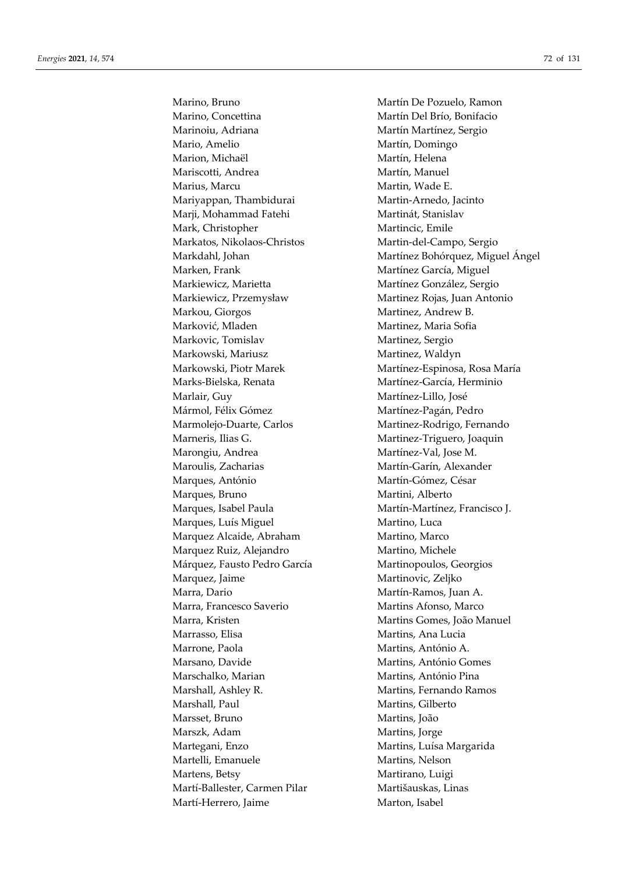Marino, Concettina Martín Del Brío, Bonifacio Marinoiu, Adriana Martín Martínez, Sergio Mario, Amelio Martín, Domingo Marion, Michaël Martín, Helena Mariscotti, Andrea Martín, Manuel Marius, Marcu Martin, Wade E. Mariyappan, Thambidurai Martin-Arnedo, Jacinto Marji, Mohammad Fatehi Martinát, Stanislav Mark, Christopher Martincic, Emile Markatos, Nikolaos-Christos Martin-del-Campo, Sergio Marken, Frank Martínez García, Miguel Markiewicz, Marietta Martínez González, Sergio Markiewicz, Przemysław Martinez Rojas, Juan Antonio Markou, Giorgos Martinez, Andrew B. Marković, Mladen Martinez, Maria Sofia Markovic, Tomislav Martinez, Sergio Markowski, Mariusz Martinez, Waldyn Markowski, Piotr Marek Martínez-Espinosa, Rosa María Marks-Bielska, Renata Martínez-García, Herminio Marlair, Guy Martínez-Lillo, José Mármol, Félix Gómez **Martínez-Pagán, Pedro** Marmolejo-Duarte, Carlos Martinez-Rodrigo, Fernando Marneris, Ilias G. Martinez-Triguero, Joaquin Marongiu, Andrea Martínez-Val, Jose M. Maroulis, Zacharias Martín-Garín, Alexander Marques, António Martín-Gómez, César Marques, Bruno Martini, Alberto Marques, Isabel Paula Martín-Martínez, Francisco J. Marques, Luís Miguel Martino, Luca Marquez Alcaide, Abraham Martino, Marco Marquez Ruiz, Alejandro Martino, Michele Márquez, Fausto Pedro García Martinopoulos, Georgios Marquez, Jaime Martinovic, Zeljko Marra, Dario **Martín-Ramos**, Juan A. Marra, Francesco Saverio Martins Afonso, Marco Marra, Kristen Martins Gomes, João Manuel Marrasso, Elisa Martins, Ana Lucia Marrone, Paola Martins, António A. Marsano, Davide Martins, António Gomes Marschalko, Marian Martins, António Pina Marshall, Ashley R. Martins, Fernando Ramos Marshall, Paul **Marting** Martins, Gilberto Marsset, Bruno Martins, João Marszk, Adam Martins, Jorge Martegani, Enzo Martins, Luísa Margarida Martelli, Emanuele Martins, Nelson Martens, Betsy Martirano, Luigi Martí-Ballester, Carmen Pilar Martišauskas, Linas Martí-Herrero, Jaime Marton, Isabel

Marino, Bruno **Martín De Pozuelo, Ramon** Markdahl, Johan Martínez Bohórquez, Miguel Ángel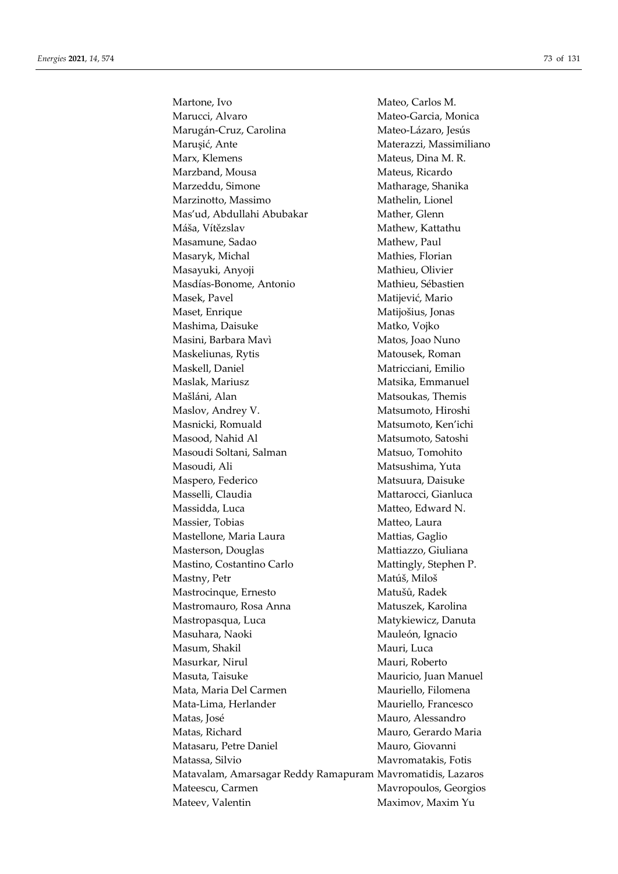Martone, Ivo Mateo, Carlos M. Marucci, Alvaro Mateo-Garcia, Monica Marugán-Cruz, Carolina Mateo-Lázaro, Jesús Maruşić, Ante Materazzi, Massimiliano Marx, Klemens Mateus, Dina M. R. Marzband, Mousa **Mateus**, Ricardo Marzeddu, Simone Matharage, Shanika Marzinotto, Massimo Mathelin, Lionel Mas'ud, Abdullahi Abubakar Mather, Glenn Máša, Vítězslav Mathew, Kattathu Masamune, Sadao Mathew, Paul Masaryk, Michal Mathies, Florian Masayuki, Anyoji Mathieu, Olivier Masdías-Bonome, Antonio Mathieu, Sébastien Masek, Pavel Matijević, Mario Maset, Enrique Matijošius, Jonas Mashima, Daisuke Matko, Vojko Masini, Barbara Mavì Matos, Joao Nuno Maskeliunas, Rytis Matousek, Roman Maskell, Daniel Matricciani, Emilio Maslak, Mariusz **Matsika, Emmanuel** Mašláni, Alan Matsoukas, Themis Maslov, Andrey V. Matsumoto, Hiroshi Masnicki, Romuald Matsumoto, Ken'ichi Masood, Nahid Al Matsumoto, Satoshi Masoudi Soltani, Salman Matsuo, Tomohito Masoudi, Ali Matsushima, Yuta Maspero, Federico Matsuura, Daisuke Masselli, Claudia Mattarocci, Gianluca Massidda, Luca Matteo, Edward N. Massier, Tobias Matteo, Laura Mastellone, Maria Laura Mattias, Gaglio Masterson, Douglas Mattiazzo, Giuliana Mastino, Costantino Carlo Mattingly, Stephen P. Mastny, Petr Matúš, Miloš Mastrocinque, Ernesto Matušů, Radek Mastromauro, Rosa Anna Matuszek, Karolina Mastropasqua, Luca Matykiewicz, Danuta Masuhara, Naoki Mauleón, Ignacio Masum, Shakil Mauri, Luca Masurkar, Nirul Mauri, Roberto Masuta, Taisuke Mauricio, Juan Manuel Mata, Maria Del Carmen Mauriello, Filomena Mata-Lima, Herlander Mauriello, Francesco Matas, José Mauro, Alessandro Matas, Richard Mauro, Gerardo Maria Matasaru, Petre Daniel Mauro, Giovanni Matassa, Silvio Matassa, Silvio Maxromatakis, Fotis Matavalam, Amarsagar Reddy Ramapuram Mavromatidis, Lazaros Mateescu, Carmen Mavropoulos, Georgios Mateev, Valentin Maximov, Maxim Yu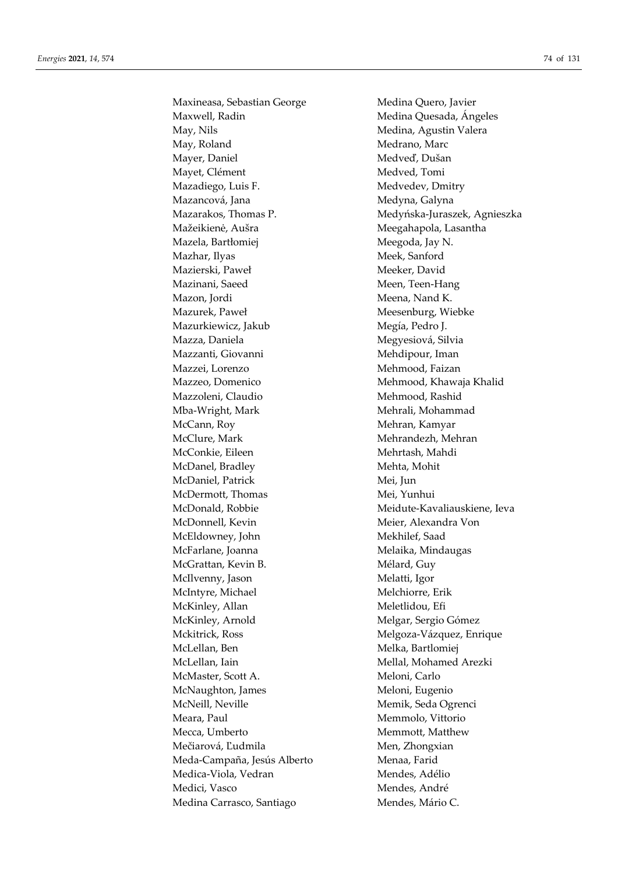Maxineasa, Sebastian George Medina Quero, Javier Maxwell, Radin Medina Quesada, Ángeles May, Nils Medina, Agustin Valera May, Roland Medrano, Marc Mayer, Daniel Medveď, Dušan Mayet, Clément Medved, Tomi Mazadiego, Luis F. Medvedev, Dmitry Mazancová, Jana Medyna, Galyna Mažeikienė, Aušra Meegahapola, Lasantha Mazela, Bartłomiej Meegoda, Jay N. Mazhar, Ilyas Meek, Sanford Mazierski, Paweł Meeker, David Mazinani, Saeed Meen, Teen-Hang Mazon, Jordi Meena, Nand K. Mazurek, Paweł Meesenburg, Wiebke Mazurkiewicz, Jakub Megía, Pedro J. Mazza, Daniela Megyesiová, Silvia Mazzanti, Giovanni Mehdipour, Iman Mazzei, Lorenzo Mehmood, Faizan Mazzeo, Domenico Mehmood, Khawaja Khalid Mazzoleni, Claudio Mehmood, Rashid Mba-Wright, Mark Mehrali, Mohammad McCann, Roy Mehran, Kamyar McClure, Mark Mehrandezh, Mehrandezh, Mehran McConkie, Eileen Mehrtash, Mahdi McDanel, Bradley Mehta, Mohit McDaniel, Patrick Mei, Jun McDermott, Thomas Mei, Yunhui McDonald, Robbie Meidute-Kavaliauskiene, Ieva McDonnell, Kevin Meier, Alexandra Von McEldowney, John Mekhilef, Saad McFarlane, Joanna Melaika, Mindaugas McGrattan, Kevin B. Mélard, Guy McIlvenny, Jason Melatti, Igor McIntyre, Michael Melchiorre, Erik McKinley, Allan Meletlidou, Efi McKinley, Arnold Melgar, Sergio Gómez Mckitrick, Ross Melgoza-Vázquez, Enrique McLellan, Ben Melka, Bartlomiej McLellan, Iain Mellal, Mohamed Arezki McMaster, Scott A. Meloni, Carlo McNaughton, James Meloni, Eugenio McNeill, Neville Memik, Seda Ogrenci Meara, Paul **Menuciers** Memmolo, Vittorio Mecca, Umberto Memmott, Matthew Mečiarová, Ľudmila Men, Zhongxian Meda-Campaña, Jesús Alberto Menaa, Farid Medica-Viola, Vedran Mendes, Adélio Medici, Vasco Mendes, André Medina Carrasco, Santiago Mendes, Mário C.

Mazarakos, Thomas P. Medyńska-Juraszek, Agnieszka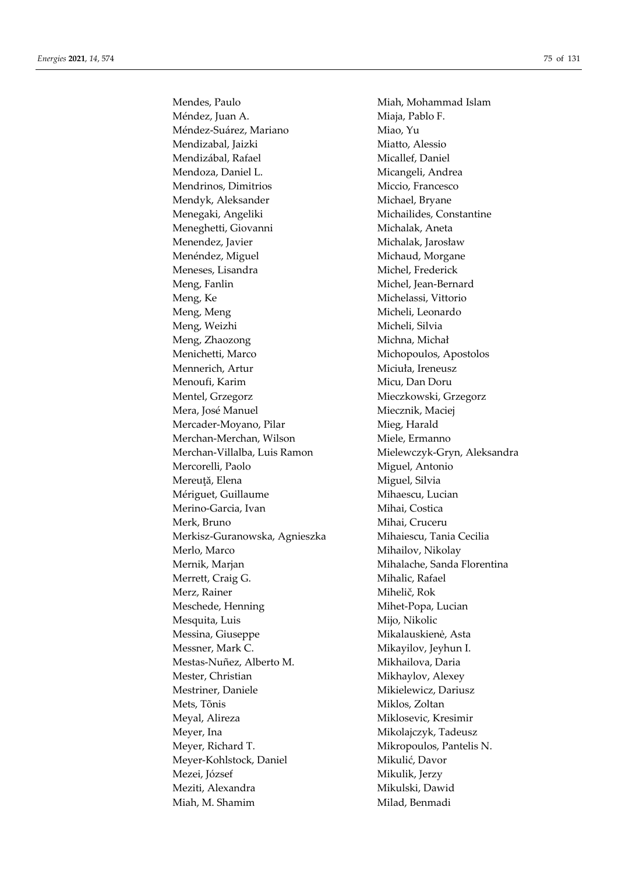Méndez, Juan A. (1992) Miaja, Pablo F. Méndez-Suárez, Mariano **Miao**, Yu Mendizabal, Jaizki Miatto, Alessio Mendizábal, Rafael Micallef, Daniel Mendoza, Daniel L. Micangeli, Andrea Mendrinos, Dimitrios Miccio, Francesco Mendyk, Aleksander Michael, Bryane Menegaki, Angeliki Michailides, Constantine Meneghetti, Giovanni Michalak, Aneta Menendez, Javier Michalak, Jarosław Menéndez, Miguel Michaud, Morgane Meneses, Lisandra Michel, Frederick Meng, Fanlin Michel, Jean-Bernard Meng, Ke Michelassi, Vittorio Meng, Meng and Micheli, Leonardo Meng, Weizhi Micheli, Silvia Meng, Zhaozong Michna, Michał Menichetti, Marco Michopoulos, Apostolos Mennerich, Artur Miciuła, Ireneusz Menoufi, Karim Micu, Dan Doru Mentel, Grzegorz Mieczkowski, Grzegorz Mera, José Manuel **Miecznik**, Maciej Mercader-Moyano, Pilar Mieg, Harald Merchan-Merchan, Wilson Miele, Ermanno Merchan-Villalba, Luis Ramon Mielewczyk-Gryn, Aleksandra Mercorelli, Paolo Miguel, Antonio Mereuță, Elena Miguel, Silvia Mériguet, Guillaume Mihaescu, Lucian Merino-Garcia, Ivan Mihai, Costica Merk, Bruno Mihai, Cruceru Merkisz-Guranowska, Agnieszka Mihaiescu, Tania Cecilia Merlo, Marco Mihailov, Nikolay Mernik, Marjan Mihalache, Sanda Florentina Merrett, Craig G. Mihalic, Rafael Merz, Rainer Mihelič, Rok Meschede, Henning Mihet-Popa, Lucian Mesquita, Luis Mijo, Nikolic Mikalauskienė, Asta Messner, Mark C. Mikayilov, Jeyhun I. Mestas-Nuñez, Alberto M. Mikhailova, Daria Mester, Christian Mikhaylov, Alexey Mestriner, Daniele Mikielewicz, Dariusz Mets, Tõnis Miklos, Zoltan Meyal, Alireza Miklosevic, Kresimir Meyer, Ina **Mikolajczyk**, Tadeusz Meyer, Richard T. Mikropoulos, Pantelis N. Meyer-Kohlstock, Daniel Mikulić, Davor Mezei, József Mikulik, Jerzy Meziti, Alexandra **Mikulski, Dawid** Miah, M. Shamim Milad, Benmadi

Mendes, Paulo Miah, Mohammad Islam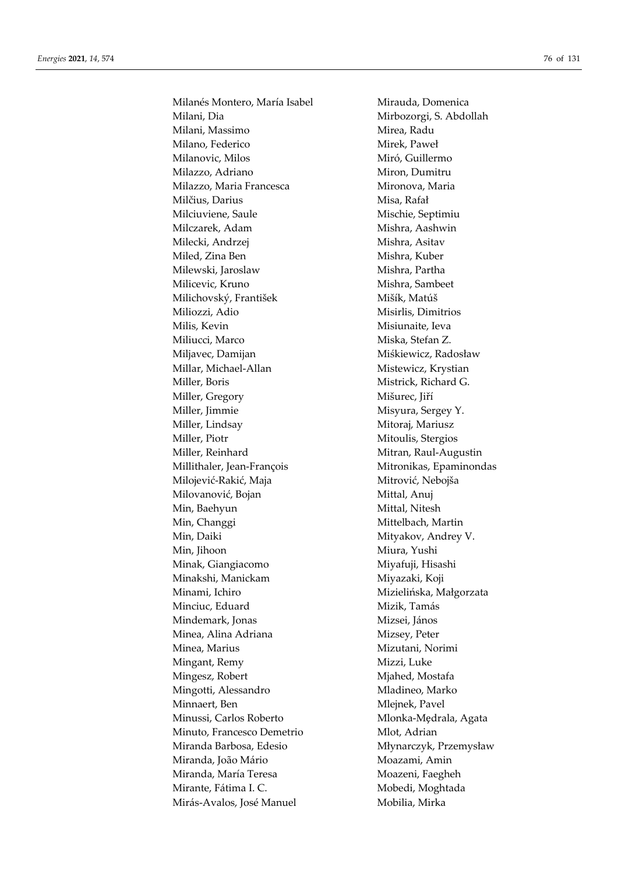Milanés Montero, María Isabel Mirauda, Domenica Milani, Dia **Milani, Dia Kabupatén Sebanjara, Pada Kacamatan** Mirbozorgi, S. Abdollah Milani, Massimo **Mirea**, Radu Milano, Federico Mirek, Paweł Milanovic, Milos Miró, Guillermo Milazzo, Adriano Miron, Dumitru Milazzo, Maria Francesca Mironova, Maria Milčius, Darius Misa, Rafał Milciuviene, Saule Mischie, Septimiu Milczarek, Adam Mishra, Aashwin Milecki, Andrzej Mishra, Asitav Miled, Zina Ben Mishra, Kuber Milewski, Jaroslaw Mishra, Partha Milicevic, Kruno Mishra, Sambeet Milichovský, František Mišík, Matúš Miliozzi, Adio Misirlis, Dimitrios Milis, Kevin Misiunaite, Ieva Miliucci, Marco Miska, Stefan Z. Miljavec, Damijan Miśkiewicz, Radosław Millar, Michael-Allan Mistewicz, Krystian Miller, Boris Mistrick, Richard G. Miller, Gregory Mišurec, Jiří Miller, Jimmie Misyura, Sergey Y. Miller, Lindsay Mitoraj, Mariusz Miller, Piotr Mitoulis, Stergios Miller, Reinhard Mitran, Raul-Augustin Millithaler, Jean-François Mitronikas, Epaminondas Milojević-Rakić, Maja Mitrović, Nebojša Milovanović, Bojan Mittal, Anuj Min, Baehyun Mittal, Nitesh Min, Changgi **Mittelbach**, Martin Min, Daiki Mityakov, Andrey V. Min, Jihoon Miura, Yushi Minak, Giangiacomo Miyafuji, Hisashi Minakshi, Manickam Miyazaki, Koji Minami, Ichiro **Mizielińska**, Małgorzata Minciuc, Eduard Mizik, Tamás Mindemark, Jonas Mizsei, János Minea, Alina Adriana **Mizsey**, Peter Minea, Marius Mizutani, Norimi Mingant, Remy Mizzi, Luke Mingesz, Robert Miahed, Mostafa Mingotti, Alessandro Marko Mladineo, Marko Minnaert, Ben Mlejnek, Pavel Minussi, Carlos Roberto Mlonka-Mędrala, Agata Minuto, Francesco Demetrio Mlot, Adrian Miranda Barbosa, Edesio Młynarczyk, Przemysław Miranda, João Mário **Miranda, Italia** Moazami, Amin Miranda, María Teresa Moazeni, Faegheh Mirante, Fátima I. C. Mobedi, Moghtada Mirás-Avalos, José Manuel Mobilia, Mirka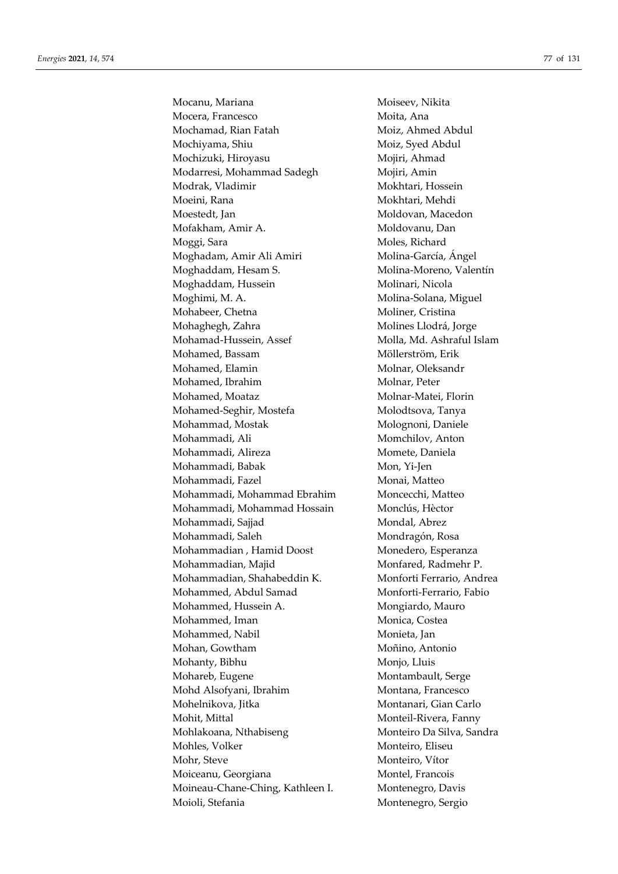Mocanu, Mariana Moiseev, Nikita Mocera, Francesco Moita, Ana Mochamad, Rian Fatah Moiz, Ahmed Abdul Mochiyama, Shiu Moiz, Syed Abdul Mochizuki, Hiroyasu Mojiri, Ahmad Modarresi, Mohammad Sadegh Mojiri, Amin Modrak, Vladimir Mokhtari, Hossein Moeini, Rana Mokhtari, Mehdi Moestedt, Jan Moldovan, Macedon Mofakham, Amir A. Moldovanu, Dan Moggi, Sara Moles, Richard Moghadam, Amir Ali Amiri Molina-García, Ángel Moghaddam, Hesam S. Molina-Moreno, Valentín Moghaddam, Hussein Molinari, Nicola Moghimi, M. A. Molina-Solana, Miguel Mohabeer, Chetna Moliner, Cristina Mohaghegh, Zahra Molines Llodrá, Jorge Mohamad-Hussein, Assef Molla, Md. Ashraful Islam Mohamed, Bassam Möllerström, Erik Mohamed, Elamin Molnar, Oleksandr Mohamed, Ibrahim Molnar, Peter Mohamed, Moataz Molnar-Matei, Florin Mohamed-Seghir, Mostefa Molodtsova, Tanya Mohammad, Mostak Molognoni, Daniele Mohammadi, Ali Momchilov, Anton Mohammadi, Alireza Momete, Daniela Mohammadi, Babak Mon, Yi-Jen Mohammadi, Fazel Monai, Matteo Mohammadi, Mohammad Ebrahim Moncecchi, Matteo Mohammadi, Mohammad Hossain Monclús, Hèctor Mohammadi, Sajjad Mondal, Abrez Mohammadi, Saleh Mondragón, Rosa Mohammadian , Hamid Doost Monedero, Esperanza Mohammadian, Majid Monfared, Radmehr P. Mohammadian, Shahabeddin K. Monforti Ferrario, Andrea Mohammed, Abdul Samad Monforti-Ferrario, Fabio Mohammed, Hussein A. Mongiardo, Mauro Mohammed, Iman Monica, Costea Mohammed, Nabil Monieta, Jan Mohan, Gowtham Moñino, Antonio Mohanty, Bibhu Monjo, Lluis Mohareb, Eugene Montambault, Serge Mohd Alsofyani, Ibrahim Montana, Francesco Mohelnikova, Jitka Montanari, Gian Carlo Mohit, Mittal Monteil-Rivera, Fanny Mohlakoana, Nthabiseng Monteiro Da Silva, Sandra Mohles, Volker Monteiro, Eliseu Mohr, Steve Monteiro, Vítor Moiceanu, Georgiana Montel, Francois Moineau-Chane-Ching, Kathleen I. Montenegro, Davis Moioli, Stefania Montenegro, Sergio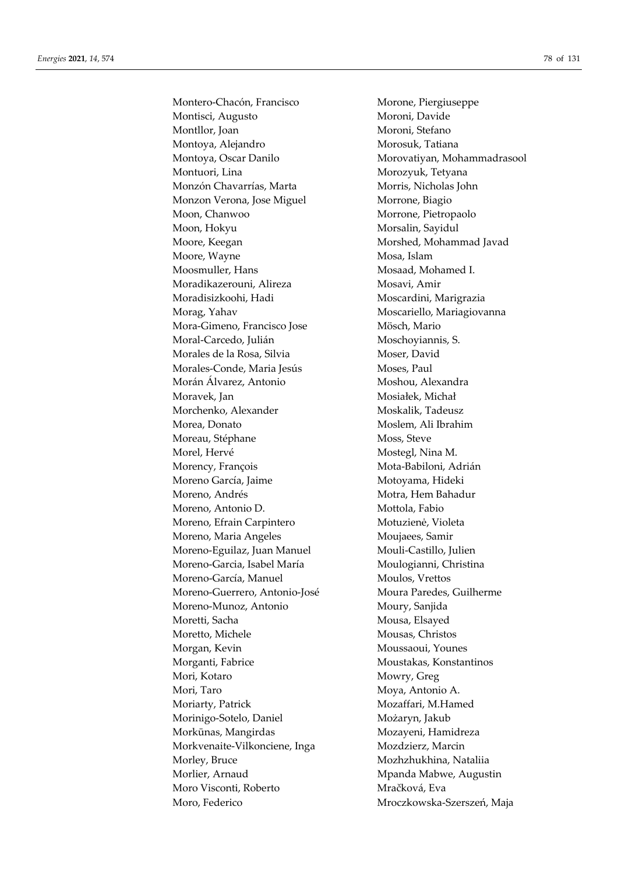Montero-Chacón, Francisco Morone, Piergiuseppe Montisci, Augusto Moroni, Davide Montllor, Joan Moroni, Stefano Montoya, Alejandro Morosuk, Tatiana Montoya, Oscar Danilo Morovatiyan, Mohammadrasool Montuori, Lina **Montuori**, Lina **Montuori**, Lina Monzón Chavarrías, Marta Morris, Nicholas John Monzon Verona, Jose Miguel Morrone, Biagio Moon, Chanwoo Morrone, Pietropaolo Moon, Hokyu Morsalin, Sayidul Moore, Keegan Morshed, Mohammad Javad Moore, Wayne Mosa, Islam Moosmuller, Hans Mosaad, Mohamed I. Moradikazerouni, Alireza Mosavi, Amir Moradisizkoohi, Hadi Moscardini, Marigrazia Morag, Yahav Moscariello, Mariagiovanna Mora-Gimeno, Francisco Jose Mösch, Mario Moral-Carcedo, Julián Moschoyiannis, S. Morales de la Rosa, Silvia Moser, David Morales-Conde, Maria Jesús Moses, Paul Morán Álvarez, Antonio Moshou, Alexandra Moravek, Jan Mosiałek, Michał Morchenko, Alexander Moskalik, Tadeusz Morea, Donato **Moslem**, Ali Ibrahim Moreau, Stéphane Moss, Steve Morel, Hervé **Mostegl**, Nina M. Morency, François Mota-Babiloni, Adrián Moreno García, Jaime Motoyama, Hideki Moreno, Andrés Motra, Hem Bahadur Moreno, Antonio D. Mottola, Fabio Moreno, Efrain Carpintero Motuzienė, Violeta Moreno, Maria Angeles Moujaees, Samir Moreno-Eguilaz, Juan Manuel Mouli-Castillo, Julien Moreno-Garcia, Isabel María Moulogianni, Christina Moreno-García, Manuel Moulos, Vrettos Moreno-Guerrero, Antonio-José Moura Paredes, Guilherme Moreno-Munoz, Antonio Moury, Sanjida Moretti, Sacha Mousa, Elsayed Moretto, Michele Mousas, Christos Morgan, Kevin Moussaoui, Younes Morganti, Fabrice **Moustakas**, Konstantinos Mori, Kotaro Mowry, Greg Mori, Taro Mova, Antonio A. Moriarty, Patrick Mozaffari, M.Hamed Morinigo-Sotelo, Daniel Możaryn, Jakub Morkūnas, Mangirdas Mozayeni, Hamidreza Morkvenaite-Vilkonciene, Inga Mozdzierz, Marcin Morley, Bruce Mozhzhukhina, Nataliia Morlier, Arnaud Morlier, Arnaud Mpanda Mabwe, Augustin Moro Visconti, Roberto Mračková, Eva Moro, Federico Mroczkowska-Szerszeń, Maja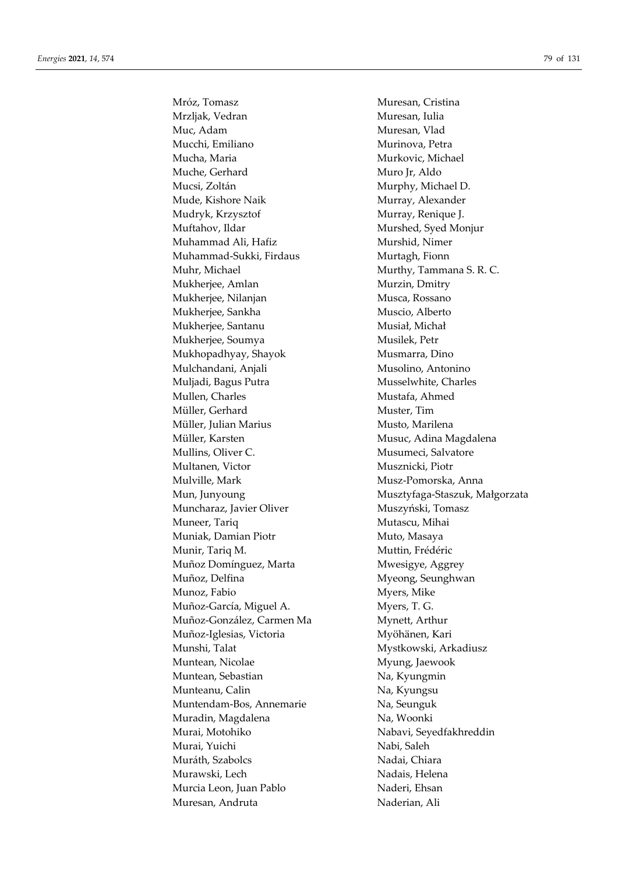Mróz, Tomasz Muresan, Cristina Mrzljak, Vedran Muresan, Iulia Muc, Adam Muresan, Vlad Mucchi, Emiliano Murinova, Petra Mucha, Maria **Murkovic**, Michael Muche, Gerhard Muro Jr, Aldo Mucsi, Zoltán Murphy, Michael D. Mude, Kishore Naik Murray, Alexander Mudryk, Krzysztof Murray, Renique J. Muftahov, Ildar Murshed, Syed Monjur Muhammad Ali, Hafiz Murshid, Nimer Muhammad-Sukki, Firdaus Murtagh, Fionn Muhr, Michael Murthy, Tammana S. R. C. Mukherjee, Amlan Murzin, Dmitry Mukherjee, Nilanjan Musca, Rossano Mukherjee, Sankha Muscio, Alberto Mukherjee, Santanu Musiał, Michał Mukherjee, Soumya Musilek, Petr Mukhopadhyay, Shayok Musmarra, Dino Mulchandani, Anjali Musolino, Antonino Muljadi, Bagus Putra Musselwhite, Charles Mullen, Charles Mustafa, Ahmed Müller, Gerhard Muster, Tim Müller, Julian Marius Musto, Marilena Müller, Karsten Musuc, Adina Magdalena Mullins, Oliver C. Musumeci, Salvatore Multanen, Victor **Musznicki**, Piotr Mulville, Mark Musz-Pomorska, Anna Muncharaz, Javier Oliver Muszyński, Tomasz Muneer, Tariq **Munitisms** Mutascu, Mihai Muniak, Damian Piotr Muto, Masaya Munir, Tariq M. Muttin, Frédéric Muñoz Domínguez, Marta Mwesigye, Aggrey Muñoz, Delfina Myeong, Seunghwan Munoz, Fabio Myers, Mike Muñoz-García, Miguel A. Myers, T. G. Muñoz-González, Carmen Ma Mynett, Arthur Muñoz-Iglesias, Victoria Myöhänen, Kari Munshi, Talat Mystkowski, Arkadiusz Muntean, Nicolae Myung, Jaewook Muntean, Sebastian Na, Kyungmin Munteanu, Calin Na, Kyungsu Muntendam-Bos, Annemarie Na, Seunguk Muradin, Magdalena Na, Woonki Murai, Motohiko Nabavi, Seyedfakhreddin Murai, Yuichi Nabi, Saleh Muráth, Szabolcs Nadai, Chiara Murawski, Lech Nadais, Helena Murcia Leon, Juan Pablo Naderi, Ehsan Muresan, Andruta Naderian, Ali

Mun, Junyoung Musztyfaga-Staszuk, Małgorzata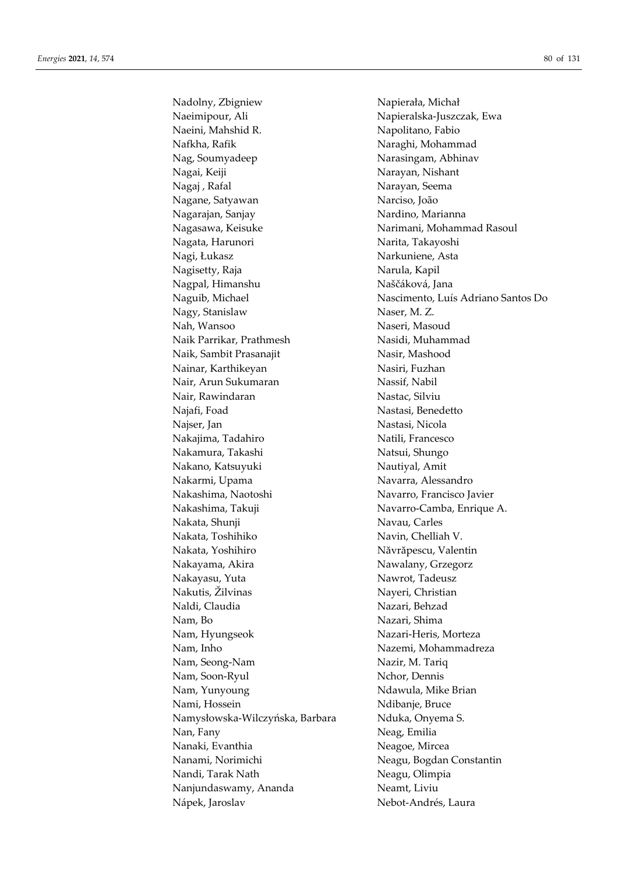Nadolny, Zbigniew Napierała, Michał Naeimipour, Ali Napieralska-Juszczak, Ewa Naeini, Mahshid R. Napolitano, Fabio Nafkha, Rafik Naraghi, Mohammad Nag, Soumyadeep Narasingam, Abhinav Nagai, Keiji Narayan, Nishant Nagaj , Rafal Narayan, Seema Nagane, Satyawan Narciso, João Nagarajan, Sanjay Nardino, Marianna Nagasawa, Keisuke Narimani, Mohammad Rasoul Nagata, Harunori Narita, Takayoshi Nagi, Łukasz Narkuniene, Asta Nagisetty, Raja Narula, Kapil Nagpal, Himanshu Naščáková, Jana Nagy, Stanislaw Naser, M. Z. Nah, Wansoo Naseri, Masoud Naik Parrikar, Prathmesh Nasidi, Muhammad Naik, Sambit Prasanajit Nasir, Mashood Nainar, Karthikeyan Nasiri, Fuzhan Nair, Arun Sukumaran Nassif, Nabil Nair, Rawindaran Nastac, Silviu Najafi, Foad Nastasi, Benedetto Najser, Jan Nastasi, Nicola Nakajima, Tadahiro Natili, Francesco Nakamura, Takashi Natsui, Shungo Nakano, Katsuyuki Nautiyal, Amit Nakarmi, Upama Navarra, Alessandro Nakashima, Naotoshi Navarro, Francisco Javier Nakashima, Takuji Navarro-Camba, Enrique A. Nakata, Shunji Navau, Carles Nakata, Toshihiko Navin, Chelliah V. Nakata, Yoshihiro Năvrăpescu, Valentin Nakayama, Akira Nawalany, Grzegorz Nakayasu, Yuta Nawrot, Tadeusz Nakutis, Žilvinas Nayeri, Christian Naldi, Claudia Nazari, Behzad Nam, Bo Nazari, Shima Nam, Hyungseok Nazari-Heris, Morteza Nam, Inho Nazemi, Mohammadreza Nam, Seong-Nam Nazir, M. Tariq Nam, Soon-Ryul Nchor, Dennis Nam, Yunyoung Names Ndawula, Mike Brian Nami, Hossein Ndibanje, Bruce Namysłowska-Wilczyńska, Barbara Nduka, Onyema S. Nan, Fany Neag, Emilia Nanaki, Evanthia Neagoe, Mircea Nanami, Norimichi Neagu, Bogdan Constantin Nandi, Tarak Nath Neagu, Olimpia Nanjundaswamy, Ananda Neamt, Liviu Nápek, Jaroslav Nebot-Andrés, Laura

Naguib, Michael Nascimento, Luís Adriano Santos Do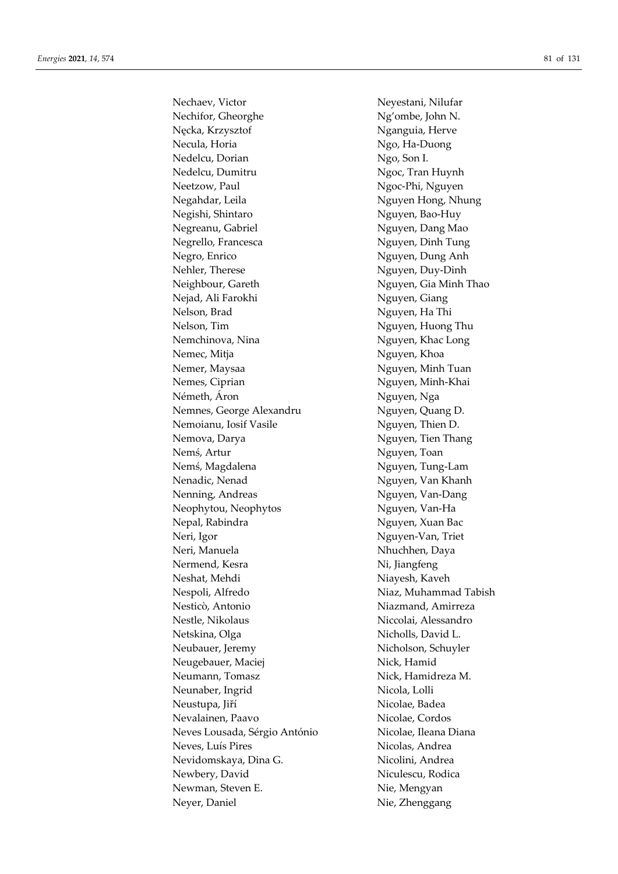Nechaev, Victor Neyestani, Nilufar Nechifor, Gheorghe Ng'ombe, John N. Nęcka, Krzysztof **Nganguia**, Herve Necula, Horia Ngo, Ha-Duong Nedelcu, Dorian Ngo, Son I. Nedelcu, Dumitru Ngoc, Tran Huynh Neetzow, Paul Ngoc-Phi, Nguyen Negahdar, Leila Nguyen Hong, Nhung Negishi, Shintaro Nguyen, Bao-Huy Negreanu, Gabriel Nguyen, Dang Mao Negrello, Francesca Nguyen, Dinh Tung Negro, Enrico Nguyen, Dung Anh Nehler, Therese Nguyen, Duy-Dinh Neighbour, Gareth Nguyen, Gia Minh Thao Nejad, Ali Farokhi Nguyen, Giang Nelson, Brad Nguyen, Ha Thi Nelson, Tim Nguyen, Huong Thu Nemchinova, Nina Nguyen, Khac Long Nemec, Mitja Nguyen, Khoa Nemer, Maysaa Nguyen, Minh Tuan Nemes, Ciprian Nguyen, Minh-Khai Németh, Áron Nguyen, Nga Nemnes, George Alexandru Nguyen, Quang D. Nemoianu, Iosif Vasile Nguyen, Thien D. Nemova, Darya Nguyen, Tien Thang Nemś, Artur Nguyen, Toan Nemś, Magdalena Nguyen, Tung-Lam Nenadic, Nenad Nguyen, Van Khanh Nenning, Andreas Nguyen, Van-Dang Neophytou, Neophytos Nguyen, Van-Ha Nepal, Rabindra Nguyen, Xuan Bac Neri, Igor Nguyen-Van, Triet Neri, Manuela Nhuchhen, Daya Nermend, Kesra Ni, Jiangfeng Neshat, Mehdi Niayesh, Kaveh Nespoli, Alfredo Niaz, Muhammad Tabish Nesticò, Antonio Niazmand, Amirreza Nestle, Nikolaus Niccolai, Alessandro Netskina, Olga Nicholls, David L. Neubauer, Jeremy Nicholson, Schuyler Neugebauer, Maciej Nick, Hamid Neumann, Tomasz Nick, Hamidreza M. Neunaber, Ingrid Nicola, Lolli Neustupa, Jiří Nicolae, Badea Nevalainen, Paavo Nicolae, Cordos Neves Lousada, Sérgio António Nicolae, Ileana Diana Neves, Luís Pires Nicolas, Andrea Nevidomskaya, Dina G. Nicolini, Andrea Newbery, David Niculescu, Rodica Newman, Steven E. Nie, Mengyan Neyer, Daniel Nie, Zhenggang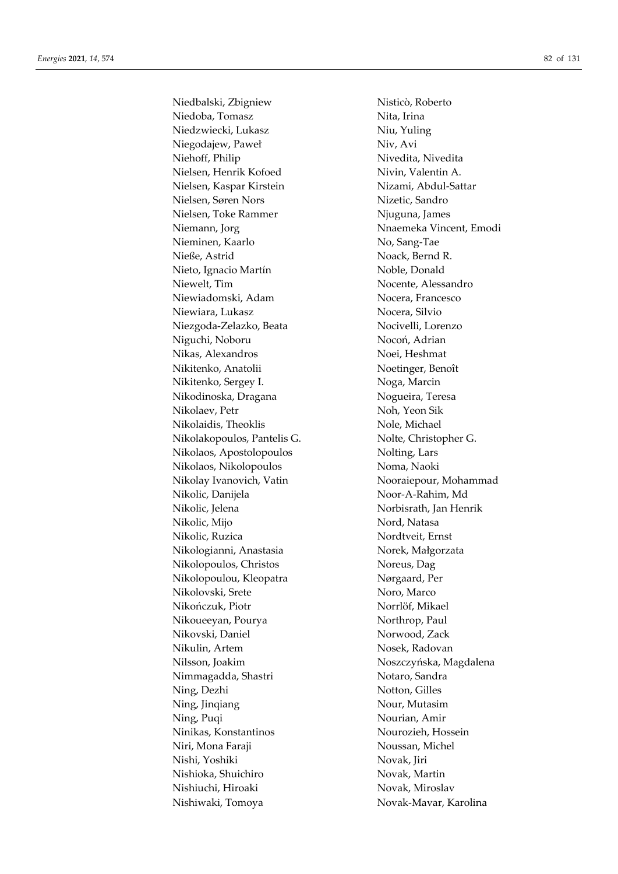Niedbalski, Zbigniew Nisticò, Roberto Niedoba, Tomasz Nita, Irina Niedzwiecki, Lukasz Niu, Yuling Niegodajew, Paweł Niv, Avi Niehoff, Philip Nivedita, Nivedita Nielsen, Henrik Kofoed Nivin, Valentin A. Nielsen, Kaspar Kirstein Nizami, Abdul-Sattar Nielsen, Søren Nors Nizetic, Sandro Nielsen, Toke Rammer Niuguna, James Niemann, Jorg Niemann, Jorg Niemann, Emodi Nieminen, Kaarlo No, Sang-Tae Nieße, Astrid Noack, Bernd R. Nieto, Ignacio Martín Noble, Donald Niewelt, Tim Nocente, Alessandro Niewiadomski, Adam Nocera, Francesco Niewiara, Lukasz Nocera, Silvio Niezgoda-Zelazko, Beata Nocivelli, Lorenzo Niguchi, Noboru Nocoń, Adrian Nikas, Alexandros Noei, Heshmat Nikitenko, Anatolii Noetinger, Benoît Nikitenko, Sergey I. Noga, Marcin Nikodinoska, Dragana Nogueira, Teresa Nikolaev, Petr Noh, Yeon Sik Nikolaidis, Theoklis Nole, Michael Nikolakopoulos, Pantelis G. Nolte, Christopher G. Nikolaos, Apostolopoulos Nolting, Lars Nikolaos, Nikolopoulos Noma, Naoki Nikolay Ivanovich, Vatin Nooraiepour, Mohammad Nikolic, Danijela Noor-A-Rahim, Md Nikolic, Jelena Norbisrath, Jan Henrik Nikolic, Mijo Nord, Natasa Nikolic, Ruzica Nordtveit, Ernst Nikologianni, Anastasia Norek, Małgorzata Nikolopoulos, Christos Noreus, Dag Nikolopoulou, Kleopatra Nørgaard, Per Nikolovski, Srete Noro, Marco Nikończuk, Piotr Norrlöf, Mikael Nikoueeyan, Pourya Northrop, Paul Nikovski, Daniel Norwood, Zack Nikulin, Artem Nosek, Radovan Nilsson, Joakim Noszczyńska, Magdalena Nimmagadda, Shastri Notaro, Sandra Ning, Dezhi Notton, Gilles Ning, Jinqiang Nour, Mutasim Ning, Puqi Nourian, Amir Ninikas, Konstantinos Nourozieh, Hossein Niri, Mona Faraji Noussan, Michel Nishi, Yoshiki Novak, Jiri Nishioka, Shuichiro Novak, Martin Nishiuchi, Hiroaki Novak, Miroslav Nishiwaki, Tomoya Novak-Mavar, Karolina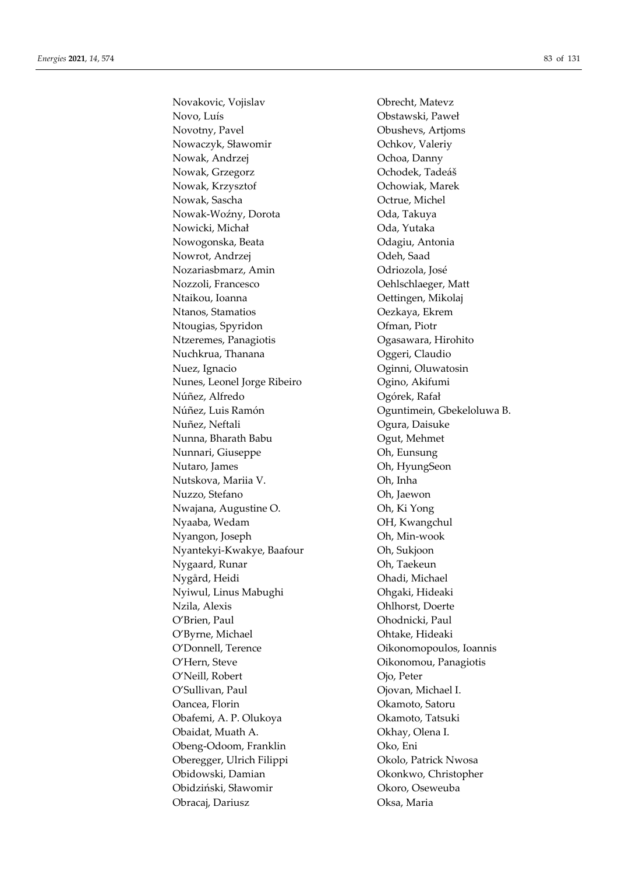Novakovic, Vojislav Obrecht, Matevz Novo, Luís Obstawski, Paweł Novotny, Pavel Obushevs, Artjoms Nowaczyk, Sławomir Ochkov, Valeriy Nowak, Andrzej **Ochoa**, Danny Nowak, Grzegorz **Ochodek**, Tadeáš Nowak, Krzysztof Ochowiak, Marek Nowak, Sascha **Octrue**, Michel Nowak-Woźny, Dorota Oda, Takuya Nowicki, Michał Oda, Yutaka Nowogonska, Beata Odagiu, Antonia Nowrot, Andrzej **Odeh**, Saad Nozariasbmarz, Amin Odriozola, José Nozzoli, Francesco **Oehlschlaeger**, Matt Ntaikou, Ioanna **Oettingen**, Mikolaj Ntanos, Stamatios Oezkaya, Ekrem Ntougias, Spyridon Ofman, Piotr Ntzeremes, Panagiotis Ogasawara, Hirohito Nuchkrua, Thanana **Oggeri**, Claudio Nuez, Ignacio Oginni, Oluwatosin Nunes, Leonel Jorge Ribeiro Ogino, Akifumi Núñez, Alfredo Ogórek, Rafał Núñez, Luis Ramón Oguntimein, Gbekeloluwa B. Nuñez, Neftali Ogura, Daisuke Nunna, Bharath Babu Ogut, Mehmet Nunnari, Giuseppe Oh, Eunsung Nutaro, James Oh, HyungSeon Nutskova, Mariia V. Oh, Inha Nuzzo, Stefano Oh, Jaewon Nwajana, Augustine O. Oh, Ki Yong Nyaaba, Wedam OH, Kwangchul Nyangon, Joseph Oh, Min-wook Nyantekyi-Kwakye, Baafour Oh, Sukjoon Nygaard, Runar **Oh, Taekeun** Nygård, Heidi Ohadi, Michael Nyiwul, Linus Mabughi Ohgaki, Hideaki Nzila, Alexis Ohlhorst, Doerte O'Brien, Paul Ohodnicki, Paul O'Byrne, Michael **O'Byrne**, Michael **Ohtake**, Hideaki O'Donnell, Terence Oikonomopoulos, Ioannis O'Hern, Steve **Oikonomou**, Panagiotis O'Neill, Robert Ojo, Peter O'Sullivan, Paul Ojovan, Michael I. Oancea, Florin Okamoto, Satoru Obafemi, A. P. Olukoya Okamoto, Tatsuki Obaidat, Muath A. Okhay, Olena I. Obeng-Odoom, Franklin Oko, Eni Oberegger, Ulrich Filippi Okolo, Patrick Nwosa Obidowski, Damian Okonkwo, Christopher Obidziński, Sławomir Okoro, Oseweuba Obracaj, Dariusz Oksa, Maria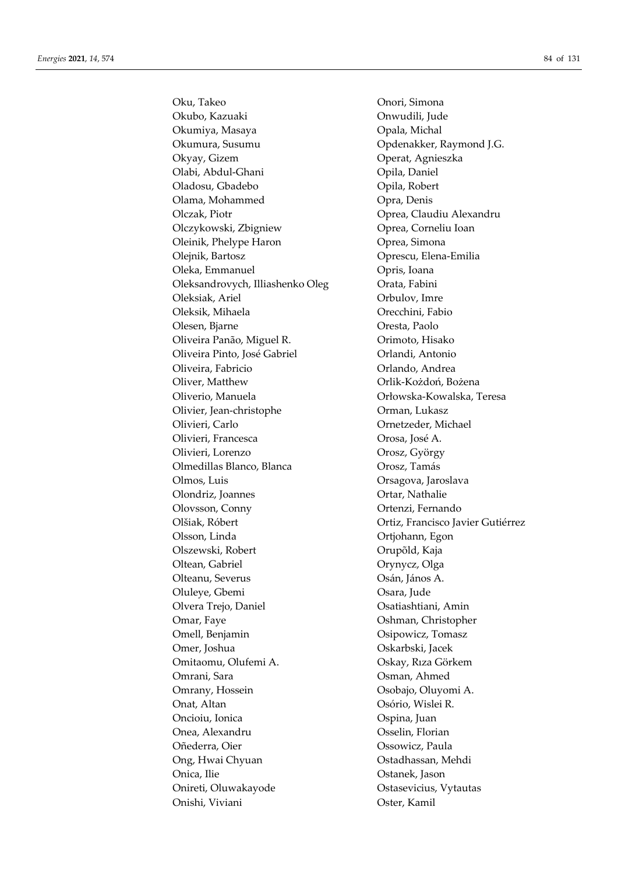Oku, Takeo Onori, Simona Okubo, Kazuaki Onwudili, Jude Okumiya, Masaya **Opala**, Michal Okumura, Susumu Opdenakker, Raymond J.G. Okyay, Gizem Operat, Agnieszka Olabi, Abdul-Ghani Opila, Daniel Oladosu, Gbadebo Opila, Robert Olama, Mohammed Opra, Denis Olczak, Piotr Oprea, Claudiu Alexandru Olczykowski, Zbigniew Oprea, Corneliu Ioan Oleinik, Phelype Haron **Oprea**, Simona Olejnik, Bartosz Oprescu, Elena-Emilia Oleka, Emmanuel Opris, Ioana Oleksandrovych, Illiashenko Oleg Orata, Fabini Oleksiak, Ariel Orbulov, Imre Oleksik, Mihaela Orecchini, Fabio Olesen, Bjarne Oresta, Paolo Oliveira Panão, Miguel R. Orimoto, Hisako Oliveira Pinto, José Gabriel Orlandi, Antonio Oliveira, Fabricio Orlando, Andrea Oliver, Matthew Orlik-Kożdoń, Bożena Oliverio, Manuela Orłowska-Kowalska, Teresa Olivier, Jean-christophe Orman, Lukasz Olivieri, Carlo Ornetzeder, Michael Olivieri, Francesca Orosa, José A. Olivieri, Lorenzo Orosz, György Olmedillas Blanco, Blanca Orosz, Tamás Olmos, Luis Orsagova, Jaroslava Olondriz, Joannes Ortar, Nathalie Olovsson, Conny Ortenzi, Fernando Olšiak, Róbert Ortiz, Francisco Javier Gutiérrez Olsson, Linda Ortjohann, Egon Olszewski, Robert Orupõld, Kaja Oltean, Gabriel Orynycz, Olga Olteanu, Severus Osán, János A. Oluleye, Gbemi Osara, Jude Olvera Trejo, Daniel Osatiashtiani, Amin Omar, Faye Oshman, Christopher Omell, Benjamin **Osipowicz**, Tomasz Omer, Joshua Oskarbski, Jacek Omitaomu, Olufemi A. Oskay, Rıza Görkem Omrani, Sara Osman, Ahmed Omrany, Hossein Csobajo, Oluyomi A. Onat, Altan Osório, Wislei R. Oncioiu, Ionica Ospina, Juan Onea, Alexandru Osselin, Florian Oñederra, Oier Ossowicz, Paula Ong, Hwai Chyuan **Ostadhassan**, Mehdi Onica, Ilie Ostanek, Jason Onireti, Oluwakayode Ostasevicius, Vytautas Onishi, Viviani Oster, Kamil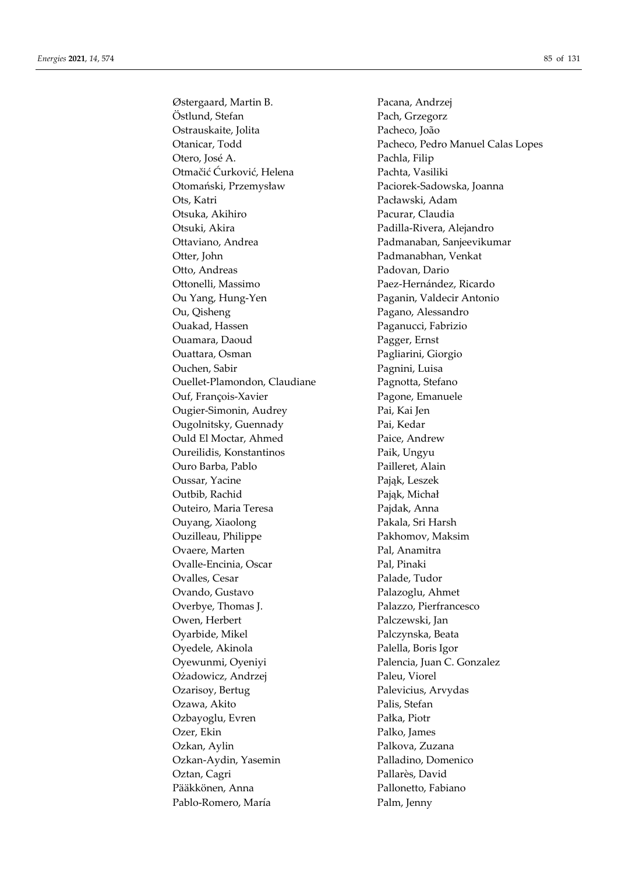Østergaard, Martin B. Pacana, Andrzej Östlund, Stefan Pach, Grzegorz Ostrauskaite, Jolita Pacheco, João Otero, José A. Pachla, Filip Otmačić Ćurković, Helena Pachta, Vasiliki Otomański, Przemysław Paciorek-Sadowska, Joanna Ots, Katri Pacławski, Adam Otsuka, Akihiro Pacurar, Claudia Otsuki, Akira **Padilla-Rivera, Alejandro** Ottaviano, Andrea Padmanaban, Sanjeevikumar Otter, John Padmanabhan, Venkat Otto, Andreas Padovan, Dario Ottonelli, Massimo Paez-Hernández, Ricardo Ou Yang, Hung-Yen Paganin, Valdecir Antonio Ou, Qisheng Pagano, Alessandro Ouakad, Hassen Paganucci, Fabrizio Ouamara, Daoud Pagger, Ernst Ouattara, Osman Pagliarini, Giorgio Ouchen, Sabir Pagnini, Luisa Ouellet-Plamondon, Claudiane Pagnotta, Stefano Ouf, François-Xavier Pagone, Emanuele Ougier-Simonin, Audrey Pai, Kai Jen Ougolnitsky, Guennady Pai, Kedar Ould El Moctar, Ahmed Paice, Andrew Oureilidis, Konstantinos Paik, Ungyu Ouro Barba, Pablo Pailleret, Alain Oussar, Yacine Pająk, Leszek Outbib, Rachid Pająk, Michał Outeiro, Maria Teresa Pajdak, Anna Ouyang, Xiaolong Pakala, Sri Harsh Ouzilleau, Philippe Pakhomov, Maksim Ovaere, Marten Pal, Anamitra Ovalle-Encinia, Oscar Pal, Pinaki Ovalles, Cesar Palade, Tudor Ovando, Gustavo Palazoglu, Ahmet Overbye, Thomas J. Palazzo, Pierfrancesco Owen, Herbert Palczewski, Jan Oyarbide, Mikel Palczynska, Beata Oyedele, Akinola Palella, Boris Igor Oyewunmi, Oyeniyi Palencia, Juan C. Gonzalez Ożadowicz, Andrzej Paleu, Viorel Ozarisoy, Bertug Palevicius, Arvydas Ozawa, Akito Palis, Stefan Ozbayoglu, Evren Pałka, Piotr Ozer, Ekin Palko, James Ozkan, Aylin Palkova, Zuzana Ozkan-Aydin, Yasemin Palladino, Domenico Oztan, Cagri Pallarès, David Pääkkönen, Anna Pallonetto, Fabiano Pablo-Romero, María Palm, Jenny

Otanicar, Todd Pacheco, Pedro Manuel Calas Lopes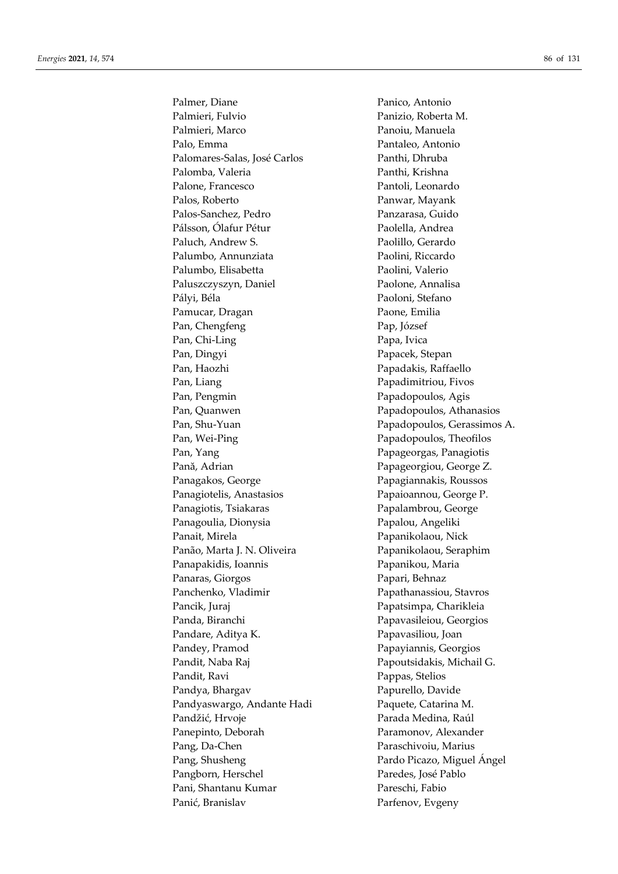Palmer, Diane Panico, Antonio Palmieri, Fulvio Panizio, Roberta M. Palmieri, Marco Panoiu, Manuela Palo, Emma Pantaleo, Antonio Palomares-Salas, José Carlos Panthi, Dhruba Palomba, Valeria Panthi, Krishna Palone, Francesco Pantoli, Leonardo Palos, Roberto Panwar, Mayank Palos-Sanchez, Pedro Panzarasa, Guido Pálsson, Ólafur Pétur Paolella, Andrea Paluch, Andrew S. Paolillo, Gerardo Palumbo, Annunziata Paolini, Riccardo Palumbo, Elisabetta Paolini, Valerio Paluszczyszyn, Daniel Paolone, Annalisa Pályi, Béla Paoloni, Stefano Pamucar, Dragan Paone, Emilia Pan, Chengfeng Pap, József Pan, Chi-Ling Papa, Ivica Pan, Dingyi Papacek, Stepan Pan, Haozhi **Papadakis**, Raffaello Pan, Liang Papadimitriou, Fivos Pan, Pengmin Papadopoulos, Agis Pan, Quanwen Papadopoulos, Athanasios Pan, Shu-Yuan Papadopoulos, Gerassimos A. Pan, Wei-Ping Papadopoulos, Theofilos Pan, Yang Papageorgas, Panagiotis Pană, Adrian Papageorgiou, George Z. Panagakos, George Papagiannakis, Roussos Panagiotelis, Anastasios Papaioannou, George P. Panagiotis, Tsiakaras Papalambrou, George Panagoulia, Dionysia Papalou, Angeliki Panait, Mirela Papanikolaou, Nick Panão, Marta J. N. Oliveira Papanikolaou, Seraphim Panapakidis, Ioannis Papanikou, Maria Panaras, Giorgos Papari, Behnaz Panchenko, Vladimir Papathanassiou, Stavros Pancik, Juraj Papatsimpa, Charikleia Panda, Biranchi Papavasileiou, Georgios Pandare, Aditya K. Papavasiliou, Joan Pandey, Pramod Papayiannis, Georgios Pandit, Naba Raj Papoutsidakis, Michail G. Pandit, Ravi Pappas, Stelios Pandya, Bhargav Papurello, Davide Pandyaswargo, Andante Hadi Paquete, Catarina M. Pandžić, Hrvoje Parada Medina, Raúl Panepinto, Deborah Paramonov, Alexander Pang, Da-Chen Paraschivoiu, Marius Pang, Shusheng Pardo Picazo, Miguel Ángel Pangborn, Herschel Paredes, José Pablo Pani, Shantanu Kumar Pareschi, Fabio Panić, Branislav Parfenov, Evgeny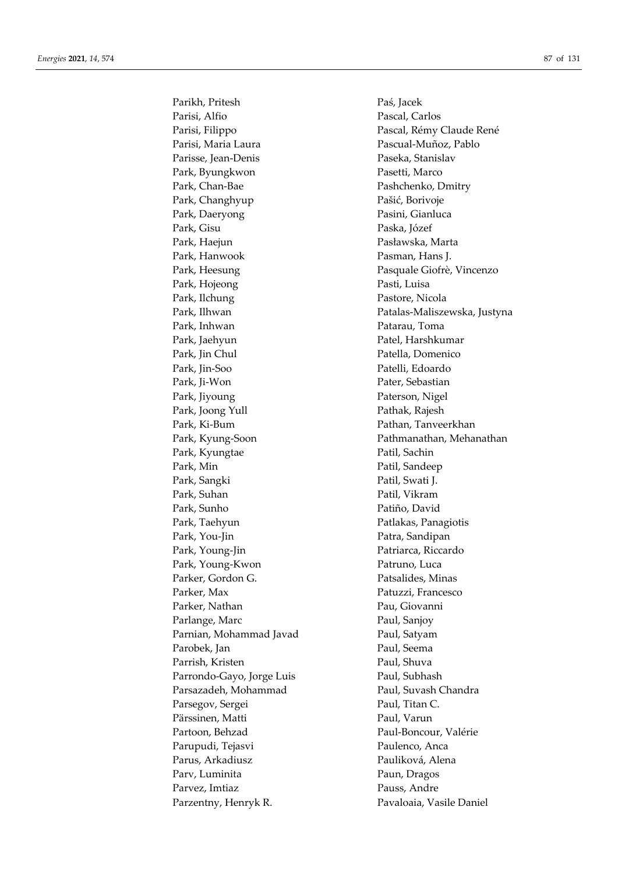Parikh, Pritesh Paś, Jacek Parisi, Alfio Pascal, Carlos Parisi, Maria Laura **Pascual-Muñoz**, Pablo Parisse, Jean-Denis Paseka, Stanislav Park, Byungkwon Pasetti, Marco Park, Chan-Bae Pashchenko, Dmitry Park, Changhyup Pašić, Borivoje Park, Daeryong Pasini, Gianluca Park, Gisu Paska, Józef Park, Haejun Pasławska, Marta Park, Hanwook Pasman, Hans J. Park, Hojeong Pasti, Luisa Park, Ilchung Pastore, Nicola Park, Inhwan Patarau, Toma Park, Jaehyun Patel, Harshkumar Park, Jin Chul Patella, Domenico Park, Jin-Soo Patelli, Edoardo Park, Ji-Won Pater, Sebastian Park, Jiyoung Paterson, Nigel Park, Joong Yull **Pathak**, Rajesh Park, Ki-Bum Pathan, Tanveerkhan Park, Kyungtae Patil, Sachin Park, Min Patil, Sandeep Park, Sangki **Patil**, Swati J. Park, Suhan Patil, Vikram Park, Sunho Patiño, David Park, Taehyun Patlakas, Panagiotis Park, You-Jin Park, You-Jin Park, Young-Jin Patriarca, Riccardo Park, Young-Kwon Patruno, Luca Parker, Gordon G. **Patsalides**, Minas Parker, Max Patuzzi, Francesco Parker, Nathan Pau, Giovanni Parlange, Marc Paul, Sanjoy Parnian, Mohammad Javad Paul, Satyam Parobek, Jan Paul, Seema Parrish, Kristen Paul, Shuva Parrondo-Gayo, Jorge Luis Paul, Subhash Parsazadeh, Mohammad Paul, Suvash Chandra Parsegov, Sergei Paul, Titan C. Pärssinen, Matti Paul, Varun Partoon, Behzad Paul-Boncour, Valérie Parupudi, Tejasvi Paulenco, Anca Parus, Arkadiusz **Pauliková, Alena** Parv, Luminita Paun, Dragos Parvez, Imtiaz Pauss, Andre Parzentny, Henryk R. Pavaloaia, Vasile Daniel

Parisi, Filippo Pascal, Rémy Claude René Park, Heesung Pasquale Giofrè, Vincenzo Park, Ilhwan Patalas-Maliszewska, Justyna Park, Kyung-Soon Pathmanathan, Mehanathan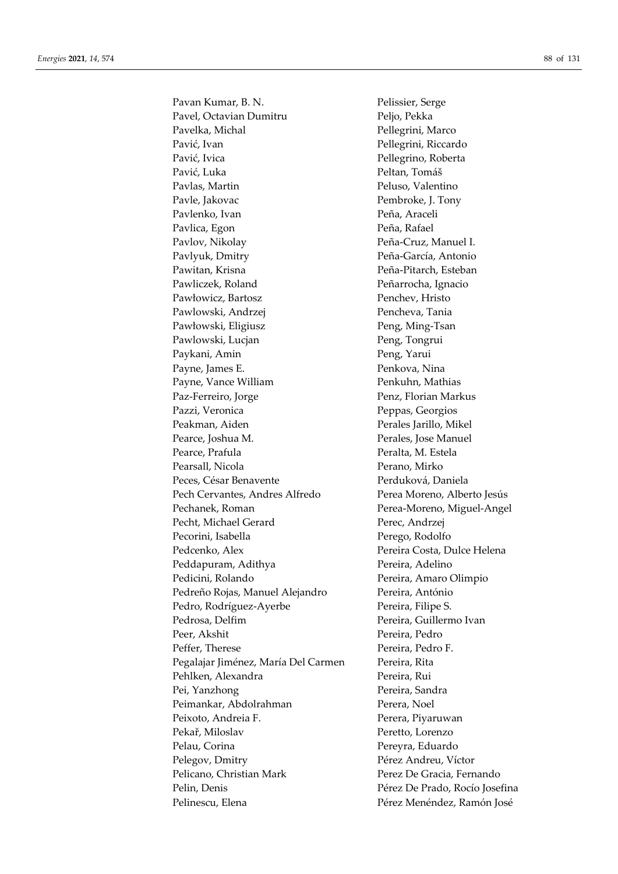Pavan Kumar, B. N. Pelissier, Serge Pavel, Octavian Dumitru Peljo, Pekka Pavelka, Michal Pellegrini, Marco Pavić, Ivan Pavić, Ivan Pellegrini, Riccardo Pavić, Ivica Pellegrino, Roberta Pavić, Luka Peltan, Tomáš Pavlas, Martin Peluso, Valentino Pavle, Jakovac Pembroke, J. Tony Pavlenko, Ivan Peña, Araceli Pavlica, Egon Peña, Rafael Pavlov, Nikolay Peña-Cruz, Manuel I. Pavlyuk, Dmitry Peña-García, Antonio Pawitan, Krisna **Peña-Pitarch**, Esteban Pawliczek, Roland Peñarrocha, Ignacio Pawłowicz, Bartosz Penchev, Hristo Pawlowski, Andrzej Pencheva, Tania Pawłowski, Eligiusz Peng, Ming-Tsan Pawlowski, Lucjan Peng, Tongrui Paykani, Amin Peng, Yarui Payne, James E. Penkova, Nina Payne, Vance William Penkuhn, Mathias Paz-Ferreiro, Jorge Penz, Florian Markus Pazzi, Veronica Peppas, Georgios Peakman, Aiden Perales Jarillo, Mikel Pearce, Joshua M. Perales, Jose Manuel Pearce, Prafula Peralta, M. Estela Pearsall, Nicola Perano, Mirko Peces, César Benavente Perduková, Daniela Pech Cervantes, Andres Alfredo Perea Moreno, Alberto Jesús Pechanek, Roman Perea-Moreno, Miguel-Angel Pecht, Michael Gerard Perec, Andrzej Pecorini, Isabella Perego, Rodolfo Pedcenko, Alex Pereira Costa, Dulce Helena Peddapuram, Adithya Pereira, Adelino Pedicini, Rolando Pereira, Amaro Olimpio Pedreño Rojas, Manuel Alejandro Pereira, António Pedro, Rodríguez-Ayerbe Pereira, Filipe S. Pedrosa, Delfim Pereira, Guillermo Ivan Peer, Akshit Pereira, Pedro Peffer, Therese Pereira, Pedro F. Pegalajar Jiménez, María Del Carmen Pereira, Rita Pehlken, Alexandra **Pereira**, Rui Pei, Yanzhong Pereira, Sandra Peimankar, Abdolrahman Perera, Noel Peixoto, Andreia F. Perera, Piyaruwan Pekař, Miloslav Peretto, Lorenzo Pelau, Corina Pereyra, Eduardo Pelegov, Dmitry Pérez Andreu, Víctor Pelicano, Christian Mark Perez De Gracia, Fernando Pelin, Denis Pérez De Prado, Rocío Josefina Pelinescu, Elena Pérez Menéndez, Ramón José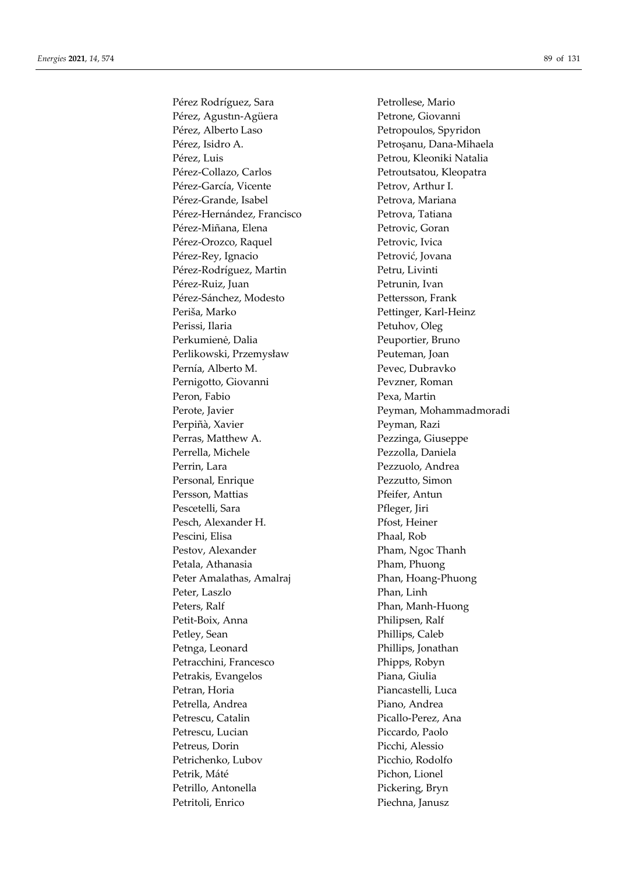Pérez Rodríguez, Sara Petrollese, Mario Pérez, Agustin-Agüera Petrone, Giovanni Pérez, Alberto Laso Petropoulos, Spyridon Pérez, Isidro A. Petrosanu, Dana-Mihaela Pérez, Luis Petrou, Kleoniki Natalia Pérez-Collazo, Carlos Petroutsatou, Kleopatra Pérez-García, Vicente Petrov, Arthur I. Pérez-Grande, Isabel Petrova, Mariana Pérez-Hernández, Francisco Petrova, Tatiana Pérez-Miñana, Elena Petrovic, Goran Pérez-Orozco, Raquel Petrovic, Ivica Pérez-Rey, Ignacio Petrović, Jovana Pérez-Rodríguez, Martin Petru, Livinti Pérez-Ruiz, Juan Petrunin, Ivan Pérez-Sánchez, Modesto Pettersson, Frank Periša, Marko Pettinger, Karl-Heinz Perissi, Ilaria Petuhov, Oleg Perkumienė, Dalia Peuportier, Bruno Perlikowski, Przemysław Peuteman, Joan Pernía, Alberto M. Pevec, Dubravko Pernigotto, Giovanni Pevzner, Roman Peron, Fabio Pexa, Martin Perote, Javier Peyman, Mohammadmoradi Perpiñà, Xavier Peyman, Razi Perras, Matthew A. Pezzinga, Giuseppe Perrella, Michele Pezzolla, Daniela Perrin, Lara Pezzuolo, Andrea Personal, Enrique Pezzutto, Simon Persson, Mattias Pfeifer, Antun Pescetelli, Sara Pfleger, Jiri Pesch, Alexander H. Pfost, Heiner Pescini, Elisa Phaal, Rob Pestov, Alexander Pham, Ngoc Thanh Petala, Athanasia Pham, Phuong Peter Amalathas, Amalraj Phan, Hoang-Phuong Peter, Laszlo Phan, Linh Peters, Ralf Phan, Manh-Huong Petit-Boix, Anna Philipsen, Ralf Petley, Sean Phillips, Caleb Petnga, Leonard Phillips, Jonathan Petracchini, Francesco Phipps, Robyn Petrakis, Evangelos Piana, Giulia Petran, Horia **Piancastelli**, Luca Petrella, Andrea **Piano, Andrea** Petrescu, Catalin Picallo-Perez, Ana Petrescu, Lucian Piccardo, Paolo Petreus, Dorin Picchi, Alessio Petrichenko, Lubov Picchio, Rodolfo Petrik, Máté Pichon, Lionel Petrillo, Antonella Pickering, Bryn Petritoli, Enrico Piechna, Janusz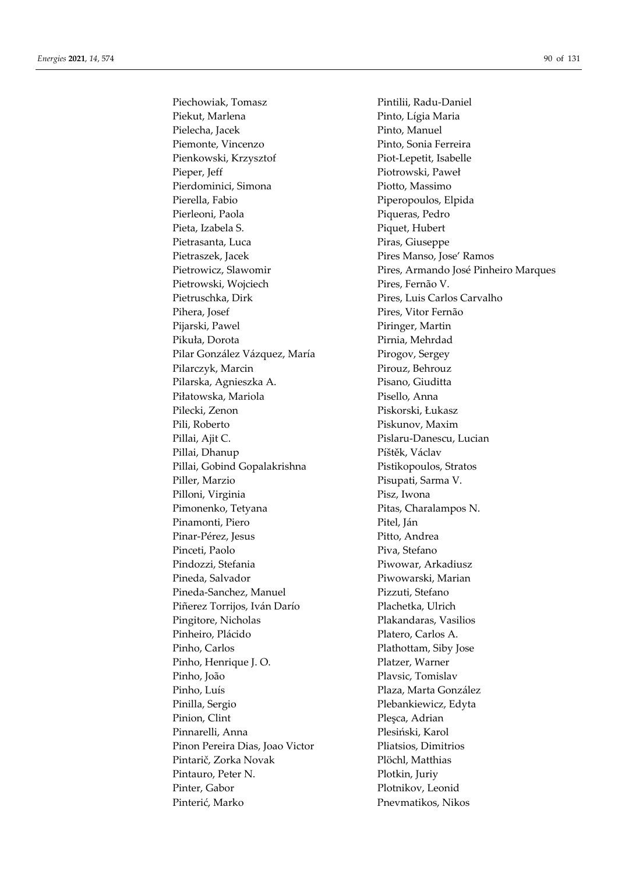Piechowiak, Tomasz Pintilii, Radu-Daniel Piekut, Marlena Pinto, Lígia Maria Pielecha, Jacek Pinto, Manuel Piemonte, Vincenzo Pinto, Sonia Ferreira Pienkowski, Krzysztof Piot-Lepetit, Isabelle Pieper, Jeff Piotrowski, Paweł Pierdominici, Simona Piotto, Massimo Pierella, Fabio Piperopoulos, Elpida Pierleoni, Paola Piqueras, Pedro Pieta, Izabela S. Piquet, Hubert Pietrasanta, Luca Piras, Giuseppe Pietraszek, Jacek Pires Manso, Jose' Ramos Pietrowski, Wojciech Pires, Fernão V. Pietruschka, Dirk Pires, Luis Carlos Carvalho Pihera, Josef Pires, Vitor Fernão Pijarski, Pawel Piringer, Martin Pikuła, Dorota Pirnia, Mehrdad Pilar González Vázquez, María Pirogov, Sergey Pilarczyk, Marcin Pirouz, Behrouz Pilarska, Agnieszka A. Pisano, Giuditta Piłatowska, Mariola Pisello, Anna Pilecki, Zenon Piskorski, Łukasz Pili, Roberto Piskunov, Maxim Pillai, Ajit C. Pislaru-Danescu, Lucian Pillai, Dhanup Píštěk, Václav Pillai, Gobind Gopalakrishna Pistikopoulos, Stratos Piller, Marzio Pisupati, Sarma V. Pilloni, Virginia Pisz, Iwona Pimonenko, Tetyana Pitas, Charalampos N. Pinamonti, Piero Pitel, Ján Pinar-Pérez, Jesus Pitto, Andrea Pinceti, Paolo Piva, Stefano Pindozzi, Stefania Piwowar, Arkadiusz Pineda, Salvador Piwowarski, Marian Pineda-Sanchez, Manuel Pizzuti, Stefano Piñerez Torrijos, Iván Darío Plachetka, Ulrich Pingitore, Nicholas Plakandaras, Vasilios Pinheiro, Plácido Platero, Carlos A. Pinho, Carlos Plathottam, Siby Jose Pinho, Henrique J. O. Platzer, Warner Pinho, João Plavsic, Tomislav Pinho, Luís Plaza, Marta González Pinilla, Sergio Plebankiewicz, Edyta Pinion, Clint Plesca, Adrian Pinnarelli, Anna **Plesiński, Karol** Pinon Pereira Dias, Joao Victor Pliatsios, Dimitrios Pintarič, Zorka Novak Plöchl, Matthias Pintauro, Peter N. Plotkin, Juriy Pinter, Gabor Plotnikov, Leonid Pinterić, Marko Pnevmatikos, Nikos

Pietrowicz, Slawomir Pires, Armando José Pinheiro Marques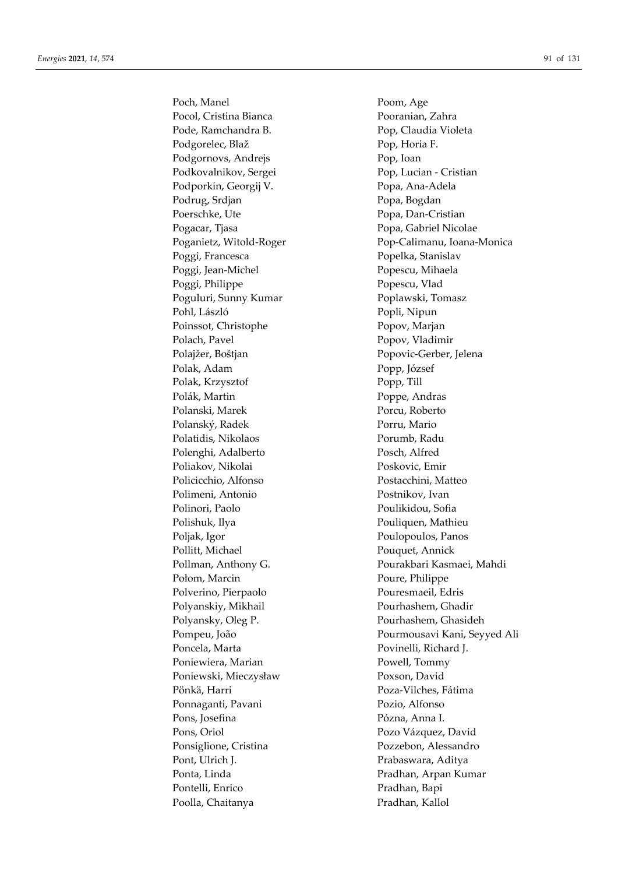Poch, Manel Poom, Age Pocol, Cristina Bianca Pooranian, Zahra Pode, Ramchandra B. Pop, Claudia Violeta Podgorelec, Blaž Pop, Horia F. Podgornovs, Andrejs Pop, Ioan Podkovalnikov, Sergei Pop, Lucian - Cristian Podporkin, Georgij V. Popa, Ana-Adela Podrug, Srdjan Popa, Bogdan Poerschke, Ute Popa, Dan-Cristian Pogacar, Tjasa Popa, Gabriel Nicolae Poggi, Francesca Popelka, Stanislav Poggi, Jean-Michel **Popescu**, Mihaela Poggi, Philippe Popescu, Vlad Poguluri, Sunny Kumar Poplawski, Tomasz Pohl, László Popli, Nipun Poinssot, Christophe Popov, Marjan Polach, Pavel Popov, Vladimir Polajžer, Boštjan Popovic-Gerber, Jelena Polak, Adam Popp, József Polak, Krzysztof Popp, Till Polák, Martin Poppe, Andras Polanski, Marek Porcu, Roberto Polanský, Radek Porru, Mario Polatidis, Nikolaos Porumb, Radu Polenghi, Adalberto Posch, Alfred Poliakov, Nikolai Poskovic, Emir Policicchio, Alfonso Postacchini, Matteo Polimeni, Antonio Postnikov, Ivan Polinori, Paolo Poulikidou, Sofia Polishuk, Ilya **Pouliquen, Mathieu** Poljak, Igor Poulopoulos, Panos Pollitt, Michael Pouquet, Annick Połom, Marcin Poure, Philippe Polverino, Pierpaolo Pouresmaeil, Edris Polyanskiy, Mikhail Pourhashem, Ghadir Polyansky, Oleg P. Pourhashem, Ghasideh Poncela, Marta Povinelli, Richard J. Poniewiera, Marian Powell, Tommy Poniewski, Mieczysław Poxson, David Pönkä, Harri Poza-Vilches, Fátima Ponnaganti, Pavani Pozio, Alfonso Pons, Josefina **Pózna**, Anna I. Pons, Oriol Pozo Vázquez, David Ponsiglione, Cristina Pozzebon, Alessandro Pont, Ulrich J. Prabaswara, Aditya Ponta, Linda Pradhan, Arpan Kumar Pontelli, Enrico Pradhan, Bapi Poolla, Chaitanya Pradhan, Kallol

Poganietz, Witold-Roger Pop-Calimanu, Ioana-Monica Pollman, Anthony G. Pourakbari Kasmaei, Mahdi Pompeu, João Pourmousavi Kani, Seyyed Ali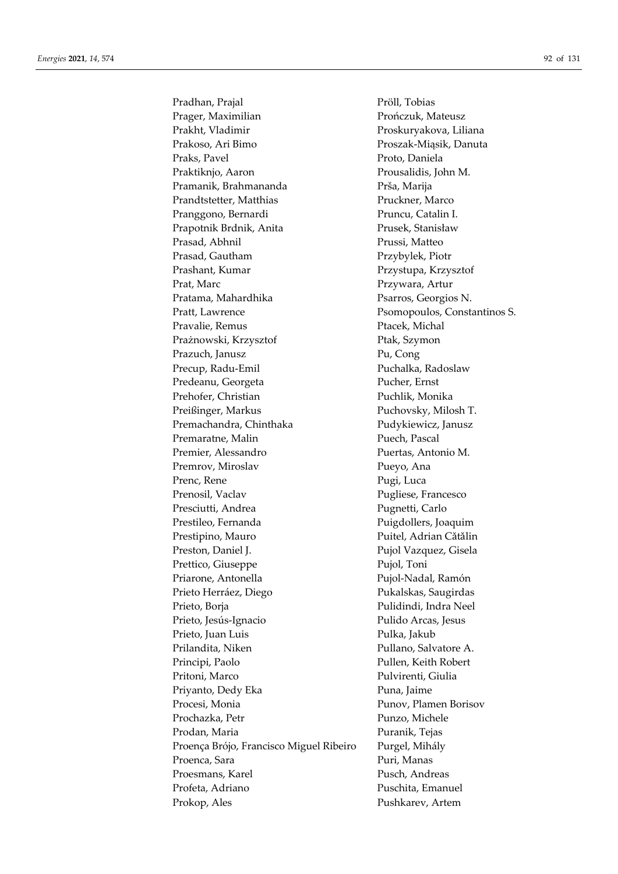Pradhan, Prajal Pröll, Tobias Prager, Maximilian Prończuk, Mateusz Prakht, Vladimir Proskuryakova, Liliana Prakoso, Ari Bimo Proszak-Miąsik, Danuta Praks, Pavel Proto, Daniela Praktiknjo, Aaron Prousalidis, John M. Pramanik, Brahmananda Prša, Marija Prandtstetter, Matthias Pruckner, Marco Pranggono, Bernardi Pruncu, Catalin I. Prapotnik Brdnik, Anita Prusek, Stanisław Prasad, Abhnil Prussi, Matteo Prasad, Gautham Przybylek, Piotr Prashant, Kumar Przystupa, Krzysztof Prat, Marc Przywara, Artur Pratama, Mahardhika Psarros, Georgios N. Pratt, Lawrence Psomopoulos, Constantinos S. Pravalie, Remus **Pravalie, Remus** Pracek, Michal Prażnowski, Krzysztof Ptak, Szymon Prazuch, Janusz Pu, Cong Precup, Radu-Emil Puchalka, Radoslaw Predeanu, Georgeta Pucher, Ernst Prehofer, Christian Puchlik, Monika Preißinger, Markus Puchovsky, Milosh T. Premachandra, Chinthaka Pudykiewicz, Janusz Premaratne, Malin Puech, Pascal Premier, Alessandro Puertas, Antonio M. Premrov, Miroslav Pueyo, Ana Prenc, Rene Pugi, Luca Prenosil, Vaclav Pugliese, Francesco Presciutti, Andrea Pugnetti, Carlo Prestileo, Fernanda Puigdollers, Joaquim Prestipino, Mauro Puitel, Adrian Cătălin Preston, Daniel J. Pujol Vazquez, Gisela Prettico, Giuseppe Pujol, Toni Priarone, Antonella Pujol-Nadal, Ramón Prieto Herráez, Diego Pukalskas, Saugirdas Prieto, Borja **Pulidindi**, Indra Neel Prieto, Jesús-Ignacio Pulido Arcas, Jesus Prieto, Juan Luis Pulka, Jakub Prilandita, Niken Pullano, Salvatore A. Principi, Paolo Pullen, Keith Robert Pritoni, Marco Pulvirenti, Giulia Priyanto, Dedy Eka Puna, Jaime Procesi, Monia Punov, Plamen Borisov Prochazka, Petr Punzo, Michele Prodan, Maria Puranik, Tejas Proença Brójo, Francisco Miguel Ribeiro Purgel, Mihály Proenca, Sara **Puri, Manas** Proesmans, Karel **Pusch, Andreas** Profeta, Adriano Puschita, Emanuel Prokop, Ales Pushkarev, Artem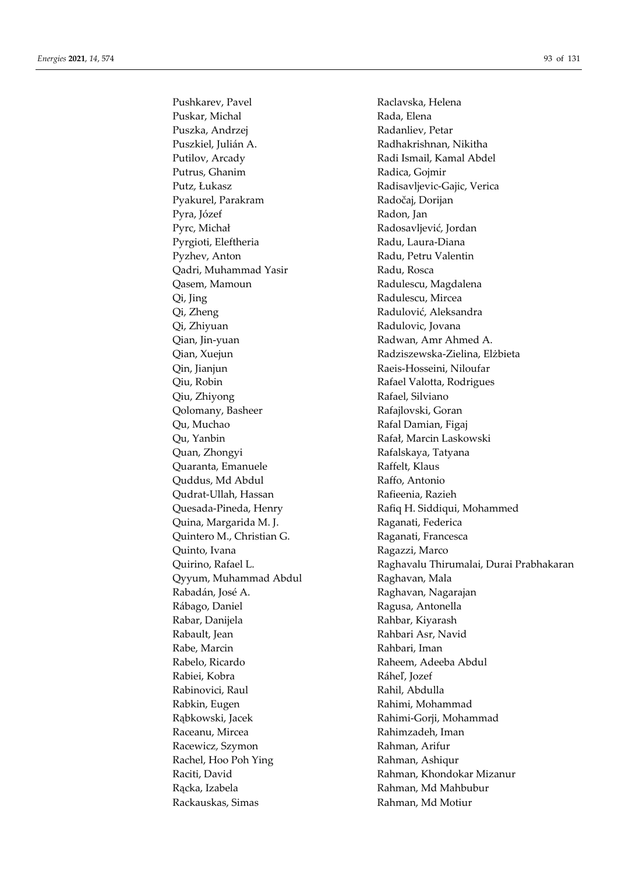Puskar, Michal Rada, Elena Puszka, Andrzej **Radanliev**, Petar Puszkiel, Julián A. Radhakrishnan, Nikitha Putilov, Arcady Radi Ismail, Kamal Abdel Putrus, Ghanim Radica, Gojmir Putz, Łukasz Radisavljevic-Gajic, Verica Pyakurel, Parakram Radočaj, Dorijan Pyra, Józef **Radon**, Jan Pyrc, Michał Radosavljević, Jordan Pyrgioti, Eleftheria Radu, Laura-Diana Pyzhev, Anton Radu, Petru Valentin Qadri, Muhammad Yasir Radu, Rosca Qasem, Mamoun Radulescu, Magdalena Qi, Jing **Radulescu**, Mircea Qi, Zheng Radulović, Aleksandra Qi, Zhiyuan Radulovic, Jovana Qian, Jin-yuan **Radwan, Amr Ahmed A.** Qin, Jianjun Raeis-Hosseini, Niloufar Qiu, Robin Rafael Valotta, Rodrigues Qiu, Zhiyong Rafael, Silviano Qolomany, Basheer Rafajlovski, Goran Qu, Muchao Rafal Damian, Figaj Qu, Yanbin Rafał, Marcin Laskowski Quan, Zhongyi **Rafalskaya**, Tatyana Quaranta, Emanuele Raffelt, Klaus Quddus, Md Abdul Raffo, Antonio Qudrat-Ullah, Hassan Rafieenia, Razieh Quina, Margarida M. J. Raganati, Federica Quintero M., Christian G. **Raganati**, Francesca Quinto, Ivana **Ragazzi**, Marco Qyyum, Muhammad Abdul Raghavan, Mala Rabadán, José A. **Raghavan, Nagarajan** Rábago, Daniel **Ragusa**, Antonella Rabar, Danijela Rahbar, Kiyarash Rabault, Jean Rahbari Asr, Navid Rabe, Marcin **Rahbari**, Iman Rabelo, Ricardo **Raheem**, Adeeba Abdul Rabiei, Kobra Ráheľ, Jozef Rabinovici, Raul Rahil, Abdulla Rabkin, Eugen Rahimi, Mohammad Rąbkowski, Jacek Rahimi-Gorji, Mohammad Raceanu, Mircea Rahimzadeh, Iman Racewicz, Szymon Rahman, Arifur Rachel, Hoo Poh Ying **Rahman**, Ashiqur Raciti, David **Rahman**, Khondokar Mizanur Rącka, Izabela Rahman, Md Mahbubur Rackauskas, Simas Rahman, Md Motiur

Pushkarev, Pavel Raclavska, Helena Qian, Xuejun Radziszewska-Zielina, Elżbieta Quesada-Pineda, Henry Rafiq H. Siddiqui, Mohammed Quirino, Rafael L. Raghavalu Thirumalai, Durai Prabhakaran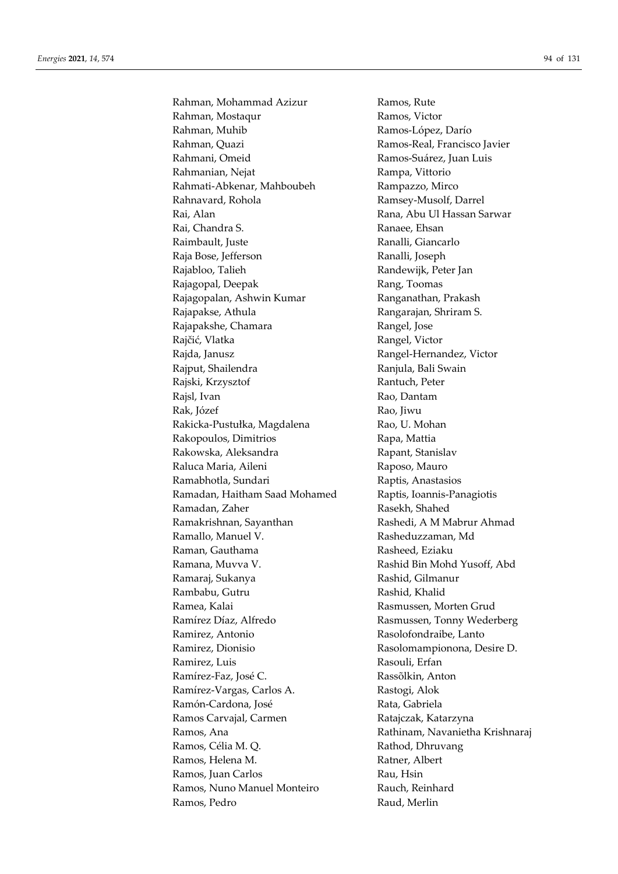Rahman, Mohammad Azizur Ramos, Rute Rahman, Mostaqur **Ramos**, Victor Rahman, Muhib **Ramos-López**, Darío Rahman, Quazi Ramos-Real, Francisco Javier Rahmani, Omeid Ramos-Suárez, Juan Luis Rahmanian, Nejat Rampa, Vittorio Rahmati-Abkenar, Mahboubeh Rampazzo, Mirco Rahnavard, Rohola Ramsey-Musolf, Darrel Rai, Alan Rana, Abu Ul Hassan Sarwar Rai, Chandra S. **Ranaee**, Ehsan Raimbault, Juste **Ranalli**, Giancarlo Raja Bose, Jefferson Ranalli, Joseph Rajabloo, Talieh Randewijk, Peter Jan Rajagopal, Deepak Rang, Toomas Rajagopalan, Ashwin Kumar **Ranganathan**, Prakash Rajapakse, Athula **Rangarajan**, Shriram S. Rajapakshe, Chamara Rangel, Jose Rajčić, Vlatka **Rangel**, Victor Rajda, Janusz **Rangel-Hernandez, Victor** Rajput, Shailendra **Ranjula**, Bali Swain Rajski, Krzysztof Rantuch, Peter Rajsl, Ivan Rao, Dantam Rak, Józef **Rao**, Jiwu Rakicka-Pustułka, Magdalena Rao, U. Mohan Rakopoulos, Dimitrios Rapa, Mattia Rakowska, Aleksandra **Rapant**, Stanislav Raluca Maria, Aileni **Raposo**, Mauro Ramabhotla, Sundari **Raptis**, Anastasios Ramadan, Haitham Saad Mohamed Raptis, Ioannis-Panagiotis Ramadan, Zaher Rasekh, Shahed Ramakrishnan, Sayanthan Rashedi, A M Mabrur Ahmad Ramallo, Manuel V. **Rasheduzzaman**, Md Raman, Gauthama Rasheed, Eziaku Ramana, Muvva V. **Rashid Bin Mohd Yusoff, Abd** Ramaraj, Sukanya **Rashid**, Gilmanur Rambabu, Gutru Rashid, Khalid Ramea, Kalai **Rasmussen, Morten Grud** Ramírez Díaz, Alfredo Rasmussen, Tonny Wederberg Ramirez, Antonio Rasolofondraibe, Lanto Ramirez, Dionisio Rasolomampionona, Desire D. Ramirez, Luis Rasouli, Erfan Ramírez-Faz, José C. Rassõlkin, Anton Ramírez-Vargas, Carlos A. (Rastogi, Alok Ramón-Cardona, José Rata, Gabriela Ramos Carvajal, Carmen Ratajczak, Katarzyna Ramos, Ana Rathinam, Navanietha Krishnaraj Ramos, Célia M. Q. Rathod, Dhruvang Ramos, Helena M. (2008) Ratner, Albert Ramos, Juan Carlos **Rau, Hinduille Rau, Hinduille Rau, Hinduille Rau**, Hinduille Ramos, Nuno Manuel Monteiro Rauch, Reinhard Ramos, Pedro **Raud, Merlin**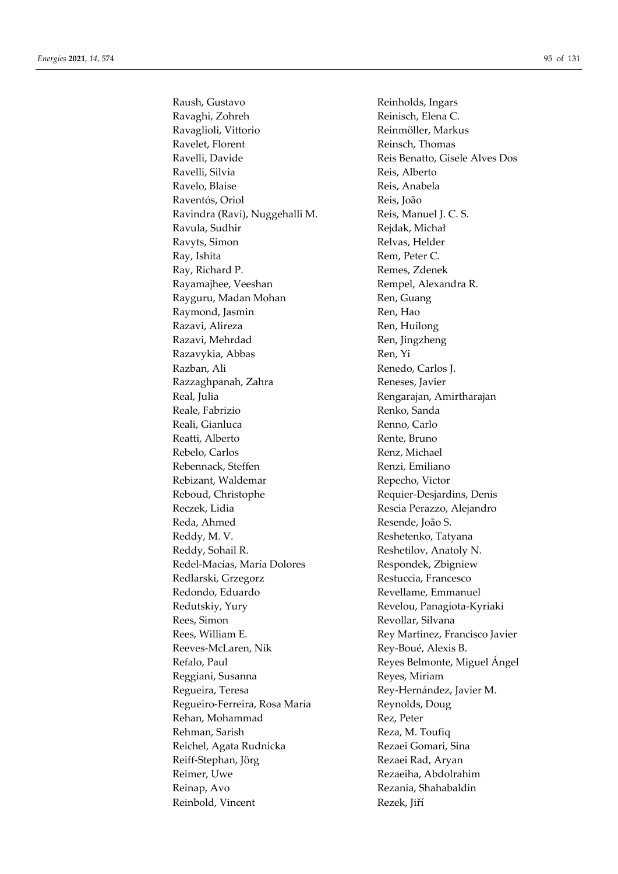Raush, Gustavo **Reinholds**, Ingars Ravaghi, Zohreh Reinisch, Elena C. Ravaglioli, Vittorio **Reinmöller**, Markus Ravelet, Florent Reinsch, Thomas Ravelli, Davide Reis Benatto, Gisele Alves Dos Ravelli, Silvia Reis, Alberto Ravelo, Blaise Reis, Anabela Raventós, Oriol Reis, João Ravindra (Ravi), Nuggehalli M. Reis, Manuel J. C. S. Ravula, Sudhir Rejdak, Michał Ravyts, Simon Relvas, Helder Ray, Ishita Rem, Peter C. Ray, Richard P. **Remes**, Zdenek Rayamajhee, Veeshan Rempel, Alexandra R. Rayguru, Madan Mohan **Ren**, Guang Raymond, Jasmin Ren, Hao Razavi, Alireza **Ren**, Huilong Razavi, Mehrdad Ren, Jingzheng Razavykia, Abbas Ren, Yi Razban, Ali Renedo, Carlos J. Razzaghpanah, Zahra Reneses, Javier Real, Julia **Real, Indianal Rengarajan, Amirtharajan** Reale, Fabrizio **Renko, Sanda** Reali, Gianluca Renno, Carlo Reatti, Alberto Rente, Bruno Rebelo, Carlos Renz, Michael Rebennack, Steffen Renzi, Emiliano Rebizant, Waldemar Repecho, Victor Reboud, Christophe Requier-Desjardins, Denis Reczek, Lidia **Rescia Perazzo**, Alejandro Reda, Ahmed Resende, João S. Reddy, M. V. Reshetenko, Tatyana Reddy, Sohail R. Reshetilov, Anatoly N. Redel-Macías, María Dolores Respondek, Zbigniew Redlarski, Grzegorz Restuccia, Francesco Redondo, Eduardo Revellame, Emmanuel Redutskiy, Yury Revelou, Panagiota-Kyriaki Rees, Simon Revollar, Silvana Rees, William E. The Rey Martinez, Francisco Javier Reeves-McLaren, Nik Rey-Boué, Alexis B. Refalo, Paul Reyes Belmonte, Miguel Ángel Reggiani, Susanna Reyes, Miriam Regueira, Teresa **Rey-Hernández**, Javier M. Regueiro-Ferreira, Rosa María **Reynolds, Doug** Rehan, Mohammad Rez, Peter Rehman, Sarish Reza, M. Toufiq Reichel, Agata Rudnicka<br>
Rezaei Gomari, Sina Reiff-Stephan, Jörg Rezaei Rad, Aryan Reimer, Uwe Rezaeiha, Abdolrahim Reinap, Avo Rezania, Shahabaldin Reinbold, Vincent Rezek, Jiří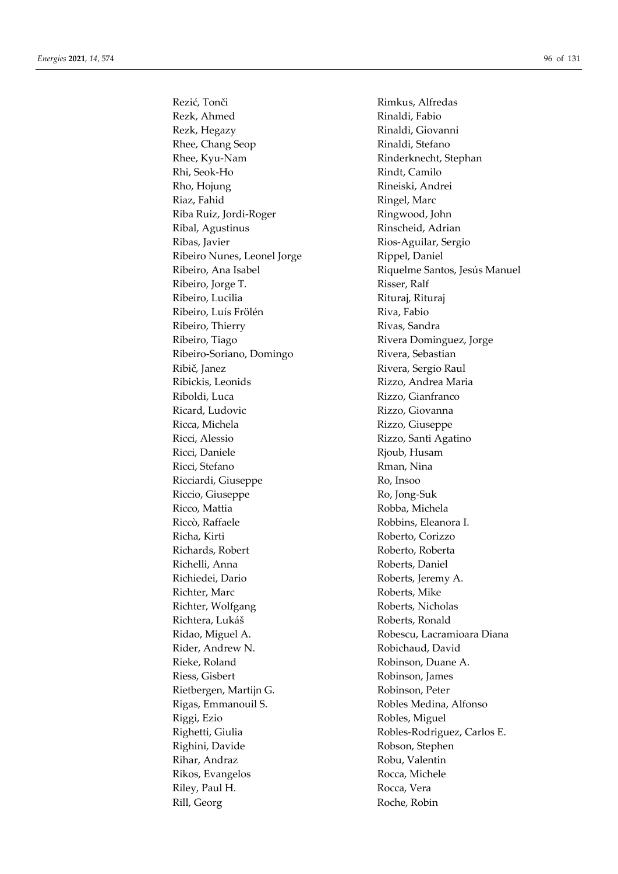Rezk, Ahmed Rinaldi, Fabio Rezk, Hegazy **Rinaldi**, Giovanni Rhee, Chang Seop Rinaldi, Stefano Rhee, Kyu-Nam Rinderknecht, Stephan Rhi, Seok-Ho Rindt, Camilo Rho, Hojung Rineiski, Andrei Riaz, Fahid Ringel, Marc Riba Ruiz, Jordi-Roger Ringwood, John Ribal, Agustinus Rinscheid, Adrian Ribas, Javier **Ribas**, Javier **Ribas**, *Ribas*, *Aguilar*, *Sergio* Ribeiro Nunes, Leonel Jorge Rippel, Daniel Ribeiro, Jorge T. Risser, Ralf Ribeiro, Lucilia Rituraj, Rituraj, Rituraj Ribeiro, Luís Frölén Riva, Fabio Ribeiro, Thierry **Rivas**, Sandra Ribeiro, Tiago **Ribeiro, Tiago Estabaldean** Rivera Dominguez, Jorge Ribeiro-Soriano, Domingo Rivera, Sebastian Ribič, Janez Rivera, Sergio Raul Ribickis, Leonids Rizzo, Andrea Maria Riboldi, Luca Rizzo, Gianfranco Ricard, Ludovic Rizzo, Giovanna Ricca, Michela Rizzo, Giuseppe Ricci, Alessio Rizzo, Santi Agatino Ricci, Daniele Rjoub, Husam Ricci, Stefano Rman, Nina Ricciardi, Giuseppe Ro, Insoo Riccio, Giuseppe Ro, Jong-Suk Ricco, Mattia Robba, Michela Riccò, Raffaele Robbins, Eleanora I. Richa, Kirti Roberto, Corizzo Richards, Robert Roberto, Roberta Richelli, Anna Roberts, Daniel Richiedei, Dario Roberts, Jeremy A. Richter, Marc Roberts, Mike Richter, Wolfgang Roberts, Nicholas Richtera, Lukáš Roberts, Ronald Ridao, Miguel A. Robescu, Lacramioara Diana Rider, Andrew N. **Robichaud, David** Rieke, Roland Robinson, Duane A. Riess, Gisbert Robinson, James Rietbergen, Martijn G. Robinson, Peter Rigas, Emmanouil S. Robles Medina, Alfonso Riggi, Ezio Robles, Miguel Righetti, Giulia Robles-Rodriguez, Carlos E. Righini, Davide Robson, Stephen Rihar, Andraz **Robu, Valentin** Rikos, Evangelos Rocca, Michele Riley, Paul H. Rocca, Vera Rill, Georg Roche, Robin

Rezić, Tonči Rimkus, Alfredas Ribeiro, Ana Isabel **Riquelme Santos, Jesús Manuel**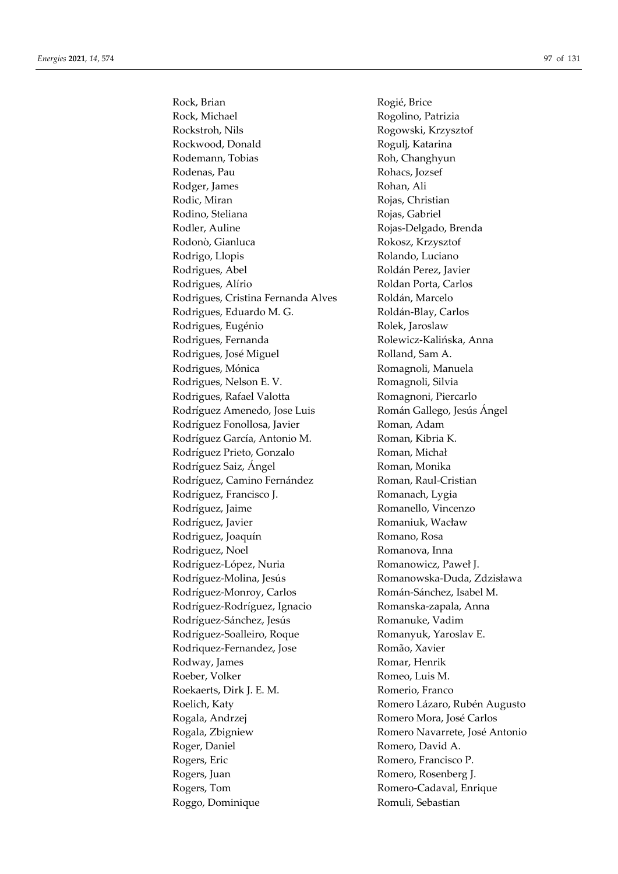Rock, Brian Rogié, Brice Rock, Michael **Rogolino**, Patrizia Rockstroh, Nils Rogowski, Krzysztof Rockwood, Donald Rogulj, Katarina Rodemann, Tobias Roh, Changhyun Rodenas, Pau **Rohacs**, Jozsef Rodger, James Rohan, Ali Rodic, Miran Rojas, Christian Rodino, Steliana Rojas, Gabriel Rodler, Auline Rojas-Delgado, Brenda Rodonò, Gianluca Rokosz, Krzysztof Rodrigo, Llopis Rolando, Luciano Rodrigues, Abel Roldán Perez, Javier Rodrigues, Alírio Roldan Porta, Carlos Rodrigues, Cristina Fernanda Alves Roldán, Marcelo Rodrigues, Eduardo M. G. Roldán-Blay, Carlos Rodrigues, Eugénio Rolek, Jaroslaw Rodrigues, Fernanda Rolewicz-Kalińska, Anna Rodrigues, José Miguel **Rolland**, Sam A. Rodrigues, Mónica Romagnoli, Manuela Rodrigues, Nelson E. V. Romagnoli, Silvia Rodrigues, Rafael Valotta Romagnoni, Piercarlo Rodríguez Amenedo, Jose Luis **Román Gallego, Jesús Ángel** Rodríguez Fonollosa, Javier **Roman**, Adam Rodríguez García, Antonio M. Roman, Kibria K. Rodríguez Prieto, Gonzalo Roman, Michał Rodríguez Saiz, Ángel Roman, Monika Rodríguez, Camino Fernández Roman, Raul-Cristian Rodríguez, Francisco J. Romanach, Lygia Rodríguez, Jaime Romanello, Vincenzo Rodríguez, Javier **Romaniuk**, Wacław Rodriguez, Joaquín Romano, Rosa Rodriguez, Noel Romanova, Inna Rodríguez-López, Nuria Romanowicz, Paweł J. Rodríguez-Molina, Jesús Romanowska-Duda, Zdzisława Rodríguez-Monroy, Carlos Román-Sánchez, Isabel M. Rodríguez-Rodríguez, Ignacio Romanska-zapala, Anna Rodríguez-Sánchez, Jesús Romanuke, Vadim Rodríguez-Soalleiro, Roque Romanyuk, Yaroslav E. Rodriquez-Fernandez, Jose Romão, Xavier Rodway, James Romar, Henrik Roeber, Volker **Romeo**, Luis M. Roekaerts, Dirk J. E. M. Branco Romerio, Franco Roelich, Katy **Romero Lázaro, Rubén Augusto** Rogala, Andrzej Romero Mora, José Carlos Rogala, Zbigniew Romero Navarrete, José Antonio Roger, Daniel Romero, David A. Rogers, Eric Romero, Francisco P. Rogers, Juan Romero, Rosenberg J. Rogers, Tom Romero-Cadaval, Enrique Roggo, Dominique Romuli, Sebastian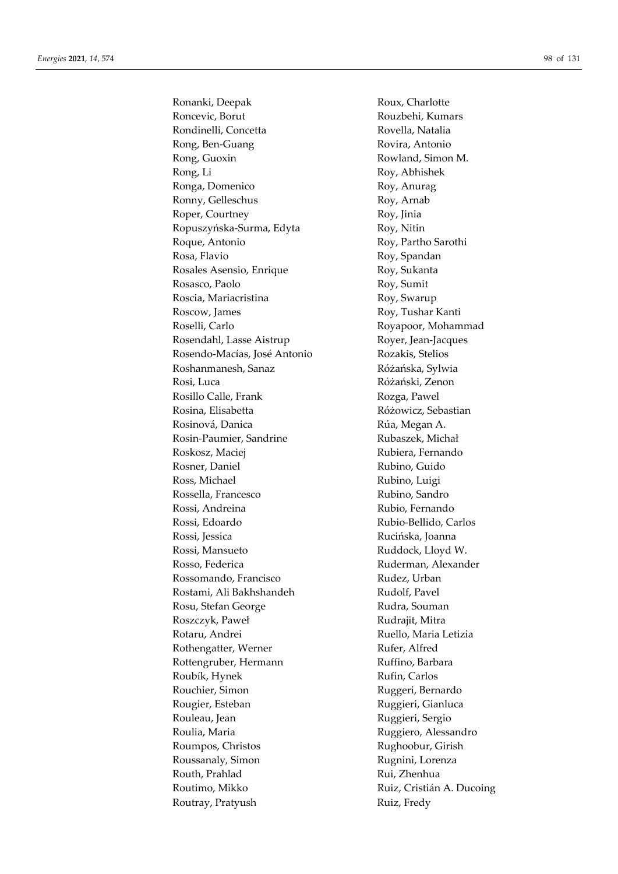Ronanki, Deepak Roux, Charlotte Roncevic, Borut Rouzbehi, Kumars Rondinelli, Concetta Rovella, Natalia Rong, Ben-Guang Rovira, Antonio Rong, Guoxin Rowland, Simon M. Rong, Li Roy, Abhishek Ronga, Domenico Roy, Anurag Ronny, Gelleschus Roy, Arnab Roper, Courtney Roy, Jinia Ropuszyńska-Surma, Edyta Roy, Nitin Roque, Antonio Roy, Partho Sarothi Rosa, Flavio Roy, Spandan Rosales Asensio, Enrique Roy, Sukanta Rosasco, Paolo Roy, Sumit Roscia, Mariacristina Roy, Swarup Roscow, James Roy, Tushar Kanti Roselli, Carlo Royapoor, Mohammad Rosendahl, Lasse Aistrup Royer, Jean-Jacques Rosendo-Macías, José Antonio Rozakis, Stelios Roshanmanesh, Sanaz Różańska, Sylwia Rosi, Luca Różański, Zenon Rosillo Calle, Frank Rozga, Pawel Rosina, Elisabetta **Różowicz**, Sebastian Rosinová, Danica Rúa, Megan A. Rosin-Paumier, Sandrine Rubaszek, Michał Roskosz, Maciej Rubiera, Fernando Rosner, Daniel Rubino, Guido Ross, Michael Rubino, Luigi Rossella, Francesco Rubino, Sandro Rossi, Andreina Rubio, Fernando Rossi, Edoardo Rubio-Bellido, Carlos Rossi, Jessica Rucińska, Joanna Rossi, Mansueto Ruddock, Lloyd W. Rosso, Federica Ruderman, Alexander Rossomando, Francisco Rudez, Urban Rostami, Ali Bakhshandeh Rudolf, Pavel Rosu, Stefan George Rudra, Souman Roszczyk, Paweł **Rudrajit**, Mitra Rotaru, Andrei Ruello, Maria Letizia Rothengatter, Werner Rufer, Alfred Rottengruber, Hermann Ruffino, Barbara Roubík, Hynek Rufin, Carlos Rouchier, Simon **Ruggeri, Bernardo** Rougier, Esteban Ruggieri, Gianluca Rouleau, Jean Ruggieri, Sergio Roulia, Maria **Ruggiero, Alessandro** Roumpos, Christos Rughoobur, Girish Roussanaly, Simon Rugnini, Lorenza Routh, Prahlad Rui, Zhenhua Routimo, Mikko Ruiz, Cristián A. Ducoing Routray, Pratyush Ruiz, Fredy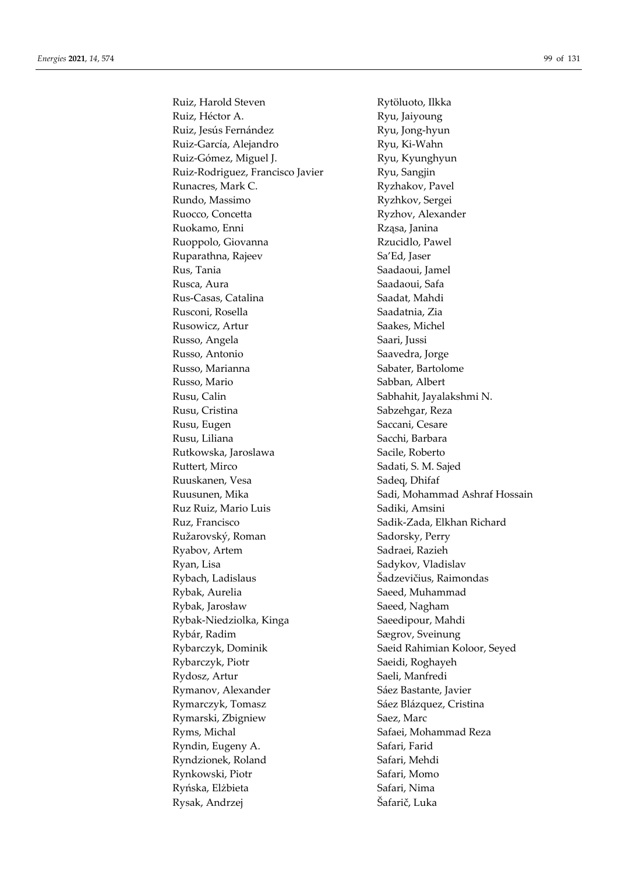Ruiz, Harold Steven Rytöluoto, Ilkka Ruiz, Héctor A. Ryu, Jaiyoung Ruiz, Jesús Fernández **Ryu**, Jong-hyun Ruiz-García, Alejandro Ryu, Ki-Wahn Ruiz-Gómez, Miguel J. Ryu, Kyunghyun Ruiz-Rodriguez, Francisco Javier Ryu, Sangjin Runacres, Mark C. Kunacres, Mark C. Rundo, Massimo Ryzhkov, Sergei Ruocco, Concetta Ryzhov, Alexander Ruokamo, Enni Rząsa, Janina Ruoppolo, Giovanna Rzucidlo, Pawel Ruparathna, Rajeev Sa'Ed, Jaser Rus, Tania Saadaoui, Jamel Rusca, Aura **National Sanguarda Saadaoui**, Safa Rus-Casas, Catalina Saadat, Mahdi Rusconi, Rosella Saadatnia, Zia Rusowicz, Artur Saakes, Michel Russo, Angela Saari, Jussi Russo, Antonio Saavedra, Jorge Russo, Marianna Sabater, Bartolome Russo, Mario  $S$ abban, Albert Rusu, Calin Sabhahit, Jayalakshmi N. Rusu, Cristina **Sabzehgar**, Reza Rusu, Eugen Saccani, Cesare Rusu, Liliana Sacchi, Barbara Rutkowska, Jaroslawa Sacile, Roberto Ruttert, Mirco Sadati, S. M. Sajed Ruuskanen, Vesa Sadeq, Dhifaf Ruz Ruiz, Mario Luis Sadiki, Amsini Ruz, Francisco Sadik-Zada, Elkhan Richard Ružarovský, Roman Sadorsky, Perry Ryabov, Artem Sadraei, Razieh Ryan, Lisa Sadykov, Vladislav Rybach, Ladislaus Šadzevičius, Raimondas Rybak, Aurelia **Saeed**, Muhammad Rybak, Jarosław Saeed, Nagham Rybak-Niedziolka, Kinga Saeedipour, Mahdi Rybár, Radim Sægrov, Sveinung Rybarczyk, Dominik Saeid Rahimian Koloor, Seyed Rybarczyk, Piotr Saeidi, Roghayeh Rydosz, Artur Saeli, Manfredi Rymanov, Alexander Sáez Bastante, Javier Rymarczyk, Tomasz Sáez Blázquez, Cristina Rymarski, Zbigniew Saez, Marc Ryms, Michal Safaei, Mohammad Reza Ryndin, Eugeny A. Safari, Farid Ryndzionek, Roland Safari, Mehdi Rynkowski, Piotr Safari, Momo Ryńska, Elżbieta Safari, Nima Rysak, Andrzej Šafarič, Luka

Ruusunen, Mika Sadi, Mohammad Ashraf Hossain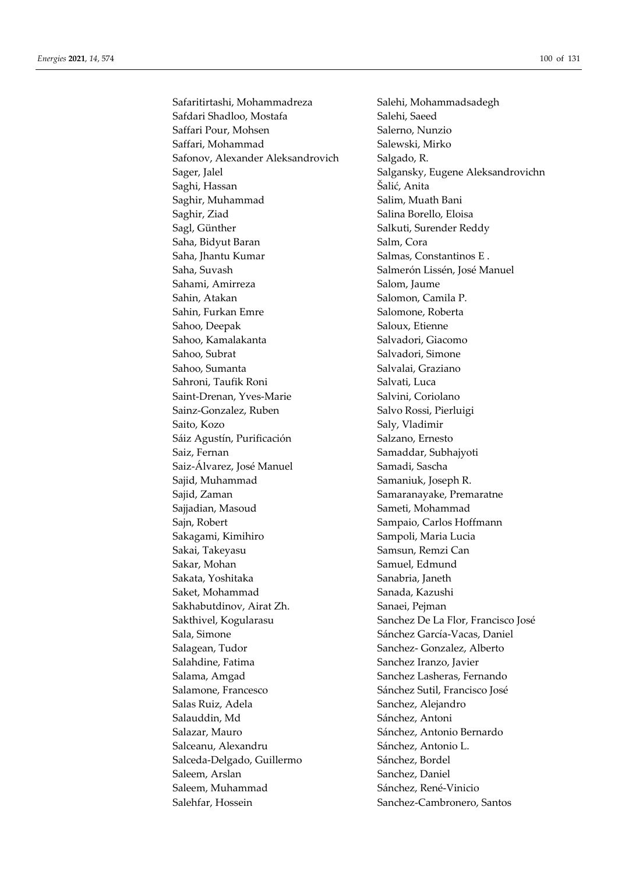Safaritirtashi, Mohammadreza Salehi, Mohammadsadegh Safdari Shadloo, Mostafa Salehi, Saeed Saffari Pour, Mohsen Salerno, Nunzio Saffari, Mohammad Salewski, Mirko Safonov, Alexander Aleksandrovich Salgado, R. Saghi, Hassan Šalić, Anita Saghir, Muhammad Salim, Muath Bani Saghir, Ziad Salina Borello, Eloisa Sagl, Günther Salkuti, Surender Reddy Saha, Bidyut Baran Salm, Cora Saha, Jhantu Kumar Salmas, Constantinos E. Saha, Suvash Salmerón Lissén, José Manuel Sahami, Amirreza Salom, Jaume Sahin, Atakan Salomon, Camila P. Sahin, Furkan Emre Salomone, Roberta Sahoo, Deepak Saloux, Etienne Sahoo, Kamalakanta Salvadori, Giacomo Sahoo, Subrat Salvadori, Simone Sahoo, Sumanta Salvalai, Graziano Sahroni, Taufik Roni **Salvati**, Luca Saint-Drenan, Yves-Marie Salvini, Coriolano Sainz-Gonzalez, Ruben Salvo Rossi, Pierluigi Saito, Kozo Saly, Vladimir Sáiz Agustín, Purificación Salzano, Ernesto Saiz, Fernan Samaddar, Subhajyoti Saiz-Álvarez, José Manuel Samadi, Sascha Sajid, Muhammad Samaniuk, Joseph R. Sajid, Zaman Samaranayake, Premaratne Sajjadian, Masoud Sameti, Mohammad Sajn, Robert Sampaio, Carlos Hoffmann Sakagami, Kimihiro Sampoli, Maria Lucia Sakai, Takeyasu Samsun, Remzi Can Sakar, Mohan Samuel, Edmund Sakata, Yoshitaka Sanabria, Janeth Saket, Mohammad Sanada, Kazushi Sakhabutdinov, Airat Zh. Sanaei, Pejman Sakthivel, Kogularasu Sanchez De La Flor, Francisco José Sala, Simone Sánchez García-Vacas, Daniel Salagean, Tudor Sanchez- Gonzalez, Alberto Salahdine, Fatima Sanchez Iranzo, Javier Salama, Amgad Sanchez Lasheras, Fernando Salamone, Francesco Sánchez Súrchez Sutil, Francisco José Salas Ruiz, Adela Sanchez, Alejandro Salauddin, Md<br>
Sánchez, Antoni Salazar, Mauro **Salazar, Mauro Estado en Sánchez**, Antonio Bernardo Salceanu, Alexandru Sánchez, Antonio L. Salceda-Delgado, Guillermo Sánchez, Bordel Saleem, Arslan Sanchez, Daniel Saleem, Muhammad Sánchez, René-Vinicio Salehfar, Hossein Sanchez-Cambronero, Santos

Sager, Jalel Salgansky, Eugene Aleksandrovichn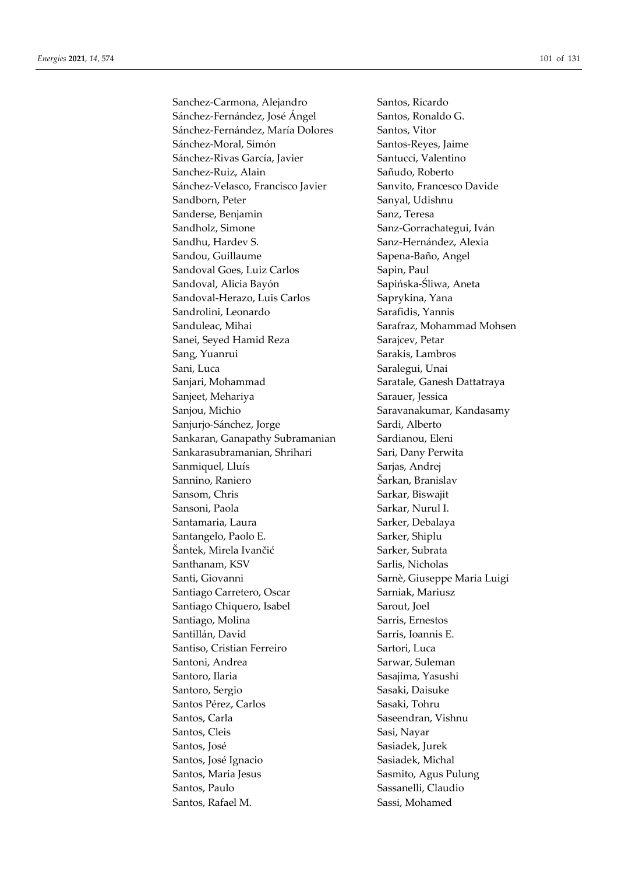Sanchez-Carmona, Alejandro Santos, Ricardo Sánchez-Fernández, José Ángel Santos, Ronaldo G. Sánchez-Fernández, María Dolores Santos, Vitor Sánchez-Moral, Simón Santos-Reyes, Jaime Sánchez-Rivas García, Javier Santucci, Valentino Sanchez-Ruiz, Alain Sañudo, Roberto Sánchez-Velasco, Francisco Javier Sanvito, Francesco Davide Sandborn, Peter Sanyal, Udishnu Sanderse, Benjamin Sanz, Teresa Sandholz, Simone Sanz-Gorrachategui, Iván Sandhu, Hardev S. Sanz-Hernández, Alexia Sandou, Guillaume Sapena-Baño, Angel Sandoval Goes, Luiz Carlos Sapin, Paul Sandoval, Alicia Bayón Sapińska-Śliwa, Aneta Sandoval-Herazo, Luis Carlos Saprykina, Yana Sandrolini, Leonardo Sarafidis, Yannis Sanduleac, Mihai Sarafraz, Mohammad Mohsen Sanei, Seyed Hamid Reza Sarajcev, Petar Sang, Yuanrui Sarakis, Lambros Sani, Luca Saralegui, Unai Sanjari, Mohammad Saratale, Ganesh Dattatraya Sanjeet, Mehariya Sarauer, Jessica Sanjou, Michio Saravanakumar, Kandasamy Sanjurjo-Sánchez, Jorge Sardi, Alberto Sankaran, Ganapathy Subramanian Sardianou, Eleni Sankarasubramanian, Shrihari Sari, Dany Perwita Sanmiquel, Lluís Sarjas, Andrej Sannino, Raniero **Sannino**, Raniero **Sannino**, Raniero **Sannino**, Raniero **Sannino**, Raniero **Sannino**, Raniero **Sannino**, Raniero **Sannino**, Raniero **Sannino**, Raniero **Sannino**, Raniero **Sannino**, Raniero **Sannino**, Rani Sansom, Chris Sarkar, Biswajit Sansoni, Paola Sarkar, Nurul I. Santamaria, Laura Sarker, Debalaya Santangelo, Paolo E. Sarker, Shiplu Šantek, Mirela Ivančić Sarker, Subrata Santhanam, KSV Sarlis, Nicholas Santi, Giovanni Sarnè, Giuseppe Maria Luigi Santiago Carretero, Oscar Sarniak, Mariusz Santiago Chiquero, Isabel Sarout, Joel Santiago, Molina Sarris, Ernestos Santillán, David Sarris, Ioannis E. Santiso, Cristian Ferreiro Sartori, Luca Santoni, Andrea Sarwar, Suleman Santoro, Ilaria **Santoro, Ilaria Sasajima**, Yasushi Santoro, Sergio Sasaki, Daisuke Santos Pérez, Carlos **Santos Pérez, Carlos** Sasaki, Tohru Santos, Carla Saseendran, Vishnu Santos, Cleis Sasi, Nayar Santos, José **Santos, José Sasiadek**, Jurek Santos, José Ignacio Sasiadek, Michal Santos, Maria Jesus Sasmito, Agus Pulung Santos, Paulo **Santos, Paulo Sassanelli**, Claudio Santos, Rafael M. Sassi, Mohamed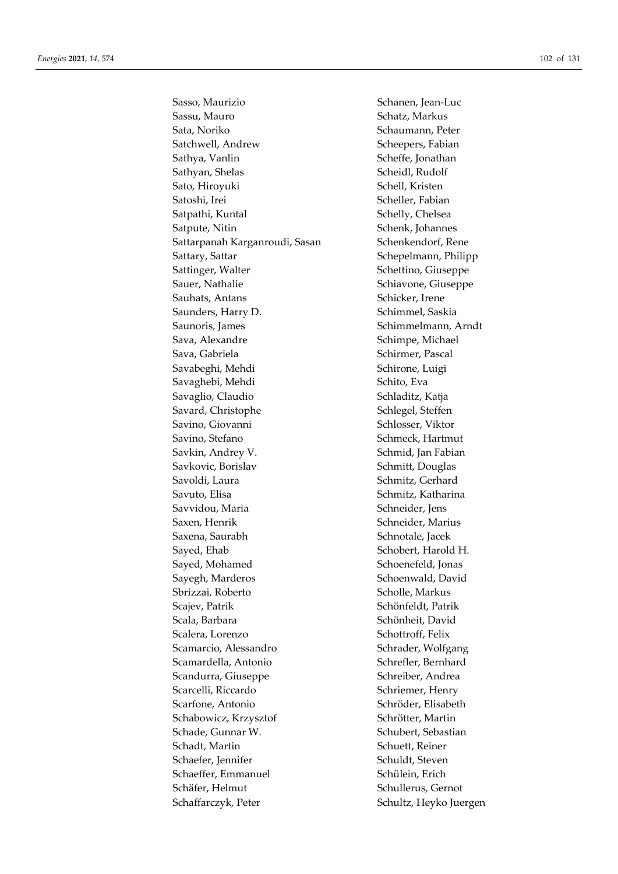Sasso, Maurizio Schanen, Jean-Luc Sassu, Mauro Schatz, Markus Sata, Noriko Schaumann, Peter Satchwell, Andrew Scheepers, Fabian Sathya, Vanlin Scheffe, Jonathan Sathyan, Shelas Scheidl, Rudolf Sato, Hiroyuki Schell, Kristen Satoshi, Irei Scheller, Fabian Satpathi, Kuntal Schelly, Chelsea Satpute, Nitin Schenk, Johannes Sattarpanah Karganroudi, Sasan Schenkendorf, Rene Sattary, Sattar Schepelmann, Philipp Sattinger, Walter Schettino, Giuseppe Sauer, Nathalie Schiavone, Giuseppe Sauhats, Antans Schicker, Irene Saunders, Harry D. Schimmel, Saskia Saunoris, James Schimmelmann, Arndt Sava, Alexandre Schimpe, Michael Sava, Gabriela Sava, Gabriela Schirmer, Pascal Savabeghi, Mehdi Schirone, Luigi Savaghebi, Mehdi Schito, Eva Savaglio, Claudio Schladitz, Katja Savard, Christophe Schlegel, Steffen Savino, Giovanni Schlosser, Viktor Savino, Stefano Schmeck, Hartmut Savkin, Andrey V. Schmid, Jan Fabian Savkovic, Borislav Schmitt, Douglas Savoldi, Laura Schmitz, Gerhard Savuto, Elisa Savuto, Elisa Schmitz, Katharina Savvidou, Maria Schneider, Jens Saxen, Henrik Schneider, Marius Saxena, Saurabh Schnotale, Jacek Sayed, Ehab Schobert, Harold H. Sayed, Mohamed Schoenefeld, Jonas Sayegh, Marderos Schoenwald, David Sbrizzai, Roberto Scholle, Markus Scajev, Patrik Schönfeldt, Patrik Scala, Barbara Schönheit, David Scalera, Lorenzo Schottroff, Felix Scamarcio, Alessandro Schrader, Wolfgang Scamardella, Antonio Schrefler, Bernhard Scandurra, Giuseppe Schreiber, Andrea Scarcelli, Riccardo Schriemer, Henry Scarfone, Antonio Schröder, Elisabeth Schabowicz, Krzysztof Schrötter, Martin Schade, Gunnar W. Schubert, Sebastian Schadt, Martin Schuett, Reiner Schaefer, Jennifer Schuldt, Steven Schaeffer, Emmanuel Schülein, Erich Schäfer, Helmut Schullerus, Gernot Schaffarczyk, Peter Schultz, Heyko Juergen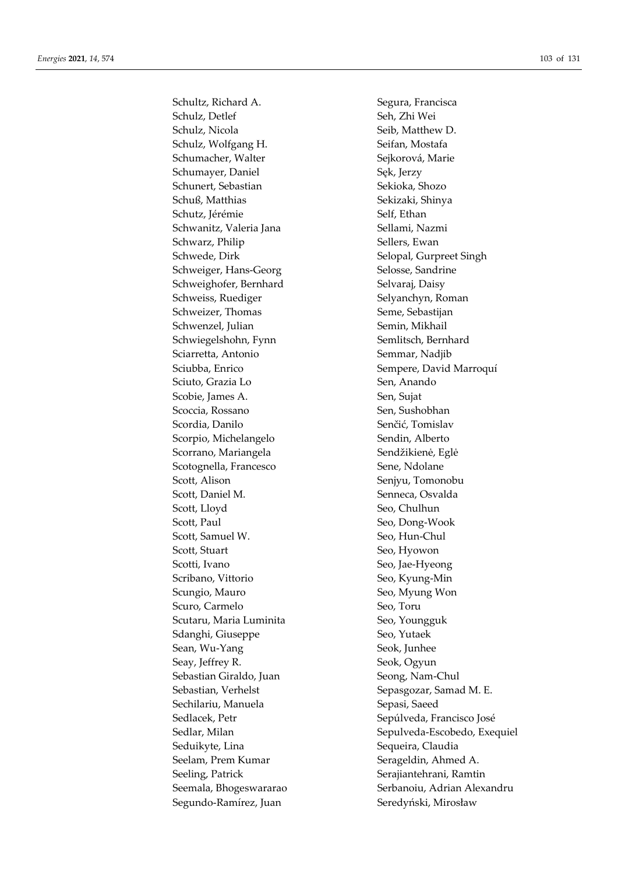Schultz, Richard A. Segura, Francisca Schulz, Detlef Seh, Zhi Wei Schulz, Nicola Seib, Matthew D. Schulz, Wolfgang H. Seifan, Mostafa Schumacher, Walter Sejkorová, Marie Schumayer, Daniel Sęk, Jerzy Schunert, Sebastian Sekioka, Shozo Schuß, Matthias Sekizaki, Shinya Schutz, Jérémie Self, Ethan Schwanitz, Valeria Jana Sellami, Nazmi Schwarz, Philip Sellers, Ewan Schwede, Dirk Selopal, Gurpreet Singh Schweiger, Hans-Georg Selosse, Sandrine Schweighofer, Bernhard Selvaraj, Daisy Schweiss, Ruediger Selyanchyn, Roman Schweizer, Thomas Seme, Sebastijan Schwenzel, Julian Semin, Mikhail Schwiegelshohn, Fynn Semlitsch, Bernhard Sciarretta, Antonio Semmar, Nadjib Sciubba, Enrico Sempere, David Marroquí Sciuto, Grazia Lo Sen, Anando Scobie, James A. Sen, Sujat Scoccia, Rossano Sen, Sushobhan Scordia, Danilo Senčić, Tomislav Scorpio, Michelangelo Sendin, Alberto Scorrano, Mariangela Sendžikienė, Eglė Scotognella, Francesco Sene, Ndolane Scott, Alison Senjyu, Tomonobu Scott, Daniel M. Senneca, Osvalda Scott, Lloyd Seo, Chulhun Scott, Paul Seo, Dong-Wook Scott, Samuel W. Seo, Hun-Chul Scott, Stuart Seo, Hyowon Scotti, Ivano Seo, Jae-Hyeong Scribano, Vittorio Seo, Kyung-Min Scungio, Mauro Seo, Myung Won Scuro, Carmelo Seo, Toru Scutaru, Maria Luminita Seo, Youngguk Sdanghi, Giuseppe Seo, Yutaek Sean, Wu-Yang Seok, Junhee Seay, Jeffrey R. Seok, Ogyun Sebastian Giraldo, Juan Seong, Nam-Chul Sebastian, Verhelst Sepasgozar, Samad M. E. Sechilariu, Manuela Sepasi, Saeed Sedlacek, Petr Sepúlveda, Francisco José Seduikyte, Lina Sequeira, Claudia Seelam, Prem Kumar Serageldin, Ahmed A. Seeling, Patrick Serajiantehrani, Ramtin Segundo-Ramírez, Juan Seredyński, Mirosław

Sedlar, Milan Sepulveda-Escobedo, Exequiel Seemala, Bhogeswararao Serbanoiu, Adrian Alexandru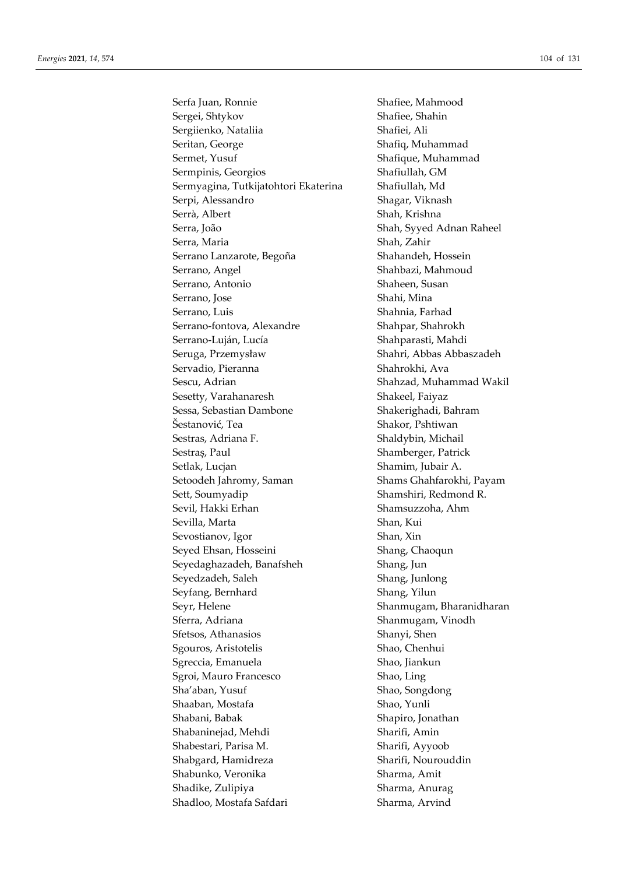Serfa Juan, Ronnie Shafiee, Mahmood Sergei, Shtykov Shafiee, Shahin Sergiienko, Nataliia Shafiei, Ali Seritan, George Shafiq, Muhammad Sermet, Yusuf Shafique, Muhammad Sermpinis, Georgios Shafiullah, GM Sermyagina, Tutkijatohtori Ekaterina Shafiullah, Md Serpi, Alessandro Shagar, Viknash Serrà, Albert Shah, Krishna Serra, João Shah, Syyed Adnan Raheel Serra, Maria  $\qquad \qquad$  Shah, Zahir Serrano Lanzarote, Begoña Shahandeh, Hossein Serrano, Angel Shahbazi, Mahmoud Serrano, Antonio Shaheen, Susan Serrano, Jose Shahi, Mina Serrano, Luis Shahnia, Farhad Serrano-fontova, Alexandre Shahpar, Shahrokh Serrano-Luján, Lucía Shahparasti, Mahdi Seruga, Przemysław Shahri, Abbas Abbaszadeh Servadio, Pieranna Shahrokhi, Ava Sescu, Adrian Shahzad, Muhammad Wakil Sesetty, Varahanaresh Shakeel, Faiyaz Sessa, Sebastian Dambone Shakerighadi, Bahram Šestanović, Tea Shakor, Pshtiwan Sestras, Adriana F. Shaldybin, Michail Sestraș, Paul Shamberger, Patrick Setlak, Lucjan Shamim, Jubair A. Setoodeh Jahromy, Saman Shams Ghahfarokhi, Payam Sett, Soumyadip Shamshiri, Redmond R. Sevil, Hakki Erhan Shamsuzzoha, Ahm Sevilla, Marta Shan, Kui Sevostianov, Igor Shan, Xin Seyed Ehsan, Hosseini Shang, Chaoqun Seyedaghazadeh, Banafsheh Shang, Jun Seyedzadeh, Saleh Shang, Junlong Seyfang, Bernhard Shang, Yilun Seyr, Helene Seyr, Helene Shanmugam, Bharanidharan Sferra, Adriana  $\qquad \qquad$ Shanmugam, Vinodh Sfetsos, Athanasios Shanyi, Shen Sgouros, Aristotelis Shao, Chenhui Sgreccia, Emanuela Shao, Jiankun Sgroi, Mauro Francesco Shao, Ling Sha'aban, Yusuf Shao, Songdong Shaaban, Mostafa Shao, Yunli Shabani, Babak Shapiro, Jonathan Shabaninejad, Mehdi Sharifi, Amin Shabestari, Parisa M. Sharifi, Ayyoob Shabgard, Hamidreza Sharifi, Nourouddin Shabunko, Veronika Sharma, Amit Shadike, Zulipiya Sharma, Anurag Shadloo, Mostafa Safdari Sharma, Arvind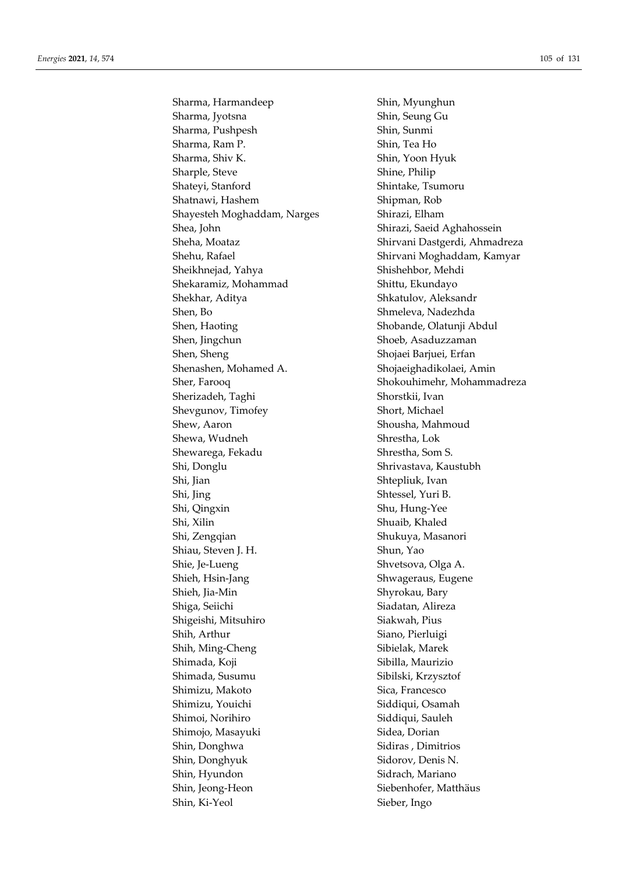Sharma, Harmandeep Shin, Myunghun Sharma, Jyotsna Shin, Seung Gu Sharma, Pushpesh Shin, Sunmi Sharma, Ram P. Shin, Tea Ho Sharma, Shiv K. Shin, Yoon Hyuk Sharple, Steve Shine, Philip Shateyi, Stanford Shintake, Tsumoru Shatnawi, Hashem Shipman, Rob Shayesteh Moghaddam, Narges Shirazi, Elham Shea, John Shirazi, Saeid Aghahossein Sheikhnejad, Yahya Shishehbor, Mehdi Shekaramiz, Mohammad Shittu, Ekundayo Shekhar, Aditya Shkatulov, Aleksandr Shen, Bo Shmeleva, Nadezhda Shen, Haoting Shobande, Olatunji Abdul Shen, Jingchun Shoeb, Asaduzzaman Shen, Sheng Shojaei Barjuei, Erfan Shenashen, Mohamed A. Shojaeighadikolaei, Amin Sherizadeh, Taghi Shorstkii, Ivan Shevgunov, Timofey Short, Michael Shew, Aaron Shousha, Mahmoud Shewa, Wudneh Shrestha, Lok Shewarega, Fekadu Shrestha, Som S. Shi, Donglu Shrivastava, Kaustubh Shi, Jian Shi, Shtepliuk, Ivan Shi, Jing Shtessel, Yuri B. Shi, Qingxin Shu, Hung-Yee Shi, Xilin Shuaib, Khaled Shi, Zengqian Shukuya, Masanori Shiau, Steven J. H. Shun, Yao Shie, Je-Lueng Shie, Shvetsova, Olga A. Shieh, Hsin-Jang Shieh, Hispania Shwageraus, Eugene Shieh, Jia-Min Shyrokau, Bary Shiga, Seiichi Shiga, Seiichi Siadatan, Alireza Shigeishi, Mitsuhiro Siakwah, Pius Shih, Arthur Siano, Pierluigi Shih, Ming-Cheng Shih, Marek Shimada, Koji Sibilla, Maurizio Shimada, Susumu Sibilski, Krzysztof Shimizu, Makoto Sica, Francesco Shimizu, Youichi Siddiqui, Osamah Shimoi, Norihiro Siddiqui, Sauleh Shimojo, Masayuki Sidea, Dorian Shin, Donghwa Sidiras , Dimitrios Shin, Donghyuk Sidorov, Denis N. Shin, Hyundon Sidrach, Mariano Shin, Jeong-Heon Siebenhofer, Matthäus Shin, Ki-Yeol Sieber, Ingo

Sheha, Moataz Shirvani Dastgerdi, Ahmadreza Shehu, Rafael Shirvani Moghaddam, Kamyar Sher, Farooq Shokouhimehr, Mohammadreza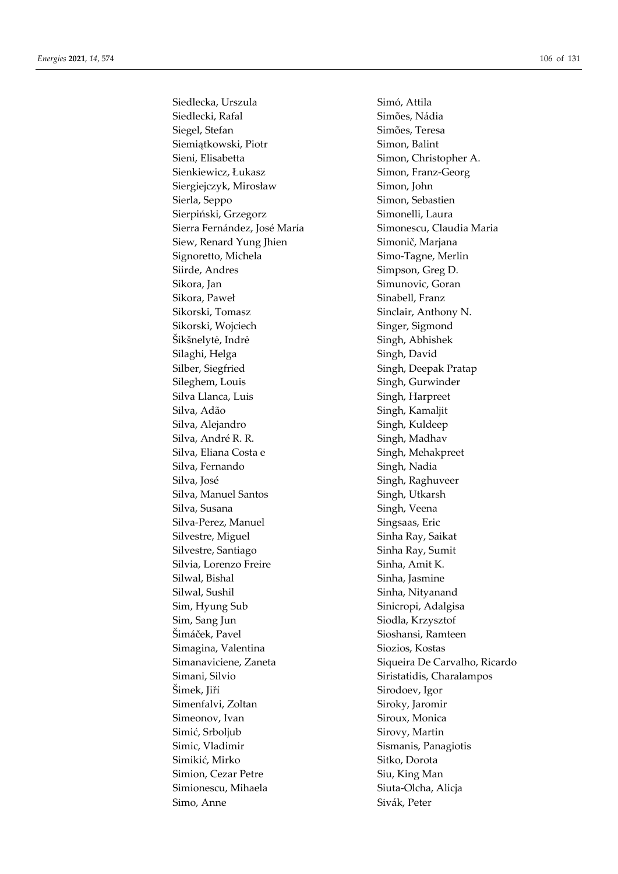Siedlecka, Urszula Simó, Attila Siedlecki, Rafal Simões, Nádia Siegel, Stefan Simões, Teresa Siemiątkowski, Piotr Simon, Balint Sieni, Elisabetta Simon, Christopher A. Sienkiewicz, Łukasz Simon, Franz-Georg Siergiejczyk, Mirosław Simon, John Sierla, Seppo Simon, Sebastien Sierpiński, Grzegorz Simonelli, Laura Sierra Fernández, José María **Simonescu**, Claudia Maria Siew, Renard Yung Jhien Simonič, Marjana Signoretto, Michela Simo-Tagne, Merlin Siirde, Andres Simpson, Greg D. Sikora, Jan Simunovic, Goran Sikora, Paweł **Sinabell**, Franz Sikorski, Tomasz Sinclair, Anthony N. Sikorski, Wojciech Singer, Sigmond Šikšnelytė, Indrė Singh, Abhishek Silaghi, Helga Singh, David Silber, Siegfried Singh, Deepak Pratap Sileghem, Louis Singh, Gurwinder Silva Llanca, Luis Singh, Harpreet Silva, Adão Singh, Kamaljit Silva, Alejandro Singh, Kuldeep Silva, André R. R. Singh, Madhav Silva, Eliana Costa e Singh, Mehakpreet Silva, Fernando Singh, Nadia Silva, José **Silva, Singh, Raghuveer** Silva, Manuel Santos Singh, Utkarsh Silva, Susana Singh, Veena Silva-Perez, Manuel Singsaas, Eric Silvestre, Miguel Sinha Ray, Saikat Silvestre, Santiago Sinha Ray, Sumit Silvia, Lorenzo Freire Sinha, Amit K. Silwal, Bishal Sinha, Jasmine Silwal, Sushil Sinha, Nityanand Sim, Hyung Sub Sinicropi, Adalgisa Sim, Sang Jun Siodla, Krzysztof Šimáček, Pavel Sioshansi, Ramteen Simagina, Valentina Siozios, Kostas Simani, Silvio Siristatidis, Charalampos Šimek, Jiří Sirodoev, Igor Simenfalvi, Zoltan Siroky, Jaromir Simeonov, Ivan Siroux, Monica Simić, Srboljub Sirovy, Martin Simic, Vladimir Sismanis, Panagiotis Simikić, Mirko Sitko, Dorota Simion, Cezar Petre Siu, King Man Simionescu, Mihaela Siuta-Olcha, Alicja Simo, Anne Sivák, Peter

Simanaviciene, Zaneta Siqueira De Carvalho, Ricardo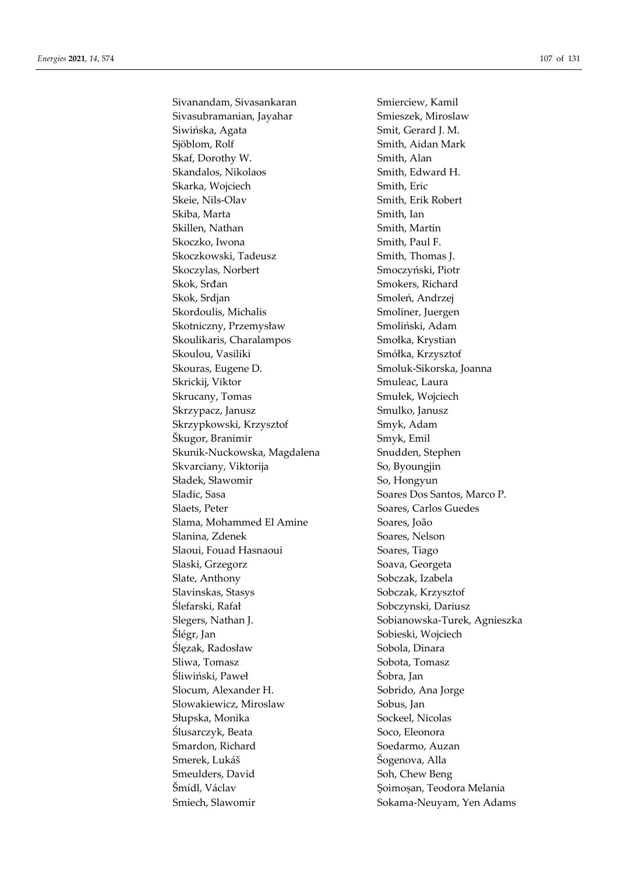Sivanandam, Sivasankaran Smierciew, Kamil Sivasubramanian, Jayahar Smieszek, Miroslaw Siwińska, Agata Smit, Gerard J. M. Sjöblom, Rolf Smith, Aidan Mark Skaf, Dorothy W. Smith, Alan Skandalos, Nikolaos Smith, Edward H. Skarka, Wojciech Smith, Eric Skeie, Nils-Olav Smith, Erik Robert Skiba, Marta Smith, Ian Skillen, Nathan Smith, Martin Skoczko, Iwona Smith, Paul F. Skoczkowski, Tadeusz Smith, Thomas J. Skoczylas, Norbert Smoczyński, Piotr Skok, Srđan Smokers, Richard Skok, Srdjan Smoleń, Andrzej Skordoulis, Michalis Smoliner, Juergen Skotniczny, Przemysław Smoliński, Adam Skoulikaris, Charalampos Smołka, Krystian Skoulou, Vasiliki Smółka, Krzysztof Skouras, Eugene D. Smoluk-Sikorska, Joanna Skrickij, Viktor Smuleac, Laura Skrucany, Tomas Smułek, Wojciech Skrzypacz, Janusz Smulko, Janusz Skrzypkowski, Krzysztof Smyk, Adam Škugor, Branimir Smyk, Emil Skunik-Nuckowska, Magdalena Snudden, Stephen Skvarciany, Viktorija So, Byoungjin Sładek, Sławomir So, Hongyun Sladic, Sasa Soares Dos Santos, Marco P. Slaets, Peter Soares, Carlos Guedes Slama, Mohammed El Amine Soares, João Slanina, Zdenek Soares, Nelson Slaoui, Fouad Hasnaoui Soares, Tiago Slaski, Grzegorz Soava, Georgeta Slate, Anthony Sobczak, Izabela Slavinskas, Stasys Sobczak, Krzysztof Ślefarski, Rafał Sobczynski, Dariusz Slegers, Nathan J. Sobianowska-Turek, Agnieszka Šlégr, Jan Sobieski, Wojciech Ślęzak, Radosław Sobola, Dinara Sliwa, Tomasz Sobota, Tomasz Sobota, Tomasz Śliwiński, Paweł **Karlottek Sobra**, Jan Slocum, Alexander H. Sobrido, Ana Jorge Slowakiewicz, Miroslaw Sobus, Jan Słupska, Monika Sockeel, Nicolas Ślusarczyk, Beata Soco, Eleonora Smardon, Richard Soedarmo, Auzan Smerek, Lukáš Šogenova, Alla Smeulders, David Soh, Chew Beng Šmídl, Václav  $\sim$  Soimoșan, Teodora Melania Smiech, Slawomir Sokama-Neuyam, Yen Adams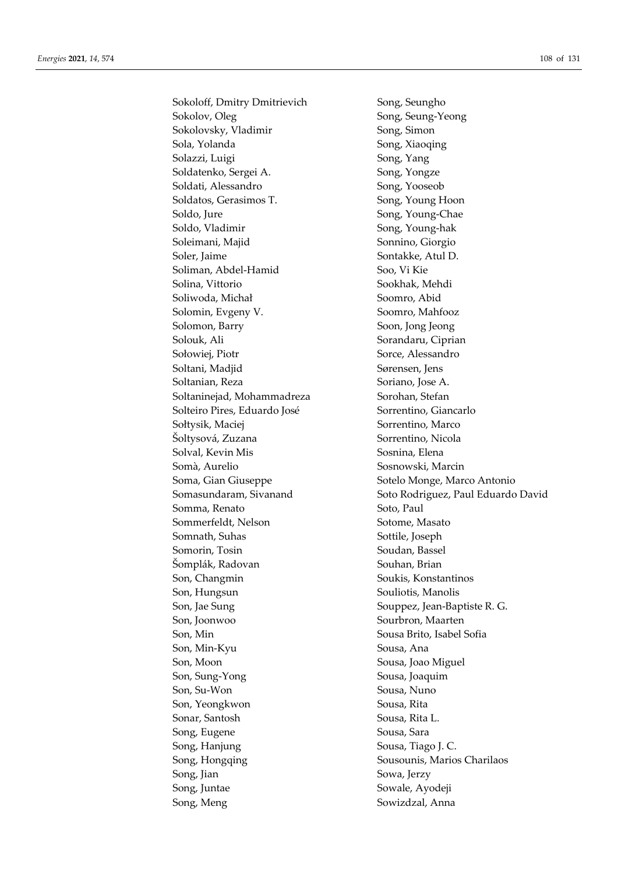Sokoloff, Dmitry Dmitrievich Song, Seungho Sokolov, Oleg Sokolov, Oleg Song, Seung-Yeong Sokolovsky, Vladimir Song, Simon Sola, Yolanda Song, Xiaoqing Solazzi, Luigi Song, Yang Soldatenko, Sergei A. Song, Yongze Soldati, Alessandro Song, Yooseob Soldatos, Gerasimos T. Song, Young Hoon Soldo, Jure Song, Young-Chae Soldo, Vladimir Song, Young-hak Soleimani, Majid Sonnino, Giorgio Soler, Jaime Sontakke, Atul D. Soliman, Abdel-Hamid Soo, Vi Kie Solina, Vittorio Sookhak, Mehdi Soliwoda, Michał Soomro, Abid Solomin, Evgeny V. Soomro, Mahfooz Solomon, Barry Soon, Jong Jeong Solouk, Ali Sorandaru, Ciprian Sołowiej, Piotr Sorce, Alessandro Soltani, Madjid Sørensen, Jens Soltanian, Reza Soriano, Jose A. Soltaninejad, Mohammadreza Sorohan, Stefan Solteiro Pires, Eduardo José Sorrentino, Giancarlo Sołtysik, Maciej Sorrentino, Marco Šoltysová, Zuzana Sorrentino, Nicola Solval, Kevin Mis Sosnina, Elena Somà, Aurelio Sosnowski, Marcin Soma, Gian Giuseppe Sotelo Monge, Marco Antonio Somma, Renato Soto, Paul Sommerfeldt, Nelson Sotome, Masato Somnath, Suhas Sottile, Joseph Somorin, Tosin Soudan, Bassel Šomplák, Radovan Souhan, Brian Son, Changmin Soukis, Konstantinos Son, Hungsun Souliotis, Manolis Son, Jae Sung Souppez, Jean-Baptiste R. G. Son, Joonwoo Sourbron, Maarten Son, Min Sousa Brito, Isabel Sofia Son, Min-Kyu Sousa, Ana Son, Moon Sousa, Joao Miguel Son, Sung-Yong Sousa, Joaquim Son, Su-Won Sousa, Nuno Son, Yeongkwon Sousa, Rita Sonar, Santosh Sousa, Rita L. Song, Eugene Sousa, Sara Song, Hanjung Sousa, Tiago J. C. Song, Hongqing Sousounis, Marios Charilaos Song, Jian Sowa, Jerzy Song, Juntae Sowale, Ayodeji Song, Meng Sowizdzal, Anna

Somasundaram, Sivanand Soto Rodriguez, Paul Eduardo David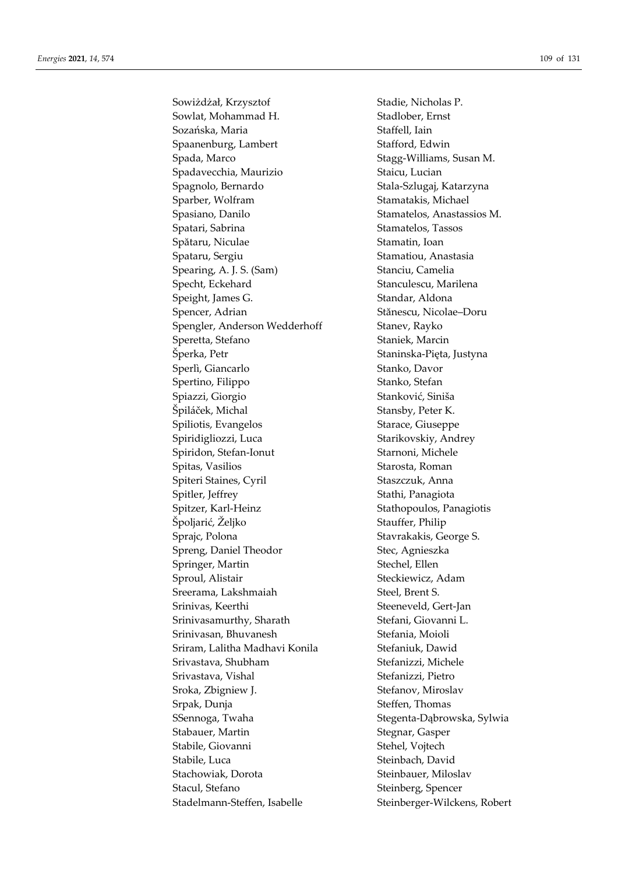Sowiżdżał, Krzysztof Stadie, Nicholas P. Sowlat, Mohammad H. Stadlober, Ernst Sozańska, Maria **Staffell**, Iain Spaanenburg, Lambert Stafford, Edwin Spada, Marco Stagg-Williams, Susan M. Spadavecchia, Maurizio Staicu, Lucian Spagnolo, Bernardo Stala-Szlugaj, Katarzyna Sparber, Wolfram Stamatakis, Michael Spasiano, Danilo Stamatelos, Anastassios M. Spatari, Sabrina Stamatelos, Tassos Spătaru, Niculae Stamatin, Ioan Spataru, Sergiu **Stamation**, Anastasia Spearing, A. J. S. (Sam) Stanciu, Camelia Specht, Eckehard Stanculescu, Marilena Speight, James G. Standar, Aldona Spencer, Adrian Stănescu, Nicolae–Doru Spengler, Anderson Wedderhoff Stanev, Rayko Speretta, Stefano Staniek, Marcin Šperka, Petr Staninska-Pięta, Justyna Sperlì, Giancarlo Stanko, Davor Spertino, Filippo Stanko, Stefan Spiazzi, Giorgio Stanković, Siniša Špiláček, Michal Stansby, Peter K. Spiliotis, Evangelos Starace, Giuseppe Spiridigliozzi, Luca Starikovskiy, Andrey Spiridon, Stefan-Ionut Starnoni, Michele Spitas, Vasilios Starosta, Roman Spiteri Staines, Cyril Staszczuk, Anna Spitler, Jeffrey Stathi, Panagiota Spitzer, Karl-Heinz Stathopoulos, Panagiotis Špoljarić, Željko Stauffer, Philip Sprajc, Polona Stavrakakis, George S. Spreng, Daniel Theodor Stec, Agnieszka Springer, Martin Stechel, Ellen Sproul, Alistair Steckiewicz, Adam Sreerama, Lakshmaiah Steel, Brent S. Srinivas, Keerthi Steeneveld, Gert-Jan Srinivasamurthy, Sharath Stefani, Giovanni L. Srinivasan, Bhuvanesh Stefania, Moioli Sriram, Lalitha Madhavi Konila Stefaniuk, Dawid Srivastava, Shubham Stefanizzi, Michele Srivastava, Vishal Stefanizzi, Pietro Sroka, Zbigniew J. Stefanov, Miroslav Srpak, Dunja Steffen, Thomas SSennoga, Twaha Stegenta-Dąbrowska, Sylwia Stabauer, Martin Stegnar, Gasper Stabile, Giovanni Stehel, Vojtech Stabile, Luca Steinbach, David Stachowiak, Dorota Steinbauer, Miloslav Stacul, Stefano Steinberg, Spencer Stadelmann-Steffen, Isabelle Steinberger-Wilckens, Robert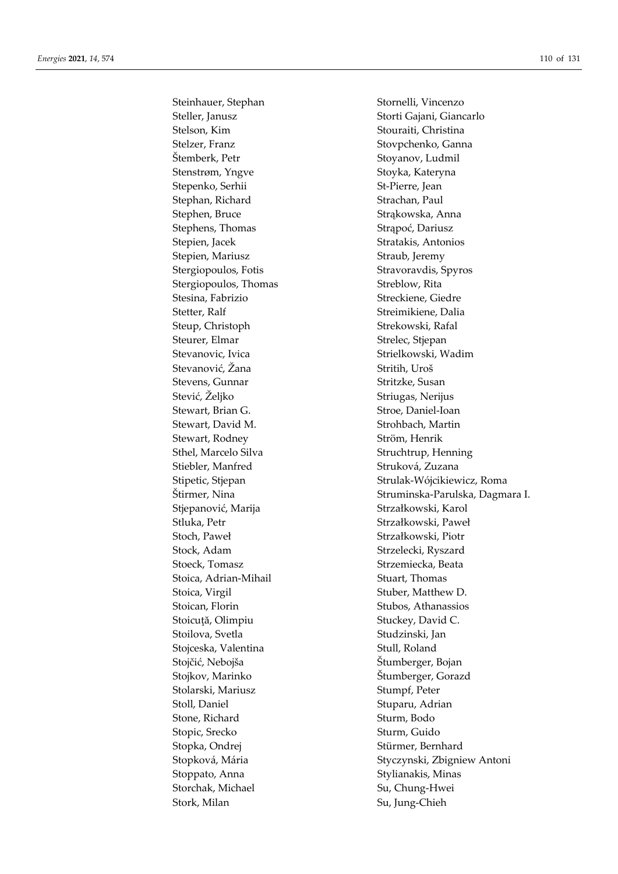Steller, Janusz Storti Gajani, Giancarlo Stelson, Kim Stouraiti, Christina Stelzer, Franz Stovpchenko, Ganna Štemberk, Petr Stoyanov, Ludmil Stenstrøm, Yngve Stoyka, Kateryna Stepenko, Serhii St-Pierre, Jean Stephan, Richard Strachan, Paul Stephen, Bruce Strąkowska, Anna Stephens, Thomas Strapoć, Dariusz Stepien, Jacek Stratakis, Antonios Stepien, Mariusz Straub, Jeremy Stergiopoulos, Fotis Stravoravdis, Spyros Stergiopoulos, Thomas Streblow, Rita Stesina, Fabrizio Streckiene, Giedre Stetter, Ralf Streimikiene, Dalia Steup, Christoph Strekowski, Rafal Steurer, Elmar Strelec, Stjepan Stevanovic, Ivica Strielkowski, Wadim Stevanović, Žana Stritih, Uroš Stevens, Gunnar Stritzke, Susan Stević, Željko Striugas, Nerijus Stewart, Brian G. Stroe, Daniel-Ioan Stewart, David M. Strohbach, Martin Stewart, Rodney Ström, Henrik Sthel, Marcelo Silva Struchtrup, Henning Stiebler, Manfred Struková, Zuzana Stjepanović, Marija Strzałkowski, Karol Stluka, Petr Strzałkowski, Paweł Stoch, Paweł Strzałkowski, Piotr Stock, Adam Strzelecki, Ryszard Stoeck, Tomasz Strzemiecka, Beata Stoica, Adrian-Mihail Stuart, Thomas Stoica, Virgil Stoica, Virgil Stuber, Matthew D. Stoican, Florin Stubos, Athanassios Stoicuță, Olimpiu Stuckey, David C. Stoilova, Svetla Studzinski, Jan Stojceska, Valentina Stull, Roland Stojčić, Nebojša **Stumberger**, Bojan Stojkov, Marinko Štumberger, Gorazd Stolarski, Mariusz Stumpf, Peter Stoll, Daniel Stuparu, Adrian Stone, Richard Sturm, Bodo Stopic, Srecko Sturm, Guido Stopka, Ondrej Stürmer, Bernhard Stoppato, Anna Stylianakis, Minas Storchak, Michael Su, Chung-Hwei Stork, Milan Su, Jung-Chieh

Steinhauer, Stephan Stornelli, Vincenzo Stipetic, Stjepan Strulak-Wójcikiewicz, Roma Štirmer, Nina Struminska-Parulska, Dagmara I. Stopková, Mária Styczynski, Zbigniew Antoni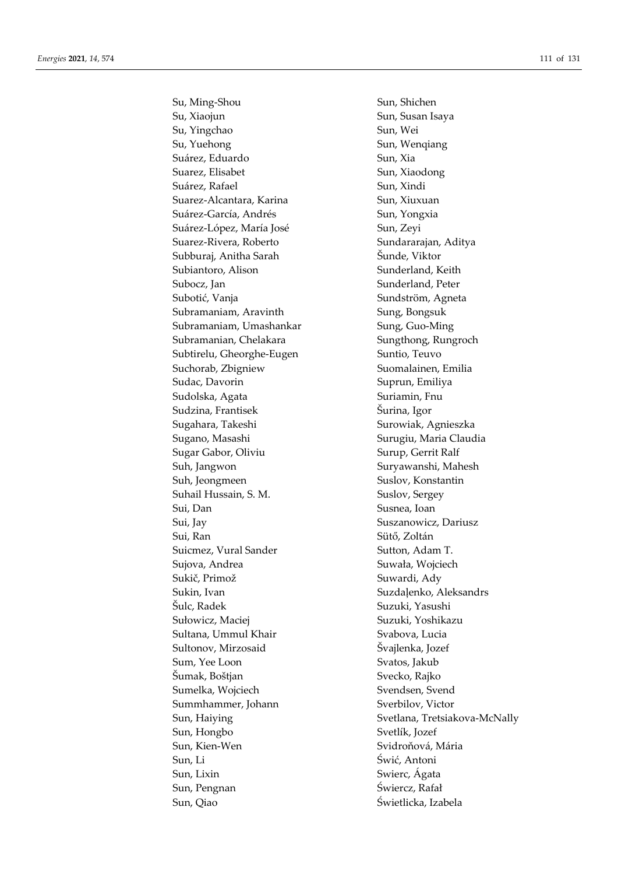Su, Ming-Shou Sun, Shichen Su, Xiaojun Sun, Susan Isaya Su, Yingchao Sun, Wei Su, Yuehong Sun, Wenqiang Suárez, Eduardo Sun, Xia Suarez, Elisabet Sun, Xiaodong Suárez, Rafael Sun, Xindi Suarez-Alcantara, Karina Sun, Xiuxuan Suárez-García, Andrés Sun, Yongxia Suárez-López, María José Sun, Zeyi Suarez-Rivera, Roberto Sundararajan, Aditya Subburaj, Anitha Sarah Šunde, Viktor Subiantoro, Alison Sunderland, Keith Subocz, Jan Sunderland, Peter Subotić, Vanja Sundström, Agneta Subramaniam, Aravinth Sung, Bongsuk Subramaniam, Umashankar Sung, Guo-Ming Subramanian, Chelakara Sungthong, Rungroch Subtirelu, Gheorghe-Eugen Suntio, Teuvo Suchorab, Zbigniew Suomalainen, Emilia Sudac, Davorin Suprun, Emiliya Sudolska, Agata Suriamin, Fnu Sudzina, Frantisek Šurina, Igor Sugahara, Takeshi Surowiak, Agnieszka Sugano, Masashi Surugiu, Maria Claudia Sugar Gabor, Oliviu Surup, Gerrit Ralf Suh, Jangwon Suryawanshi, Mahesh Suh, Jeongmeen Suslov, Konstantin Suhail Hussain, S. M. Suslov, Sergey Sui, Dan Susnea, Ioan Sui, Jay Suszanowicz, Dariusz Sui, Ran Sütő, Zoltán Suicmez, Vural Sander Sutton, Adam T. Sujova, Andrea Suwała, Wojciech Sukič, Primož Suwardi, Ady Sukin, Ivan Suzdaļenko, Aleksandrs Šulc, Radek Suzuki, Yasushi Sułowicz, Maciej Suzuki, Yoshikazu Sultana, Ummul Khair Svabova, Lucia Sultonov, Mirzosaid Švajlenka, Jozef Sum, Yee Loon Svatos, Jakub Šumak, Boštjan Svecko, Rajko Sumelka, Wojciech Svendsen, Svendsen, Svend Summhammer, Johann Sverbilov, Victor Sun, Hongbo Svetlík, Jozef Sun, Kien-Wen Svidroňová, Mária Sun, Li Świć, Antoni Sun, Lixin Swierc, Ágata Sun, Pengnan Świercz, Rafał Sun, Qiao Świetlicka, Izabela

Sun, Haiying Svetlana, Tretsiakova-McNally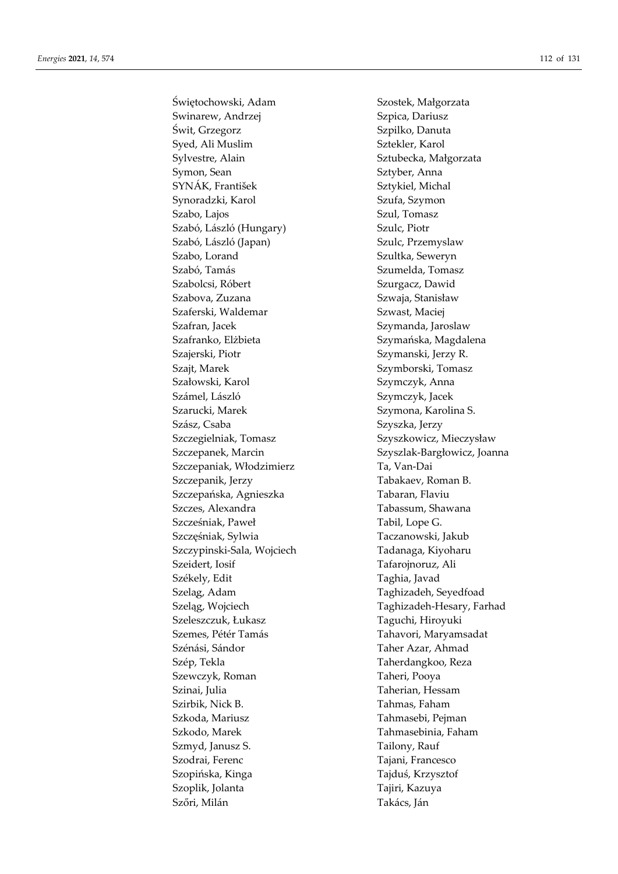Świętochowski, Adam Szostek, Małgorzata Swinarew, Andrzej Szpica, Dariusz Świt, Grzegorz Szpilko, Danuta Syed, Ali Muslim Sztekler, Karol Sylvestre, Alain Sztubecka, Małgorzata Symon, Sean Sztyber, Anna SYNÁK, František Sztykiel, Michal Synoradzki, Karol Szufa, Szymon Szabo, Lajos Szul, Tomasz Szabó, László (Hungary) Szulc, Piotr Szabó, László (Japan) Szulc, Przemyslaw Szabo, Lorand Szultka, Seweryn Szabó, Tamás Szumelda, Tomasz Szabolcsi, Róbert Szurgacz, Dawid Szabova, Zuzana Szwaja, Stanisław Szaferski, Waldemar Szwast, Maciej Szafran, Jacek Szymanda, Jaroslaw Szafranko, Elżbieta Szymańska, Magdalena Szajerski, Piotr Szymanski, Jerzy R. Szajt, Marek Szymborski, Tomasz Szałowski, Karol Szymczyk, Anna Számel, László Szymczyk, Jacek Szarucki, Marek Szymona, Karolina S. Szász, Csaba Szyszka, Jerzy Szczegielniak, Tomasz Szyszkowicz, Mieczysław Szczepaniak, Włodzimierz Ta, Van-Dai Szczepanik, Jerzy **Tabakaev, Roman B.** Szczepańska, Agnieszka Tabaran, Flaviu Szczes, Alexandra Tabassum, Shawana Szcześniak, Paweł Tabil, Lope G. Szczęśniak, Sylwia Taczanowski, Jakub Szczypinski-Sala, Wojciech Tadanaga, Kiyoharu Szeidert, Iosif Tafarojnoruz, Ali Székely, Edit Taghia, Javad Szela̧g, Adam Taghizadeh, Seyedfoad Szeleszczuk, Łukasz Taguchi, Hiroyuki Szemes, Pétér Tamás Tahavori, Maryamsadat Szénási, Sándor **Taher Azar**, Ahmad Szép, Tekla Taherdangkoo, Reza Szewczyk, Roman Taheri, Pooya Szinai, Julia Taherian, Hessam Szirbik, Nick B. Tahmas, Faham Szkoda, Mariusz Tahmasebi, Pejman Szkodo, Marek Tahmasebinia, Faham Szmyd, Janusz S. Tailony, Rauf Szodrai, Ferenc Tajani, Francesco Szopińska, Kinga Tajduś, Krzysztof Szoplik, Jolanta Tajiri, Kazuya Szőri, Milán **Takács**, Ján

Szczepanek, Marcin Szyszlak-Bargłowicz, Joanna Szeląg, Wojciech Taghizadeh-Hesary, Farhad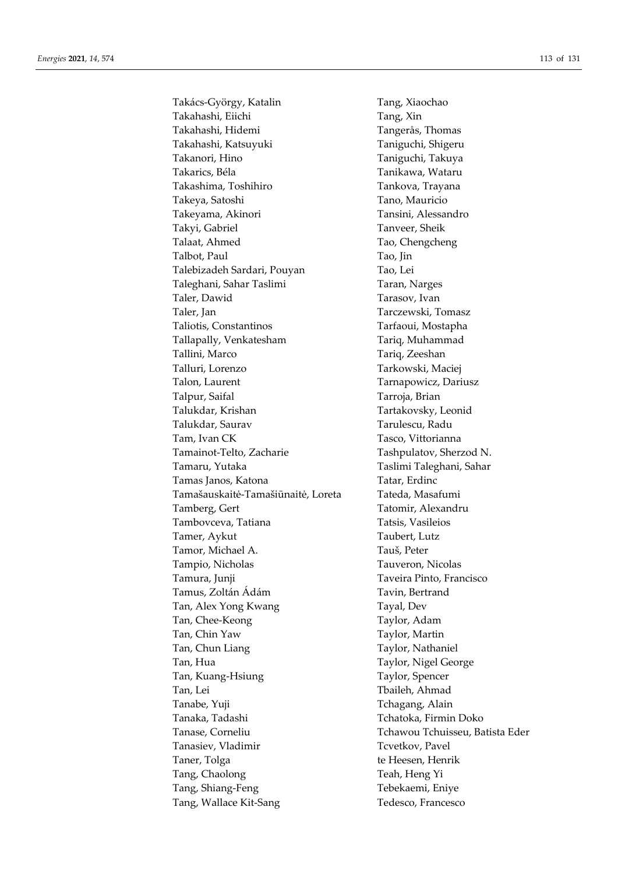Takács-György, Katalin Tang, Xiaochao Takahashi, Eiichi Tang, Xin Takahashi, Hidemi Tangerås, Thomas Takahashi, Katsuyuki Taniguchi, Shigeru Takanori, Hino Taniguchi, Takuya Takarics, Béla Tanikawa, Wataru Takashima, Toshihiro Tankova, Trayana Takeya, Satoshi Tano, Mauricio Takeyama, Akinori Tansini, Alessandro Takyi, Gabriel Tanveer, Sheik Talaat, Ahmed Tao, Chengcheng Talbot, Paul Tao, Jin Talebizadeh Sardari, Pouyan Tao, Lei Taleghani, Sahar Taslimi Taran, Narges Taler, Dawid Tarasov, Ivan Taler, Jan Tarczewski, Tomasz Taliotis, Constantinos Tarfaoui, Mostapha Tallapally, Venkatesham Tariq, Muhammad Tallini, Marco Tariq, Zeeshan Talluri, Lorenzo Tarkowski, Maciej Talon, Laurent Tarnapowicz, Dariusz Talpur, Saifal Tarroja, Brian Talukdar, Krishan Tartakovsky, Leonid Talukdar, Saurav Tarulescu, Radu Tam, Ivan CK Tasco, Vittorianna Tamainot-Telto, Zacharie Tashpulatov, Sherzod N. Tamaru, Yutaka Taslimi Taleghani, Sahar Tamas Janos, Katona **Tatar**, Erdinc Tamašauskaitė-Tamašiūnaitė, Loreta Tateda, Masafumi Tamberg, Gert Tatomir, Alexandru Tambovceva, Tatiana Tatsis, Vasileios Tamer, Aykut Taubert, Lutz Tamor, Michael A. Tauš, Peter Tampio, Nicholas Tauveron, Nicolas Tamura, Junji Taveira Pinto, Francisco Tamus, Zoltán Ádám **Taxin**, Bertrand Tan, Alex Yong Kwang Tayal, Dev Tan, Chee-Keong Taylor, Adam Tan, Chin Yaw Taylor, Martin Tan, Chun Liang Taylor, Nathaniel Tan, Hua Taylor, Nigel George Tan, Kuang-Hsiung Taylor, Spencer Tan, Lei Tbaileh, Ahmad Tanabe, Yuji Tchagang, Alain Tanaka, Tadashi **Tanaka, Tanaka, Tanaka, Tanaka**, Tanaka, Tanaka, Tanaka, Tanaka, Tanaka, Tanaka, Tanaka, Tanaka Tanase, Corneliu Tchawou Tchuisseu, Batista Eder Tanasiev, Vladimir Tcvetkov, Pavel Taner, Tolga te Heesen, Henrik Tang, Chaolong Teah, Heng Yi Tang, Shiang-Feng Tebekaemi, Eniye Tang, Wallace Kit-Sang Tedesco, Francesco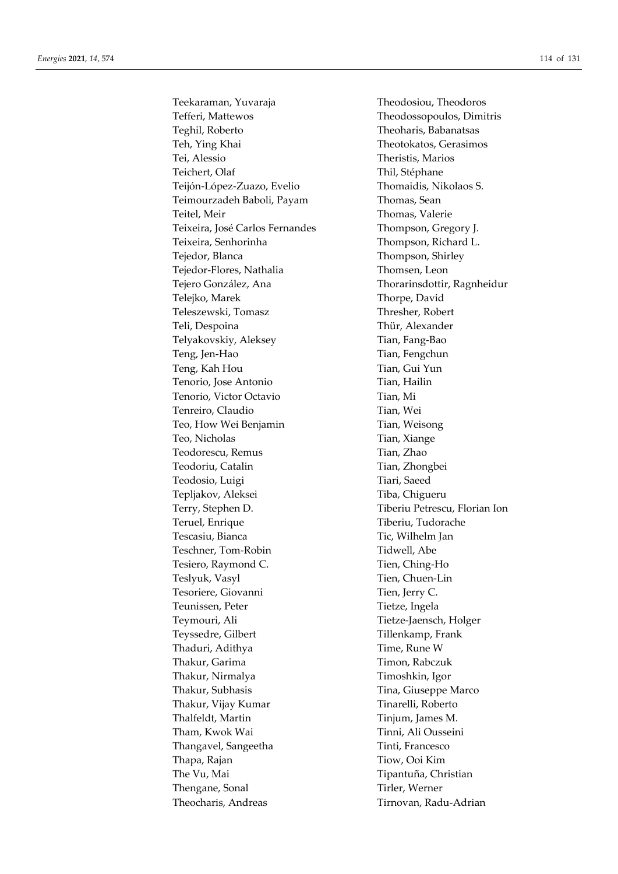Teekaraman, Yuvaraja Theodosiou, Theodoros Tefferi, Mattewos Theodossopoulos, Dimitris Teghil, Roberto Theoharis, Babanatsas Teh, Ying Khai Theotokatos, Gerasimos Tei, Alessio Theristis, Marios Teichert, Olaf Thil, Stéphane Teijón-López-Zuazo, Evelio Thomaidis, Nikolaos S. Teimourzadeh Baboli, Payam Thomas, Sean Teitel, Meir Thomas, Valerie Teixeira, José Carlos Fernandes Thompson, Gregory J. Teixeira, Senhorinha Thompson, Richard L. Tejedor, Blanca Thompson, Shirley Tejedor-Flores, Nathalia Thomsen, Leon Tejero González, Ana Thorarinsdottir, Ragnheidur Telejko, Marek Thorpe, David Teleszewski, Tomasz Thresher, Robert Teli, Despoina Thür, Alexander Telyakovskiy, Aleksey Tian, Fang-Bao Teng, Jen-Hao Tengchun Teng, Kah Hou Tian, Gui Yun Tenorio, Jose Antonio Tian, Hailin Tenorio, Victor Octavio Tian, Mi Tenreiro, Claudio Tian, Wei Teo, How Wei Benjamin Tian, Weisong Teo, Nicholas Tian, Xiange Teodorescu, Remus Tian, Zhao Teodoriu, Catalin Tian, Zhongbei Teodosio, Luigi Tiari, Saeed Tepljakov, Aleksei Tiba, Chigueru Terry, Stephen D. Tiberiu Petrescu, Florian Ion Teruel, Enrique Tiberiu, Tudorache Tescasiu, Bianca Tic, Wilhelm Jan Teschner, Tom-Robin Tidwell, Abe Tesiero, Raymond C. Tien, Ching-Ho Teslyuk, Vasyl Tien, Chuen-Lin Tesoriere, Giovanni Tien, Jerry C. Teunissen, Peter Tietze, Ingela Teymouri, Ali Tietze-Jaensch, Holger Teyssedre, Gilbert Tillenkamp, Frank Thaduri, Adithya Time, Rune W Thakur, Garima Timon, Rabczuk Thakur, Nirmalya Timoshkin, Igor Thakur, Subhasis Tina, Giuseppe Marco Thakur, Vijay Kumar Tinarelli, Roberto Thalfeldt, Martin Tinjum, James M. Tham, Kwok Wai Tinni, Ali Ousseini Thangavel, Sangeetha Tinti, Francesco Thapa, Rajan Tiow, Ooi Kim The Vu, Mai Tipantuña, Christian Thengane, Sonal Tirler, Werner Theocharis, Andreas Tirnovan, Radu-Adrian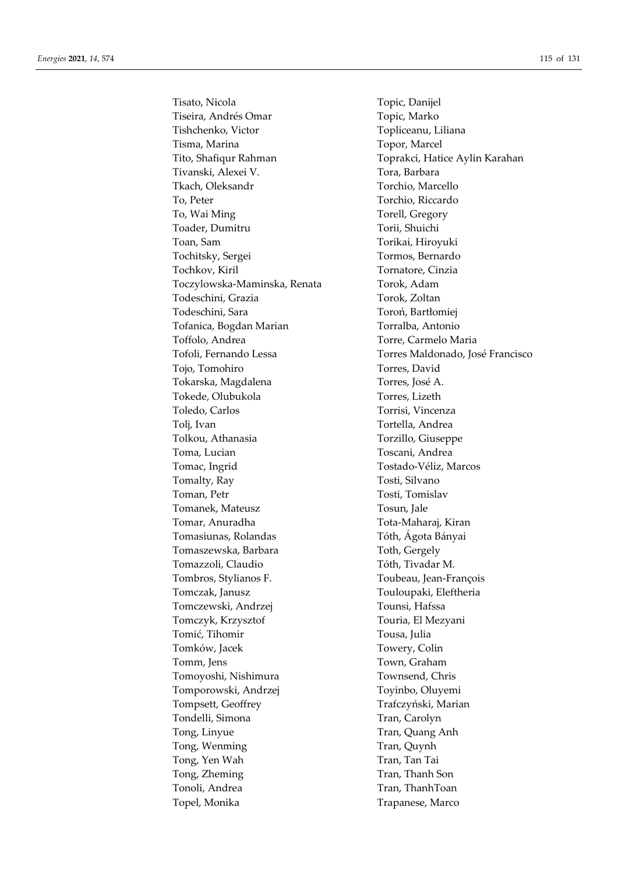Tisato, Nicola Topic, Danijel Tiseira, Andrés Omar Topic, Marko Tishchenko, Victor Topliceanu, Liliana Tisma, Marina Topor, Marcel Tivanski, Alexei V. Tora, Barbara Tkach, Oleksandr Torchio, Marcello To, Peter Torchio, Riccardo To, Wai Ming Torell, Gregory Toader, Dumitru Torii, Shuichi Toan, Sam Torikai, Hiroyuki Tochitsky, Sergei Tormos, Bernardo Tochkov, Kiril Tornatore, Cinzia Toczylowska-Maminska, Renata Torok, Adam Todeschini, Grazia Torok, Zoltan Todeschini, Sara Toroń, Bartłomiej Tofanica, Bogdan Marian Torralba, Antonio Toffolo, Andrea Torre, Carmelo Maria Tojo, Tomohiro Torres, David Tokarska, Magdalena Torres, José A. Tokede, Olubukola Torres, Lizeth Toledo, Carlos Torrisi, Vincenza Tolj, Ivan Tortella, Andrea Tolkou, Athanasia Torzillo, Giuseppe Toma, Lucian Toscani, Andrea Tomac, Ingrid Tostado-Véliz, Marcos Tomalty, Ray Tosti, Silvano Toman, Petr Tosti, Tomislav Tomanek, Mateusz Tosun, Jale Tomar, Anuradha Tota-Maharaj, Kiran Tomasiunas, Rolandas Tóth, Ágota Bányai Tomaszewska, Barbara Toth, Gergely Tomazzoli, Claudio Tóth, Tivadar M. Tombros, Stylianos F. Toubeau, Jean-François Tomczak, Janusz Touloupaki, Eleftheria Tomczewski, Andrzej Tounsi, Hafssa Tomczyk, Krzysztof Touria, El Mezyani Tomić, Tihomir Tousa, Julia Tomków, Jacek Towery, Colin Tomm, Jens Town, Graham Tomoyoshi, Nishimura Townsend, Chris Tomporowski, Andrzej Toyinbo, Oluyemi Tompsett, Geoffrey Trafczyński, Marian Tondelli, Simona Tran, Carolyn Tong, Linyue Tran, Quang Anh Tong, Wenming Tran, Quynh Tong, Yen Wah Tran, Tan Tai Tong, Zheming Tran, Thanh Son Tonoli, Andrea Tran, ThanhToan Topel, Monika Trapanese, Marco

Tito, Shafiqur Rahman Toprakci, Hatice Aylin Karahan Tofoli, Fernando Lessa Torres Maldonado, José Francisco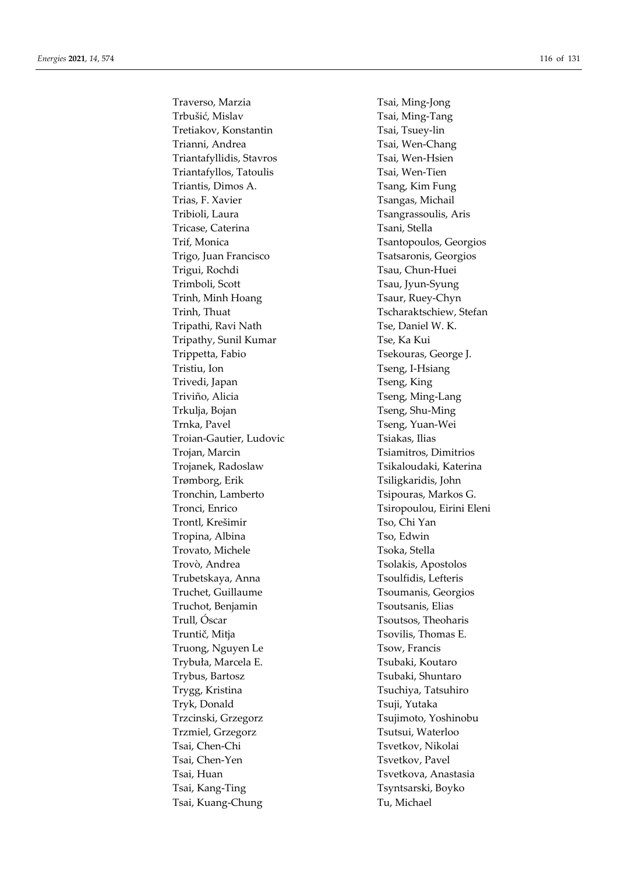Traverso, Marzia Traverso, Marzia Trbušić, Mislav Tsai, Ming-Tang Tretiakov, Konstantin Tsai, Tsuey-lin Trianni, Andrea Tsai, Wen-Chang Triantafyllidis, Stavros Tsai, Wen-Hsien Triantafyllos, Tatoulis Tsai, Wen-Tien Triantis, Dimos A. Tsang, Kim Fung Trias, F. Xavier Tsangas, Michail Tribioli, Laura Tsangrassoulis, Aris Tricase, Caterina Tsani, Stella Trif, Monica Tsantopoulos, Georgios Trigo, Juan Francisco Tsatsaronis, Georgios Trigui, Rochdi Tsau, Chun-Huei Trimboli, Scott Tsau, Jyun-Syung Trinh, Minh Hoang Trinh, Minh Hoang Trinh, Thuat Tscharaktschiew, Stefan Tripathi, Ravi Nath Tse, Daniel W. K. Tripathy, Sunil Kumar Tse, Ka Kui Trippetta, Fabio Tsekouras, George J. Tristiu, Ion Tristiu, Ion Tseng, I-Hsiang Trivedi, Japan Tseng, King Triviño, Alicia Tseng, Ming-Lang Trkulja, Bojan Trkulja, Bojan Tseng, Shu-Ming Trnka, Pavel Trnka, Pavel Tseng, Yuan-Wei Troian-Gautier, Ludovic Tsiakas, Ilias Trojan, Marcin Trojan, Marcin Tsiamitros, Dimitrios Trojanek, Radoslaw Tsikaloudaki, Katerina Trømborg, Erik Tsiligkaridis, John Tronchin, Lamberto Tsipouras, Markos G. Tronci, Enrico Tsiropoulou, Eirini Eleni Trontl, Krešimir Tso, Chi Yan Tropina, Albina Tso, Edwin Trovato, Michele Tsoka, Stella Trovò, Andrea Tsolakis, Apostolos Trubetskaya, Anna Tsoulfidis, Lefteris Truchet, Guillaume Tsoumanis, Georgios Truchot, Benjamin Tsoutsanis, Elias Trull, Óscar Tsoutsos, Theoharis Truntič, Mitja Tsovilis, Thomas E. Truong, Nguyen Le Tsow, Francis Trybuła, Marcela E. Tsubaki, Koutaro Trybus, Bartosz Tsubaki, Shuntaro Trygg, Kristina Tsuchiya, Tatsuhiro Tryk, Donald Tsuji, Yutaka Trzcinski, Grzegorz Tsujimoto, Yoshinobu Trzmiel, Grzegorz Tsutsui, Waterloo Tsai, Chen-Chi Tsvetkov, Nikolai Tsai, Chen-Yen Tsvetkov, Pavel Tsai, Huan Tsvetkova, Anastasia Tsai, Kang-Ting Tsyntsarski, Boyko Tsai, Kuang-Chung Tu, Michael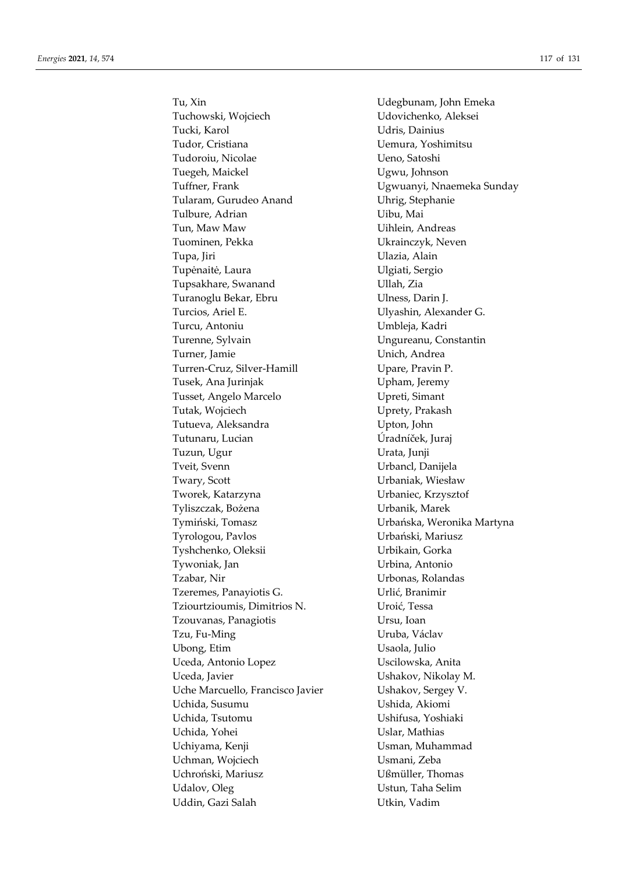Tuchowski, Wojciech Udovichenko, Aleksei Tucki, Karol Valley, Chainius Tudor, Cristiana Uemura, Yoshimitsu Tudoroiu, Nicolae Ueno, Satoshi Tuegeh, Maickel **Views** Ugwu, Johnson Tuffner, Frank Ugwuanyi, Nnaemeka Sunday Tularam, Gurudeo Anand Uhrig, Stephanie Tulbure, Adrian Uibu, Mai Tun, Maw Maw Uihlein, Andreas Tuominen, Pekka Ukrainczyk, Neven Tupa, Jiri **Martude Luccia, Caraccere** Ulazia, Alain Tupėnaitė, Laura Vietnamas vartas vartas vartas Ulgiati, Sergio Tupsakhare, Swanand VIIah, Zia Turanoglu Bekar, Ebru Viness, Darin J. Turcios, Ariel E. Vilyashin, Alexander G. Turcu, Antoniu Umbleja, Kadri Turenne, Sylvain Ungureanu, Constantin Turner, Jamie **Waren and Turner**, Jamie Turren-Cruz, Silver-Hamill Upare, Pravin P. Tusek, Ana Jurinjak Upham, Jeremy Tusset, Angelo Marcelo Upreti, Simant Tutak, Wojciech **Uprety**, Prakash Tutueva, Aleksandra **Upton**, John Tutunaru, Lucian Úradníček, Juraj Tuzun, Ugur Urata, Junji Tveit, Svenn Urbancl, Danijela Twary, Scott Urbaniak, Wiesław Tworek, Katarzyna Urbaniec, Krzysztof Tyliszczak, Bożena Urbanik, Marek Tymiński, Tomasz Urbańska, Weronika Martyna Tyrologou, Pavlos Urbański, Mariusz Tyshchenko, Oleksii Vrbikain, Gorka Tywoniak, Jan Urbina, Antonio Tzabar, Nir Urbonas, Rolandas Tzeremes, Panayiotis G. Urlić, Branimir Tziourtzioumis, Dimitrios N. Uroić, Tessa Tzouvanas, Panagiotis Ursu, Ioan Tzu, Fu-Ming **Uruba**, Václav Ubong, Etim Usaola, Julio Uceda, Antonio Lopez Uscilowska, Anita Uceda, Javier Ushakov, Nikolay M. Uche Marcuello, Francisco Javier Ushakov, Sergey V. Uchida, Susumu Ushida, Akiomi Uchida, Tsutomu Ushifusa, Yoshiaki Uchida, Yohei **Uslar**, Mathias Uchiyama, Kenji Usman, Muhammad Uchman, Wojciech Usmani, Zeba Uchroński, Mariusz Ußmüller, Thomas Udalov, Oleg Ustun, Taha Selim Uddin, Gazi Salah Utkin, Vadim

Tu, Xin Udegbunam, John Emeka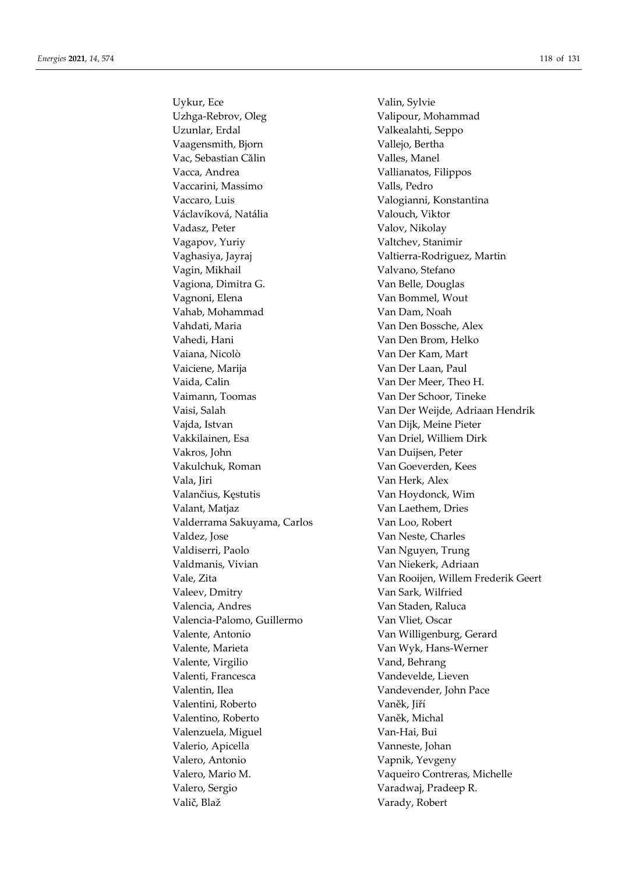Uykur, Ece Valin, Sylvie Uzhga-Rebrov, Oleg Valipour, Mohammad Uzunlar, Erdal Valkealahti, Seppo Vaagensmith, Bjorn Vallejo, Bertha Vac, Sebastian Călin Valles, Manel Vacca, Andrea Vallianatos, Filippos Vaccarini, Massimo Valls, Pedro Vaccaro, Luis Valogianni, Konstantina Václavíková, Natália v valouch, Viktor Vadasz, Peter Valov, Nikolay Vagapov, Yuriy Valtchev, Stanimir Vaghasiya, Jayraj Valtierra-Rodriguez, Martin Vagin, Mikhail **Valvano**, Stefano Vagiona, Dimitra G. Van Belle, Douglas Vagnoni, Elena Van Bommel, Wout Vahab, Mohammad Van Dam, Noah Vahdati, Maria Van Den Bossche, Alex Vahedi, Hani Van Den Brom, Helko Vaiana, Nicolò Van Der Kam, Mart Vaiciene, Marija Van Der Laan, Paul Vaida, Calin Van Der Meer, Theo H. Vaimann, Toomas Van Der Schoor, Tineke Vajda, Istvan Van Dijk, Meine Pieter Vakkilainen, Esa Van Driel, Williem Dirk Vakros, John Van Duijsen, Peter Vakulchuk, Roman Van Goeverden, Kees Vala, Jiri **Van Herk, Alex** Valančius, Kęstutis Van Hoydonck, Wim Valant, Matjaz **Van Laethem**, Dries Valderrama Sakuyama, Carlos Van Loo, Robert Valdez, Jose Van Neste, Charles Valdiserri, Paolo Van Nguyen, Trung Valdmanis, Vivian Van Niekerk, Adriaan Valeev, Dmitry Van Sark, Wilfried Valencia, Andres Van Staden, Raluca Valencia-Palomo, Guillermo Van Vliet, Oscar Valente, Antonio Van Willigenburg, Gerard Valente, Marieta Van Wyk, Hans-Werner Valente, Virgilio Vand, Behrang Valenti, Francesca Vandevelde, Lieven Valentin, Ilea Vandevender, John Pace Valentini, Roberto Vaněk, Jiří Valentino, Roberto Vaněk, Michal Valenzuela, Miguel Van-Hai, Bui Valerio, Apicella Vanneste, Johan Valero, Antonio Vapnik, Yevgeny Valero, Sergio Varadwaj, Pradeep R. Valič, Blaž Varady, Robert

Vaisi, Salah Van Der Weijde, Adriaan Hendrik Vale, Zita Van Rooijen, Willem Frederik Geert Valero, Mario M. Vaqueiro Contreras, Michelle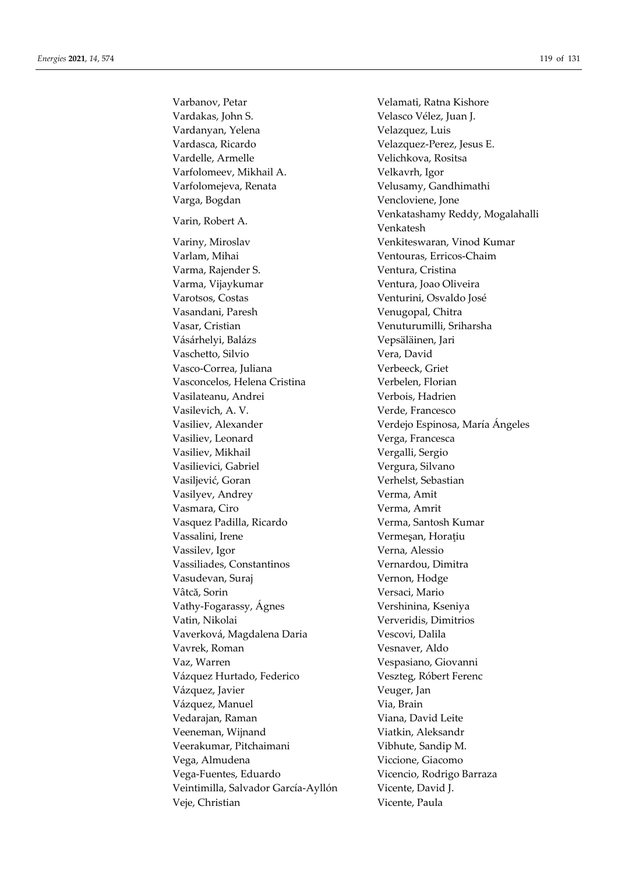Varbanov, Petar **Velamati, Ratna Kishore** Vardakas, John S. Velasco Vélez, Juan J. Vardanyan, Yelena Velazquez, Luis Vardasca, Ricardo Velazquez-Perez, Jesus E. Vardelle, Armelle Velichkova, Rositsa Varfolomeev, Mikhail A. Velkavrh, Igor Varfolomejeva, Renata Velusamy, Gandhimathi Varga, Bogdan Vencloviene, Jone Varin, Robert A. Venkatashamy Reddy, Mogalahalli Variny, Miroslav Venkiteswaran, Vinod Kumar Varlam, Mihai Ventouras, Erricos-Chaim Varma, Rajender S. Ventura, Cristina Varma, Vijaykumar Ventura, Joao Oliveira Varotsos, Costas Venturini, Osvaldo José Vasandani, Paresh Venugopal, Chitra Vasar, Cristian Venuturumilli, Sriharsha Vásárhelyi, Balázs Vepsäläinen, Jari Vaschetto, Silvio Vera, David Vasco-Correa, Juliana Verbeeck, Griet Vasconcelos, Helena Cristina Verbelen, Florian Vasilateanu, Andrei Verbois, Hadrien Vasilevich, A. V. Verde, Francesco Vasiliev, Alexander Verdejo Espinosa, María Ángeles Vasiliev, Leonard Verga, Francesca Vasiliev, Mikhail Vergalli, Sergio Vasilievici, Gabriel Vergura, Silvano Vasiljević, Goran Verhelst, Sebastian Vasilyev, Andrey Verma, Amit Vasmara, Ciro **Verma, Amrit** Vasquez Padilla, Ricardo Verma, Santosh Kumar Vassalini, Irene Vermeşan, Horaţiu Vassilev, Igor Verna, Alessio Vassiliades, Constantinos Vernardou, Dimitra Vasudevan, Suraj Vernon, Hodge Vâtcă, Sorin Versaci, Mario Vathy-Fogarassy, Ágnes Vershinina, Kseniya Vatin, Nikolai Ververidis, Dimitrios Vaverková, Magdalena Daria Vescovi, Dalila Vavrek, Roman Vesnaver, Aldo Vaz, Warren Vespasiano, Giovanni Vázquez Hurtado, Federico Veszteg, Róbert Ferenc Vázquez, Javier Veuger, Jan Vázquez, Manuel Via, Brain Vedarajan, Raman Viana, David Leite Veeneman, Wijnand Viatkin, Aleksandr Veerakumar, Pitchaimani Vibhute, Sandip M. Vega, Almudena Viccione, Giacomo Vega-Fuentes, Eduardo Vicencio, Rodrigo Barraza Veintimilla, Salvador García-Ayllón Vicente, David J. Veje, Christian Vicente, Paula

Venkatesh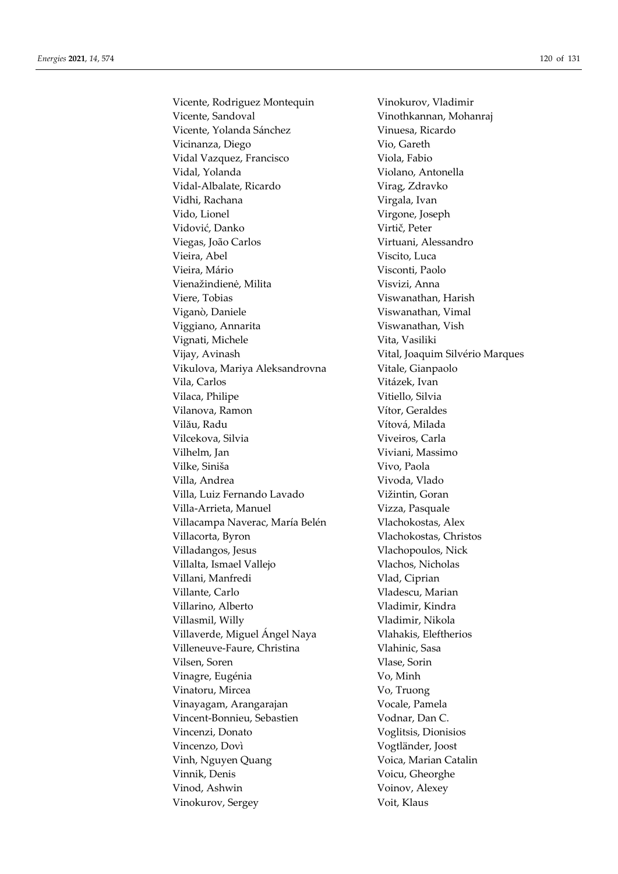Vicente, Rodriguez Montequin Vinokurov, Vladimir Vicente, Sandoval Vinothkannan, Mohanraj Vicente, Yolanda Sánchez **Vinuesa**, Ricardo Vicinanza, Diego Vio, Gareth Vidal Vazquez, Francisco Viola, Fabio Vidal, Yolanda Violano, Antonella Vidal-Albalate, Ricardo Virag, Zdravko Vidhi, Rachana Virgala, Ivan Vido, Lionel Virgone, Joseph Vidović, Danko Virtič, Peter Viegas, João Carlos Virtuani, Alessandro Vieira, Abel Viscito, Luca Vieira, Mário  $V$ isconti, Paolo Vienažindienė, Milita Visvizi, Anna Viere, Tobias Viswanathan, Harish Viganò, Daniele Viswanathan, Vimal Viggiano, Annarita Viswanathan, Vish Vignati, Michele Vita, Vasiliki Vijay, Avinash Vital, Joaquim Silvério Marques Vikulova, Mariya Aleksandrovna Vitale, Gianpaolo Vila, Carlos Vitázek, Ivan Vilaca, Philipe Vitiello, Silvia Vilanova, Ramon Vítor, Geraldes Vilău, Radu Vítová, Milada Vilcekova, Silvia Viveiros, Carla Vilhelm, Jan Viviani, Massimo Vilke, Siniša Vivo, Paola Villa, Andrea **Villa, Andrea** Vivoda, Vlado Villa, Luiz Fernando Lavado Vižintin, Goran Villa-Arrieta, Manuel Vizza, Pasquale Villacampa Naverac, María Belén Vlachokostas, Alex Villacorta, Byron Vlachokostas, Christos Villadangos, Jesus Vlachopoulos, Nick Villalta, Ismael Vallejo Vlachos, Nicholas Villani, Manfredi Vlad, Ciprian Villante, Carlo **Villante, Carlo Villante**, Carlo VIII Villarino, Alberto Vladimir, Kindra Villasmil, Willy Vladimir, Nikola Villaverde, Miguel Ángel Naya Vlahakis, Eleftherios Villeneuve-Faure, Christina Vlahinic, Sasa Vilsen, Soren Vlase, Sorin Vinagre, Eugénia Vo, Minh Vinatoru, Mircea Vo, Truong Vinayagam, Arangarajan Vocale, Pamela Vincent-Bonnieu, Sebastien Vodnar, Dan C. Vincenzi, Donato Voglitsis, Dionisios Vincenzo, Dovì Vogtländer, Joost Vinh, Nguyen Quang Voica, Marian Catalin Vinnik, Denis Voicu, Gheorghe Vinod, Ashwin Voinov, Alexey Vinokurov, Sergey Voit, Klaus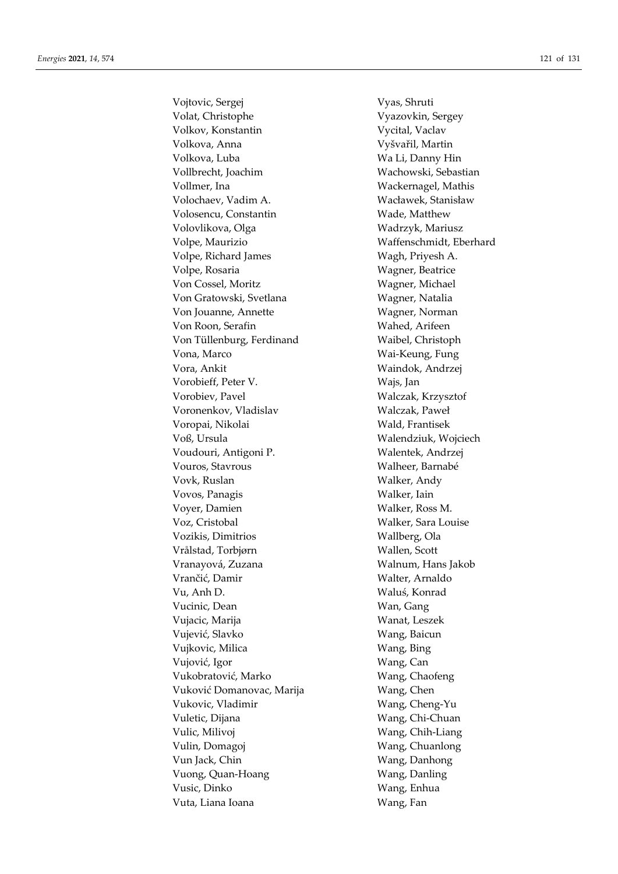Vojtovic, Sergej Vyas, Shruti Volat, Christophe Vyazovkin, Sergey Volkov, Konstantin Vycital, Vaclav Volkova, Anna Vyšvařil, Martin Volkova, Luba Wa Li, Danny Hin Vollbrecht, Joachim Wachowski, Sebastian Vollmer, Ina Wackernagel, Mathis Volochaev, Vadim A. Wacławek, Stanisław Volosencu, Constantin Wade, Matthew Volovlikova, Olga Wadrzyk, Mariusz Volpe, Maurizio Waffenschmidt, Eberhard Volpe, Richard James Wagh, Priyesh A. Volpe, Rosaria Wagner, Beatrice Von Cossel, Moritz Wagner, Michael Von Gratowski, Svetlana Wagner, Natalia Von Jouanne, Annette Wagner, Norman Von Roon, Serafin Wahed, Arifeen Von Tüllenburg, Ferdinand Waibel, Christoph Vona, Marco Wai-Keung, Fung Vora, Ankit Waindok, Andrzej Vorobieff, Peter V. Wajs, Jan Vorobiev, Pavel Walczak, Krzysztof Voronenkov, Vladislav Walczak, Paweł Voropai, Nikolai Wald, Frantisek Voß, Ursula Walendziuk, Wojciech Voudouri, Antigoni P. Walentek, Andrzej Vouros, Stavrous Walheer, Barnabé Vovk, Ruslan Walker, Andy Vovos, Panagis Walker, Iain Voyer, Damien Walker, Ross M. Voz, Cristobal Walker, Sara Louise Vozikis, Dimitrios Wallberg, Ola Vrålstad, Torbjørn Wallen, Scott Vranayová, Zuzana Walnum, Hans Jakob Vrančić, Damir **Walter, Arnaldo** Vu, Anh D. Waluś, Konrad Vucinic, Dean Wan, Gang Vujacic, Marija Wanat, Leszek Vujević, Slavko Wang, Baicun Vujkovic, Milica Wang, Bing Vujović, Igor Wang, Can Vukobratović, Marko Wang, Chaofeng Vuković Domanovac, Marija Vang, Chen Vukovic, Vladimir Wang, Cheng-Yu Vuletic, Dijana Wang, Chi-Chuan Vulic, Milivoj Wang, Chih-Liang Vulin, Domagoj Wang, Chuanlong Vun Jack, Chin Wang, Danhong Vuong, Quan-Hoang Wang, Danling Vusic, Dinko Wang, Enhua Vuta, Liana Ioana **Wang**, Fan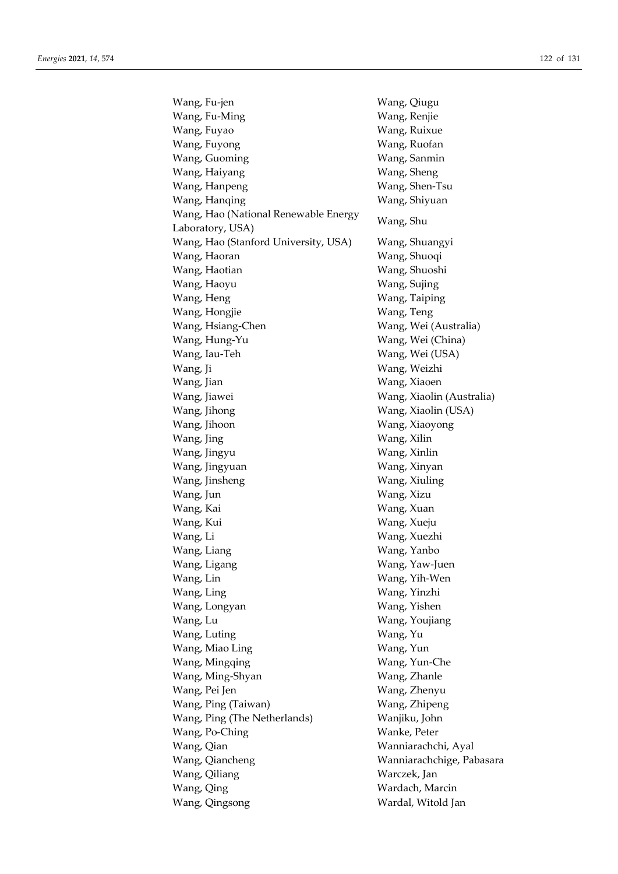Wang, Fu-jen Wang, Qiugu Wang, Fu-Ming Wang, Renjie Wang, Fuyao Wang, Ruixue Wang, Fuyong Wang, Ruofan Wang, Guoming Wang, Sanmin Wang, Haiyang **Wang**, Sheng Wang, Hanpeng Wang, Shen-Tsu Wang, Hanqing Wang, Shiyuan Wang, Hao (National Renewable Energy Wang, The Gallonian Kenewable Energy Wang, Shu Wang, Hao (Stanford University, USA) Wang, Shuangyi Wang, Haoran Wang, Shuoqi Wang, Haotian Wang, Shuoshi Wang, Haoyu Wang, Sujing Wang, Heng Wang, Taiping Wang, Hongjie Wang, Teng Wang, Hsiang-Chen Wang, Wei (Australia) Wang, Hung-Yu Wang, Wei (China) Wang, Iau-Teh Wang, Wei (USA) Wang, Ji Wang, Weizhi Wang, Jian Wang, Xiaoen Wang, Jiawei Wang, Xiaolin (Australia) Wang, Jihong Wang, Xiaolin (USA) Wang, Jihoon Wang, Xiaoyong Wang, Jing Wang, Xilin Wang, Jingyu Wang, Xinlin Wang, Jingyuan Wang, Xinyan Wang, Jinsheng Wang, Xiuling Wang, Jun Wang, Xizu Wang, Kai Wang, Xuan Wang, Kui Wang, Xueju Wang, Li Wang, Xuezhi Wang, Liang Wang, Yanbo Wang, Ligang Wang, Yaw-Juen Wang, Lin Wang, Yih-Wen Wang, Ling Wang, Yinzhi Wang, Longyan Wang, Yishen Wang, Lu Wang, Youjiang Wang, Luting Wang, Yu Wang, Miao Ling Wang, Yun Wang, Mingqing Wang, Yun-Che Wang, Ming-Shyan Wang, Zhanle Wang, Pei Jen Wang, Zhenyu Wang, Ping (Taiwan) Wang, Zhipeng Wang, Ping (The Netherlands) Wanjiku, John Wang, Po-Ching Wanke, Peter Wang, Qian Wanniarachchi, Ayal Wang, Qiancheng Wanniarachchige, Pabasara Wang, Qiliang Warczek, Jan Wang, Qing Wardach, Marcin Wang, Qingsong Wardal, Witold Jan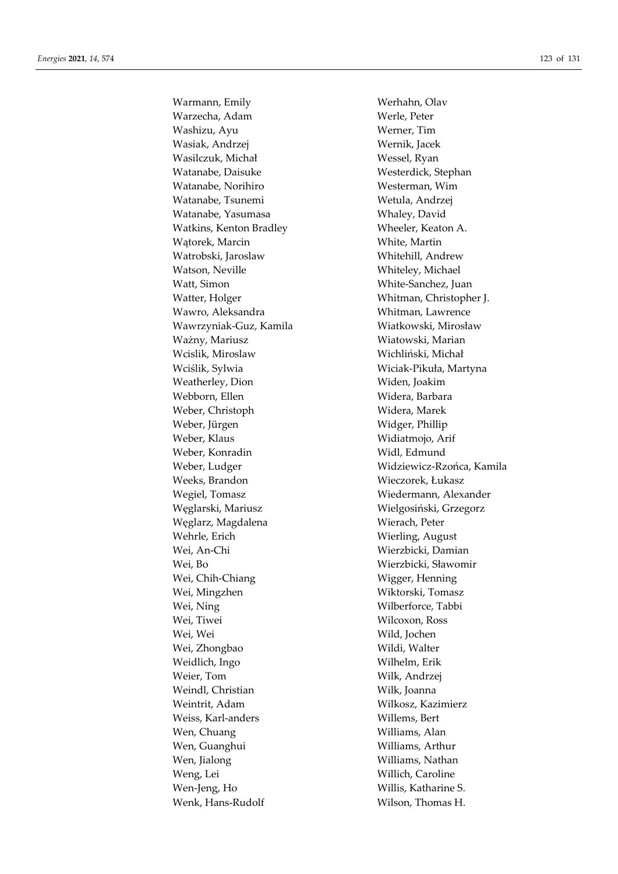Warmann, Emily Werhahn, Olav Warzecha, Adam Werle, Peter Washizu, Ayu Werner, Tim Wasiak, Andrzej Wernik, Jacek Wasilczuk, Michał Wessel, Ryan Watanabe, Daisuke Westerdick, Stephan Watanabe, Norihiro Westerman, Wim Watanabe, Tsunemi Wetula, Andrzej Watanabe, Yasumasa Whaley, David Watkins, Kenton Bradley Wheeler, Keaton A. Wątorek, Marcin White, Martin Watrobski, Jaroslaw Whitehill, Andrew Watson, Neville Whiteley, Michael Watt, Simon White-Sanchez, Juan Watter, Holger Whitman, Christopher J. Wawro, Aleksandra **Whitman**, Lawrence Wawrzyniak-Guz, Kamila Wiatkowski, Mirosław Ważny, Mariusz Wiatowski, Marian Wcislik, Miroslaw Wichliński, Michał Wciślik, Sylwia Wiciak-Pikuła, Martyna Weatherley, Dion Widen, Joakim Webborn, Ellen Widera, Barbara Weber, Christoph Widera, Marek Weber, Jürgen Widger, Phillip Weber, Klaus Widiatmojo, Arif Weber, Konradin Widl, Edmund Weeks, Brandon Wieczorek, Łukasz Wegiel, Tomasz Wiedermann, Alexander Węglarski, Mariusz Wielgosiński, Grzegorz Węglarz, Magdalena Wierach, Peter Wehrle, Erich Wierling, August Wei, An-Chi Wierzbicki, Damian Wei, Bo Wierzbicki, Sławomir Wei, Chih-Chiang Wigger, Henning Wei, Mingzhen Wiktorski, Tomasz Wei, Ning Wilberforce, Tabbi Wei, Tiwei Wilcoxon, Ross Wei, Wei Wild, Jochen Wei, Zhongbao Wildi, Walter Weidlich, Ingo Wilhelm, Erik Weier, Tom Wilk, Andrzej Weindl, Christian Wilk, Joanna Weintrit, Adam Wilkosz, Kazimierz Weiss, Karl-anders Willems, Bert Wen, Chuang Williams, Alan Wen, Guanghui Williams, Arthur Wen, Jialong Williams, Nathan Weng, Lei Willich, Caroline Wen-Jeng, Ho Willis, Katharine S. Wenk, Hans-Rudolf Wilson, Thomas H.

Weber, Ludger Widziewicz-Rzońca, Kamila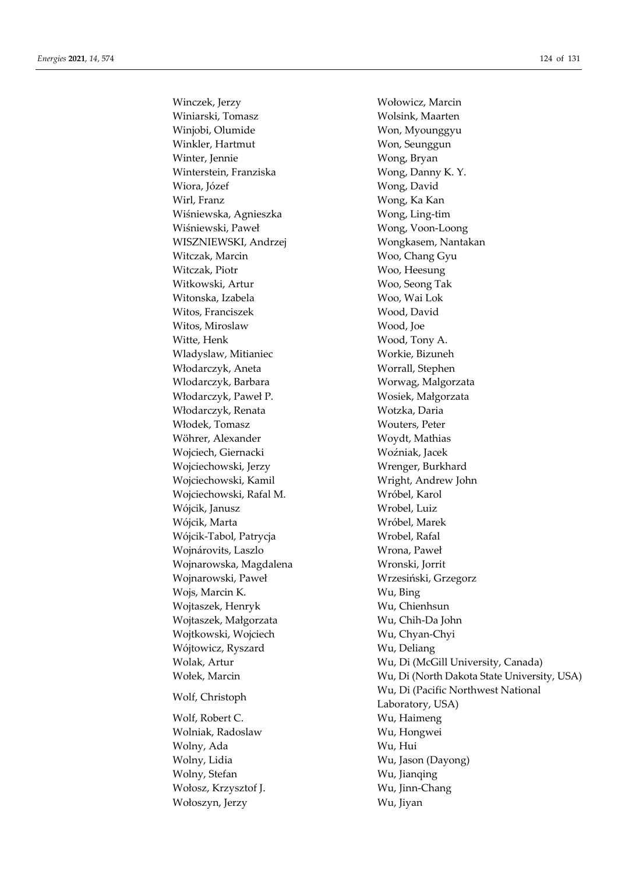Winczek, Jerzy Wołowicz, Marcin Winiarski, Tomasz Wolsink, Maarten Winjobi, Olumide Won, Myounggyu Winkler, Hartmut Won, Seunggun Winter, Jennie Wong, Bryan Winterstein, Franziska Wong, Danny K. Y. Wiora, Józef Wong, David Wirl, Franz Wong, Ka Kan Wiśniewska, Agnieszka Wong, Ling-tim Wiśniewski, Paweł Wong, Voon-Loong WISZNIEWSKI, Andrzej Wongkasem, Nantakan Witczak, Marcin Woo, Chang Gyu Witczak, Piotr Woo, Heesung Witkowski, Artur Woo, Seong Tak Witonska, Izabela Woo, Wai Lok Witos, Franciszek Wood, David Witos, Miroslaw Wood, Joe Witte, Henk Wood, Tony A. Wladyslaw, Mitianiec Workie, Bizuneh Włodarczyk, Aneta Worrall, Stephen Wlodarczyk, Barbara Worwag, Malgorzata Włodarczyk, Paweł P. Wosiek, Małgorzata Włodarczyk, Renata Wotzka, Daria Włodek, Tomasz Wouters, Peter Wöhrer, Alexander Woydt, Mathias Wojciech, Giernacki Woźniak, Jacek Wojciechowski, Jerzy Wrenger, Burkhard Wojciechowski, Kamil Wright, Andrew John Wojciechowski, Rafal M. Wróbel, Karol Wójcik, Janusz Wrobel, Luiz Wójcik, Marta Wróbel, Marek Wójcik-Tabol, Patrycja Wrobel, Rafal Wojnárovits, Laszlo Wrona, Paweł Wojnarowska, Magdalena Wronski, Jorrit Wojnarowski, Paweł Wrzesiński, Grzegorz Wojs, Marcin K. Wu, Bing Wojtaszek, Henryk Wu, Chienhsun Wojtaszek, Małgorzata Wu, Chih-Da John Wojtkowski, Wojciech Wu, Chyan-Chyi Wójtowicz, Ryszard Wu, Deliang Wolf, Robert C. Wu, Haimeng

Wolniak, Radoslaw Wu, Hongwei Wolny, Ada Wu, Hui Wolny, Stefan Wu, Jianqing Wołosz, Krzysztof J. Wu, Jinn-Chang Wołoszyn, Jerzy Wu, Jiyan

Wolak, Artur Wu, Di (McGill University, Canada) Wołek, Marcin Wu, Di (North Dakota State University, USA) Wu, Di (Pacific Northwest National<br>
Wu, Di (Pacific Northwest National<br>
Mu, Di (Pacific Northwest National Laboratory, USA) Wolny, Lidia Wu, Jason (Dayong)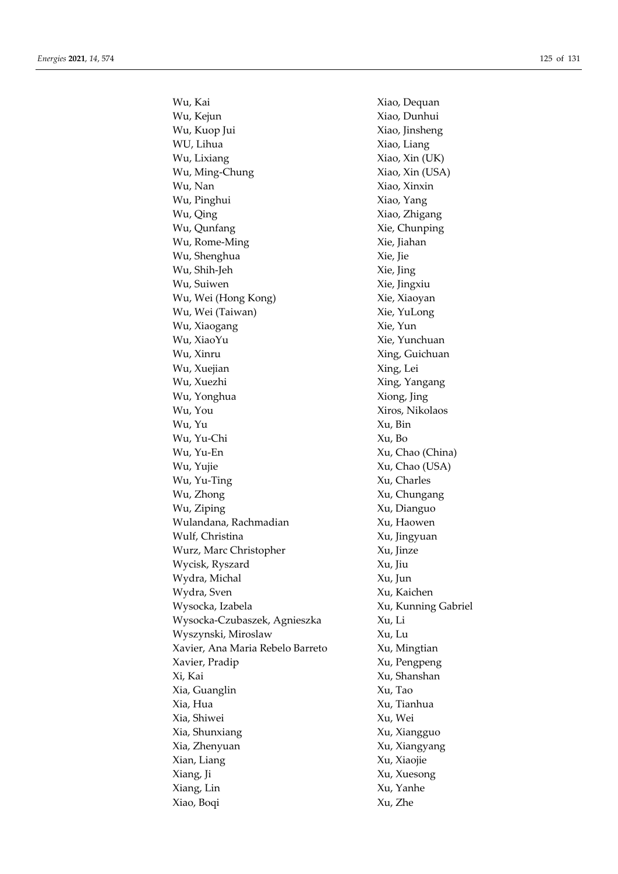Wu, Kai Xiao, Dequan Wu, Kejun Xiao, Dunhui Wu, Kuop Jui Xiao, Jinsheng WU, Lihua Xiao, Liang Wu, Lixiang  $Xiao$ , Xiao, Xin (UK) Wu, Ming-Chung Xiao, Xin (USA) Wu, Nan Xiao, Xinxin Wu, Pinghui Xiao, Yang Wu, Qing Xiao, Zhigang Wu, Qunfang Xie, Chunping Wu, Rome-Ming Xie, Jiahan Wu, Shenghua Xie, Jie Wu, Shih-Jeh Xie, Jing Wu, Suiwen Xie, Jingxiu Wu, Wei (Hong Kong) Xie, Xiaoyan Wu, Wei (Taiwan) Xie, YuLong Wu, Xiaogang  $Xie, Yun$ Wu, XiaoYu Xie, Yunchuan Wu, Xinru Xing, Guichuan Wu, Xuejian Xing, Lei Wu, Xuezhi Xing, Yangang Wu, Yonghua Xiong, Jing Wu, You Xiros, Nikolaos Wu, Yu Xu, Bin Wu, Yu-Chi Xu, Bo Wu, Yu-En Xu, Chao (China) Wu, Yujie Xu, Chao (USA) Wu, Yu-Ting Xu, Charles Wu, Zhong  $Xu$ , Chungang Wu, Ziping  $Xu$ , Dianguo Wulandana, Rachmadian Xu, Haowen Wulf, Christina Xu, Jingyuan Wurz, Marc Christopher Xu, Jinze Wycisk, Ryszard Xu, Jiu Wydra, Michal Xu, Jun Wydra, Sven Xu, Kaichen Wysocka, Izabela Xu, Kunning Gabriel Wysocka-Czubaszek, Agnieszka Xu, Li Wyszynski, Miroslaw Xu, Lu Xavier, Ana Maria Rebelo Barreto Xu, Mingtian Xavier, Pradip Xu, Pengpeng Xi, Kai Xu, Shanshan Xia, Guanglin Xu, Tao Xia, Hua Xu, Tianhua Xia, Shiwei Xu, Wei Xia, Shunxiang Xu, Xiangguo Xia, Zhenyuan Xu, Xiangyang Xian, Liang Xu, Xiaojie Xiang, Ji Xu, Xuesong Xiang, Lin Xu, Yanhe Xiao, Boqi Xu, Zhe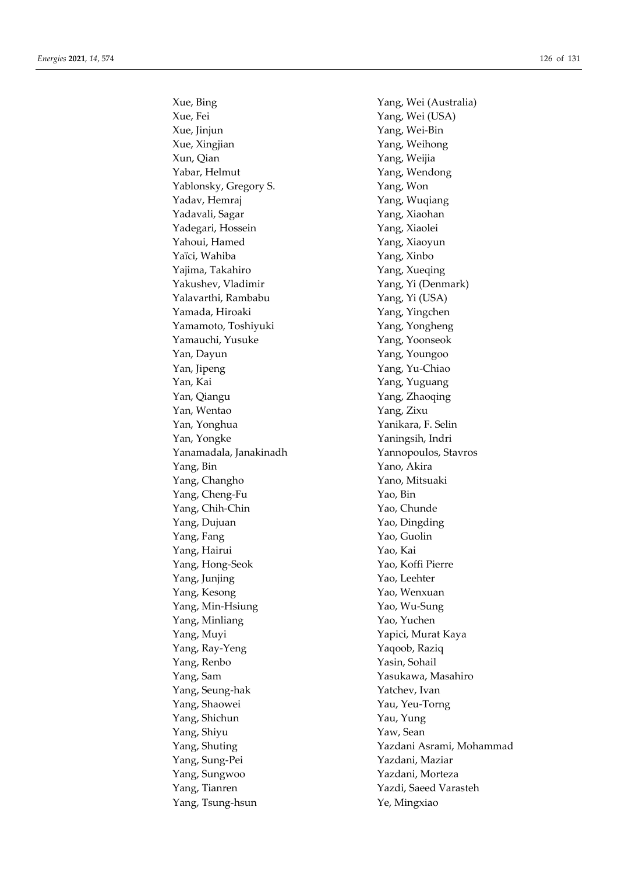Xue, Bing Yang, Wei (Australia) Xue, Fei Yang, Wei (USA) Xue, Jinjun Yang, Wei-Bin Xue, Xingjian Yang, Weihong Xun, Qian Yang, Weijia Yabar, Helmut Yang, Wendong Yablonsky, Gregory S. Yang, Won Yadav, Hemraj *Yang, Wuqiang* Yadavali, Sagar Yang, Xiaohan Yadegari, Hossein Yang, Xiaolei Yahoui, Hamed Yang, Xiaoyun Yaïci, Wahiba Yang, Xinbo Yajima, Takahiro Xang, Xueqing Yakushev, Vladimir Yang, Yi (Denmark) Yalavarthi, Rambabu Yang, Yi (USA) Yamada, Hiroaki Yang, Yingchen Yamamoto, Toshiyuki Yang, Yongheng Yamauchi, Yusuke Yang, Yoonseok Yan, Dayun Yang, Youngoo Yan, Jipeng Yang, Yu-Chiao Yan, Kai Yang, Yuguang Yan, Qiangu Yang, Zhaoqing Yan, Wentao Yang, Zixu Yan, Yonghua Yanikara, F. Selin Yan, Yongke Yaningsih, Indri Yanamadala, Janakinadh Yannopoulos, Stavros Yang, Bin Yano, Akira Yang, Changho Yano, Mitsuaki Yang, Cheng-Fu Yao, Bin Yang, Chih-Chin Yao, Chunde Yang, Dujuan Yao, Dingding Yang, Fang Yao, Guolin Yang, Hairui Yao, Kai Yang, Hong-Seok Yao, Koffi Pierre Yang, Junjing Yao, Leehter Yang, Kesong Yao, Wenxuan Yang, Min-Hsiung Yao, Wu-Sung Yang, Minliang Yao, Yuchen Yang, Muyi Yapici, Murat Kaya Yang, Ray-Yeng Yaqoob, Raziq Yang, Renbo Yasin, Sohail Yang, Sam Yasukawa, Masahiro Yang, Seung-hak Yatchev, Ivan Yang, Shaowei Yau, Yeu-Torng Yang, Shichun Yau, Yung Yang, Shiyu Yaw, Sean Yang, Sung-Pei Yazdani, Maziar Yang, Sungwoo Yazdani, Morteza Yang, Tianren Yazdi, Saeed Varasteh Yang, Tsung-hsun Ye, Mingxiao

Yang, Shuting Yazdani Asrami, Mohammad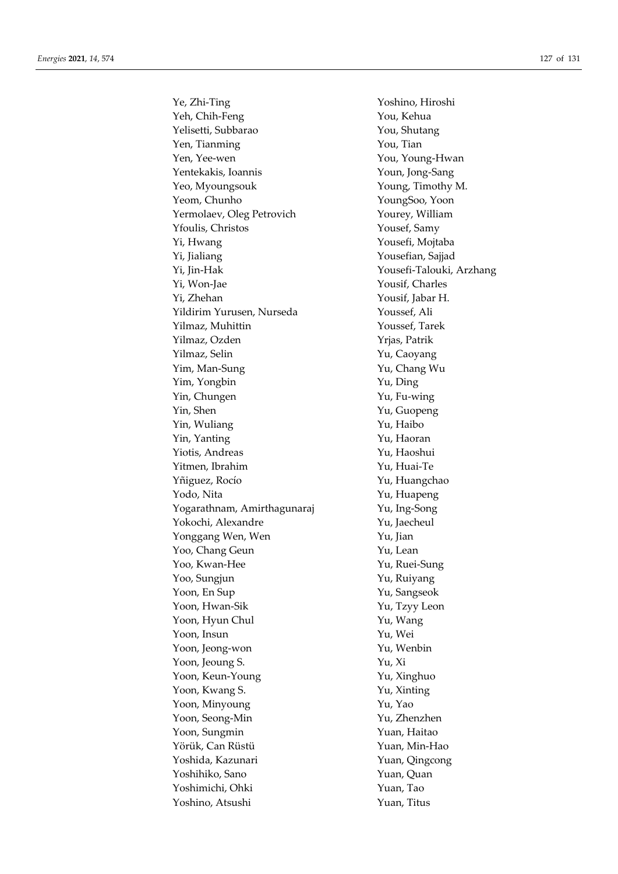Ye, Zhi-Ting Yoshino, Hiroshi Yeh, Chih-Feng You, Kehua Yelisetti, Subbarao Xou, Shutang Yen, Tianming You, Tian Yen, Yee-wen You, Young-Hwan Yentekakis, Ioannis Youn, Jong-Sang Yeo, Myoungsouk Young, Timothy M. Yeom, Chunho YoungSoo, Yoon Yermolaev, Oleg Petrovich Yourey, William Yfoulis, Christos Yousef, Samy Yi, Hwang Yousefi, Mojtaba Yi, Jialiang Yousefian, Sajjad Yi, Jin-Hak Yousefi-Talouki, Arzhang Yi, Won-Jae Yousif, Charles Yi, Zhehan Yousif, Jabar H. Yildirim Yurusen, Nurseda Youssef, Ali Yilmaz, Muhittin Youssef, Tarek Yilmaz, Ozden Yrjas, Patrik Yilmaz, Selin Yu, Caoyang Yim, Man-Sung Yu, Chang Wu Yim, Yongbin Yu, Ding Yin, Chungen Yu, Fu-wing Yin, Shen Yu, Guopeng Yin, Wuliang Yu, Haibo Yin, Yanting Yu, Haoran Yiotis, Andreas Yu, Haoshui Yitmen, Ibrahim Yu, Huai-Te Yñiguez, Rocío **Yu, Huangchao** Yodo, Nita Yu, Huapeng Yogarathnam, Amirthagunaraj *Yu, Ing-Song* Yokochi, Alexandre Yu, Jaecheul Yonggang Wen, Wen Yu, Jian Yoo, Chang Geun Yu, Lean Yoo, Kwan-Hee Yu, Ruei-Sung Yoo, Sungjun Yu, Ruiyang Yoon, En Sup Yu, Sangseok Yoon, Hwan-Sik Yu, Tzyy Leon Yoon, Hyun Chul Yu, Wang Yoon, Insun Yu, Wei Yoon, Jeong-won Yu, Wenbin Yoon, Jeoung S. Yu, Xi Yoon, Keun-Young Yu, Xinghuo Yoon, Kwang S. Yu, Xinting Yoon, Minyoung Yu, Yao Yoon, Seong-Min Yu, Zhenzhen Yoon, Sungmin Yuan, Haitao Yörük, Can Rüstü Yuan, Min-Hao Yoshida, Kazunari Yuan, Qingcong Yoshihiko, Sano Yuan, Quan Yoshimichi, Ohki Yuan, Tao Yoshino, Atsushi Yuan, Titus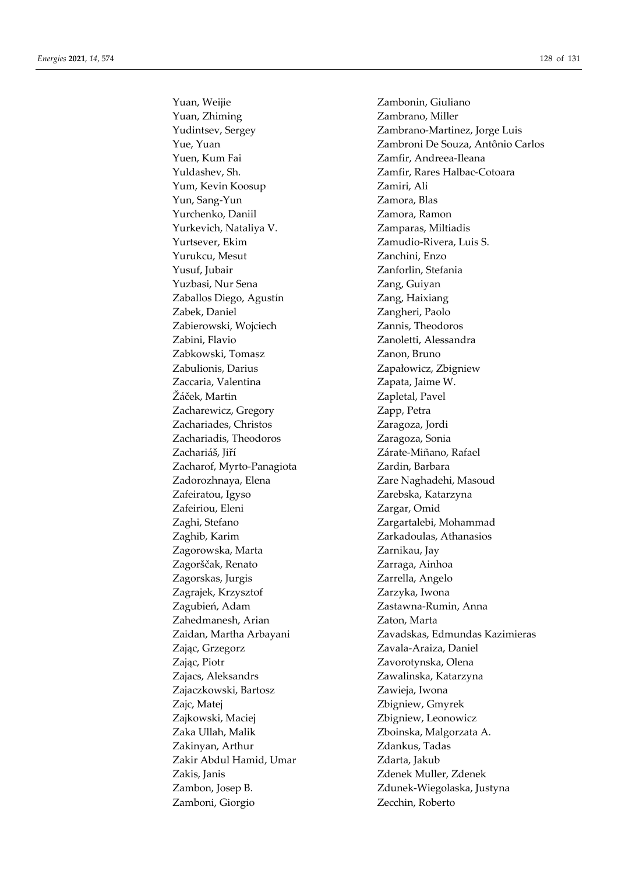Yuan, Zhiming **Zambrano**, Miller Yuen, Kum Fai Zamfir, Andreea-Ileana Yum, Kevin Koosup Zamiri, Ali Yun, Sang-Yun Zamora, Blas Yurchenko, Daniil Zamora, Ramon Yurkevich, Nataliya V. Zamparas, Miltiadis Yurtsever, Ekim Zamudio-Rivera, Luis S. Yurukcu, Mesut Zanchini, Enzo Yusuf, Jubair Zanforlin, Stefania Yuzbasi, Nur Sena **Zang**, Guiyan Zaballos Diego, Agustín **Zang**, Haixiang Zabek, Daniel Zangheri, Paolo Zabierowski, Wojciech Zannis, Theodoros Zabini, Flavio Zanoletti, Alessandra Zabkowski, Tomasz  $Z$ anon, Bruno Zabulionis, Darius Zapałowicz, Zbigniew Zaccaria, Valentina Zapata, Jaime W. Žáček, Martin  $\zeta$ Zacharewicz, Gregory **Zapp, Petra** Zachariades, Christos Zaragoza, Jordi Zachariadis, Theodoros Zaragoza, Sonia Zachariáš, Jiří **Zárate-Miñano, Rafael** Zacharof, Myrto-Panagiota Zardin, Barbara Zadorozhnaya, Elena **Zare Naghadehi, Masoud** Zafeiratou, Igyso Zarebska, Katarzyna Zafeiriou, Eleni Zargar, Omid Zaghi, Stefano Zargartalebi, Mohammad Zaghib, Karim **Zarkadoulas**, Athanasios Zagorowska, Marta **Zarnikau**, Jay Zagorščak, Renato Zarraga, Ainhoa Zagorskas, Jurgis Zarrella, Angelo Zagrajek, Krzysztof Zarzyka, Iwona Zagubień, Adam Zastawna-Rumin, Anna Zahedmanesh, Arian Zaton, Marta Zając, Grzegorz Zavala-Araiza, Daniel Zając, Piotr Zavorotynska, Olena Zajacs, Aleksandrs Zawalinska, Katarzyna Zajaczkowski, Bartosz Zawieja, Iwona Zajc, Matej Zbigniew, Gmyrek Zajkowski, Maciej Zbigniew, Leonowicz Zaka Ullah, Malik Zboinska, Malgorzata A. Zakinyan, Arthur Zdankus, Tadas Zakir Abdul Hamid, Umar Zdarta, Jakub Zakis, Janis Zdenek Muller, Zdenek Zambon, Josep B. Zdunek-Wiegolaska, Justyna Zamboni, Giorgio Zecchin, Roberto

Yuan, Weijie Zambonin, Giuliano Yudintsev, Sergey Zambrano-Martinez, Jorge Luis Yue, Yuan Zambroni De Souza, Antônio Carlos Yuldashev, Sh. Zamfir, Rares Halbac-Cotoara Zaidan, Martha Arbayani Zavadskas, Edmundas Kazimieras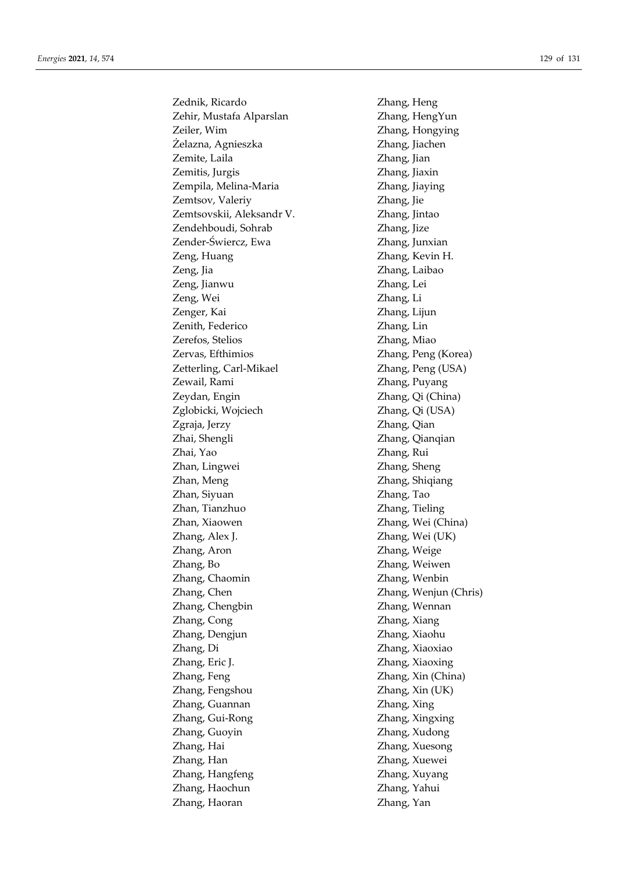Zednik, Ricardo Zhang, Heng Zehir, Mustafa Alparslan Zhang, HengYun Zeiler, Wim Zhang, Hongying Żelazna, Agnieszka Zhang, Jiachen Zemite, Laila **Zhang**, Jian Zemitis, Jurgis Zhang, Jiaxin Zempila, Melina-Maria **Zhang, Jiaying** Zemtsov, Valeriy **Zhang**, Jie Zemtsovskii, Aleksandr V. Zhang, Jintao Zendehboudi, Sohrab Zhang, Jize Zender-Świercz, Ewa Zhang, Junxian Zeng, Huang Zhang, Kevin H. Zeng, Jia Zhang, Laibao Zeng, Jianwu Zhang, Lei Zeng, Wei Zhang, Li Zenger, Kai Zhang, Lijun Zenith, Federico Zhang, Lin Zerefos, Stelios Zhang, Miao Zervas, Efthimios Zhang, Peng (Korea) Zetterling, Carl-Mikael Zhang, Peng (USA) Zewail, Rami Zhang, Puyang Zeydan, Engin Zhang, Qi (China) Zglobicki, Wojciech Zhang, Qi (USA) Zgraja, Jerzy Zhang, Qian Zhai, Shengli Zhang, Qianqian Zhai, Yao Zhang, Rui Zhan, Lingwei Zhang, Sheng Zhan, Meng Zhang, Shiqiang Zhan, Siyuan Zhang, Tao Zhan, Tianzhuo Zhang, Tieling Zhan, Xiaowen Zhang, Wei (China) Zhang, Alex J. Zhang, Wei (UK) Zhang, Aron Zhang, Weige Zhang, Bo Zhang, Weiwen Zhang, Chaomin Zhang, Wenbin Zhang, Chen Zhang, Wenjun (Chris) Zhang, Chengbin Zhang, Wennan Zhang, Cong Zhang, Xiang Zhang, Dengjun Zhang, Xiaohu Zhang, Di Zhang, Xiaoxiao Zhang, Eric J. Zhang, Xiaoxing Zhang, Feng Zhang, Xin (China) Zhang, Fengshou Zhang, Xin (UK) Zhang, Guannan Zhang, Xing Zhang, Gui-Rong Zhang, Xingxing Zhang, Guoyin Zhang, Xudong Zhang, Hai Zhang, Xuesong Zhang, Han Zhang, Xuewei Zhang, Hangfeng Zhang, Xuyang Zhang, Haochun Zhang, Yahui Zhang, Haoran Zhang, Yan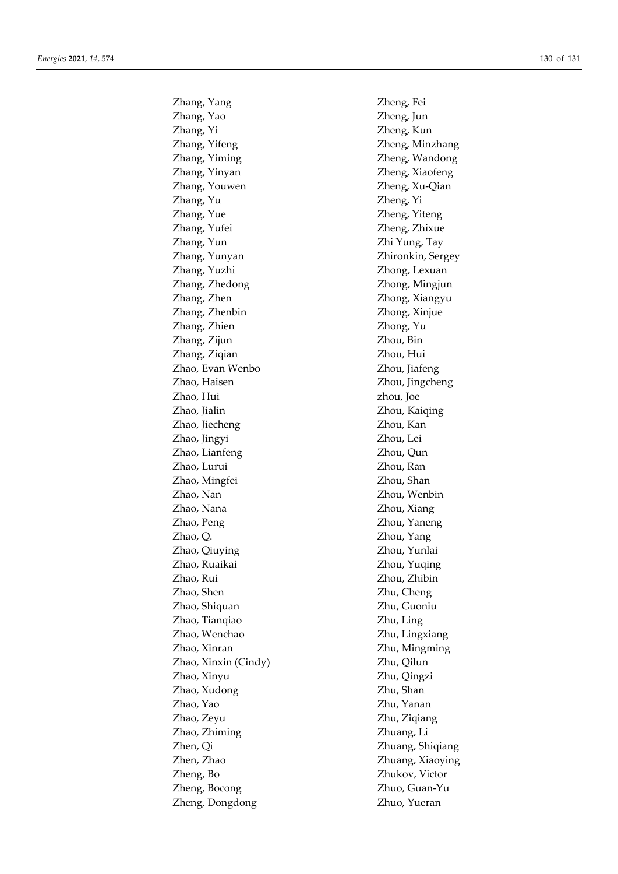Zhang, Yang Zheng, Fei Zhang, Yao Zheng, Jun Zhang, Yi Zheng, Kun Zhang, Yifeng Zheng, Minzhang Zhang, Yiming Zheng, Wandong Zhang, Yinyan Zheng, Xiaofeng Zhang, Youwen Zheng, Xu-Qian Zhang, Yu Zheng, Yi Zhang, Yue Zheng, Yiteng Zhang, Yufei Zheng, Zhixue Zhang, Yun Zhi Yung, Tay Zhang, Yunyan Zhironkin, Sergey Zhang, Yuzhi Zhong, Lexuan Zhang, Zhedong Zhong, Mingjun Zhang, Zhen Zhong, Xiangyu Zhang, Zhenbin Zhong, Xinjue Zhang, Zhien Zhong, Yu Zhang, Zijun Zhou, Bin Zhang, Ziqian Zhou, Hui Zhao, Evan Wenbo Zhou, Jiafeng Zhao, Haisen Zhou, Jingcheng Zhao, Hui zhou, Joe Zhao, Jialin Zhou, Kaiqing Zhao, Jiecheng Zhou, Kan Zhao, Jingyi Zhou, Lei Zhao, Lianfeng Zhou, Qun Zhao, Lurui Zhou, Ran Zhao, Mingfei Zhou, Shan Zhao, Nan Zhou, Wenbin Zhao, Nana Zhou, Xiang Zhao, Peng Zhou, Yaneng Zhao, Q. Zhou, Yang Zhao, Qiuying Zhou, Yunlai Zhao, Ruaikai Zhou, Yuqing Zhao, Rui Zhou, Zhibin Zhao, Shen Zhu, Cheng Zhao, Shiquan Zhu, Guoniu Zhao, Tianqiao Zhu, Ling Zhao, Wenchao Zhu, Lingxiang Zhao, Xinran Zhu, Mingming Zhao, Xinxin (Cindy) Zhu, Qilun Zhao, Xinyu Zhu, Qingzi Zhao, Xudong Zhu, Shan Zhao, Yao Zhu, Yanan Zhao, Zeyu Zhu, Ziqiang Zhao, Zhiming Zhuang, Li Zhen, Qi Zhuang, Shiqiang Zhen, Zhao Zhuang, Xiaoying Zheng, Bo Zhukov, Victor Zheng, Bocong Zhuo, Guan-Yu Zheng, Dongdong Zhuo, Yueran